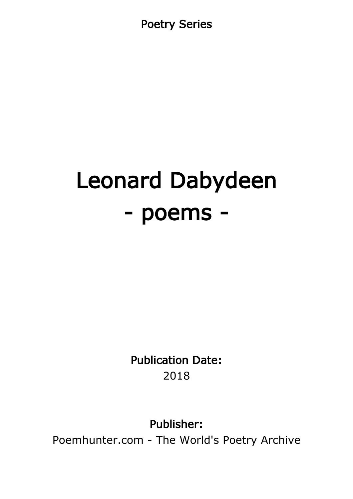Poetry Series

# Leonard Dabydeen - poems -

Publication Date: 2018

Publisher:

Poemhunter.com - The World's Poetry Archive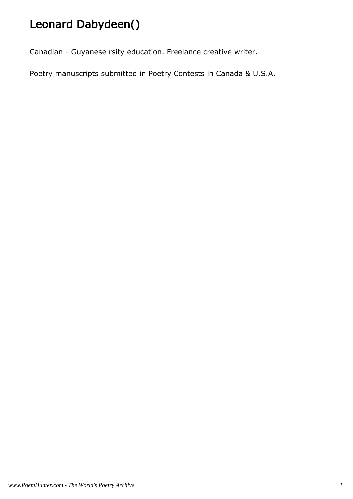# Leonard Dabydeen()

Canadian - Guyanese rsity education. Freelance creative writer.

Poetry manuscripts submitted in Poetry Contests in Canada & U.S.A.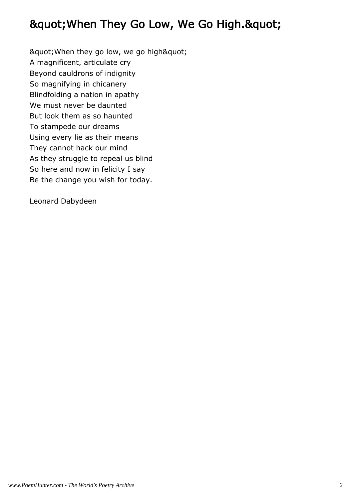## " When They Go Low, We Go High. "

" When they go low, we go high" A magnificent, articulate cry Beyond cauldrons of indignity So magnifying in chicanery Blindfolding a nation in apathy We must never be daunted But look them as so haunted To stampede our dreams Using every lie as their means They cannot hack our mind As they struggle to repeal us blind So here and now in felicity I say Be the change you wish for today.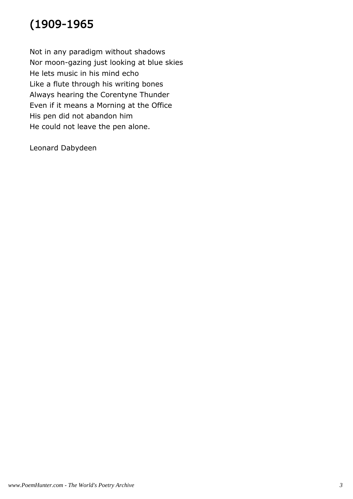# (1909-1965

Not in any paradigm without shadows Nor moon-gazing just looking at blue skies He lets music in his mind echo Like a flute through his writing bones Always hearing the Corentyne Thunder Even if it means a Morning at the Office His pen did not abandon him He could not leave the pen alone.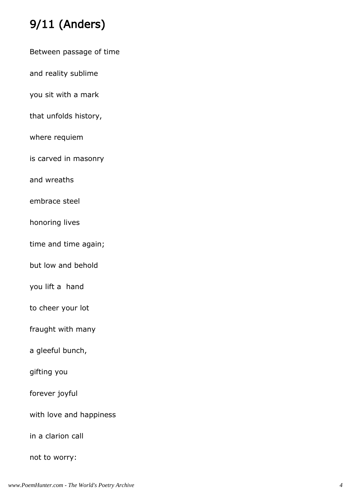# 9/11 (Anders)

Between passage of time

and reality sublime

you sit with a mark

that unfolds history,

where requiem

is carved in masonry

and wreaths

embrace steel

honoring lives

time and time again;

but low and behold

you lift a hand

to cheer your lot

fraught with many

a gleeful bunch,

gifting you

forever joyful

with love and happiness

in a clarion call

not to worry: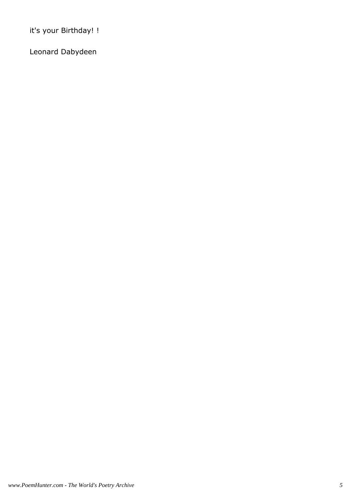it's your Birthday! !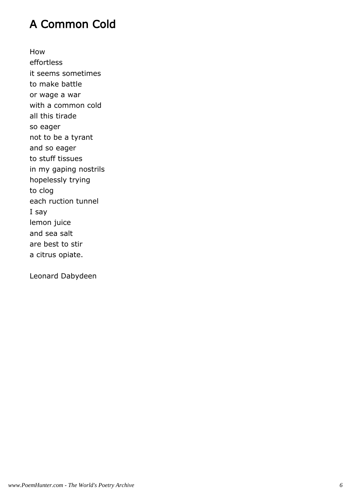## A Common Cold

How effortless it seems sometimes to make battle or wage a war with a common cold all this tirade so eager not to be a tyrant and so eager to stuff tissues in my gaping nostrils hopelessly trying to clog each ruction tunnel I say lemon juice and sea salt are best to stir a citrus opiate.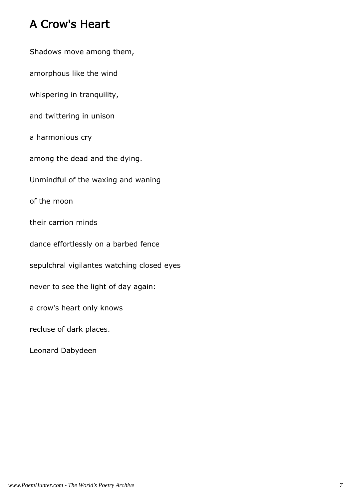## A Crow's Heart

Shadows move among them, amorphous like the wind whispering in tranquility, and twittering in unison a harmonious cry among the dead and the dying. Unmindful of the waxing and waning of the moon their carrion minds dance effortlessly on a barbed fence sepulchral vigilantes watching closed eyes never to see the light of day again: a crow's heart only knows recluse of dark places. Leonard Dabydeen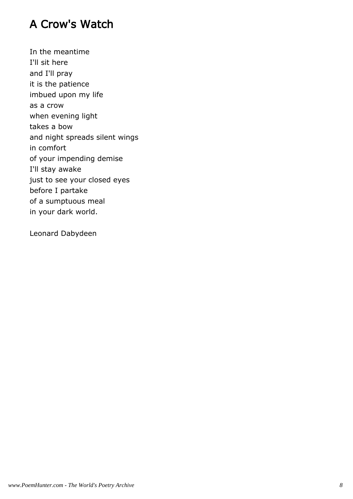## A Crow's Watch

In the meantime I'll sit here and I'll pray it is the patience imbued upon my life as a crow when evening light takes a bow and night spreads silent wings in comfort of your impending demise I'll stay awake just to see your closed eyes before I partake of a sumptuous meal in your dark world.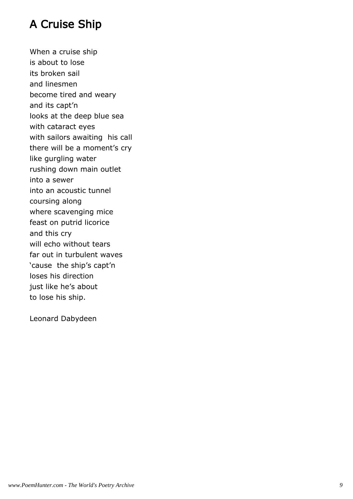## A Cruise Ship

When a cruise ship is about to lose its broken sail and linesmen become tired and weary and its capt'n looks at the deep blue sea with cataract eyes with sailors awaiting his call there will be a moment's cry like gurgling water rushing down main outlet into a sewer into an acoustic tunnel coursing along where scavenging mice feast on putrid licorice and this cry will echo without tears far out in turbulent waves 'cause the ship's capt'n loses his direction just like he's about to lose his ship.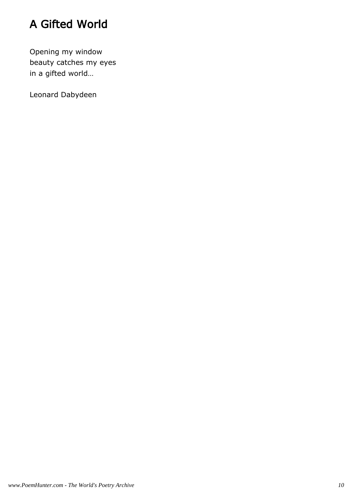# A Gifted World

Opening my window beauty catches my eyes in a gifted world…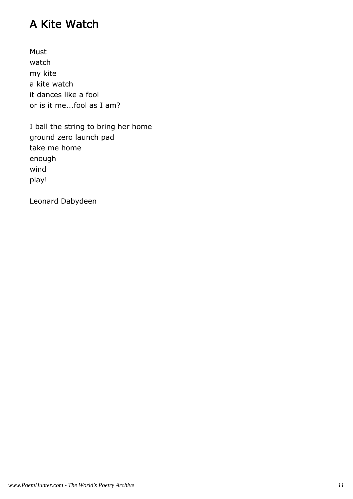## A Kite Watch

Must watch my kite a kite watch it dances like a fool or is it me...fool as I am?

I ball the string to bring her home ground zero launch pad take me home enough wind play!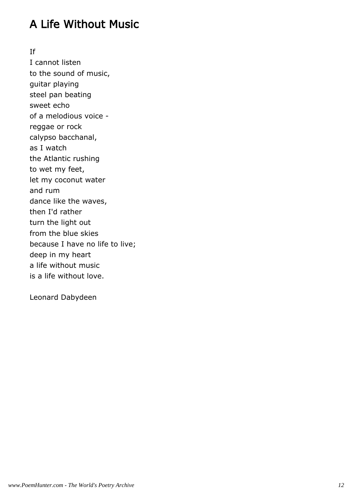## A Life Without Music

If

I cannot listen to the sound of music, guitar playing steel pan beating sweet echo of a melodious voice reggae or rock calypso bacchanal, as I watch the Atlantic rushing to wet my feet, let my coconut water and rum dance like the waves, then I'd rather turn the light out from the blue skies because I have no life to live; deep in my heart a life without music is a life without love.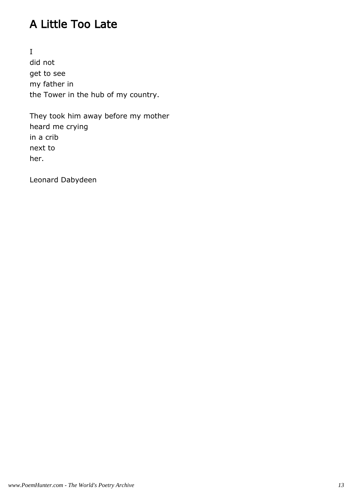## A Little Too Late

I did not get to see my father in the Tower in the hub of my country.

They took him away before my mother heard me crying in a crib next to her.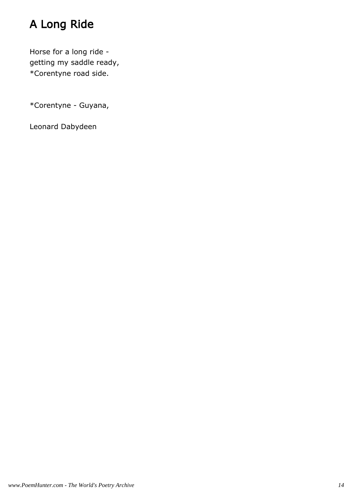# A Long Ride

Horse for a long ride getting my saddle ready, \*Corentyne road side.

\*Corentyne - Guyana,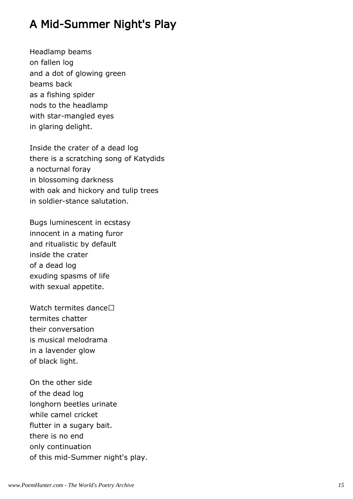## A Mid-Summer Night's Play

Headlamp beams on fallen log and a dot of glowing green beams back as a fishing spider nods to the headlamp with star-mangled eyes in glaring delight.

Inside the crater of a dead log there is a scratching song of Katydids a nocturnal foray in blossoming darkness with oak and hickory and tulip trees in soldier-stance salutation.

Bugs luminescent in ecstasy innocent in a mating furor and ritualistic by default inside the crater of a dead log exuding spasms of life with sexual appetite.

Watch termites dance termites chatter their conversation is musical melodrama in a lavender glow of black light.

On the other side of the dead log longhorn beetles urinate while camel cricket flutter in a sugary bait. there is no end only continuation of this mid-Summer night's play.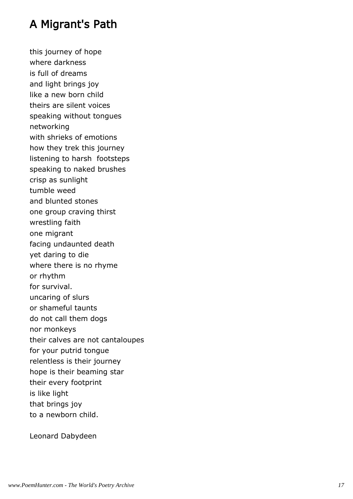### A Migrant's Path

this journey of hope where darkness is full of dreams and light brings joy like a new born child theirs are silent voices speaking without tongues networking with shrieks of emotions how they trek this journey listening to harsh footsteps speaking to naked brushes crisp as sunlight tumble weed and blunted stones one group craving thirst wrestling faith one migrant facing undaunted death yet daring to die where there is no rhyme or rhythm for survival. uncaring of slurs or shameful taunts do not call them dogs nor monkeys their calves are not cantaloupes for your putrid tongue relentless is their journey hope is their beaming star their every footprint is like light that brings joy to a newborn child.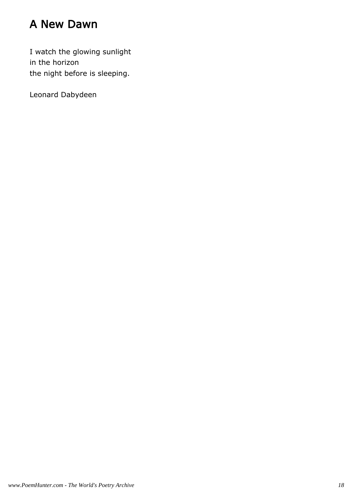## A New Dawn

I watch the glowing sunlight in the horizon the night before is sleeping.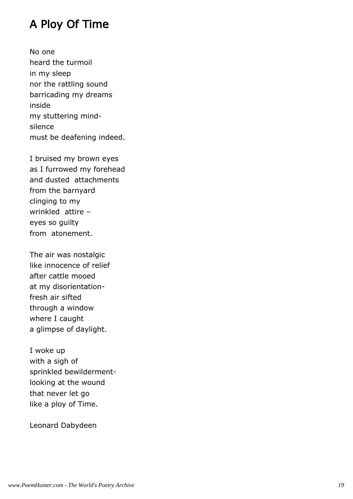#### A Ploy Of Time

No one heard the turmoil in my sleep nor the rattling sound barricading my dreams inside my stuttering mindsilence must be deafening indeed.

I bruised my brown eyes as I furrowed my forehead and dusted attachments from the barnyard clinging to my wrinkled attire – eyes so guilty from atonement.

The air was nostalgic like innocence of relief after cattle mooed at my disorientationfresh air sifted through a window where I caught a glimpse of daylight.

I woke up with a sigh of sprinkled bewildermentlooking at the wound that never let go like a ploy of Time.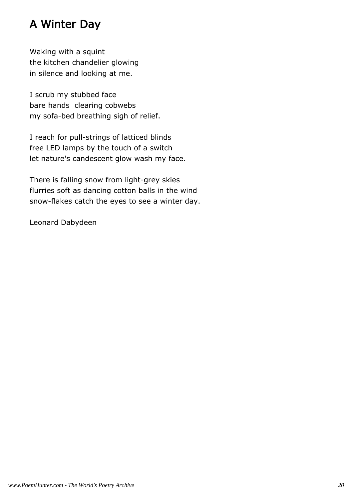## A Winter Day

Waking with a squint the kitchen chandelier glowing in silence and looking at me.

I scrub my stubbed face bare hands clearing cobwebs my sofa-bed breathing sigh of relief.

I reach for pull-strings of latticed blinds free LED lamps by the touch of a switch let nature's candescent glow wash my face.

There is falling snow from light-grey skies flurries soft as dancing cotton balls in the wind snow-flakes catch the eyes to see a winter day.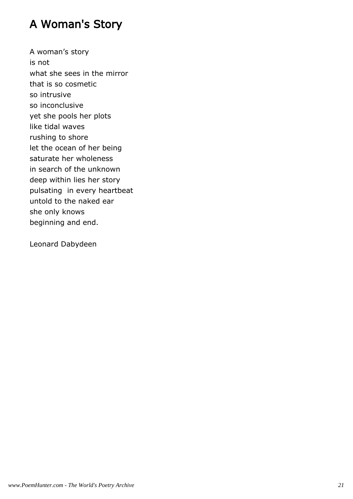## A Woman's Story

A woman's story is not what she sees in the mirror that is so cosmetic so intrusive so inconclusive yet she pools her plots like tidal waves rushing to shore let the ocean of her being saturate her wholeness in search of the unknown deep within lies her story pulsating in every heartbeat untold to the naked ear she only knows beginning and end.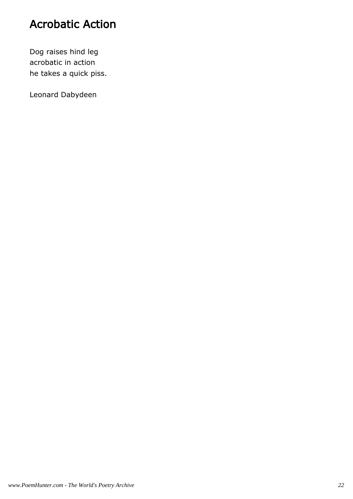## Acrobatic Action

Dog raises hind leg acrobatic in action he takes a quick piss.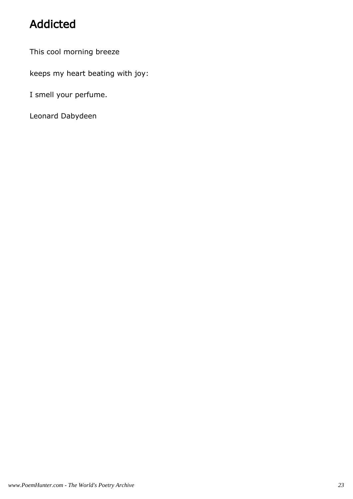# Addicted

This cool morning breeze

keeps my heart beating with joy:

I smell your perfume.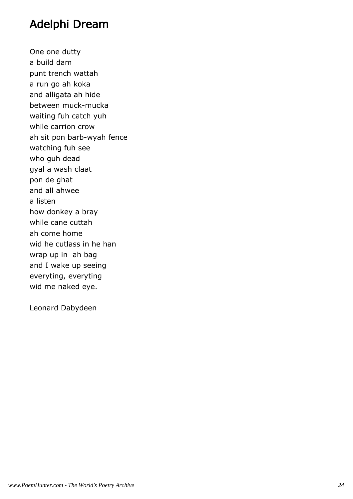#### Adelphi Dream

One one dutty a build dam punt trench wattah a run go ah koka and alligata ah hide between muck-mucka waiting fuh catch yuh while carrion crow ah sit pon barb-wyah fence watching fuh see who guh dead gyal a wash claat pon de ghat and all ahwee a listen how donkey a bray while cane cuttah ah come home wid he cutlass in he han wrap up in ah bag and I wake up seeing everyting, everyting wid me naked eye.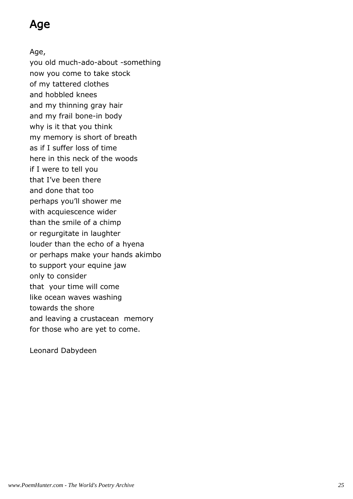## Age

Age,

you old much-ado-about -something now you come to take stock of my tattered clothes and hobbled knees and my thinning gray hair and my frail bone-in body why is it that you think my memory is short of breath as if I suffer loss of time here in this neck of the woods if I were to tell you that I've been there and done that too perhaps you'll shower me with acquiescence wider than the smile of a chimp or regurgitate in laughter louder than the echo of a hyena or perhaps make your hands akimbo to support your equine jaw only to consider that your time will come like ocean waves washing towards the shore and leaving a crustacean memory for those who are yet to come.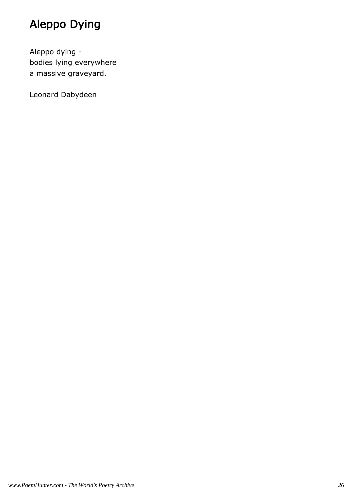# Aleppo Dying

Aleppo dying bodies lying everywhere a massive graveyard.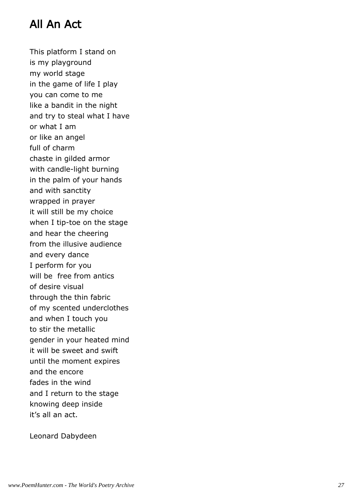## All An Act

This platform I stand on is my playground my world stage in the game of life I play you can come to me like a bandit in the night and try to steal what I have or what I am or like an angel full of charm chaste in gilded armor with candle-light burning in the palm of your hands and with sanctity wrapped in prayer it will still be my choice when I tip-toe on the stage and hear the cheering from the illusive audience and every dance I perform for you will be free from antics of desire visual through the thin fabric of my scented underclothes and when I touch you to stir the metallic gender in your heated mind it will be sweet and swift until the moment expires and the encore fades in the wind and I return to the stage knowing deep inside it's all an act.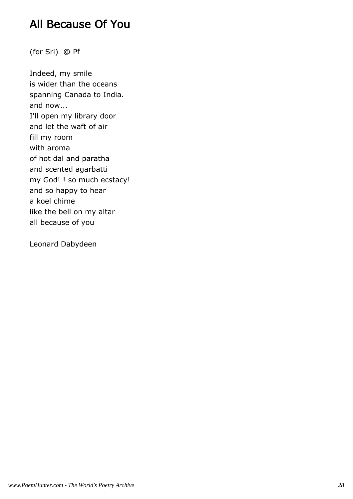#### All Because Of You

(for Sri) @ Pf

Indeed, my smile is wider than the oceans spanning Canada to India. and now... I'll open my library door and let the waft of air fill my room with aroma of hot dal and paratha and scented agarbatti my God! ! so much ecstacy! and so happy to hear a koel chime like the bell on my altar all because of you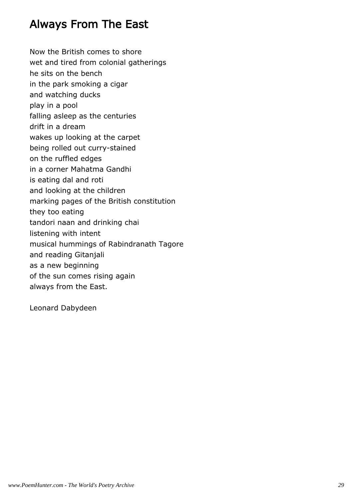#### Always From The East

Now the British comes to shore wet and tired from colonial gatherings he sits on the bench in the park smoking a cigar and watching ducks play in a pool falling asleep as the centuries drift in a dream wakes up looking at the carpet being rolled out curry-stained on the ruffled edges in a corner Mahatma Gandhi is eating dal and roti and looking at the children marking pages of the British constitution they too eating tandori naan and drinking chai listening with intent musical hummings of Rabindranath Tagore and reading Gitanjali as a new beginning of the sun comes rising again always from the East.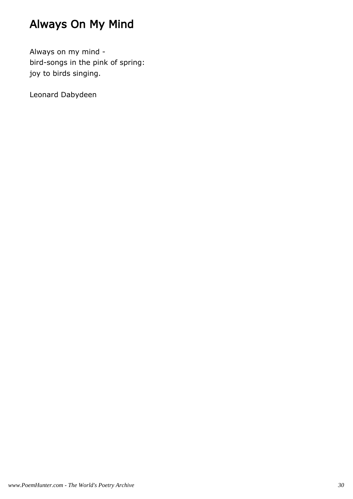# Always On My Mind

Always on my mind bird-songs in the pink of spring: joy to birds singing.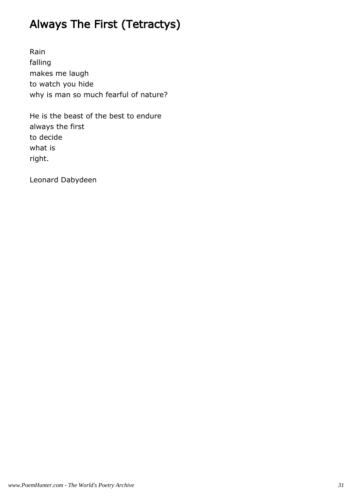# Always The First (Tetractys)

Rain falling makes me laugh to watch you hide why is man so much fearful of nature?

He is the beast of the best to endure always the first to decide what is right.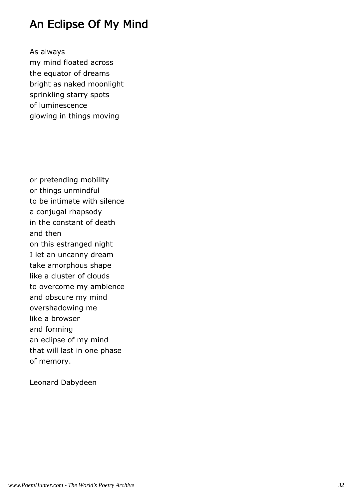#### An Eclipse Of My Mind

As always my mind floated across the equator of dreams bright as naked moonlight sprinkling starry spots of luminescence glowing in things moving

or pretending mobility or things unmindful to be intimate with silence a conjugal rhapsody in the constant of death and then on this estranged night I let an uncanny dream take amorphous shape like a cluster of clouds to overcome my ambience and obscure my mind overshadowing me like a browser and forming an eclipse of my mind that will last in one phase of memory.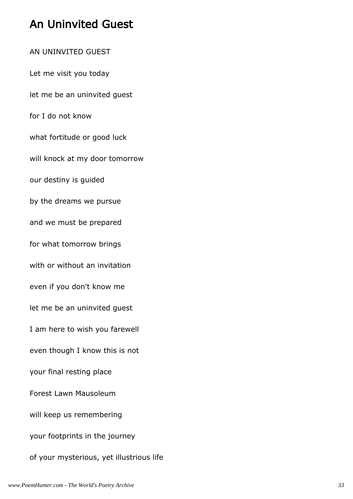## An Uninvited Guest

AN UNINVITED GUEST Let me visit you today let me be an uninvited guest for I do not know what fortitude or good luck will knock at my door tomorrow our destiny is guided by the dreams we pursue and we must be prepared for what tomorrow brings with or without an invitation even if you don't know me let me be an uninvited guest I am here to wish you farewell even though I know this is not your final resting place Forest Lawn Mausoleum will keep us remembering your footprints in the journey of your mysterious, yet illustrious life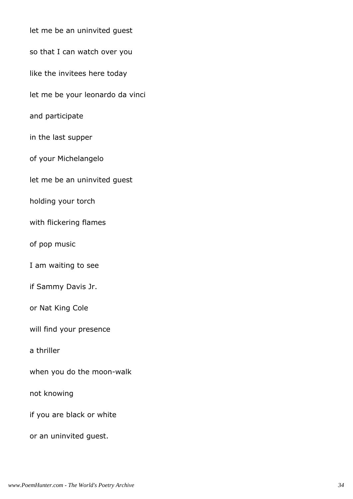| let me be an uninvited guest     |
|----------------------------------|
| so that I can watch over you     |
| like the invitees here today     |
| let me be your leonardo da vinci |
| and participate                  |
| in the last supper               |
| of your Michelangelo             |
| let me be an uninvited guest     |
| holding your torch               |
| with flickering flames           |
| of pop music                     |
| I am waiting to see              |
| if Sammy Davis Jr.               |
| or Nat King Cole                 |
| will find your presence          |
| a thriller                       |
| when you do the moon-walk        |
| not knowing                      |
| if you are black or white        |
| or an uninvited guest.           |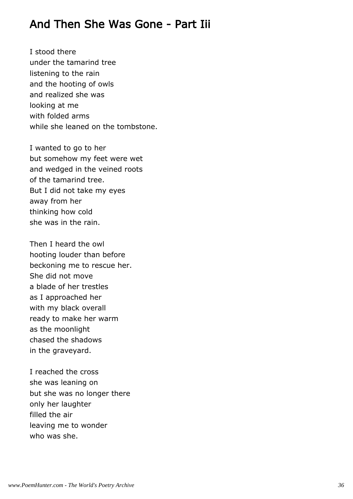#### And Then She Was Gone - Part Iii

I stood there under the tamarind tree listening to the rain and the hooting of owls and realized she was looking at me with folded arms while she leaned on the tombstone.

I wanted to go to her but somehow my feet were wet and wedged in the veined roots of the tamarind tree. But I did not take my eyes away from her thinking how cold she was in the rain.

Then I heard the owl hooting louder than before beckoning me to rescue her. She did not move a blade of her trestles as I approached her with my black overall ready to make her warm as the moonlight chased the shadows in the graveyard.

I reached the cross she was leaning on but she was no longer there only her laughter filled the air leaving me to wonder who was she.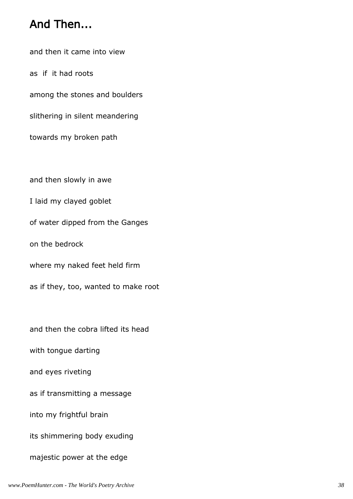#### And Then...

and then it came into view

as if it had roots

among the stones and boulders

slithering in silent meandering

towards my broken path

and then slowly in awe

I laid my clayed goblet

of water dipped from the Ganges

on the bedrock

where my naked feet held firm

as if they, too, wanted to make root

and then the cobra lifted its head

with tongue darting

and eyes riveting

as if transmitting a message

into my frightful brain

its shimmering body exuding

majestic power at the edge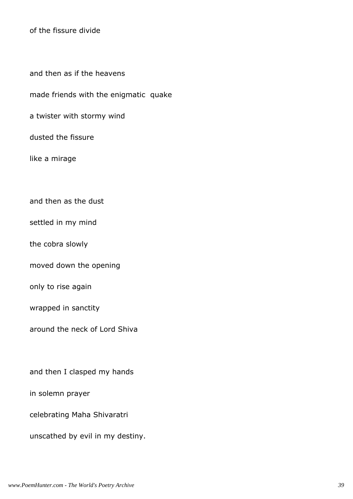of the fissure divide

and then as if the heavens

made friends with the enigmatic quake

a twister with stormy wind

dusted the fissure

like a mirage

and then as the dust

settled in my mind

the cobra slowly

moved down the opening

only to rise again

wrapped in sanctity

around the neck of Lord Shiva

and then I clasped my hands

in solemn prayer

celebrating Maha Shivaratri

unscathed by evil in my destiny.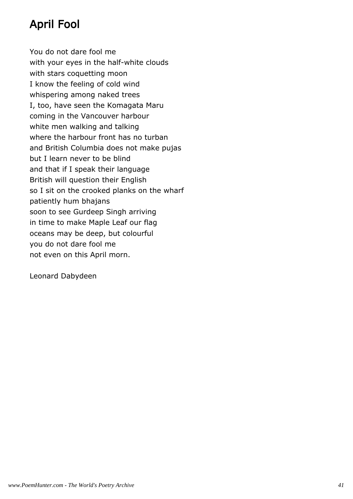# April Fool

You do not dare fool me with your eyes in the half-white clouds with stars coquetting moon I know the feeling of cold wind whispering among naked trees I, too, have seen the Komagata Maru coming in the Vancouver harbour white men walking and talking where the harbour front has no turban and British Columbia does not make pujas but I learn never to be blind and that if I speak their language British will question their English so I sit on the crooked planks on the wharf patiently hum bhajans soon to see Gurdeep Singh arriving in time to make Maple Leaf our flag oceans may be deep, but colourful you do not dare fool me not even on this April morn.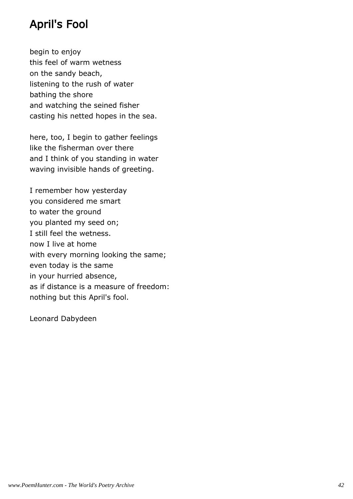## April's Fool

begin to enjoy this feel of warm wetness on the sandy beach, listening to the rush of water bathing the shore and watching the seined fisher casting his netted hopes in the sea.

here, too, I begin to gather feelings like the fisherman over there and I think of you standing in water waving invisible hands of greeting.

I remember how yesterday you considered me smart to water the ground you planted my seed on; I still feel the wetness. now I live at home with every morning looking the same; even today is the same in your hurried absence, as if distance is a measure of freedom: nothing but this April's fool.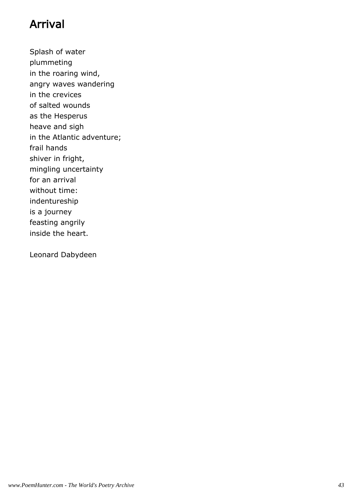## Arrival

Splash of water plummeting in the roaring wind, angry waves wandering in the crevices of salted wounds as the Hesperus heave and sigh in the Atlantic adventure; frail hands shiver in fright, mingling uncertainty for an arrival without time: indentureship is a journey feasting angrily inside the heart.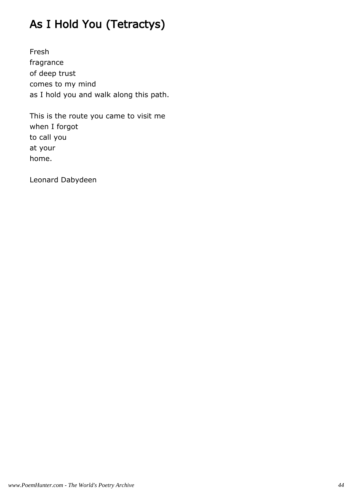# As I Hold You (Tetractys)

Fresh fragrance of deep trust comes to my mind as I hold you and walk along this path.

This is the route you came to visit me when I forgot to call you at your home.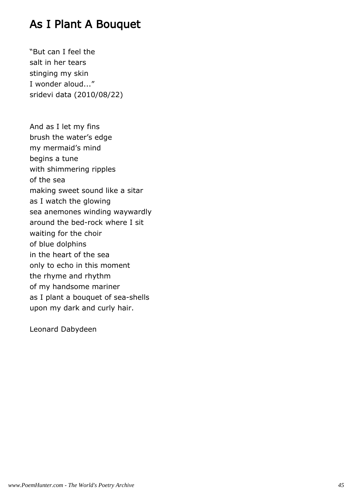### As I Plant A Bouquet

"But can I feel the salt in her tears stinging my skin I wonder aloud..." sridevi data (2010/08/22)

And as I let my fins brush the water's edge my mermaid's mind begins a tune with shimmering ripples of the sea making sweet sound like a sitar as I watch the glowing sea anemones winding waywardly around the bed-rock where I sit waiting for the choir of blue dolphins in the heart of the sea only to echo in this moment the rhyme and rhythm of my handsome mariner as I plant a bouquet of sea-shells upon my dark and curly hair.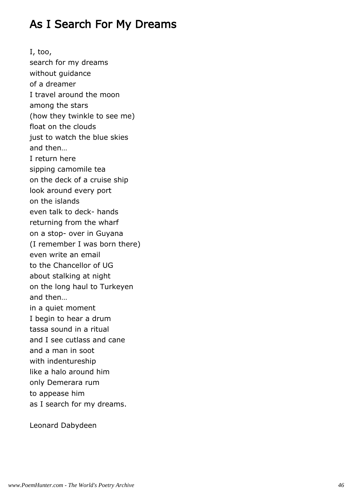### As I Search For My Dreams

I, too, search for my dreams without guidance of a dreamer I travel around the moon among the stars (how they twinkle to see me) float on the clouds just to watch the blue skies and then… I return here sipping camomile tea on the deck of a cruise ship look around every port on the islands even talk to deck- hands returning from the wharf on a stop- over in Guyana (I remember I was born there) even write an email to the Chancellor of UG about stalking at night on the long haul to Turkeyen and then… in a quiet moment I begin to hear a drum tassa sound in a ritual and I see cutlass and cane and a man in soot with indentureship like a halo around him only Demerara rum to appease him as I search for my dreams.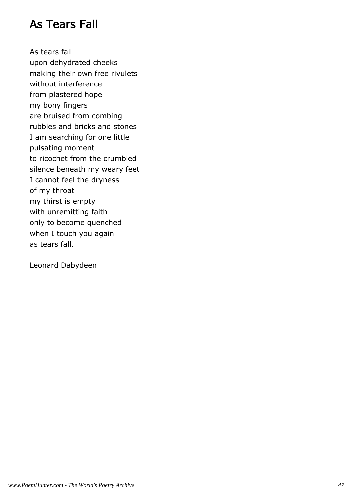### As Tears Fall

As tears fall upon dehydrated cheeks making their own free rivulets without interference from plastered hope my bony fingers are bruised from combing rubbles and bricks and stones I am searching for one little pulsating moment to ricochet from the crumbled silence beneath my weary feet I cannot feel the dryness of my throat my thirst is empty with unremitting faith only to become quenched when I touch you again as tears fall.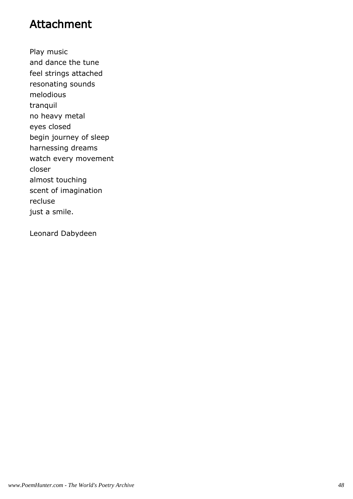### Attachment

Play music and dance the tune feel strings attached resonating sounds melodious tranquil no heavy metal eyes closed begin journey of sleep harnessing dreams watch every movement closer almost touching scent of imagination recluse just a smile.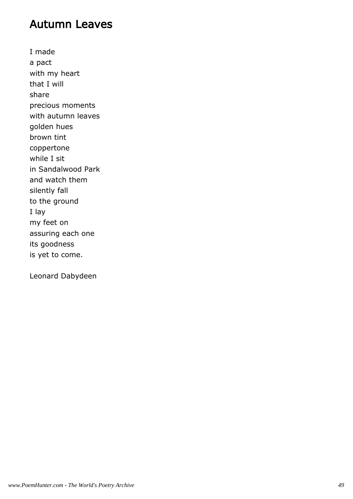#### Autumn Leaves

I made a pact with my heart that I will share precious moments with autumn leaves golden hues brown tint coppertone while I sit in Sandalwood Park and watch them silently fall to the ground I lay my feet on assuring each one its goodness is yet to come.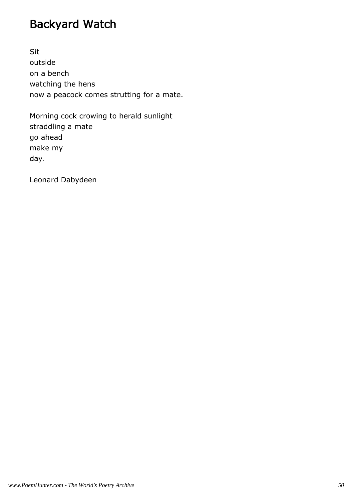# Backyard Watch

Sit outside on a bench watching the hens now a peacock comes strutting for a mate.

Morning cock crowing to herald sunlight straddling a mate go ahead make my day.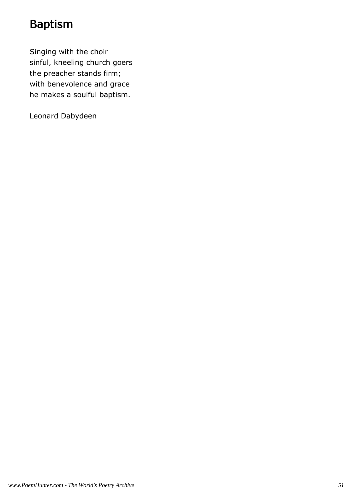## Baptism

Singing with the choir sinful, kneeling church goers the preacher stands firm; with benevolence and grace he makes a soulful baptism.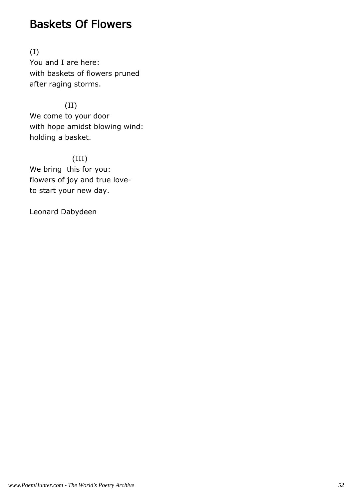#### Baskets Of Flowers

(I) You and I are here: with baskets of flowers pruned after raging storms.

 (II) We come to your door with hope amidst blowing wind: holding a basket.

 (III) We bring this for you: flowers of joy and true loveto start your new day.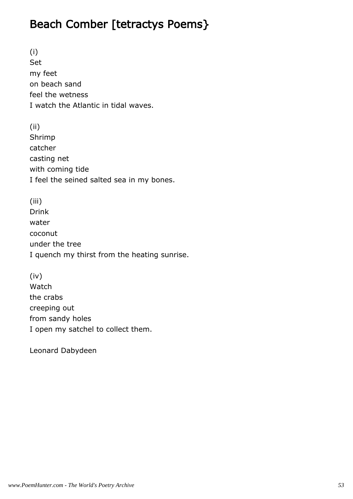## Beach Comber [tetractys Poems}

(i) Set my feet on beach sand feel the wetness I watch the Atlantic in tidal waves.

(ii) Shrimp catcher casting net with coming tide I feel the seined salted sea in my bones.

(iii) Drink water coconut under the tree I quench my thirst from the heating sunrise.

(iv) Watch the crabs creeping out from sandy holes I open my satchel to collect them.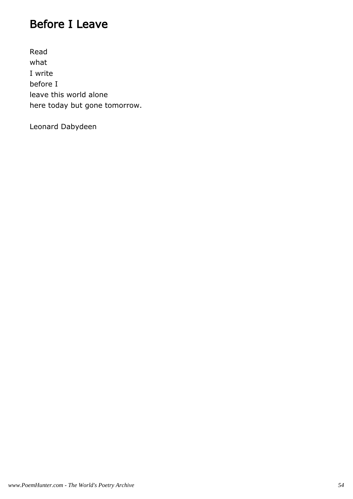## Before I Leave

Read what I write before I leave this world alone here today but gone tomorrow.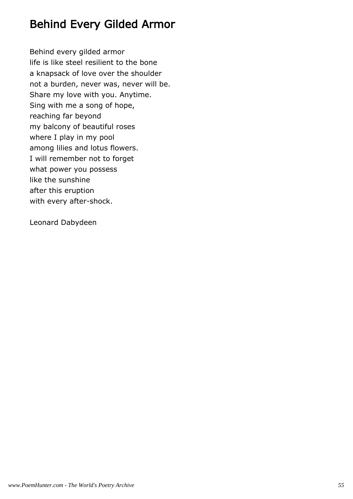## Behind Every Gilded Armor

Behind every gilded armor life is like steel resilient to the bone a knapsack of love over the shoulder not a burden, never was, never will be. Share my love with you. Anytime. Sing with me a song of hope, reaching far beyond my balcony of beautiful roses where I play in my pool among lilies and lotus flowers. I will remember not to forget what power you possess like the sunshine after this eruption with every after-shock.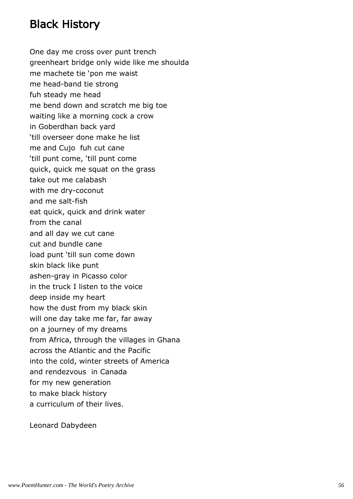## Black History

One day me cross over punt trench greenheart bridge only wide like me shoulda me machete tie 'pon me waist me head-band tie strong fuh steady me head me bend down and scratch me big toe waiting like a morning cock a crow in Goberdhan back yard 'till overseer done make he list me and Cujo fuh cut cane 'till punt come, 'till punt come quick, quick me squat on the grass take out me calabash with me dry-coconut and me salt-fish eat quick, quick and drink water from the canal and all day we cut cane cut and bundle cane load punt 'till sun come down skin black like punt ashen-gray in Picasso color in the truck I listen to the voice deep inside my heart how the dust from my black skin will one day take me far, far away on a journey of my dreams from Africa, through the villages in Ghana across the Atlantic and the Pacific into the cold, winter streets of America and rendezvous in Canada for my new generation to make black history a curriculum of their lives.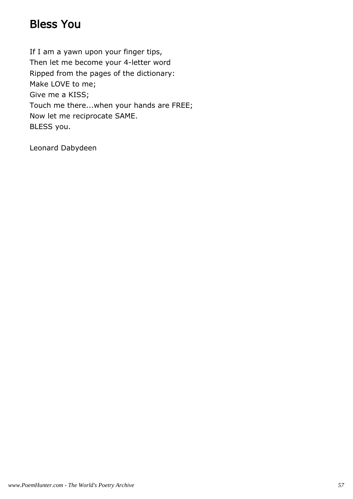### Bless You

If I am a yawn upon your finger tips, Then let me become your 4-letter word Ripped from the pages of the dictionary: Make LOVE to me; Give me a KISS; Touch me there...when your hands are FREE; Now let me reciprocate SAME. BLESS you.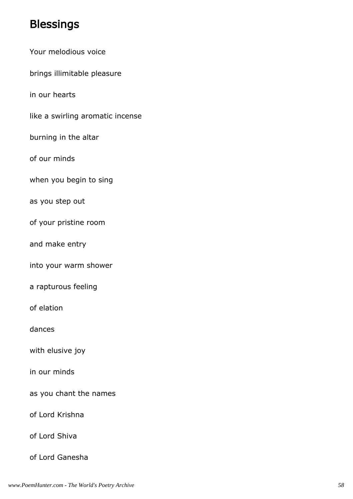### **Blessings**

- Your melodious voice
- brings illimitable pleasure

in our hearts

- like a swirling aromatic incense
- burning in the altar
- of our minds
- when you begin to sing
- as you step out
- of your pristine room
- and make entry
- into your warm shower
- a rapturous feeling
- of elation
- dances
- with elusive joy
- in our minds
- as you chant the names
- of Lord Krishna
- of Lord Shiva
- of Lord Ganesha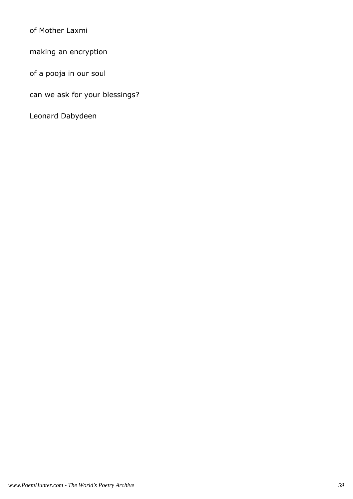of Mother Laxmi

making an encryption

of a pooja in our soul

can we ask for your blessings?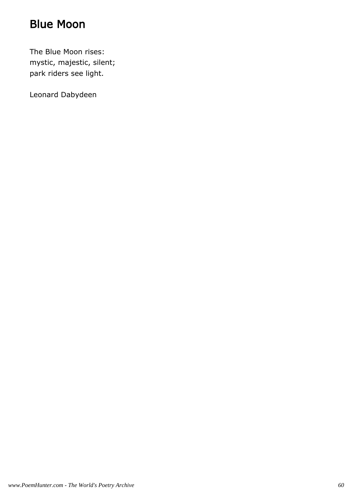## Blue Moon

The Blue Moon rises: mystic, majestic, silent; park riders see light.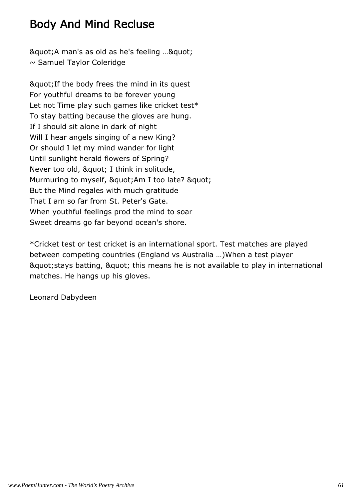## Body And Mind Recluse

& auot; A man's as old as he's feeling ... & quot;  $\sim$  Samuel Taylor Coleridge

& quot; If the body frees the mind in its quest For youthful dreams to be forever young Let not Time play such games like cricket test\* To stay batting because the gloves are hung. If I should sit alone in dark of night Will I hear angels singing of a new King? Or should I let my mind wander for light Until sunlight herald flowers of Spring? Never too old, " I think in solitude, Murmuring to myself, " Am I too late? " But the Mind regales with much gratitude That I am so far from St. Peter's Gate. When youthful feelings prod the mind to soar Sweet dreams go far beyond ocean's shore.

\*Cricket test or test cricket is an international sport. Test matches are played between competing countries (England vs Australia …)When a test player & quot; stays batting, & quot; this means he is not available to play in international matches. He hangs up his gloves.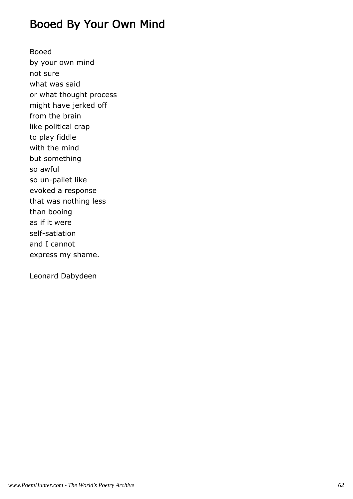### Booed By Your Own Mind

Booed by your own mind not sure what was said or what thought process might have jerked off from the brain like political crap to play fiddle with the mind but something so awful so un-pallet like evoked a response that was nothing less than booing as if it were self-satiation and I cannot express my shame.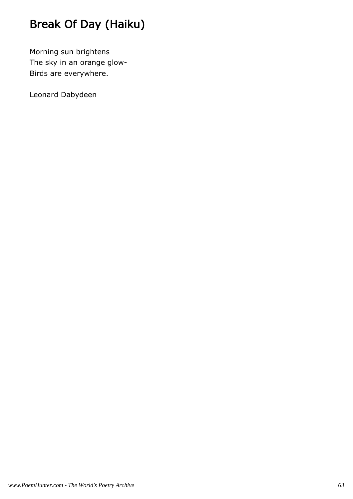# Break Of Day (Haiku)

Morning sun brightens The sky in an orange glow-Birds are everywhere.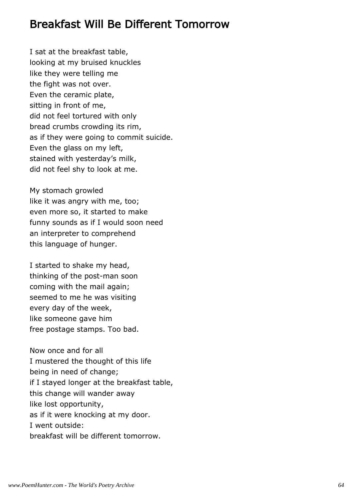#### Breakfast Will Be Different Tomorrow

I sat at the breakfast table, looking at my bruised knuckles like they were telling me the fight was not over. Even the ceramic plate, sitting in front of me, did not feel tortured with only bread crumbs crowding its rim, as if they were going to commit suicide. Even the glass on my left, stained with yesterday's milk, did not feel shy to look at me.

My stomach growled like it was angry with me, too; even more so, it started to make funny sounds as if I would soon need an interpreter to comprehend this language of hunger.

I started to shake my head, thinking of the post-man soon coming with the mail again; seemed to me he was visiting every day of the week, like someone gave him free postage stamps. Too bad.

Now once and for all I mustered the thought of this life being in need of change; if I stayed longer at the breakfast table, this change will wander away like lost opportunity, as if it were knocking at my door. I went outside: breakfast will be different tomorrow.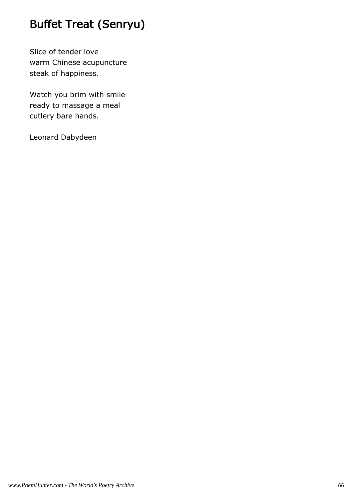# Buffet Treat (Senryu)

Slice of tender love warm Chinese acupuncture steak of happiness.

Watch you brim with smile ready to massage a meal cutlery bare hands.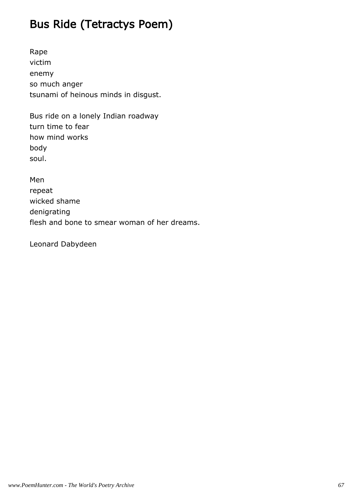# Bus Ride (Tetractys Poem)

Rape victim enemy so much anger tsunami of heinous minds in disgust.

Bus ride on a lonely Indian roadway turn time to fear how mind works body soul.

Men repeat wicked shame denigrating flesh and bone to smear woman of her dreams.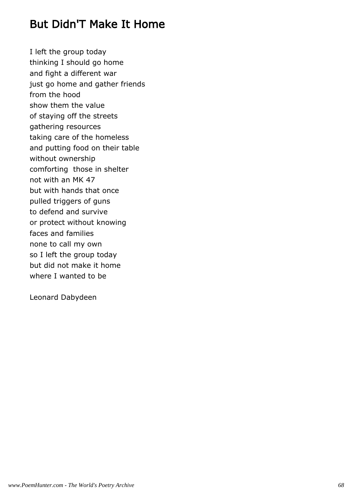### But Didn'T Make It Home

I left the group today thinking I should go home and fight a different war just go home and gather friends from the hood show them the value of staying off the streets gathering resources taking care of the homeless and putting food on their table without ownership comforting those in shelter not with an MK 47 but with hands that once pulled triggers of guns to defend and survive or protect without knowing faces and families none to call my own so I left the group today but did not make it home where I wanted to be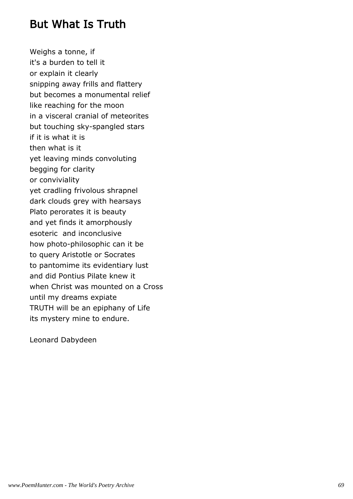#### But What Is Truth

Weighs a tonne, if it's a burden to tell it or explain it clearly snipping away frills and flattery but becomes a monumental relief like reaching for the moon in a visceral cranial of meteorites but touching sky-spangled stars if it is what it is then what is it yet leaving minds convoluting begging for clarity or conviviality yet cradling frivolous shrapnel dark clouds grey with hearsays Plato perorates it is beauty and yet finds it amorphously esoteric and inconclusive how photo-philosophic can it be to query Aristotle or Socrates to pantomime its evidentiary lust and did Pontius Pilate knew it when Christ was mounted on a Cross until my dreams expiate TRUTH will be an epiphany of Life its mystery mine to endure.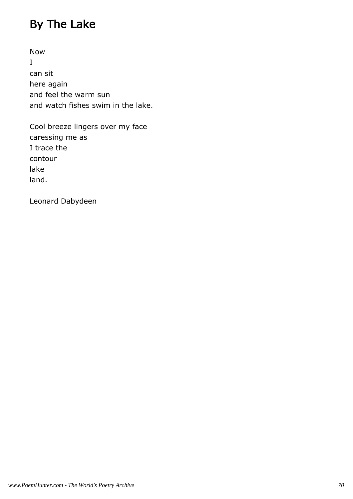# By The Lake

Now I can sit here again and feel the warm sun and watch fishes swim in the lake.

Cool breeze lingers over my face caressing me as I trace the contour lake land.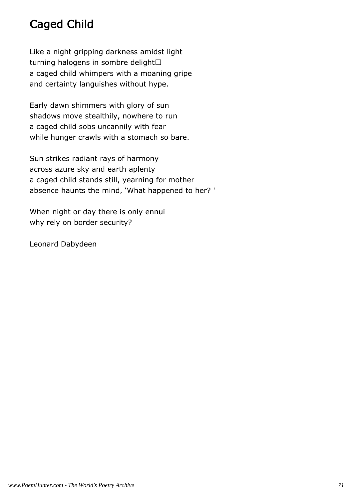# Caged Child

Like a night gripping darkness amidst light turning halogens in sombre delight a caged child whimpers with a moaning gripe and certainty languishes without hype.

Early dawn shimmers with glory of sun shadows move stealthily, nowhere to run a caged child sobs uncannily with fear while hunger crawls with a stomach so bare.

Sun strikes radiant rays of harmony across azure sky and earth aplenty a caged child stands still, yearning for mother absence haunts the mind, 'What happened to her? '

When night or day there is only ennui why rely on border security?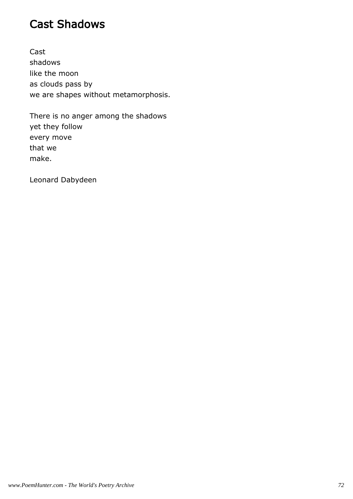### Cast Shadows

Cast shadows like the moon as clouds pass by we are shapes without metamorphosis.

There is no anger among the shadows yet they follow every move that we make.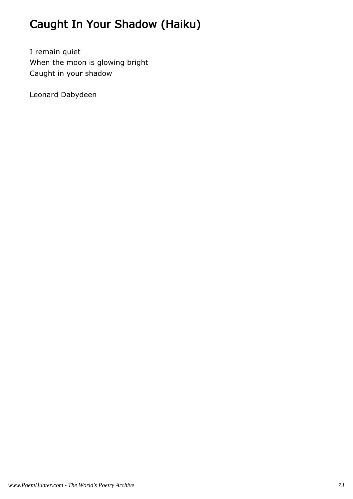# Caught In Your Shadow (Haiku)

I remain quiet When the moon is glowing bright Caught in your shadow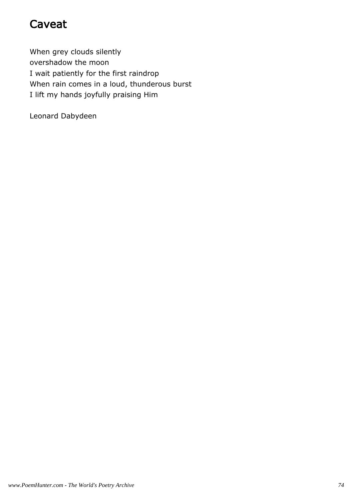### Caveat

When grey clouds silently overshadow the moon I wait patiently for the first raindrop When rain comes in a loud, thunderous burst I lift my hands joyfully praising Him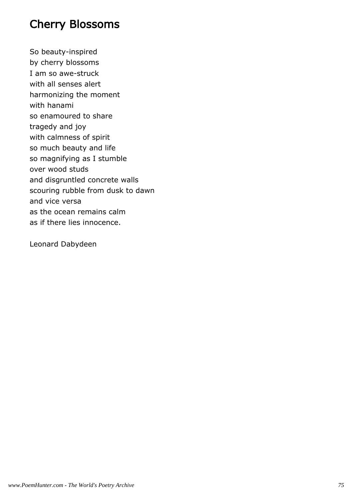### Cherry Blossoms

So beauty-inspired by cherry blossoms I am so awe-struck with all senses alert harmonizing the moment with hanami so enamoured to share tragedy and joy with calmness of spirit so much beauty and life so magnifying as I stumble over wood studs and disgruntled concrete walls scouring rubble from dusk to dawn and vice versa as the ocean remains calm as if there lies innocence.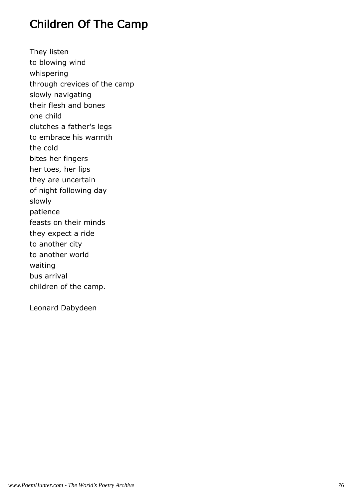### Children Of The Camp

They listen to blowing wind whispering through crevices of the camp slowly navigating their flesh and bones one child clutches a father's legs to embrace his warmth the cold bites her fingers her toes, her lips they are uncertain of night following day slowly patience feasts on their minds they expect a ride to another city to another world waiting bus arrival children of the camp.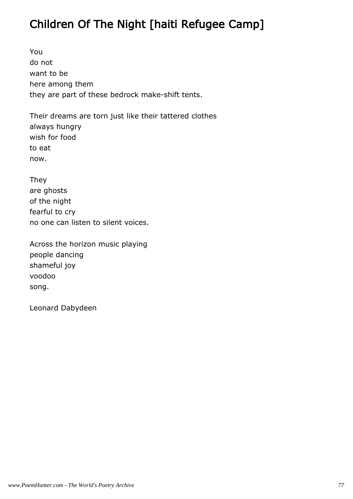## Children Of The Night [haiti Refugee Camp]

You do not want to be here among them they are part of these bedrock make-shift tents.

Their dreams are torn just like their tattered clothes always hungry wish for food to eat now.

They are ghosts of the night fearful to cry no one can listen to silent voices.

Across the horizon music playing people dancing shameful joy voodoo song.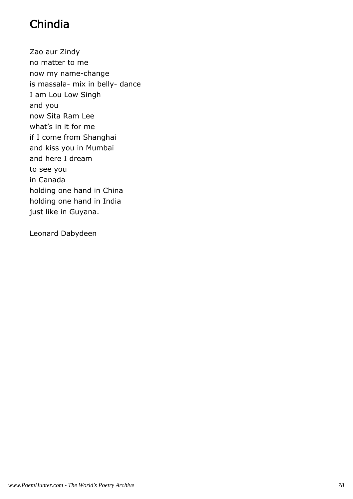## Chindia

Zao aur Zindy no matter to me now my name-change is massala- mix in belly- dance I am Lou Low Singh and you now Sita Ram Lee what's in it for me if I come from Shanghai and kiss you in Mumbai and here I dream to see you in Canada holding one hand in China holding one hand in India just like in Guyana.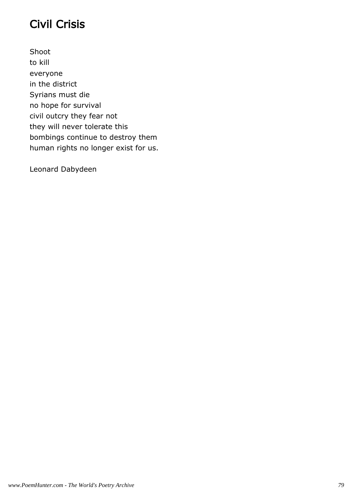## Civil Crisis

Shoot to kill everyone in the district Syrians must die no hope for survival civil outcry they fear not they will never tolerate this bombings continue to destroy them human rights no longer exist for us.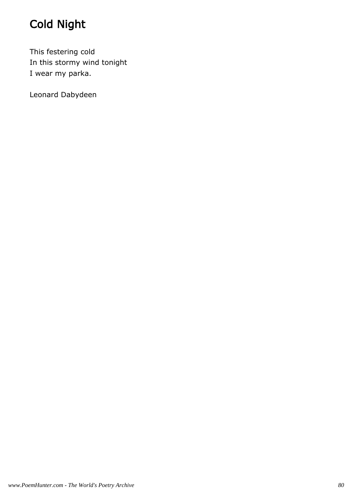# Cold Night

This festering cold In this stormy wind tonight I wear my parka.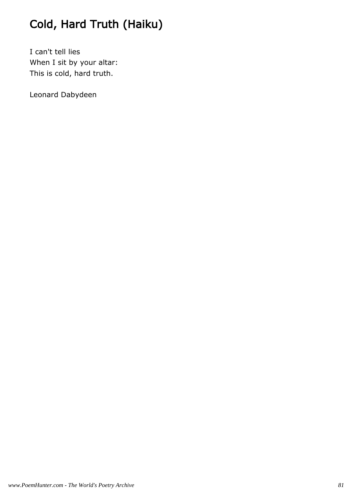# Cold, Hard Truth (Haiku)

I can't tell lies When I sit by your altar: This is cold, hard truth.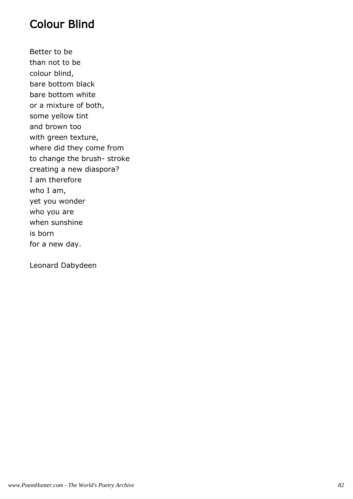### Colour Blind

Better to be than not to be colour blind, bare bottom black bare bottom white or a mixture of both, some yellow tint and brown too with green texture, where did they come from to change the brush- stroke creating a new diaspora? I am therefore who I am, yet you wonder who you are when sunshine is born for a new day.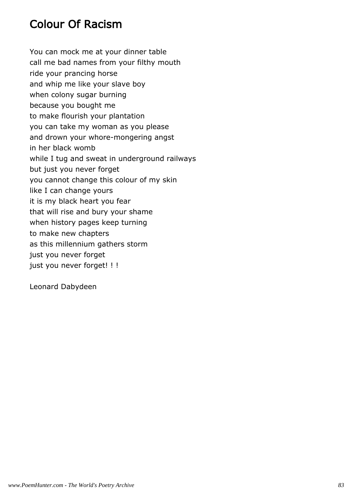### Colour Of Racism

You can mock me at your dinner table call me bad names from your filthy mouth ride your prancing horse and whip me like your slave boy when colony sugar burning because you bought me to make flourish your plantation you can take my woman as you please and drown your whore-mongering angst in her black womb while I tug and sweat in underground railways but just you never forget you cannot change this colour of my skin like I can change yours it is my black heart you fear that will rise and bury your shame when history pages keep turning to make new chapters as this millennium gathers storm just you never forget just you never forget! ! !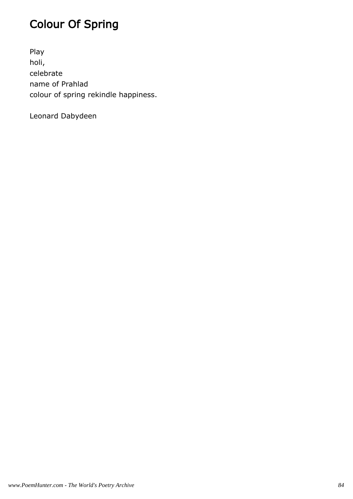# Colour Of Spring

Play holi, celebrate name of Prahlad colour of spring rekindle happiness.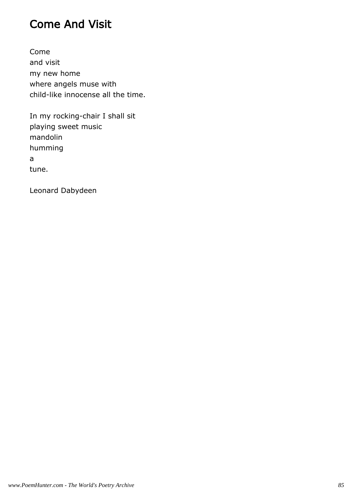### Come And Visit

Come and visit my new home where angels muse with child-like innocense all the time.

In my rocking-chair I shall sit playing sweet music mandolin humming a tune.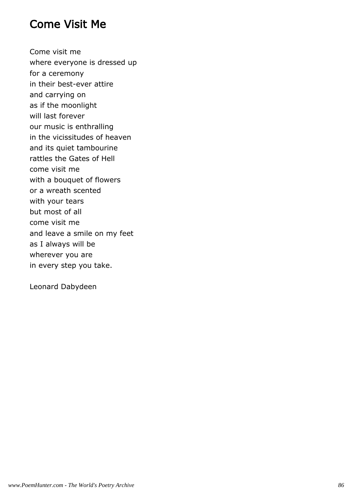#### Come Visit Me

Come visit me where everyone is dressed up for a ceremony in their best-ever attire and carrying on as if the moonlight will last forever our music is enthralling in the vicissitudes of heaven and its quiet tambourine rattles the Gates of Hell come visit me with a bouquet of flowers or a wreath scented with your tears but most of all come visit me and leave a smile on my feet as I always will be wherever you are in every step you take.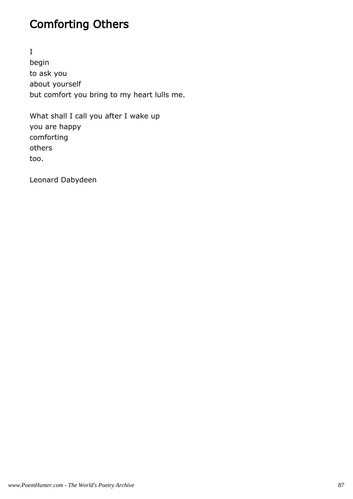## Comforting Others

I begin to ask you about yourself but comfort you bring to my heart lulls me.

What shall I call you after I wake up you are happy comforting others too.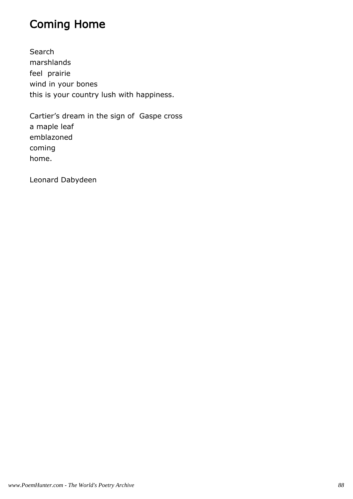## Coming Home

Search marshlands feel prairie wind in your bones this is your country lush with happiness.

Cartier's dream in the sign of Gaspe cross a maple leaf emblazoned coming home.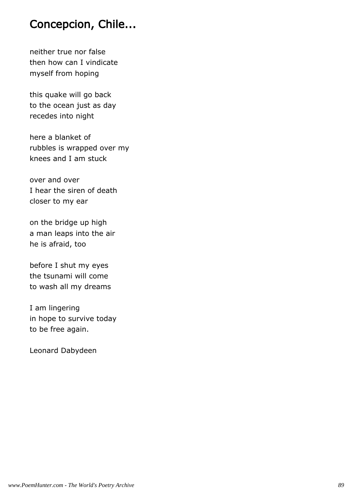### Concepcion, Chile...

neither true nor false then how can I vindicate myself from hoping

this quake will go back to the ocean just as day recedes into night

here a blanket of rubbles is wrapped over my knees and I am stuck

over and over I hear the siren of death closer to my ear

on the bridge up high a man leaps into the air he is afraid, too

before I shut my eyes the tsunami will come to wash all my dreams

I am lingering in hope to survive today to be free again.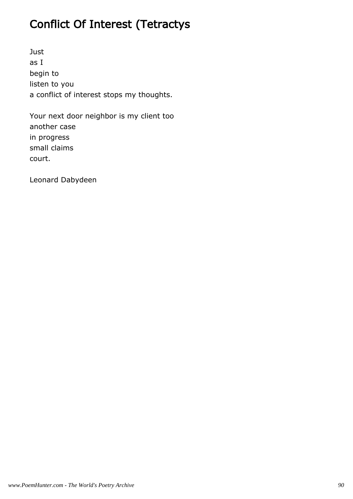# Conflict Of Interest (Tetractys

Just as I begin to listen to you a conflict of interest stops my thoughts.

Your next door neighbor is my client too another case in progress small claims court.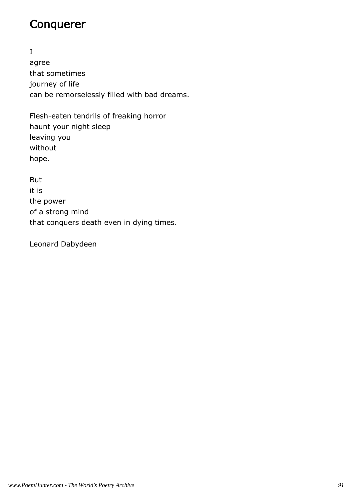#### Conquerer

I agree that sometimes journey of life can be remorselessly filled with bad dreams.

Flesh-eaten tendrils of freaking horror haunt your night sleep leaving you without hope.

But it is the power of a strong mind that conquers death even in dying times.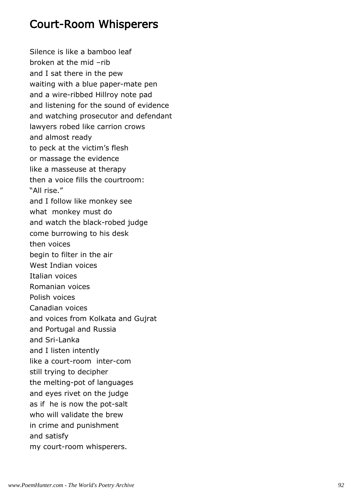### Court-Room Whisperers

Silence is like a bamboo leaf broken at the mid –rib and I sat there in the pew waiting with a blue paper-mate pen and a wire-ribbed Hillroy note pad and listening for the sound of evidence and watching prosecutor and defendant lawyers robed like carrion crows and almost ready to peck at the victim's flesh or massage the evidence like a masseuse at therapy then a voice fills the courtroom: "All rise." and I follow like monkey see what monkey must do and watch the black-robed judge come burrowing to his desk then voices begin to filter in the air West Indian voices Italian voices Romanian voices Polish voices Canadian voices and voices from Kolkata and Gujrat and Portugal and Russia and Sri-Lanka and I listen intently like a court-room inter-com still trying to decipher the melting-pot of languages and eyes rivet on the judge as if he is now the pot-salt who will validate the brew in crime and punishment and satisfy my court-room whisperers.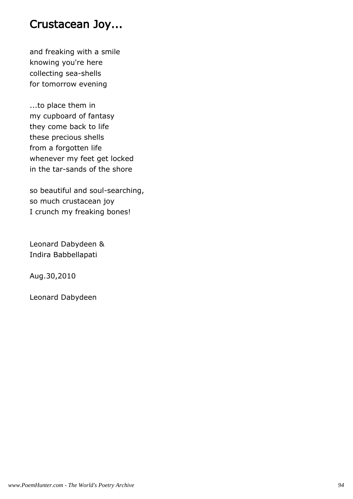#### Crustacean Joy...

and freaking with a smile knowing you're here collecting sea-shells for tomorrow evening

...to place them in my cupboard of fantasy they come back to life these precious shells from a forgotten life whenever my feet get locked in the tar-sands of the shore

so beautiful and soul-searching, so much crustacean joy I crunch my freaking bones!

Leonard Dabydeen & Indira Babbellapati

Aug.30,2010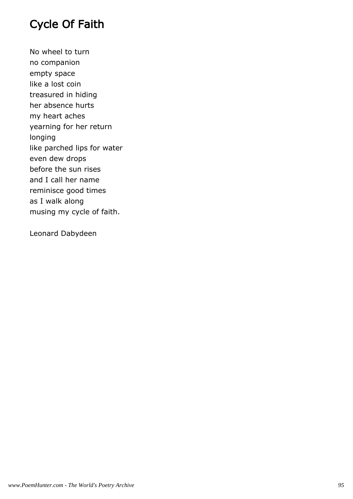## Cycle Of Faith

No wheel to turn no companion empty space like a lost coin treasured in hiding her absence hurts my heart aches yearning for her return longing like parched lips for water even dew drops before the sun rises and I call her name reminisce good times as I walk along musing my cycle of faith.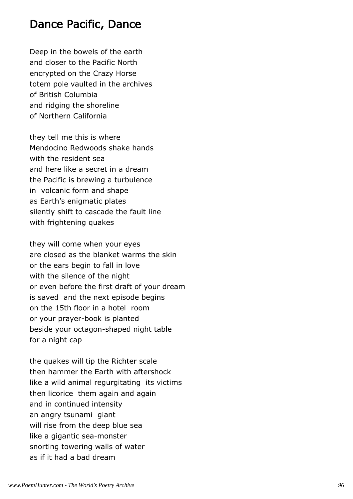#### Dance Pacific, Dance

Deep in the bowels of the earth and closer to the Pacific North encrypted on the Crazy Horse totem pole vaulted in the archives of British Columbia and ridging the shoreline of Northern California

they tell me this is where Mendocino Redwoods shake hands with the resident sea and here like a secret in a dream the Pacific is brewing a turbulence in volcanic form and shape as Earth's enigmatic plates silently shift to cascade the fault line with frightening quakes

they will come when your eyes are closed as the blanket warms the skin or the ears begin to fall in love with the silence of the night or even before the first draft of your dream is saved and the next episode begins on the 15th floor in a hotel room or your prayer-book is planted beside your octagon-shaped night table for a night cap

the quakes will tip the Richter scale then hammer the Earth with aftershock like a wild animal regurgitating its victims then licorice them again and again and in continued intensity an angry tsunami giant will rise from the deep blue sea like a gigantic sea-monster snorting towering walls of water as if it had a bad dream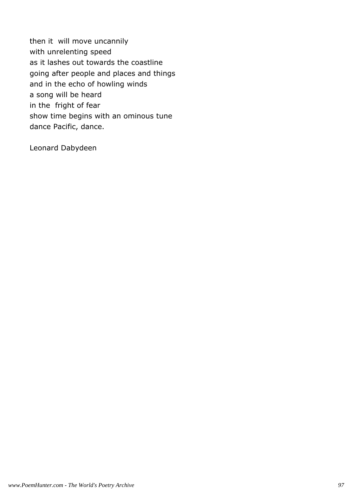then it will move uncannily with unrelenting speed as it lashes out towards the coastline going after people and places and things and in the echo of howling winds a song will be heard in the fright of fear show time begins with an ominous tune dance Pacific, dance.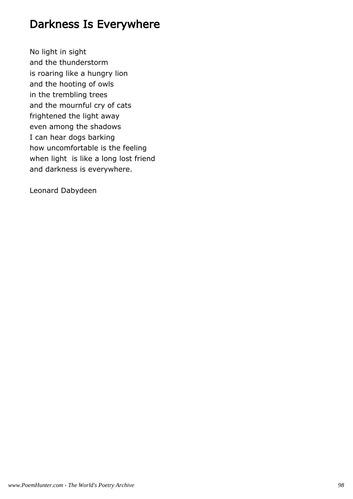### Darkness Is Everywhere

No light in sight and the thunderstorm is roaring like a hungry lion and the hooting of owls in the trembling trees and the mournful cry of cats frightened the light away even among the shadows I can hear dogs barking how uncomfortable is the feeling when light is like a long lost friend and darkness is everywhere.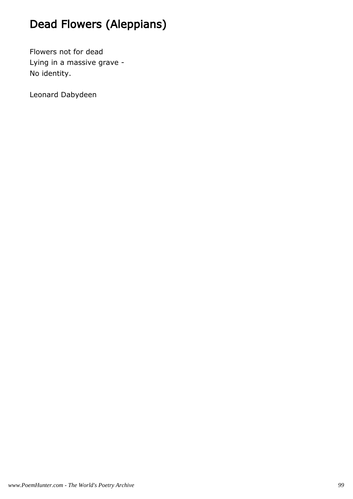# Dead Flowers (Aleppians)

Flowers not for dead Lying in a massive grave - No identity.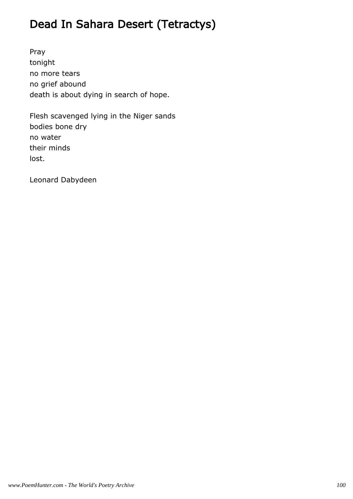# Dead In Sahara Desert (Tetractys)

Pray tonight no more tears no grief abound death is about dying in search of hope.

Flesh scavenged lying in the Niger sands bodies bone dry no water their minds lost.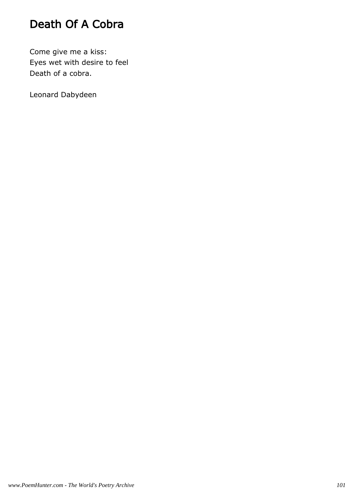## Death Of A Cobra

Come give me a kiss: Eyes wet with desire to feel Death of a cobra.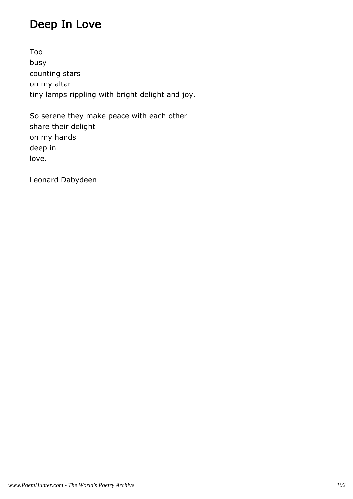## Deep In Love

Too busy counting stars on my altar tiny lamps rippling with bright delight and joy.

So serene they make peace with each other share their delight on my hands deep in love.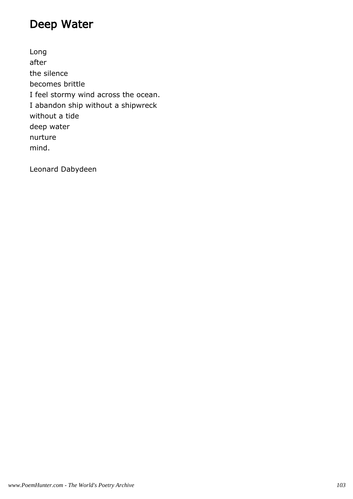### Deep Water

Long after the silence becomes brittle I feel stormy wind across the ocean. I abandon ship without a shipwreck without a tide deep water nurture mind.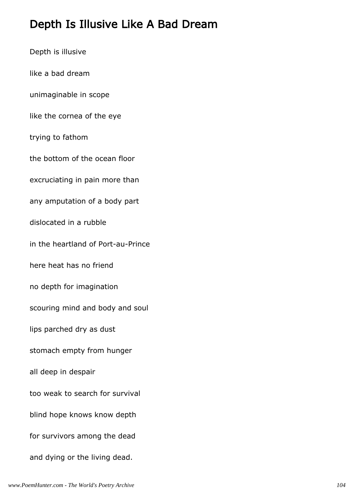### Depth Is Illusive Like A Bad Dream

Depth is illusive like a bad dream unimaginable in scope like the cornea of the eye trying to fathom the bottom of the ocean floor excruciating in pain more than any amputation of a body part dislocated in a rubble in the heartland of Port-au-Prince here heat has no friend no depth for imagination scouring mind and body and soul lips parched dry as dust stomach empty from hunger all deep in despair too weak to search for survival blind hope knows know depth for survivors among the dead and dying or the living dead.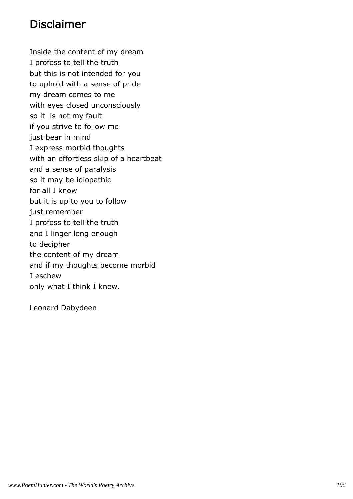### Disclaimer

Inside the content of my dream I profess to tell the truth but this is not intended for you to uphold with a sense of pride my dream comes to me with eyes closed unconsciously so it is not my fault if you strive to follow me just bear in mind I express morbid thoughts with an effortless skip of a heartbeat and a sense of paralysis so it may be idiopathic for all I know but it is up to you to follow just remember I profess to tell the truth and I linger long enough to decipher the content of my dream and if my thoughts become morbid I eschew only what I think I knew.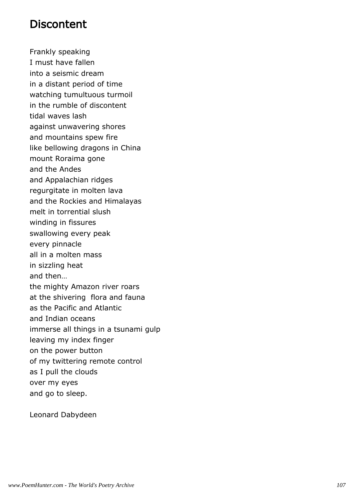#### **Discontent**

Frankly speaking I must have fallen into a seismic dream in a distant period of time watching tumultuous turmoil in the rumble of discontent tidal waves lash against unwavering shores and mountains spew fire like bellowing dragons in China mount Roraima gone and the Andes and Appalachian ridges regurgitate in molten lava and the Rockies and Himalayas melt in torrential slush winding in fissures swallowing every peak every pinnacle all in a molten mass in sizzling heat and then… the mighty Amazon river roars at the shivering flora and fauna as the Pacific and Atlantic and Indian oceans immerse all things in a tsunami gulp leaving my index finger on the power button of my twittering remote control as I pull the clouds over my eyes and go to sleep.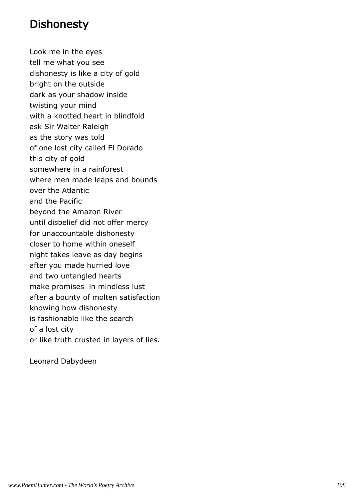#### **Dishonesty**

Look me in the eyes tell me what you see dishonesty is like a city of gold bright on the outside dark as your shadow inside twisting your mind with a knotted heart in blindfold ask Sir Walter Raleigh as the story was told of one lost city called El Dorado this city of gold somewhere in a rainforest where men made leaps and bounds over the Atlantic and the Pacific beyond the Amazon River until disbelief did not offer mercy for unaccountable dishonesty closer to home within oneself night takes leave as day begins after you made hurried love and two untangled hearts make promises in mindless lust after a bounty of molten satisfaction knowing how dishonesty is fashionable like the search of a lost city or like truth crusted in layers of lies.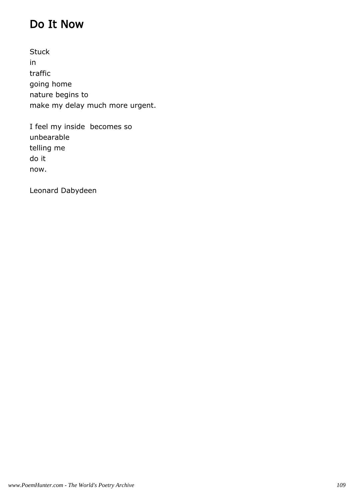### Do It Now

**Stuck** in traffic going home nature begins to make my delay much more urgent.

I feel my inside becomes so unbearable telling me do it now.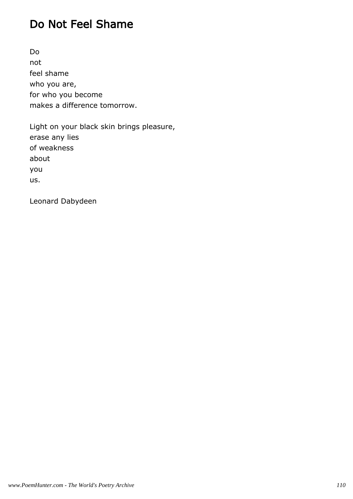### Do Not Feel Shame

Do not feel shame who you are, for who you become makes a difference tomorrow.

Light on your black skin brings pleasure, erase any lies of weakness about you us.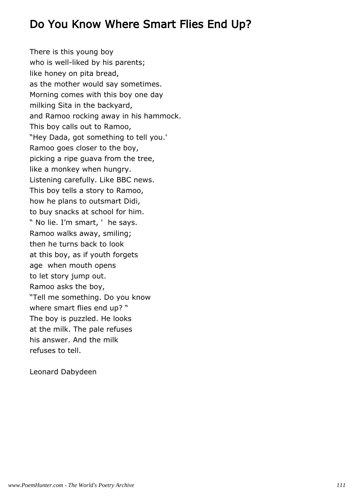#### Do You Know Where Smart Flies End Up?

There is this young boy who is well-liked by his parents; like honey on pita bread, as the mother would say sometimes. Morning comes with this boy one day milking Sita in the backyard, and Ramoo rocking away in his hammock. This boy calls out to Ramoo, "Hey Dada, got something to tell you.' Ramoo goes closer to the boy, picking a ripe guava from the tree, like a monkey when hungry. Listening carefully. Like BBC news. This boy tells a story to Ramoo, how he plans to outsmart Didi, to buy snacks at school for him. " No lie. I'm smart, ' he says. Ramoo walks away, smiling; then he turns back to look at this boy, as if youth forgets age when mouth opens to let story jump out. Ramoo asks the boy, "Tell me something. Do you know where smart flies end up? " The boy is puzzled. He looks at the milk. The pale refuses his answer. And the milk refuses to tell.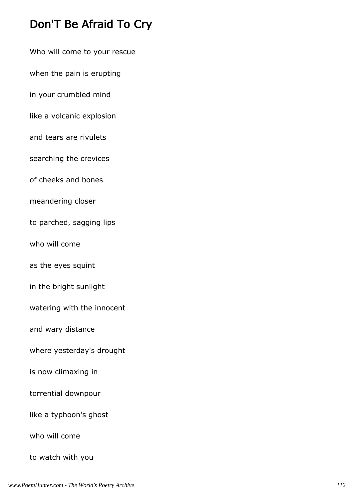### Don'T Be Afraid To Cry

Who will come to your rescue

when the pain is erupting

in your crumbled mind

like a volcanic explosion

and tears are rivulets

searching the crevices

of cheeks and bones

meandering closer

to parched, sagging lips

who will come

as the eyes squint

in the bright sunlight

watering with the innocent

and wary distance

where yesterday's drought

is now climaxing in

torrential downpour

like a typhoon's ghost

who will come

to watch with you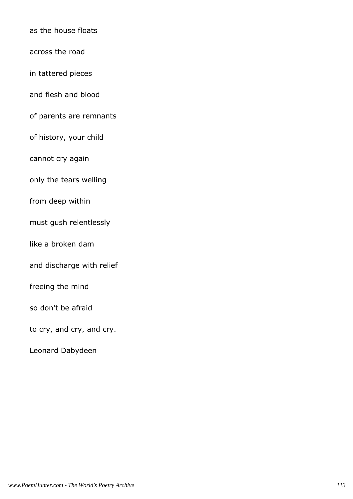as the house floats

across the road

in tattered pieces

and flesh and blood

of parents are remnants

of history, your child

cannot cry again

only the tears welling

from deep within

must gush relentlessly

like a broken dam

and discharge with relief

freeing the mind

so don't be afraid

to cry, and cry, and cry.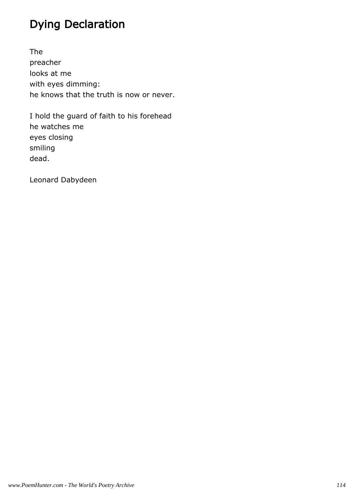### Dying Declaration

The preacher looks at me with eyes dimming: he knows that the truth is now or never.

I hold the guard of faith to his forehead he watches me eyes closing smiling dead.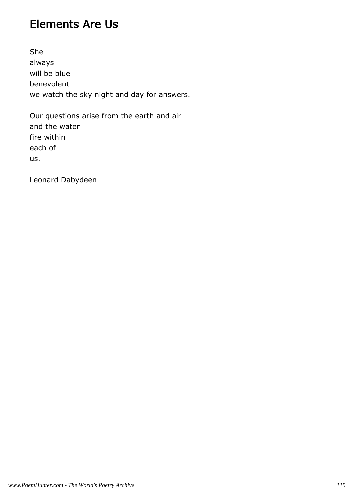#### Elements Are Us

She always will be blue benevolent we watch the sky night and day for answers.

Our questions arise from the earth and air and the water fire within each of us.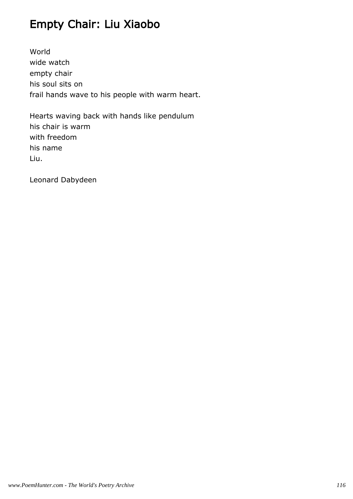### Empty Chair: Liu Xiaobo

World wide watch empty chair his soul sits on frail hands wave to his people with warm heart.

Hearts waving back with hands like pendulum his chair is warm with freedom his name Liu.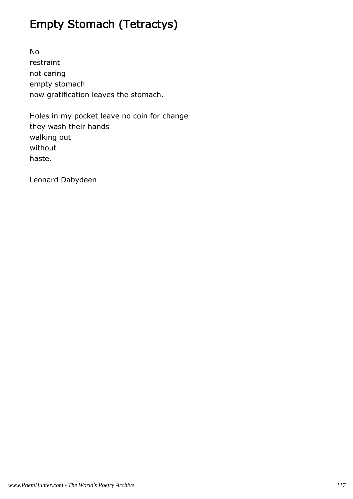# Empty Stomach (Tetractys)

No restraint not caring empty stomach now gratification leaves the stomach.

Holes in my pocket leave no coin for change they wash their hands walking out without haste.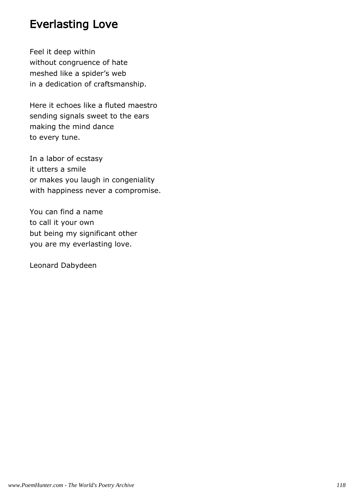#### Everlasting Love

Feel it deep within without congruence of hate meshed like a spider's web in a dedication of craftsmanship.

Here it echoes like a fluted maestro sending signals sweet to the ears making the mind dance to every tune.

In a labor of ecstasy it utters a smile or makes you laugh in congeniality with happiness never a compromise.

You can find a name to call it your own but being my significant other you are my everlasting love.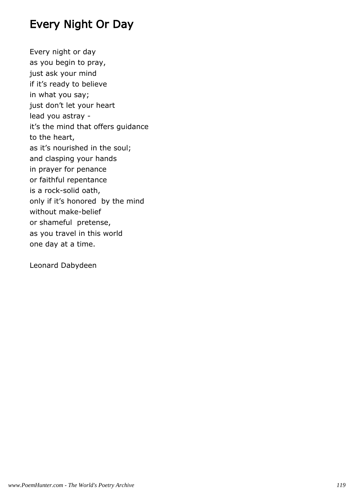### Every Night Or Day

Every night or day as you begin to pray, just ask your mind if it's ready to believe in what you say; just don't let your heart lead you astray it's the mind that offers guidance to the heart, as it's nourished in the soul; and clasping your hands in prayer for penance or faithful repentance is a rock-solid oath, only if it's honored by the mind without make-belief or shameful pretense, as you travel in this world one day at a time.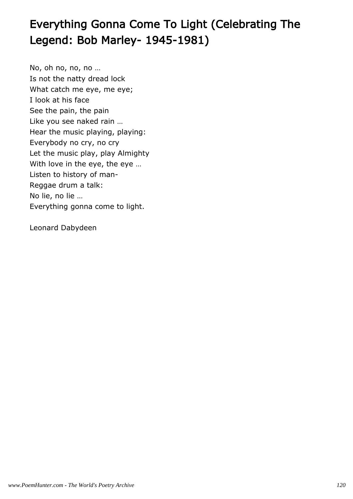# Everything Gonna Come To Light (Celebrating The Legend: Bob Marley- 1945-1981)

No, oh no, no, no … Is not the natty dread lock What catch me eye, me eye; I look at his face See the pain, the pain Like you see naked rain … Hear the music playing, playing: Everybody no cry, no cry Let the music play, play Almighty With love in the eye, the eye … Listen to history of man-Reggae drum a talk: No lie, no lie … Everything gonna come to light.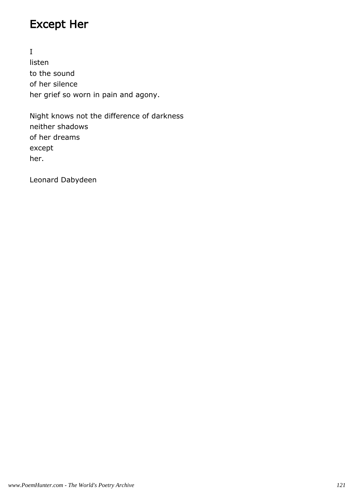### Except Her

I listen to the sound of her silence her grief so worn in pain and agony.

Night knows not the difference of darkness neither shadows of her dreams except her.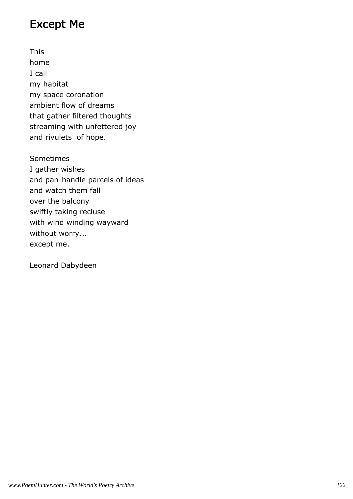#### Except Me

This home I call my habitat my space coronation ambient flow of dreams that gather filtered thoughts streaming with unfettered joy and rivulets of hope.

Sometimes I gather wishes and pan-handle parcels of ideas and watch them fall over the balcony swiftly taking recluse with wind winding wayward without worry... except me.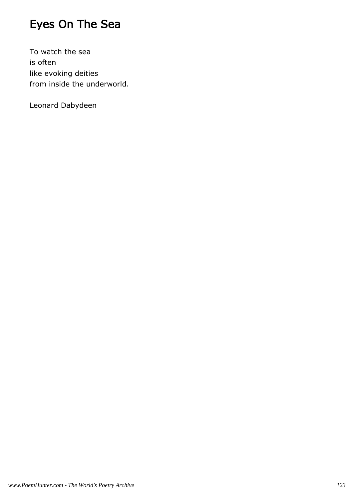# Eyes On The Sea

To watch the sea is often like evoking deities from inside the underworld.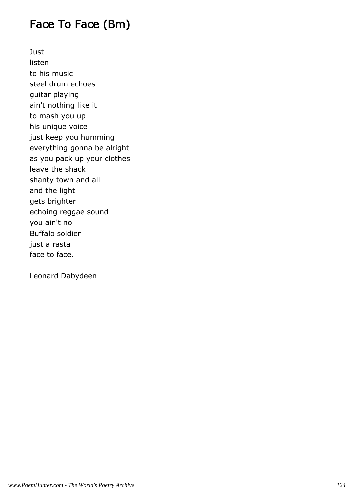### Face To Face (Bm)

**Just** listen to his music steel drum echoes guitar playing ain't nothing like it to mash you up his unique voice just keep you humming everything gonna be alright as you pack up your clothes leave the shack shanty town and all and the light gets brighter echoing reggae sound you ain't no Buffalo soldier just a rasta face to face.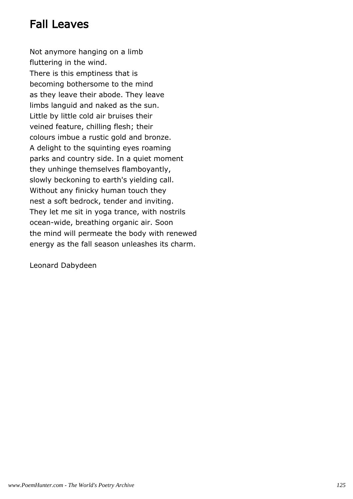### Fall Leaves

Not anymore hanging on a limb fluttering in the wind. There is this emptiness that is becoming bothersome to the mind as they leave their abode. They leave limbs languid and naked as the sun. Little by little cold air bruises their veined feature, chilling flesh; their colours imbue a rustic gold and bronze. A delight to the squinting eyes roaming parks and country side. In a quiet moment they unhinge themselves flamboyantly, slowly beckoning to earth's yielding call. Without any finicky human touch they nest a soft bedrock, tender and inviting. They let me sit in yoga trance, with nostrils ocean-wide, breathing organic air. Soon the mind will permeate the body with renewed energy as the fall season unleashes its charm.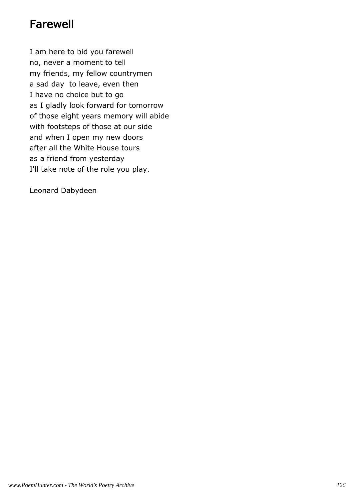### Farewell

I am here to bid you farewell no, never a moment to tell my friends, my fellow countrymen a sad day to leave, even then I have no choice but to go as I gladly look forward for tomorrow of those eight years memory will abide with footsteps of those at our side and when I open my new doors after all the White House tours as a friend from yesterday I'll take note of the role you play.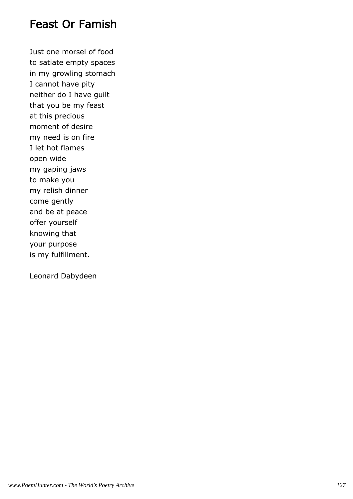#### Feast Or Famish

Just one morsel of food to satiate empty spaces in my growling stomach I cannot have pity neither do I have guilt that you be my feast at this precious moment of desire my need is on fire I let hot flames open wide my gaping jaws to make you my relish dinner come gently and be at peace offer yourself knowing that your purpose is my fulfillment.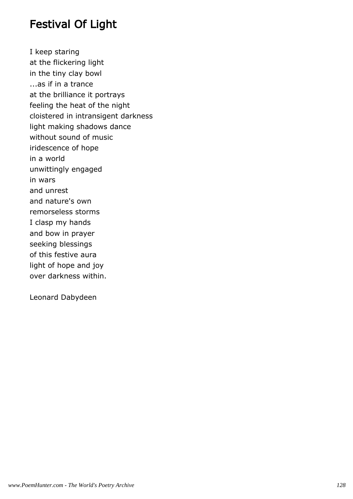#### Festival Of Light

I keep staring at the flickering light in the tiny clay bowl ...as if in a trance at the brilliance it portrays feeling the heat of the night cloistered in intransigent darkness light making shadows dance without sound of music iridescence of hope in a world unwittingly engaged in wars and unrest and nature's own remorseless storms I clasp my hands and bow in prayer seeking blessings of this festive aura light of hope and joy over darkness within.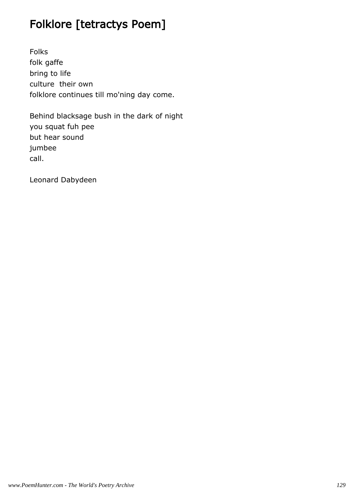### Folklore [tetractys Poem]

Folks folk gaffe bring to life culture their own folklore continues till mo'ning day come.

Behind blacksage bush in the dark of night you squat fuh pee but hear sound jumbee call.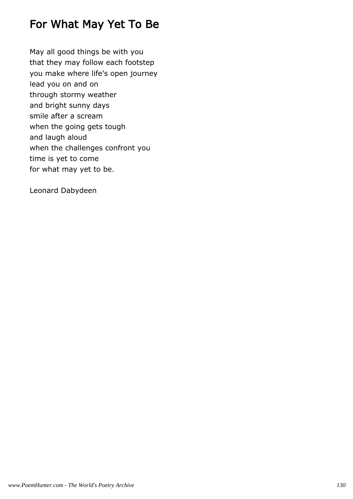#### For What May Yet To Be

May all good things be with you that they may follow each footstep you make where life's open journey lead you on and on through stormy weather and bright sunny days smile after a scream when the going gets tough and laugh aloud when the challenges confront you time is yet to come for what may yet to be.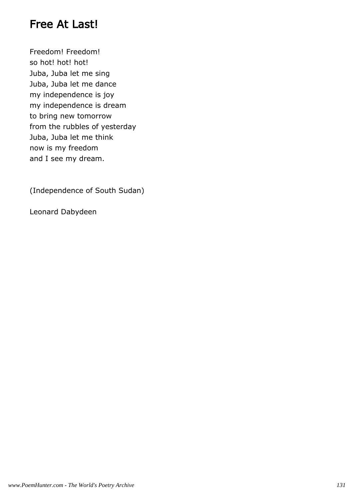#### Free At Last!

Freedom! Freedom! so hot! hot! hot! Juba, Juba let me sing Juba, Juba let me dance my independence is joy my independence is dream to bring new tomorrow from the rubbles of yesterday Juba, Juba let me think now is my freedom and I see my dream.

(Independence of South Sudan)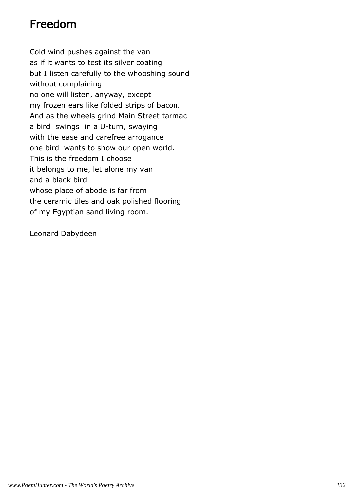### Freedom

Cold wind pushes against the van as if it wants to test its silver coating but I listen carefully to the whooshing sound without complaining no one will listen, anyway, except my frozen ears like folded strips of bacon. And as the wheels grind Main Street tarmac a bird swings in a U-turn, swaying with the ease and carefree arrogance one bird wants to show our open world. This is the freedom I choose it belongs to me, let alone my van and a black bird whose place of abode is far from the ceramic tiles and oak polished flooring of my Egyptian sand living room.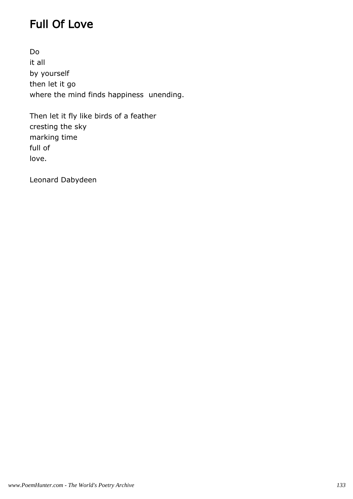### Full Of Love

Do it all by yourself then let it go where the mind finds happiness unending.

Then let it fly like birds of a feather cresting the sky marking time full of love.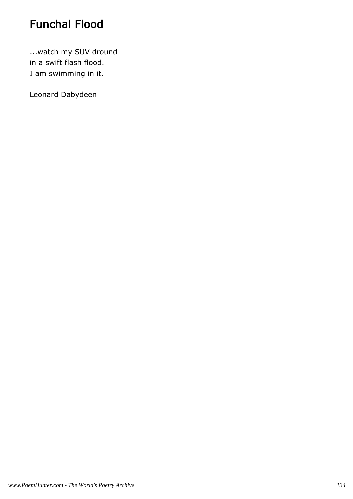### Funchal Flood

...watch my SUV dround in a swift flash flood. I am swimming in it.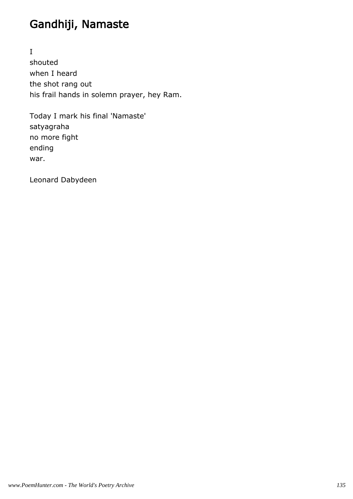### Gandhiji, Namaste

I shouted when I heard the shot rang out his frail hands in solemn prayer, hey Ram.

Today I mark his final 'Namaste' satyagraha no more fight ending war.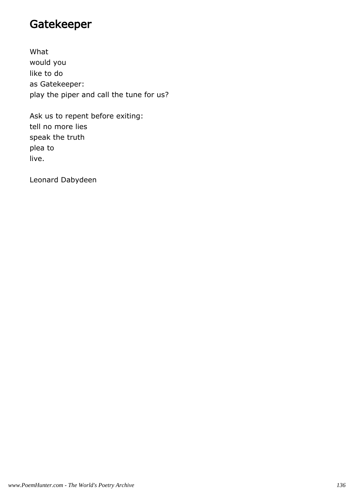### Gatekeeper

What would you like to do as Gatekeeper: play the piper and call the tune for us?

Ask us to repent before exiting: tell no more lies speak the truth plea to live.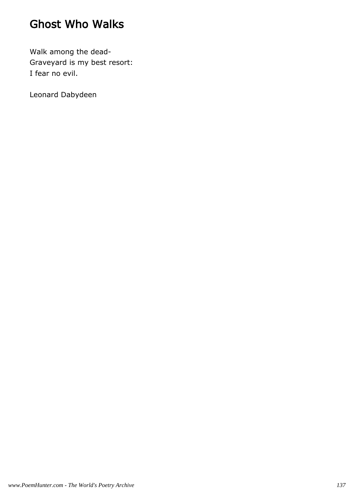### Ghost Who Walks

Walk among the dead-Graveyard is my best resort: I fear no evil.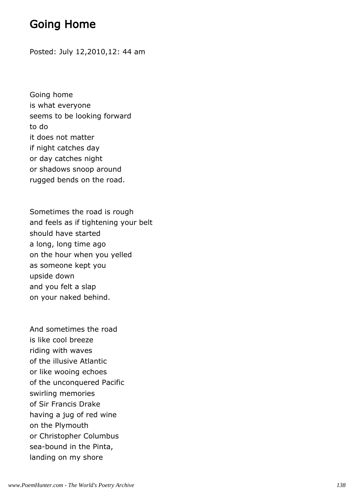### Going Home

Posted: July 12,2010,12: 44 am

Going home is what everyone seems to be looking forward to do it does not matter if night catches day or day catches night or shadows snoop around rugged bends on the road.

Sometimes the road is rough and feels as if tightening your belt should have started a long, long time ago on the hour when you yelled as someone kept you upside down and you felt a slap on your naked behind.

And sometimes the road is like cool breeze riding with waves of the illusive Atlantic or like wooing echoes of the unconquered Pacific swirling memories of Sir Francis Drake having a jug of red wine on the Plymouth or Christopher Columbus sea-bound in the Pinta, landing on my shore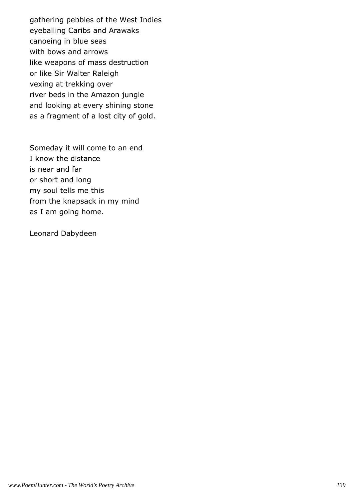gathering pebbles of the West Indies eyeballing Caribs and Arawaks canoeing in blue seas with bows and arrows like weapons of mass destruction or like Sir Walter Raleigh vexing at trekking over river beds in the Amazon jungle and looking at every shining stone as a fragment of a lost city of gold.

Someday it will come to an end I know the distance is near and far or short and long my soul tells me this from the knapsack in my mind as I am going home.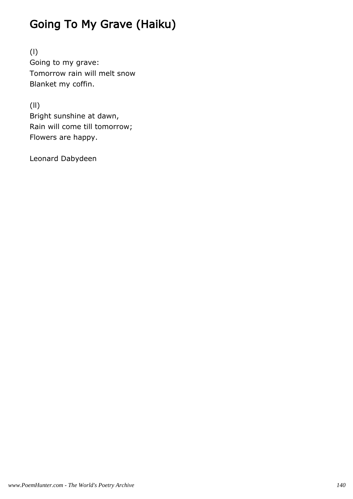# Going To My Grave (Haiku)

(l) Going to my grave: Tomorrow rain will melt snow Blanket my coffin.

(ll) Bright sunshine at dawn, Rain will come till tomorrow; Flowers are happy.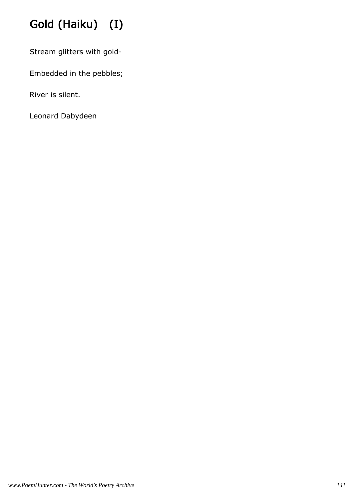# Gold (Haiku) (I)

Stream glitters with gold-

Embedded in the pebbles;

River is silent.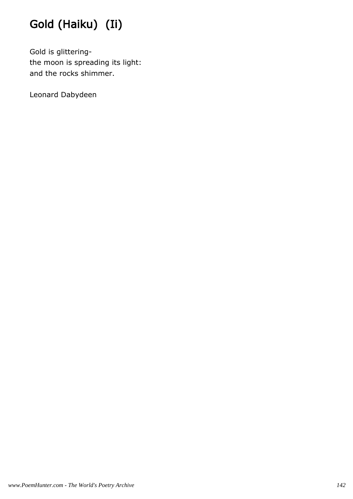# Gold (Haiku) (Ii)

Gold is glitteringthe moon is spreading its light: and the rocks shimmer.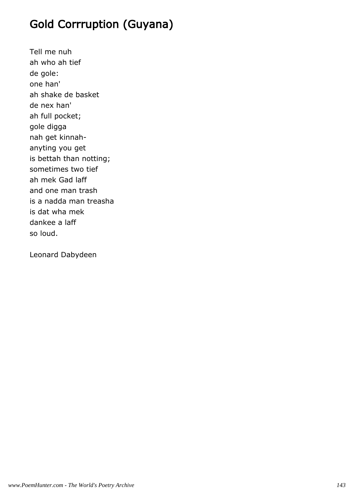### Gold Corrruption (Guyana)

Tell me nuh ah who ah tief de gole: one han' ah shake de basket de nex han' ah full pocket; gole digga nah get kinnahanyting you get is bettah than notting; sometimes two tief ah mek Gad laff and one man trash is a nadda man treasha is dat wha mek dankee a laff so loud.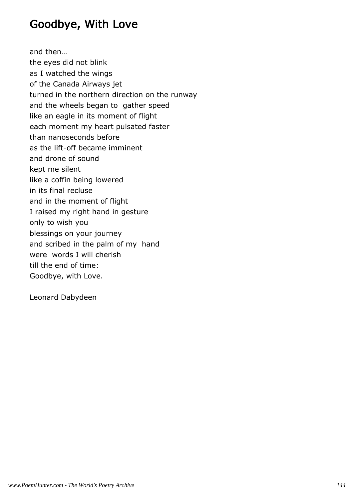### Goodbye, With Love

and then… the eyes did not blink as I watched the wings of the Canada Airways jet turned in the northern direction on the runway and the wheels began to gather speed like an eagle in its moment of flight each moment my heart pulsated faster than nanoseconds before as the lift-off became imminent and drone of sound kept me silent like a coffin being lowered in its final recluse and in the moment of flight I raised my right hand in gesture only to wish you blessings on your journey and scribed in the palm of my hand were words I will cherish till the end of time: Goodbye, with Love.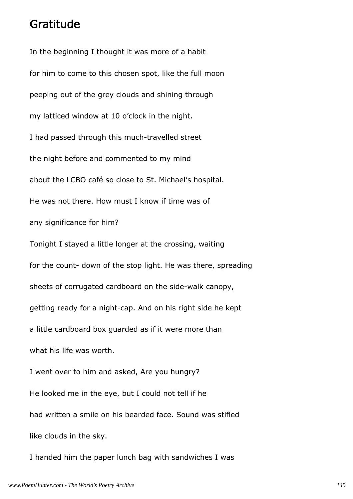#### Gratitude

In the beginning I thought it was more of a habit for him to come to this chosen spot, like the full moon peeping out of the grey clouds and shining through my latticed window at 10 o'clock in the night. I had passed through this much-travelled street the night before and commented to my mind about the LCBO café so close to St. Michael's hospital. He was not there. How must I know if time was of any significance for him? Tonight I stayed a little longer at the crossing, waiting for the count- down of the stop light. He was there, spreading sheets of corrugated cardboard on the side-walk canopy, getting ready for a night-cap. And on his right side he kept a little cardboard box guarded as if it were more than what his life was worth. I went over to him and asked, Are you hungry? He looked me in the eye, but I could not tell if he had written a smile on his bearded face. Sound was stifled like clouds in the sky.

I handed him the paper lunch bag with sandwiches I was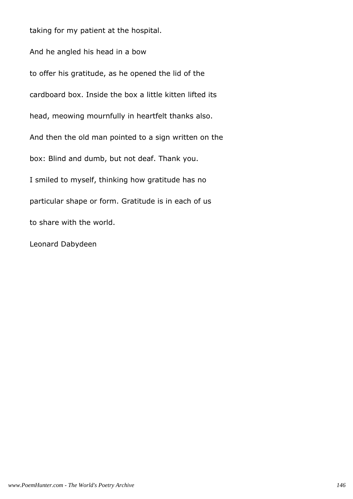taking for my patient at the hospital.

And he angled his head in a bow to offer his gratitude, as he opened the lid of the cardboard box. Inside the box a little kitten lifted its head, meowing mournfully in heartfelt thanks also. And then the old man pointed to a sign written on the box: Blind and dumb, but not deaf. Thank you. I smiled to myself, thinking how gratitude has no particular shape or form. Gratitude is in each of us to share with the world.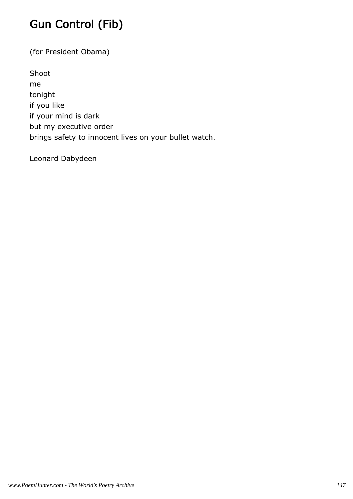# Gun Control (Fib)

(for President Obama)

Shoot me tonight if you like if your mind is dark but my executive order brings safety to innocent lives on your bullet watch.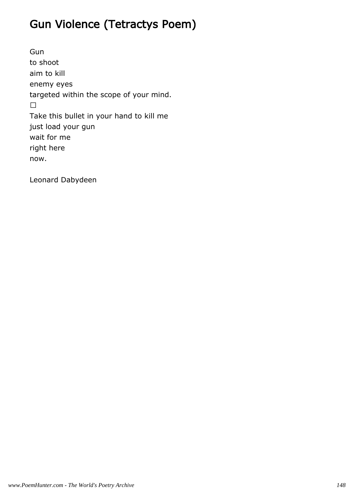# Gun Violence (Tetractys Poem)

Gun to shoot aim to kill enemy eyes targeted within the scope of your mind.

Take this bullet in your hand to kill me just load your gun wait for me right here now.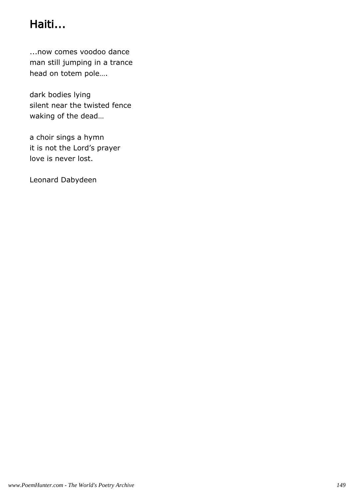# Haiti...

...now comes voodoo dance man still jumping in a trance head on totem pole….

dark bodies lying silent near the twisted fence waking of the dead…

a choir sings a hymn it is not the Lord's prayer love is never lost.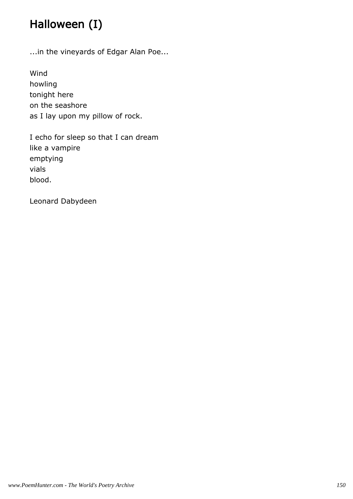# Halloween (I)

...in the vineyards of Edgar Alan Poe...

Wind howling tonight here on the seashore as I lay upon my pillow of rock.

I echo for sleep so that I can dream like a vampire emptying vials blood.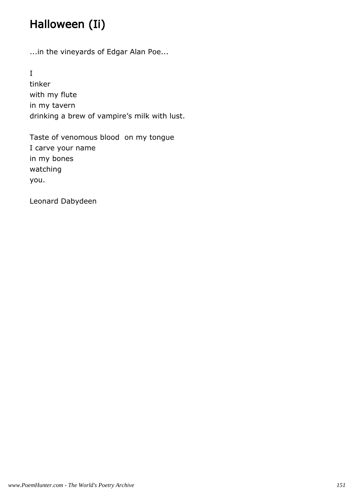# Halloween (Ii)

...in the vineyards of Edgar Alan Poe...

I

tinker with my flute in my tavern drinking a brew of vampire's milk with lust.

Taste of venomous blood on my tongue I carve your name in my bones watching you.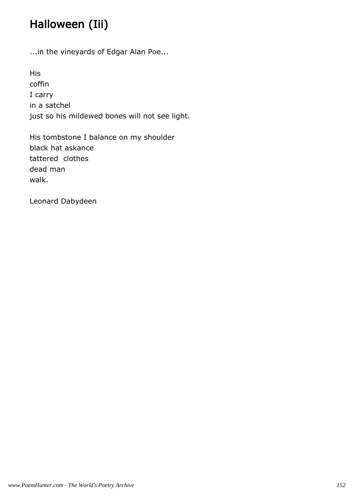# Halloween (Iii)

...in the vineyards of Edgar Alan Poe...

His coffin I carry in a satchel just so his mildewed bones will not see light.

His tombstone I balance on my shoulder black hat askance tattered clothes dead man walk.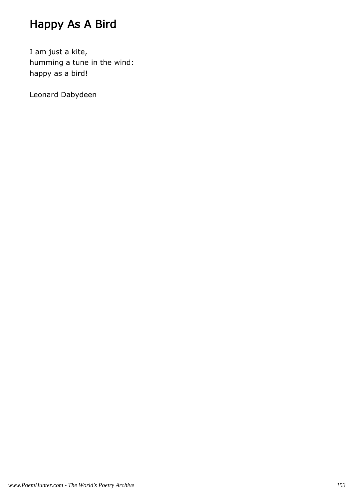# Happy As A Bird

I am just a kite, humming a tune in the wind: happy as a bird!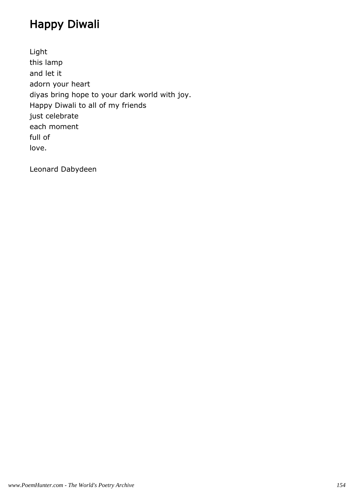# Happy Diwali

Light this lamp and let it adorn your heart diyas bring hope to your dark world with joy. Happy Diwali to all of my friends just celebrate each moment full of love.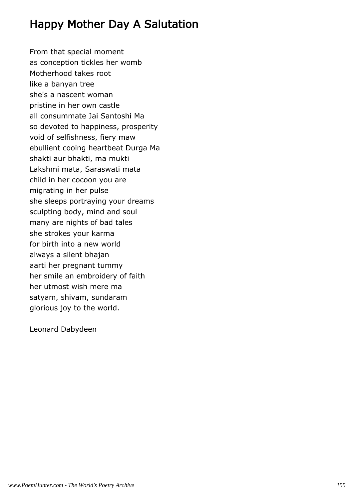### Happy Mother Day A Salutation

From that special moment as conception tickles her womb Motherhood takes root like a banyan tree she's a nascent woman pristine in her own castle all consummate Jai Santoshi Ma so devoted to happiness, prosperity void of selfishness, fiery maw ebullient cooing heartbeat Durga Ma shakti aur bhakti, ma mukti Lakshmi mata, Saraswati mata child in her cocoon you are migrating in her pulse she sleeps portraying your dreams sculpting body, mind and soul many are nights of bad tales she strokes your karma for birth into a new world always a silent bhajan aarti her pregnant tummy her smile an embroidery of faith her utmost wish mere ma satyam, shivam, sundaram glorious joy to the world.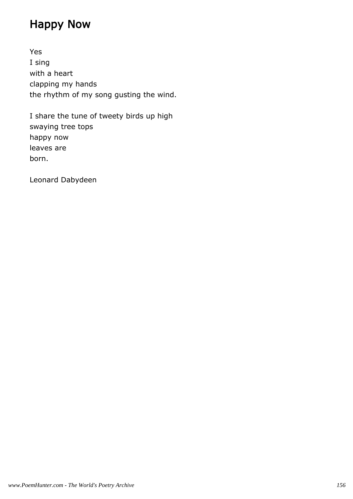### Happy Now

Yes I sing with a heart clapping my hands the rhythm of my song gusting the wind.

I share the tune of tweety birds up high swaying tree tops happy now leaves are born.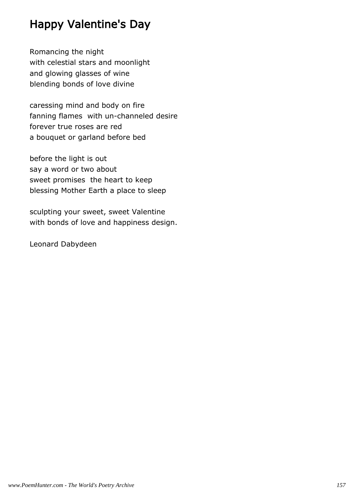### Happy Valentine's Day

Romancing the night with celestial stars and moonlight and glowing glasses of wine blending bonds of love divine

caressing mind and body on fire fanning flames with un-channeled desire forever true roses are red a bouquet or garland before bed

before the light is out say a word or two about sweet promises the heart to keep blessing Mother Earth a place to sleep

sculpting your sweet, sweet Valentine with bonds of love and happiness design.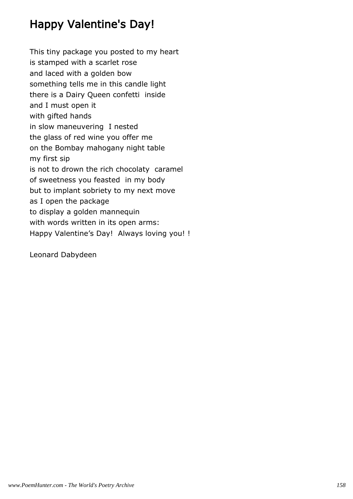### Happy Valentine's Day!

This tiny package you posted to my heart is stamped with a scarlet rose and laced with a golden bow something tells me in this candle light there is a Dairy Queen confetti inside and I must open it with gifted hands in slow maneuvering I nested the glass of red wine you offer me on the Bombay mahogany night table my first sip is not to drown the rich chocolaty caramel of sweetness you feasted in my body but to implant sobriety to my next move as I open the package to display a golden mannequin with words written in its open arms: Happy Valentine's Day! Always loving you! !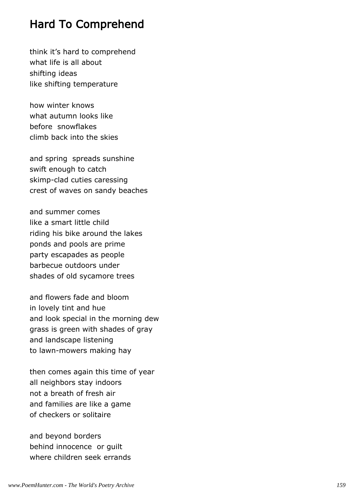#### Hard To Comprehend

think it's hard to comprehend what life is all about shifting ideas like shifting temperature

how winter knows what autumn looks like before snowflakes climb back into the skies

and spring spreads sunshine swift enough to catch skimp-clad cuties caressing crest of waves on sandy beaches

and summer comes like a smart little child riding his bike around the lakes ponds and pools are prime party escapades as people barbecue outdoors under shades of old sycamore trees

and flowers fade and bloom in lovely tint and hue and look special in the morning dew grass is green with shades of gray and landscape listening to lawn-mowers making hay

then comes again this time of year all neighbors stay indoors not a breath of fresh air and families are like a game of checkers or solitaire

and beyond borders behind innocence or guilt where children seek errands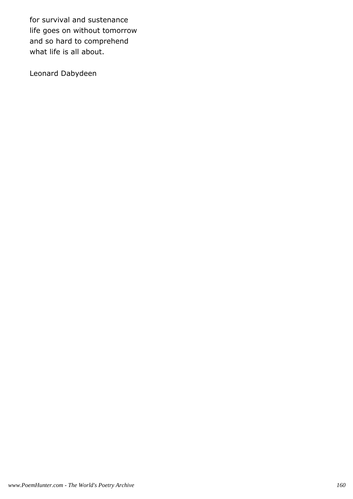for survival and sustenance life goes on without tomorrow and so hard to comprehend what life is all about.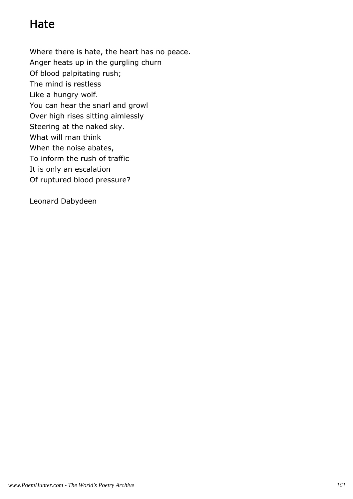### Hate

Where there is hate, the heart has no peace. Anger heats up in the gurgling churn Of blood palpitating rush; The mind is restless Like a hungry wolf. You can hear the snarl and growl Over high rises sitting aimlessly Steering at the naked sky. What will man think When the noise abates, To inform the rush of traffic It is only an escalation Of ruptured blood pressure?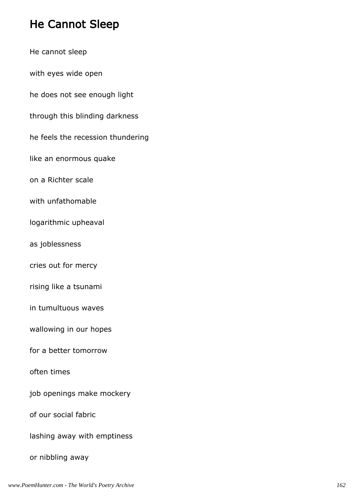# He Cannot Sleep

| He cannot sleep                   |
|-----------------------------------|
| with eyes wide open               |
| he does not see enough light      |
| through this blinding darkness    |
| he feels the recession thundering |
| like an enormous quake            |
| on a Richter scale                |
| with unfathomable                 |
| logarithmic upheaval              |
| as joblessness                    |
| cries out for mercy               |
| rising like a tsunami             |
| in tumultuous waves               |
| wallowing in our hopes            |
| for a better tomorrow             |
| often times                       |
| job openings make mockery         |
| of our social fabric              |
| lashing away with emptiness       |
| or nibbling away                  |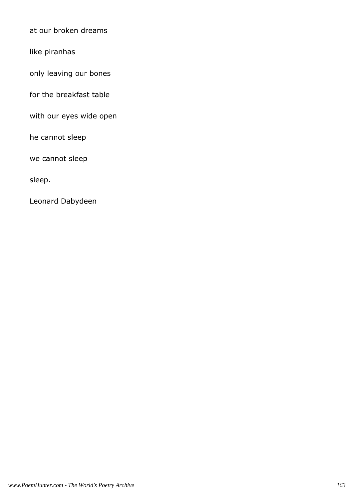at our broken dreams

like piranhas

only leaving our bones

for the breakfast table

with our eyes wide open

he cannot sleep

we cannot sleep

sleep.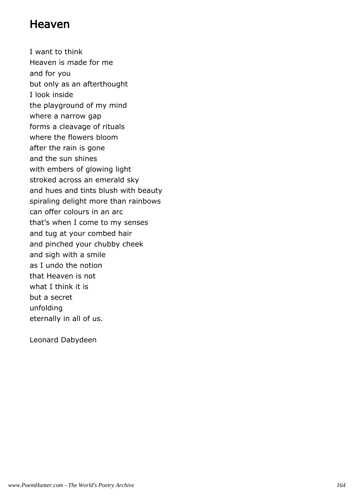#### Heaven

I want to think Heaven is made for me and for you but only as an afterthought I look inside the playground of my mind where a narrow gap forms a cleavage of rituals where the flowers bloom after the rain is gone and the sun shines with embers of glowing light stroked across an emerald sky and hues and tints blush with beauty spiraling delight more than rainbows can offer colours in an arc that's when I come to my senses and tug at your combed hair and pinched your chubby cheek and sigh with a smile as I undo the notion that Heaven is not what I think it is but a secret unfolding eternally in all of us.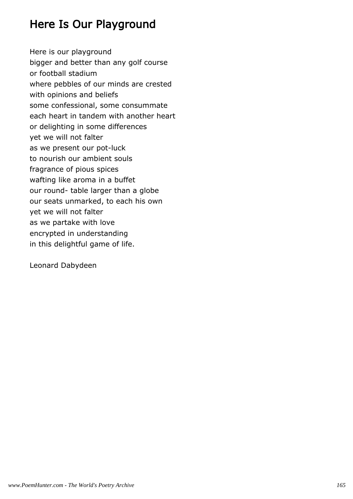### Here Is Our Playground

Here is our playground bigger and better than any golf course or football stadium where pebbles of our minds are crested with opinions and beliefs some confessional, some consummate each heart in tandem with another heart or delighting in some differences yet we will not falter as we present our pot-luck to nourish our ambient souls fragrance of pious spices wafting like aroma in a buffet our round- table larger than a globe our seats unmarked, to each his own yet we will not falter as we partake with love encrypted in understanding in this delightful game of life.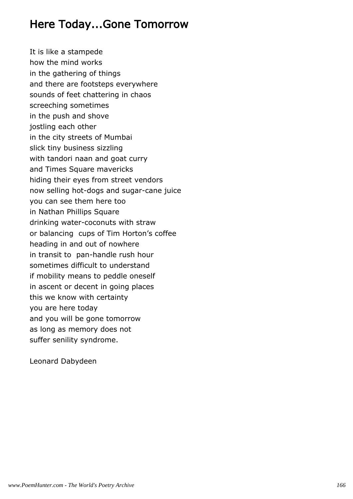#### Here Today...Gone Tomorrow

It is like a stampede how the mind works in the gathering of things and there are footsteps everywhere sounds of feet chattering in chaos screeching sometimes in the push and shove jostling each other in the city streets of Mumbai slick tiny business sizzling with tandori naan and goat curry and Times Square mavericks hiding their eyes from street vendors now selling hot-dogs and sugar-cane juice you can see them here too in Nathan Phillips Square drinking water-coconuts with straw or balancing cups of Tim Horton's coffee heading in and out of nowhere in transit to pan-handle rush hour sometimes difficult to understand if mobility means to peddle oneself in ascent or decent in going places this we know with certainty you are here today and you will be gone tomorrow as long as memory does not suffer senility syndrome.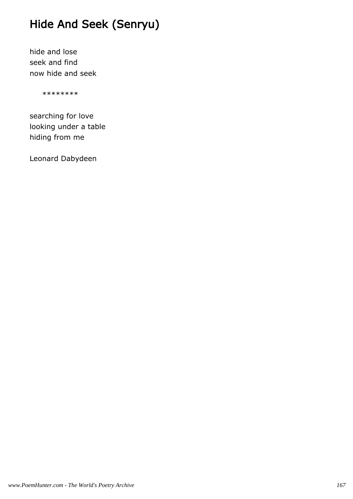### Hide And Seek (Senryu)

hide and lose seek and find now hide and seek

\*\*\*\*\*\*\*\*

searching for love looking under a table hiding from me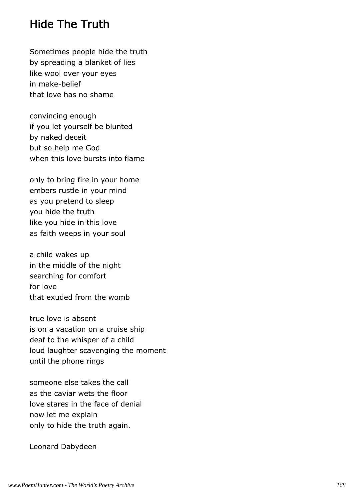#### Hide The Truth

Sometimes people hide the truth by spreading a blanket of lies like wool over your eyes in make-belief that love has no shame

convincing enough if you let yourself be blunted by naked deceit but so help me God when this love bursts into flame

only to bring fire in your home embers rustle in your mind as you pretend to sleep you hide the truth like you hide in this love as faith weeps in your soul

a child wakes up in the middle of the night searching for comfort for love that exuded from the womb

true love is absent is on a vacation on a cruise ship deaf to the whisper of a child loud laughter scavenging the moment until the phone rings

someone else takes the call as the caviar wets the floor love stares in the face of denial now let me explain only to hide the truth again.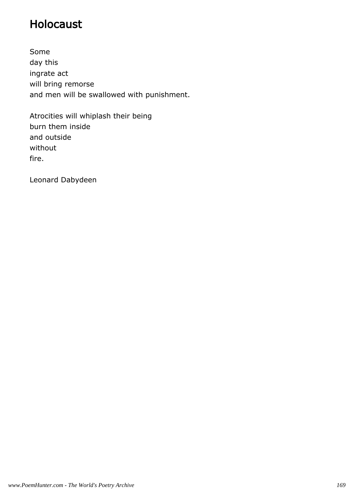### Holocaust

Some day this ingrate act will bring remorse and men will be swallowed with punishment.

Atrocities will whiplash their being burn them inside and outside without fire.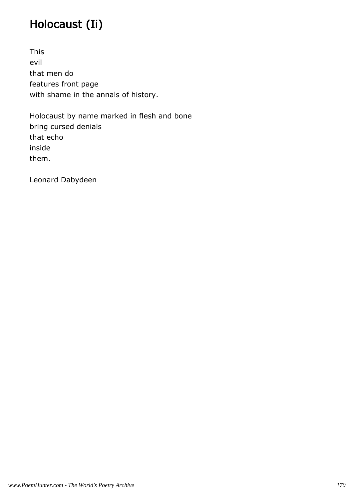# Holocaust (Ii)

This evil that men do features front page with shame in the annals of history.

Holocaust by name marked in flesh and bone bring cursed denials that echo inside them.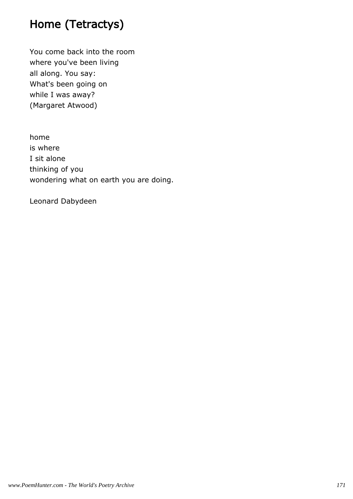### Home (Tetractys)

You come back into the room where you've been living all along. You say: What's been going on while I was away? (Margaret Atwood)

home is where I sit alone thinking of you wondering what on earth you are doing.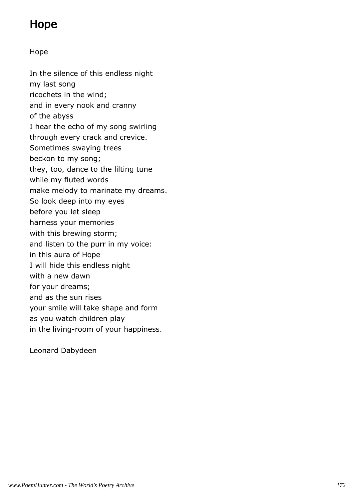### Hope

#### Hope

In the silence of this endless night my last song ricochets in the wind; and in every nook and cranny of the abyss I hear the echo of my song swirling through every crack and crevice. Sometimes swaying trees beckon to my song; they, too, dance to the lilting tune while my fluted words make melody to marinate my dreams. So look deep into my eyes before you let sleep harness your memories with this brewing storm; and listen to the purr in my voice: in this aura of Hope I will hide this endless night with a new dawn for your dreams; and as the sun rises your smile will take shape and form as you watch children play in the living-room of your happiness.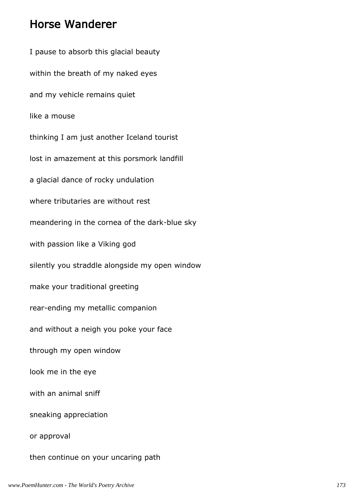#### Horse Wanderer

I pause to absorb this glacial beauty within the breath of my naked eyes and my vehicle remains quiet like a mouse thinking I am just another Iceland tourist lost in amazement at this porsmork landfill a glacial dance of rocky undulation where tributaries are without rest meandering in the cornea of the dark-blue sky with passion like a Viking god silently you straddle alongside my open window make your traditional greeting rear-ending my metallic companion and without a neigh you poke your face through my open window look me in the eye with an animal sniff sneaking appreciation or approval then continue on your uncaring path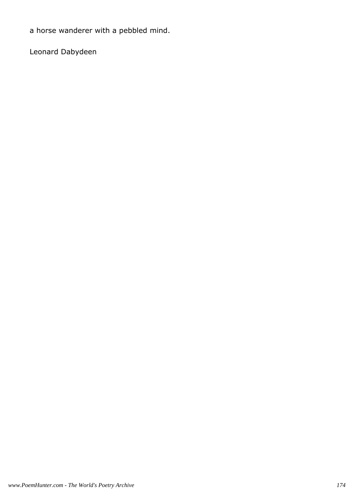a horse wanderer with a pebbled mind.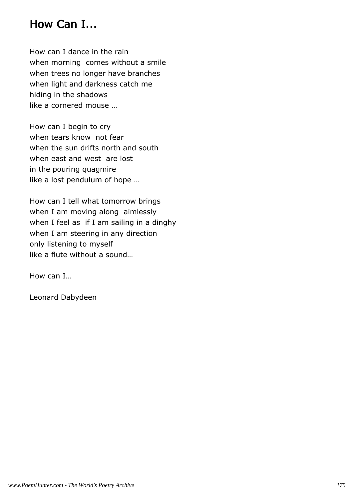### How Can I...

How can I dance in the rain when morning comes without a smile when trees no longer have branches when light and darkness catch me hiding in the shadows like a cornered mouse …

How can I begin to cry when tears know not fear when the sun drifts north and south when east and west are lost in the pouring quagmire like a lost pendulum of hope …

How can I tell what tomorrow brings when I am moving along aimlessly when I feel as if I am sailing in a dinghy when I am steering in any direction only listening to myself like a flute without a sound…

How can I…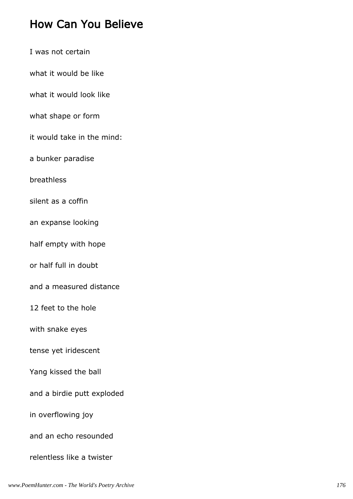#### How Can You Believe

- I was not certain
- what it would be like
- what it would look like
- what shape or form
- it would take in the mind:
- a bunker paradise
- breathless
- silent as a coffin
- an expanse looking
- half empty with hope
- or half full in doubt
- and a measured distance
- 12 feet to the hole
- with snake eyes
- tense yet iridescent
- Yang kissed the ball
- and a birdie putt exploded
- in overflowing joy
- and an echo resounded
- relentless like a twister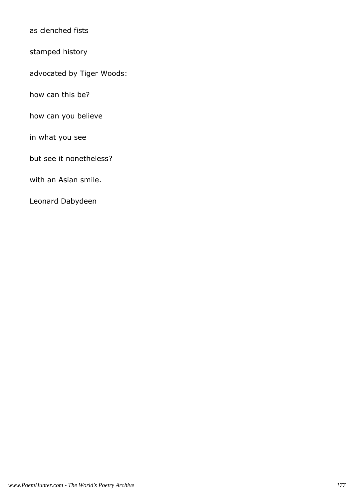as clenched fists

stamped history

advocated by Tiger Woods:

how can this be?

how can you believe

in what you see

but see it nonetheless?

with an Asian smile.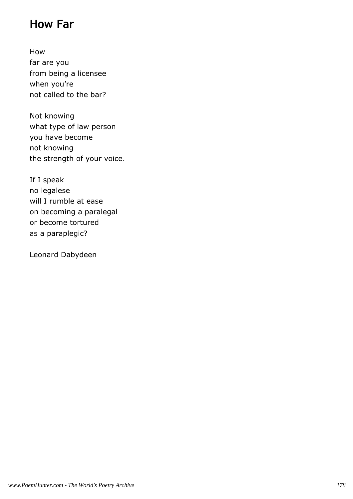### How Far

How far are you from being a licensee when you're not called to the bar?

Not knowing what type of law person you have become not knowing the strength of your voice.

If I speak no legalese will I rumble at ease on becoming a paralegal or become tortured as a paraplegic?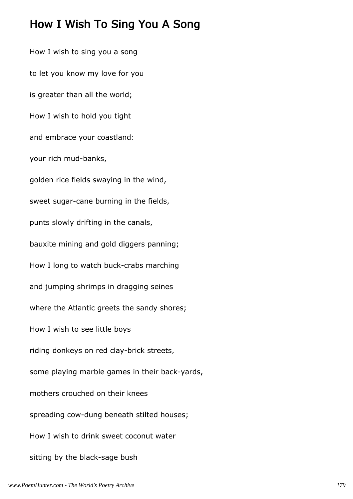#### How I Wish To Sing You A Song

How I wish to sing you a song to let you know my love for you is greater than all the world; How I wish to hold you tight and embrace your coastland: your rich mud-banks, golden rice fields swaying in the wind, sweet sugar-cane burning in the fields, punts slowly drifting in the canals, bauxite mining and gold diggers panning; How I long to watch buck-crabs marching and jumping shrimps in dragging seines where the Atlantic greets the sandy shores; How I wish to see little boys riding donkeys on red clay-brick streets, some playing marble games in their back-yards, mothers crouched on their knees spreading cow-dung beneath stilted houses; How I wish to drink sweet coconut water sitting by the black-sage bush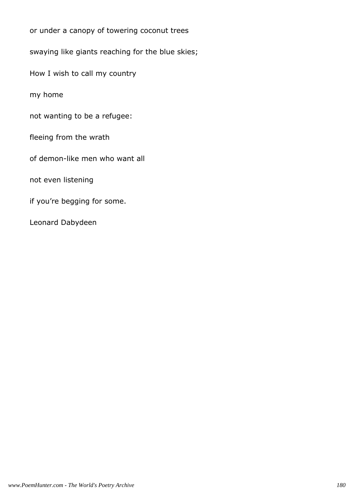or under a canopy of towering coconut trees swaying like giants reaching for the blue skies; How I wish to call my country my home not wanting to be a refugee: fleeing from the wrath of demon-like men who want all not even listening if you're begging for some. Leonard Dabydeen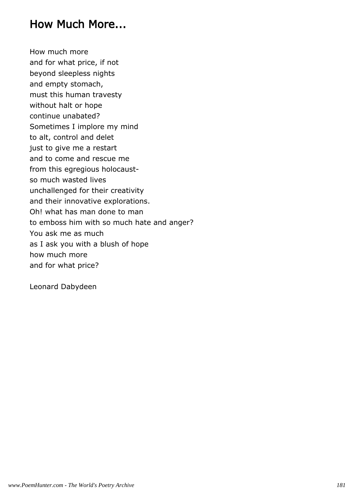#### How Much More...

How much more and for what price, if not beyond sleepless nights and empty stomach, must this human travesty without halt or hope continue unabated? Sometimes I implore my mind to alt, control and delet just to give me a restart and to come and rescue me from this egregious holocaustso much wasted lives unchallenged for their creativity and their innovative explorations. Oh! what has man done to man to emboss him with so much hate and anger? You ask me as much as I ask you with a blush of hope how much more and for what price?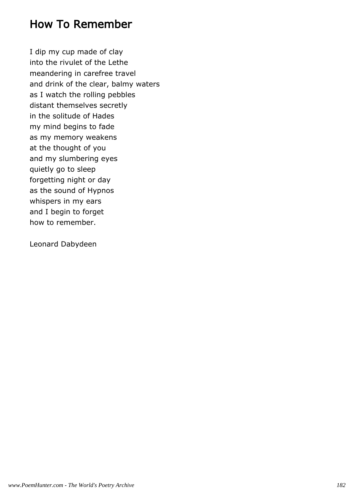#### How To Remember

I dip my cup made of clay into the rivulet of the Lethe meandering in carefree travel and drink of the clear, balmy waters as I watch the rolling pebbles distant themselves secretly in the solitude of Hades my mind begins to fade as my memory weakens at the thought of you and my slumbering eyes quietly go to sleep forgetting night or day as the sound of Hypnos whispers in my ears and I begin to forget how to remember.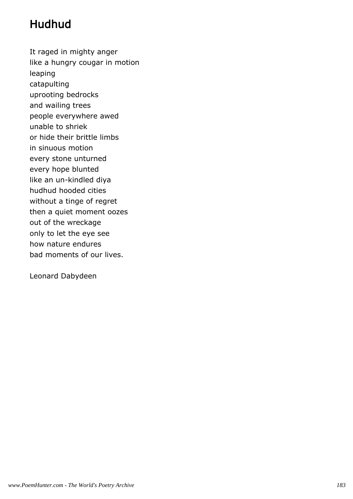# Hudhud

It raged in mighty anger like a hungry cougar in motion leaping catapulting uprooting bedrocks and wailing trees people everywhere awed unable to shriek or hide their brittle limbs in sinuous motion every stone unturned every hope blunted like an un-kindled diya hudhud hooded cities without a tinge of regret then a quiet moment oozes out of the wreckage only to let the eye see how nature endures bad moments of our lives.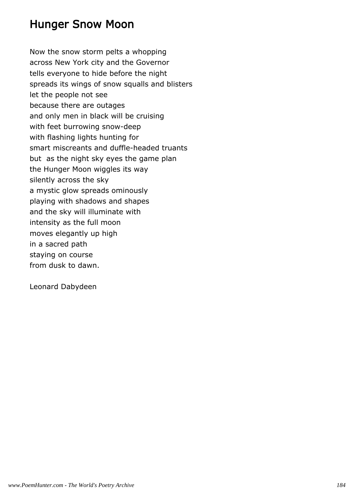#### Hunger Snow Moon

Now the snow storm pelts a whopping across New York city and the Governor tells everyone to hide before the night spreads its wings of snow squalls and blisters let the people not see because there are outages and only men in black will be cruising with feet burrowing snow-deep with flashing lights hunting for smart miscreants and duffle-headed truants but as the night sky eyes the game plan the Hunger Moon wiggles its way silently across the sky a mystic glow spreads ominously playing with shadows and shapes and the sky will illuminate with intensity as the full moon moves elegantly up high in a sacred path staying on course from dusk to dawn.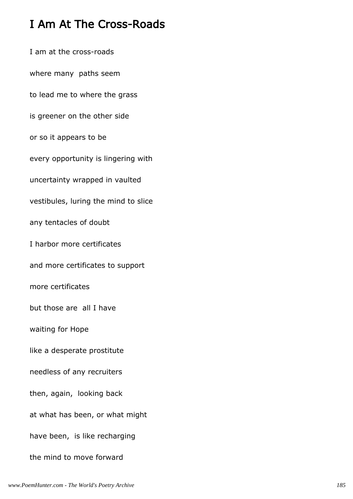## I Am At The Cross-Roads

I am at the cross-roads where many paths seem to lead me to where the grass is greener on the other side or so it appears to be every opportunity is lingering with uncertainty wrapped in vaulted vestibules, luring the mind to slice any tentacles of doubt I harbor more certificates and more certificates to support more certificates but those are all I have waiting for Hope like a desperate prostitute needless of any recruiters then, again, looking back at what has been, or what might have been, is like recharging the mind to move forward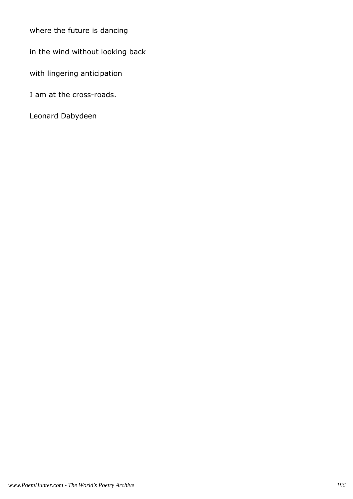where the future is dancing

in the wind without looking back

with lingering anticipation

I am at the cross-roads.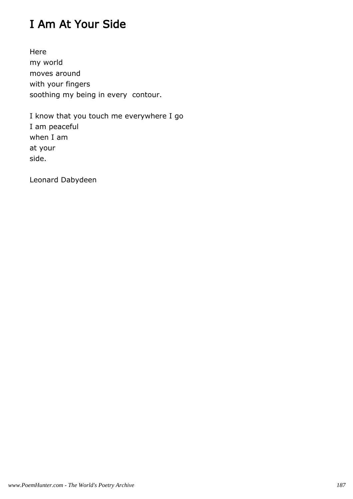# I Am At Your Side

Here my world moves around with your fingers soothing my being in every contour.

I know that you touch me everywhere I go I am peaceful when I am at your side.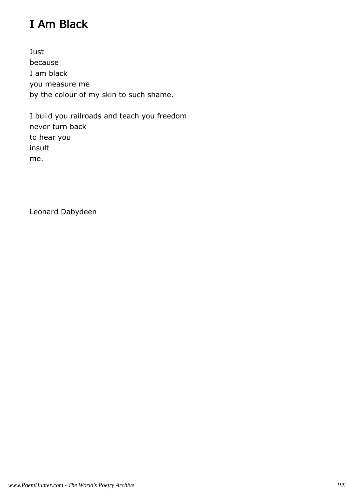# I Am Black

Just because I am black you measure me by the colour of my skin to such shame.

I build you railroads and teach you freedom never turn back to hear you insult me.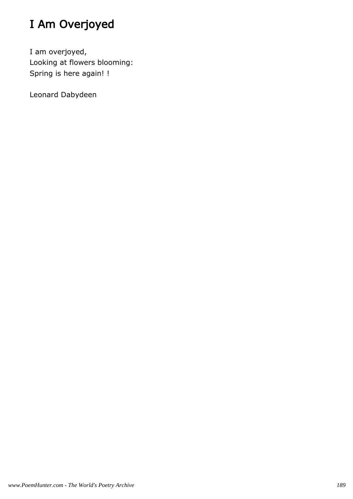# I Am Overjoyed

I am overjoyed, Looking at flowers blooming: Spring is here again! !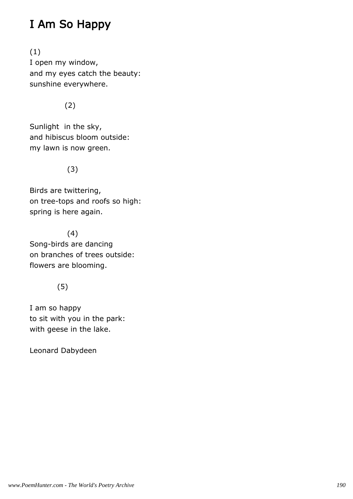## I Am So Happy

(1) I open my window, and my eyes catch the beauty: sunshine everywhere.

(2)

Sunlight in the sky, and hibiscus bloom outside: my lawn is now green.

(3)

Birds are twittering, on tree-tops and roofs so high: spring is here again.

 (4) Song-birds are dancing on branches of trees outside: flowers are blooming.

#### (5)

I am so happy to sit with you in the park: with geese in the lake.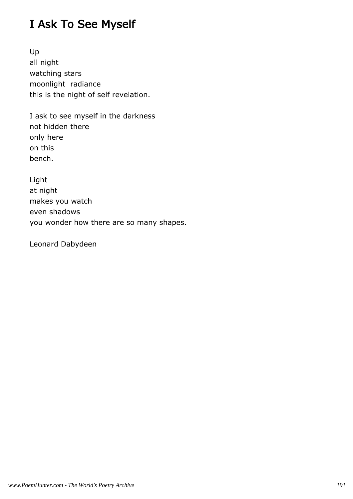## I Ask To See Myself

Up all night watching stars moonlight radiance this is the night of self revelation.

I ask to see myself in the darkness not hidden there only here on this bench.

Light at night makes you watch even shadows you wonder how there are so many shapes.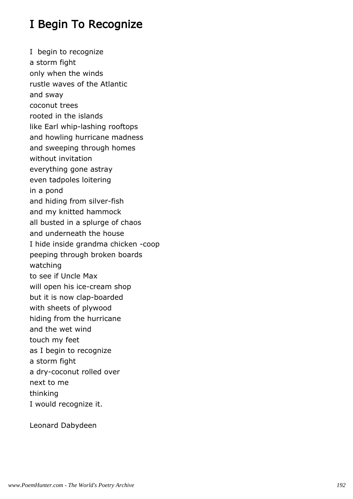#### I Begin To Recognize

I begin to recognize a storm fight only when the winds rustle waves of the Atlantic and sway coconut trees rooted in the islands like Earl whip-lashing rooftops and howling hurricane madness and sweeping through homes without invitation everything gone astray even tadpoles loitering in a pond and hiding from silver-fish and my knitted hammock all busted in a splurge of chaos and underneath the house I hide inside grandma chicken -coop peeping through broken boards watching to see if Uncle Max will open his ice-cream shop but it is now clap-boarded with sheets of plywood hiding from the hurricane and the wet wind touch my feet as I begin to recognize a storm fight a dry-coconut rolled over next to me thinking I would recognize it.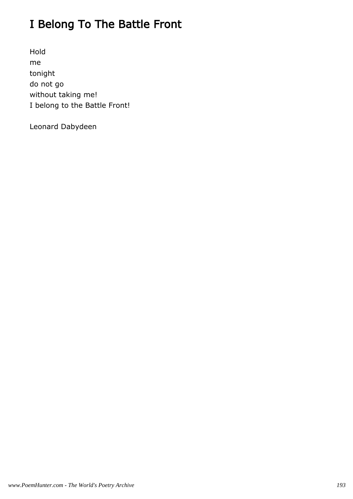# I Belong To The Battle Front

Hold me tonight do not go without taking me! I belong to the Battle Front!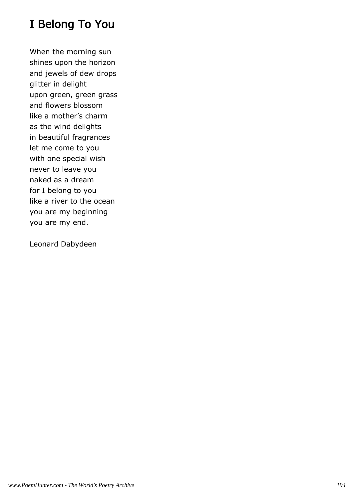### I Belong To You

When the morning sun shines upon the horizon and jewels of dew drops glitter in delight upon green, green grass and flowers blossom like a mother's charm as the wind delights in beautiful fragrances let me come to you with one special wish never to leave you naked as a dream for I belong to you like a river to the ocean you are my beginning you are my end.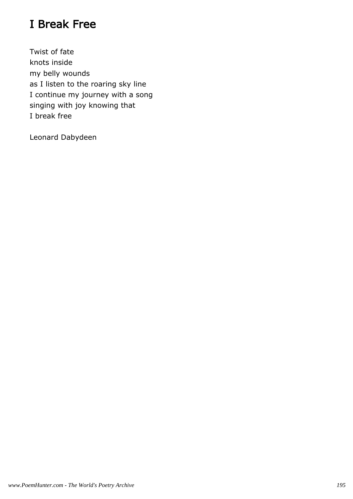# I Break Free

Twist of fate knots inside my belly wounds as I listen to the roaring sky line I continue my journey with a song singing with joy knowing that I break free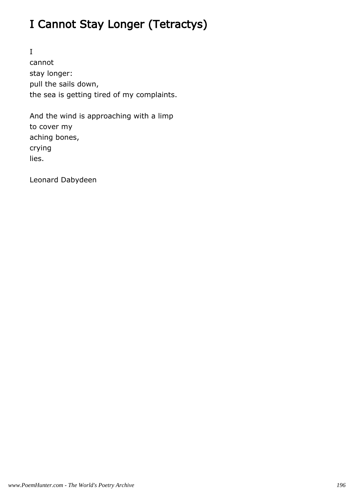# I Cannot Stay Longer (Tetractys)

I cannot stay longer: pull the sails down, the sea is getting tired of my complaints.

And the wind is approaching with a limp to cover my aching bones, crying lies.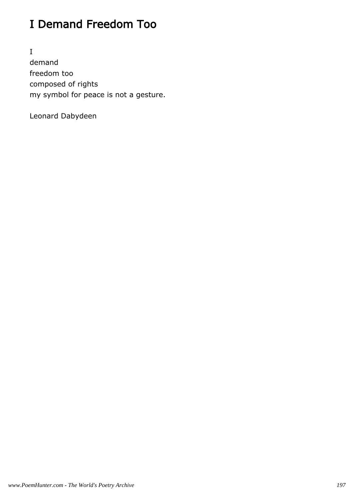# I Demand Freedom Too

I demand freedom too composed of rights my symbol for peace is not a gesture.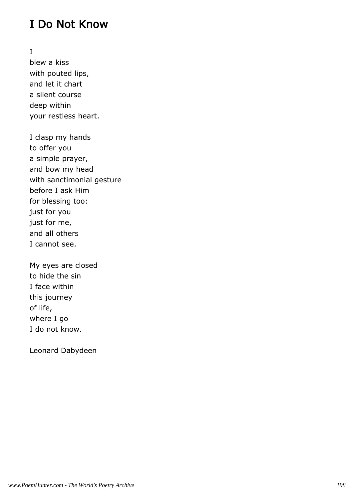#### I Do Not Know

I

blew a kiss with pouted lips, and let it chart a silent course deep within your restless heart.

I clasp my hands to offer you a simple prayer, and bow my head with sanctimonial gesture before I ask Him for blessing too: just for you just for me, and all others I cannot see.

My eyes are closed to hide the sin I face within this journey of life, where I go I do not know.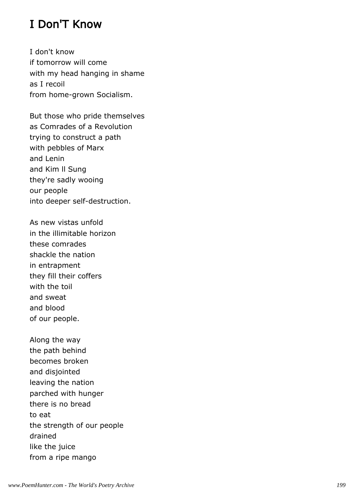### I Don'T Know

I don't know if tomorrow will come with my head hanging in shame as I recoil from home-grown Socialism.

But those who pride themselves as Comrades of a Revolution trying to construct a path with pebbles of Marx and Lenin and Kim ll Sung they're sadly wooing our people into deeper self-destruction.

As new vistas unfold in the illimitable horizon these comrades shackle the nation in entrapment they fill their coffers with the toil and sweat and blood of our people.

Along the way the path behind becomes broken and disjointed leaving the nation parched with hunger there is no bread to eat the strength of our people drained like the juice from a ripe mango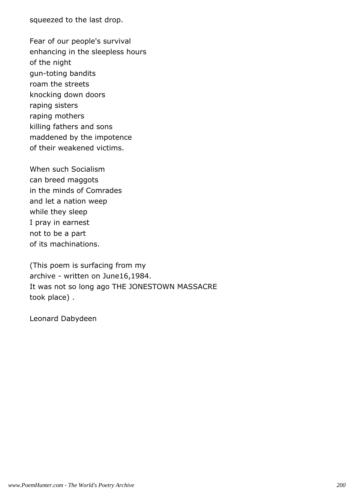squeezed to the last drop.

Fear of our people's survival enhancing in the sleepless hours of the night gun-toting bandits roam the streets knocking down doors raping sisters raping mothers killing fathers and sons maddened by the impotence of their weakened victims.

When such Socialism can breed maggots in the minds of Comrades and let a nation weep while they sleep I pray in earnest not to be a part of its machinations.

(This poem is surfacing from my archive - written on June16,1984. It was not so long ago THE JONESTOWN MASSACRE took place) .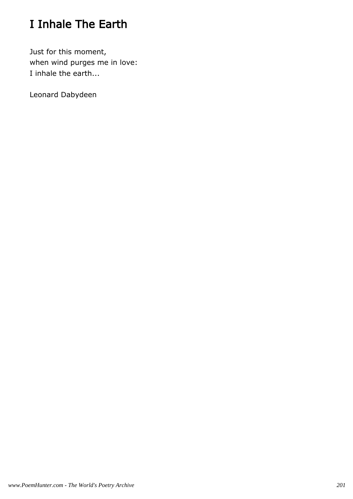# I Inhale The Earth

Just for this moment, when wind purges me in love: I inhale the earth...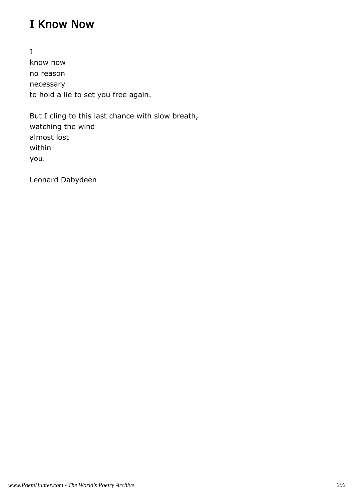#### I Know Now

I know now no reason necessary to hold a lie to set you free again.

But I cling to this last chance with slow breath, watching the wind almost lost within you.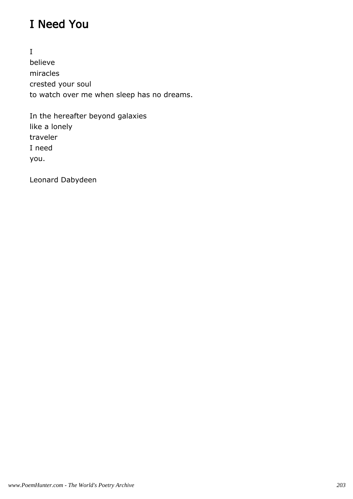# I Need You

I believe miracles crested your soul to watch over me when sleep has no dreams.

In the hereafter beyond galaxies like a lonely traveler I need you.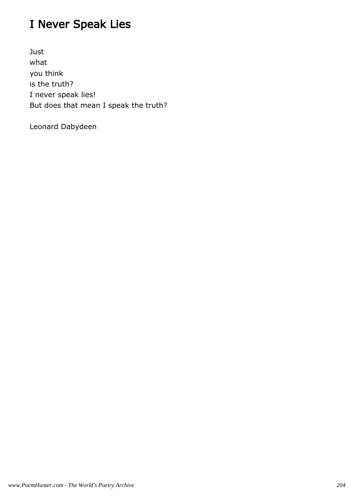# I Never Speak Lies

Just what you think is the truth? I never speak lies! But does that mean I speak the truth?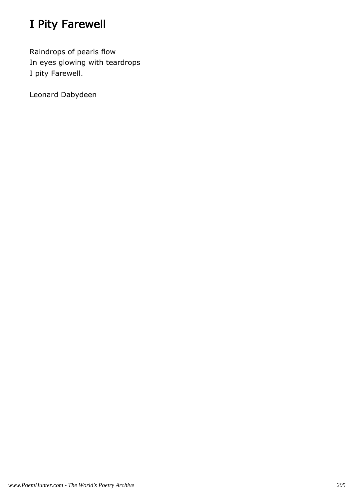# I Pity Farewell

Raindrops of pearls flow In eyes glowing with teardrops I pity Farewell.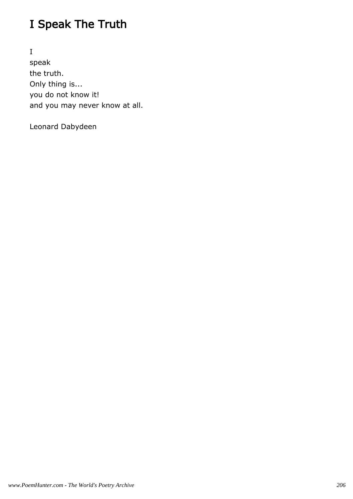# I Speak The Truth

I speak the truth. Only thing is... you do not know it! and you may never know at all.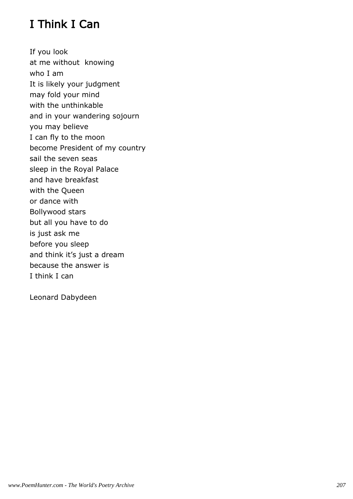# I Think I Can

If you look at me without knowing who I am It is likely your judgment may fold your mind with the unthinkable and in your wandering sojourn you may believe I can fly to the moon become President of my country sail the seven seas sleep in the Royal Palace and have breakfast with the Queen or dance with Bollywood stars but all you have to do is just ask me before you sleep and think it's just a dream because the answer is I think I can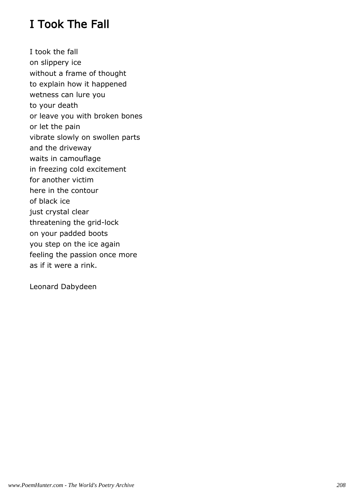### I Took The Fall

I took the fall on slippery ice without a frame of thought to explain how it happened wetness can lure you to your death or leave you with broken bones or let the pain vibrate slowly on swollen parts and the driveway waits in camouflage in freezing cold excitement for another victim here in the contour of black ice just crystal clear threatening the grid-lock on your padded boots you step on the ice again feeling the passion once more as if it were a rink.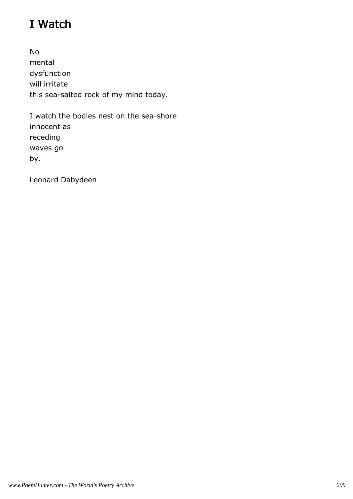# I Watch

No mental dysfunction will irritate this sea-salted rock of my mind today.

I watch the bodies nest on the sea-shore innocent as receding waves go by.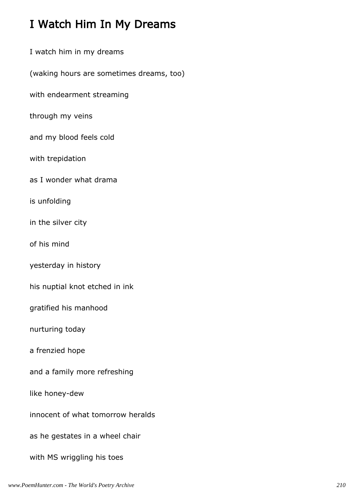### I Watch Him In My Dreams

I watch him in my dreams (waking hours are sometimes dreams, too) with endearment streaming through my veins and my blood feels cold with trepidation as I wonder what drama is unfolding in the silver city of his mind yesterday in history his nuptial knot etched in ink gratified his manhood nurturing today a frenzied hope and a family more refreshing like honey-dew innocent of what tomorrow heralds as he gestates in a wheel chair with MS wriggling his toes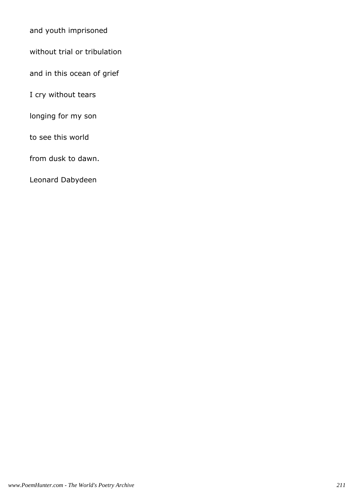and youth imprisoned

without trial or tribulation

and in this ocean of grief

I cry without tears

longing for my son

to see this world

from dusk to dawn.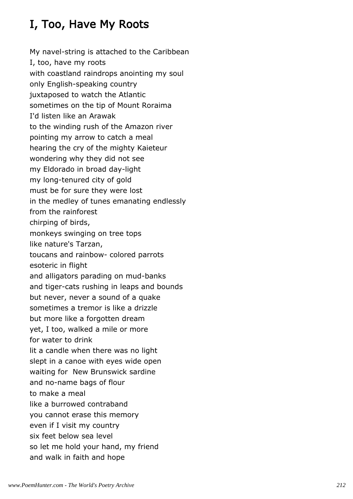# I, Too, Have My Roots

My navel-string is attached to the Caribbean I, too, have my roots with coastland raindrops anointing my soul only English-speaking country juxtaposed to watch the Atlantic sometimes on the tip of Mount Roraima I'd listen like an Arawak to the winding rush of the Amazon river pointing my arrow to catch a meal hearing the cry of the mighty Kaieteur wondering why they did not see my Eldorado in broad day-light my long-tenured city of gold must be for sure they were lost in the medley of tunes emanating endlessly from the rainforest chirping of birds, monkeys swinging on tree tops like nature's Tarzan, toucans and rainbow- colored parrots esoteric in flight and alligators parading on mud-banks and tiger-cats rushing in leaps and bounds but never, never a sound of a quake sometimes a tremor is like a drizzle but more like a forgotten dream yet, I too, walked a mile or more for water to drink lit a candle when there was no light slept in a canoe with eyes wide open waiting for New Brunswick sardine and no-name bags of flour to make a meal like a burrowed contraband you cannot erase this memory even if I visit my country six feet below sea level so let me hold your hand, my friend and walk in faith and hope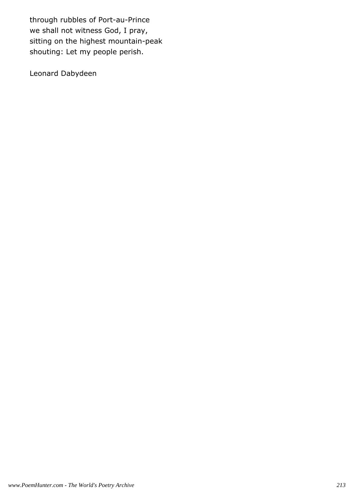through rubbles of Port-au-Prince we shall not witness God, I pray, sitting on the highest mountain-peak shouting: Let my people perish.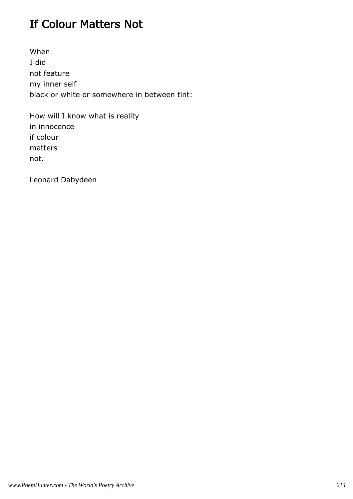### If Colour Matters Not

When I did not feature my inner self black or white or somewhere in between tint:

How will I know what is reality in innocence if colour matters not.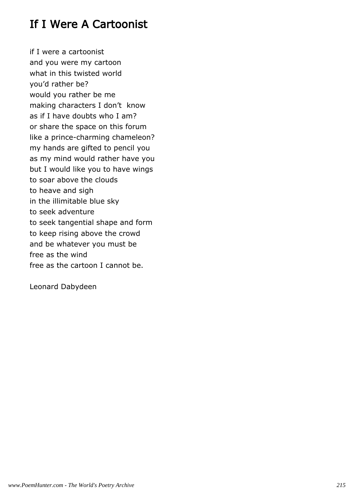#### If I Were A Cartoonist

if I were a cartoonist and you were my cartoon what in this twisted world you'd rather be? would you rather be me making characters I don't know as if I have doubts who I am? or share the space on this forum like a prince-charming chameleon? my hands are gifted to pencil you as my mind would rather have you but I would like you to have wings to soar above the clouds to heave and sigh in the illimitable blue sky to seek adventure to seek tangential shape and form to keep rising above the crowd and be whatever you must be free as the wind free as the cartoon I cannot be.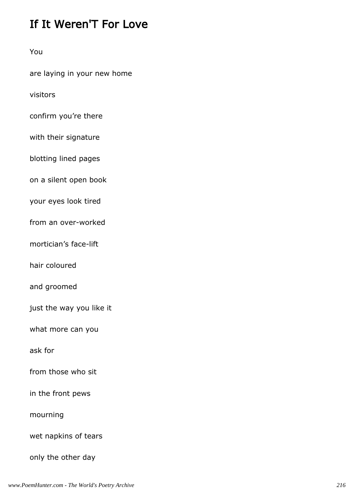### If It Weren'T For Love

You

are laying in your new home

visitors

confirm you're there

with their signature

blotting lined pages

on a silent open book

your eyes look tired

from an over-worked

mortician's face-lift

hair coloured

and groomed

just the way you like it

what more can you

ask for

from those who sit

in the front pews

mourning

wet napkins of tears

only the other day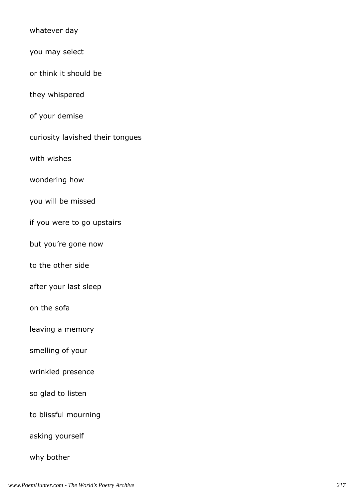| whatever day                     |
|----------------------------------|
| you may select                   |
| or think it should be            |
| they whispered                   |
| of your demise                   |
| curiosity lavished their tongues |
| with wishes                      |
| wondering how                    |
| you will be missed               |
| if you were to go upstairs       |
| but you're gone now              |
| to the other side                |
| after your last sleep            |
| on the sofa                      |
| leaving a memory                 |
| smelling of your                 |
| wrinkled presence                |
| so glad to listen                |
| to blissful mourning             |
| asking yourself                  |
| why bother                       |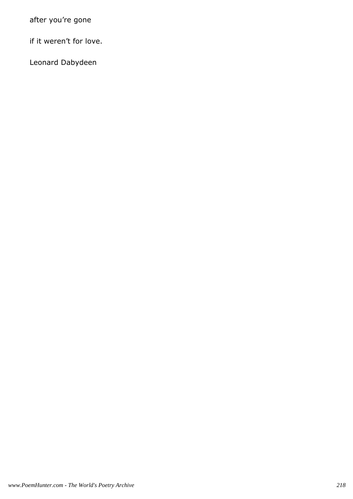after you're gone

if it weren't for love.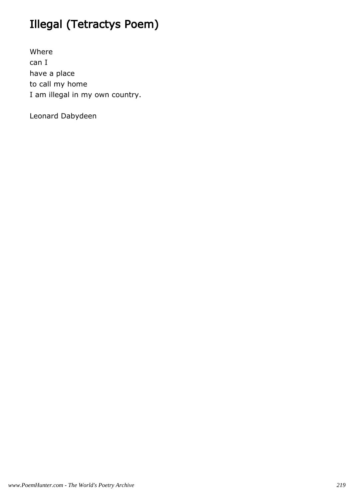# Illegal (Tetractys Poem)

Where can I have a place to call my home I am illegal in my own country.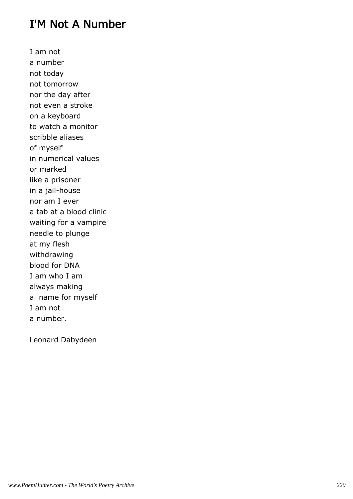#### I'M Not A Number

I am not a number not today not tomorrow nor the day after not even a stroke on a keyboard to watch a monitor scribble aliases of myself in numerical values or marked like a prisoner in a jail-house nor am I ever a tab at a blood clinic waiting for a vampire needle to plunge at my flesh withdrawing blood for DNA I am who I am always making a name for myself I am not a number.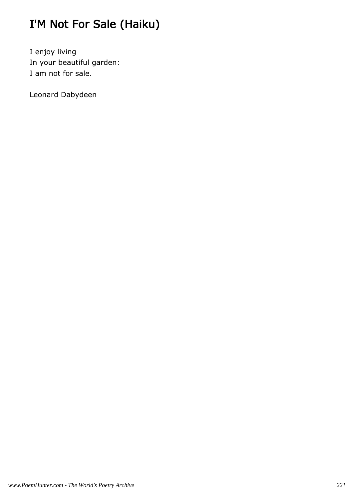# I'M Not For Sale (Haiku)

I enjoy living In your beautiful garden: I am not for sale.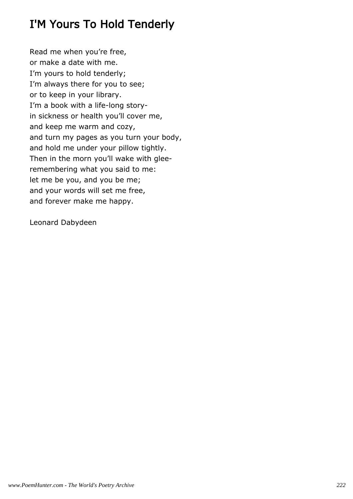### I'M Yours To Hold Tenderly

Read me when you're free, or make a date with me. I'm yours to hold tenderly; I'm always there for you to see; or to keep in your library. I'm a book with a life-long storyin sickness or health you'll cover me, and keep me warm and cozy, and turn my pages as you turn your body, and hold me under your pillow tightly. Then in the morn you'll wake with gleeremembering what you said to me: let me be you, and you be me; and your words will set me free, and forever make me happy.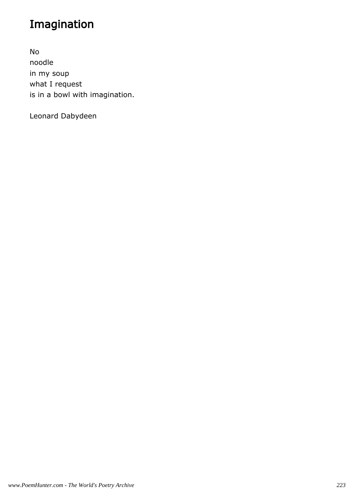# Imagination

No noodle in my soup what I request is in a bowl with imagination.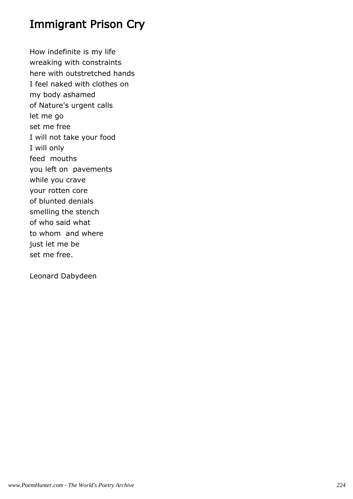#### Immigrant Prison Cry

How indefinite is my life wreaking with constraints here with outstretched hands I feel naked with clothes on my body ashamed of Nature's urgent calls let me go set me free I will not take your food I will only feed mouths you left on pavements while you crave your rotten core of blunted denials smelling the stench of who said what to whom and where just let me be set me free.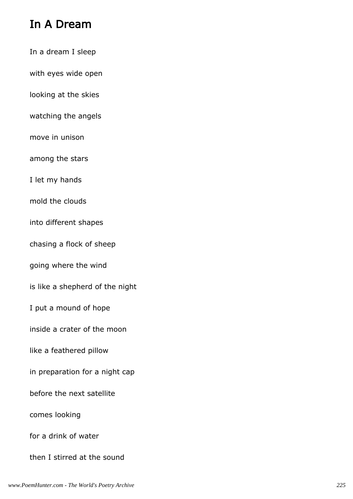#### In A Dream

- In a dream I sleep
- with eyes wide open
- looking at the skies
- watching the angels
- move in unison
- among the stars
- I let my hands
- mold the clouds
- into different shapes
- chasing a flock of sheep
- going where the wind
- is like a shepherd of the night
- I put a mound of hope
- inside a crater of the moon
- like a feathered pillow
- in preparation for a night cap
- before the next satellite
- comes looking
- for a drink of water
- then I stirred at the sound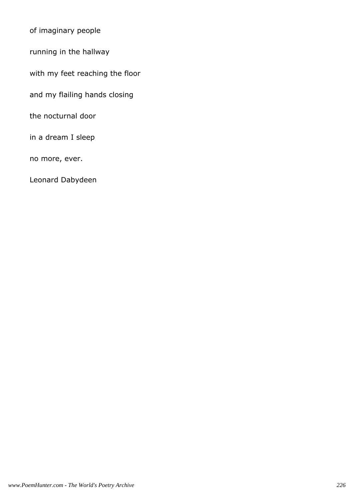of imaginary people

running in the hallway

with my feet reaching the floor

and my flailing hands closing

the nocturnal door

in a dream I sleep

no more, ever.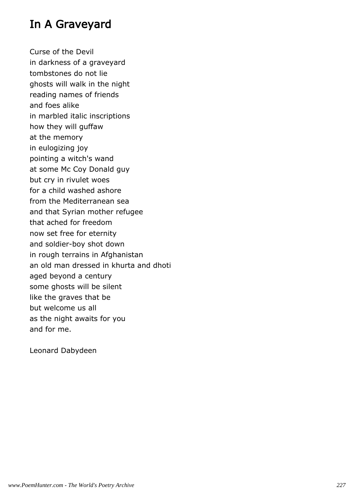#### In A Graveyard

Curse of the Devil in darkness of a graveyard tombstones do not lie ghosts will walk in the night reading names of friends and foes alike in marbled italic inscriptions how they will guffaw at the memory in eulogizing joy pointing a witch's wand at some Mc Coy Donald guy but cry in rivulet woes for a child washed ashore from the Mediterranean sea and that Syrian mother refugee that ached for freedom now set free for eternity and soldier-boy shot down in rough terrains in Afghanistan an old man dressed in khurta and dhoti aged beyond a century some ghosts will be silent like the graves that be but welcome us all as the night awaits for you and for me.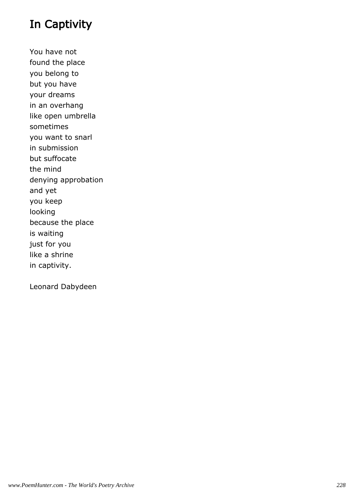### In Captivity

You have not found the place you belong to but you have your dreams in an overhang like open umbrella sometimes you want to snarl in submission but suffocate the mind denying approbation and yet you keep looking because the place is waiting just for you like a shrine in captivity.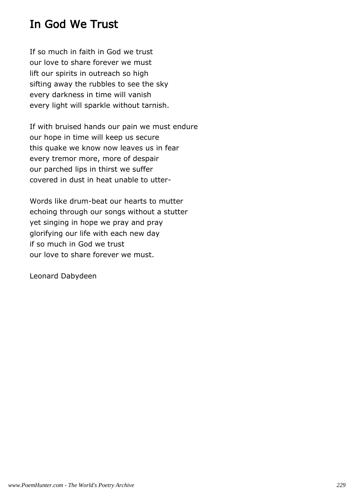#### In God We Trust

If so much in faith in God we trust our love to share forever we must lift our spirits in outreach so high sifting away the rubbles to see the sky every darkness in time will vanish every light will sparkle without tarnish.

If with bruised hands our pain we must endure our hope in time will keep us secure this quake we know now leaves us in fear every tremor more, more of despair our parched lips in thirst we suffer covered in dust in heat unable to utter-

Words like drum-beat our hearts to mutter echoing through our songs without a stutter yet singing in hope we pray and pray glorifying our life with each new day if so much in God we trust our love to share forever we must.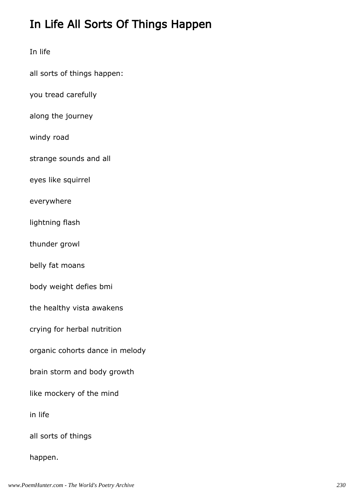## In Life All Sorts Of Things Happen

In life

all sorts of things happen:

you tread carefully

along the journey

windy road

strange sounds and all

eyes like squirrel

everywhere

lightning flash

thunder growl

belly fat moans

body weight defies bmi

the healthy vista awakens

crying for herbal nutrition

organic cohorts dance in melody

brain storm and body growth

like mockery of the mind

in life

all sorts of things

happen.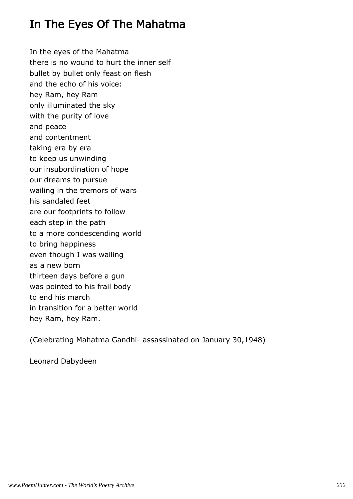#### In The Eyes Of The Mahatma

In the eyes of the Mahatma there is no wound to hurt the inner self bullet by bullet only feast on flesh and the echo of his voice: hey Ram, hey Ram only illuminated the sky with the purity of love and peace and contentment taking era by era to keep us unwinding our insubordination of hope our dreams to pursue wailing in the tremors of wars his sandaled feet are our footprints to follow each step in the path to a more condescending world to bring happiness even though I was wailing as a new born thirteen days before a gun was pointed to his frail body to end his march in transition for a better world hey Ram, hey Ram.

(Celebrating Mahatma Gandhi- assassinated on January 30,1948)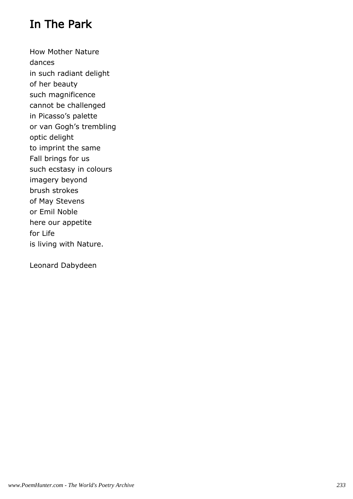### In The Park

How Mother Nature dances in such radiant delight of her beauty such magnificence cannot be challenged in Picasso's palette or van Gogh's trembling optic delight to imprint the same Fall brings for us such ecstasy in colours imagery beyond brush strokes of May Stevens or Emil Noble here our appetite for Life is living with Nature.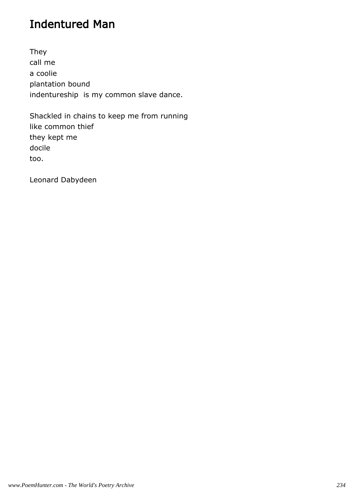### Indentured Man

They call me a coolie plantation bound indentureship is my common slave dance.

Shackled in chains to keep me from running like common thief they kept me docile too.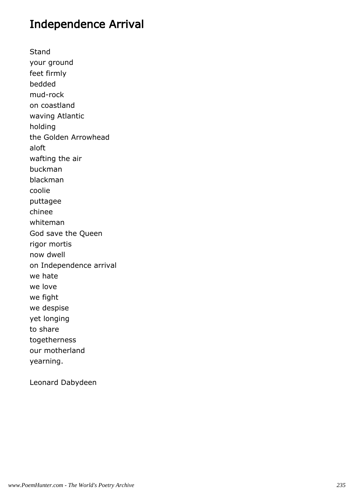#### Independence Arrival

Stand your ground feet firmly bedded mud-rock on coastland waving Atlantic holding the Golden Arrowhead aloft wafting the air buckman blackman coolie puttagee chinee whiteman God save the Queen rigor mortis now dwell on Independence arrival we hate we love we fight we despise yet longing to share togetherness our motherland yearning.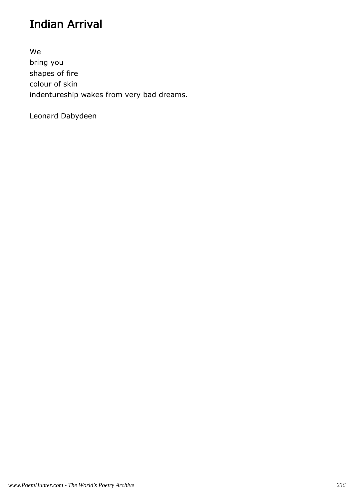## Indian Arrival

We bring you shapes of fire colour of skin indentureship wakes from very bad dreams.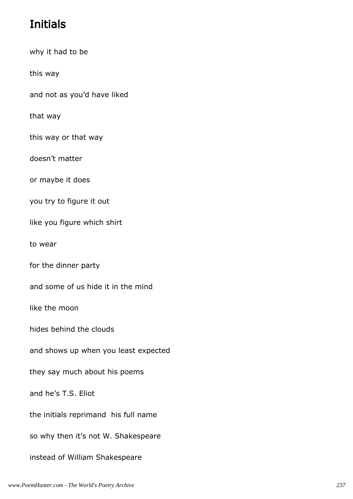# Initials

why it had to be

this way

and not as you'd have liked

that way

this way or that way

doesn't matter

or maybe it does

you try to figure it out

like you figure which shirt

to wear

for the dinner party

and some of us hide it in the mind

like the moon

hides behind the clouds

and shows up when you least expected

they say much about his poems

and he's T.S. Eliot

the initials reprimand his full name

so why then it's not W. Shakespeare

instead of William Shakespeare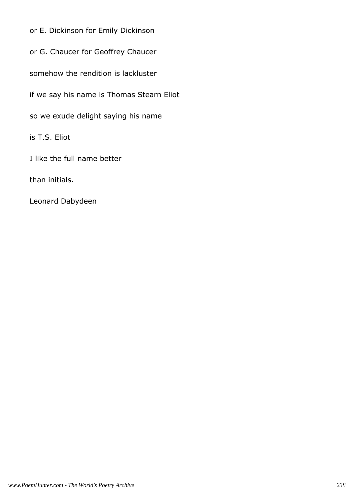or E. Dickinson for Emily Dickinson

or G. Chaucer for Geoffrey Chaucer

somehow the rendition is lackluster

if we say his name is Thomas Stearn Eliot

so we exude delight saying his name

is T.S. Eliot

I like the full name better

than initials.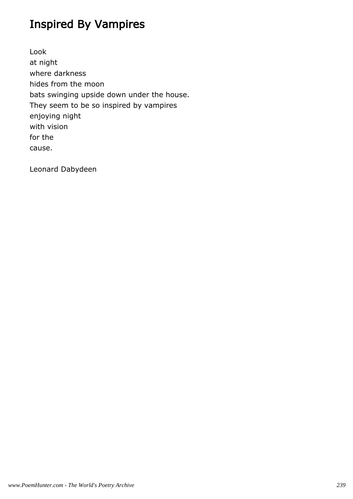### Inspired By Vampires

Look at night where darkness hides from the moon bats swinging upside down under the house. They seem to be so inspired by vampires enjoying night with vision for the cause.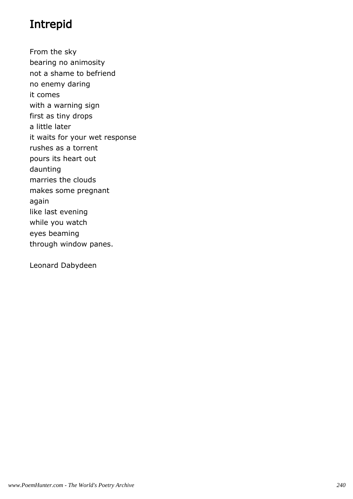# Intrepid

From the sky bearing no animosity not a shame to befriend no enemy daring it comes with a warning sign first as tiny drops a little later it waits for your wet response rushes as a torrent pours its heart out daunting marries the clouds makes some pregnant again like last evening while you watch eyes beaming through window panes.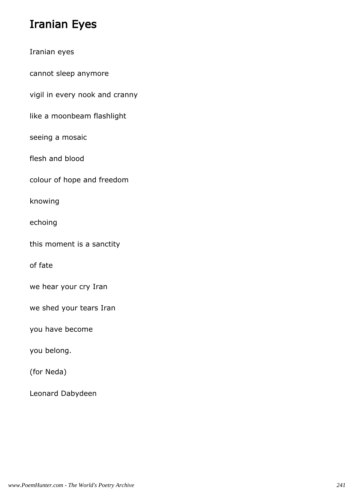### Iranian Eyes

|  | Iranian eyes |
|--|--------------|
|  |              |

cannot sleep anymore

vigil in every nook and cranny

like a moonbeam flashlight

seeing a mosaic

flesh and blood

colour of hope and freedom

knowing

echoing

this moment is a sanctity

of fate

we hear your cry Iran

we shed your tears Iran

you have become

you belong.

(for Neda)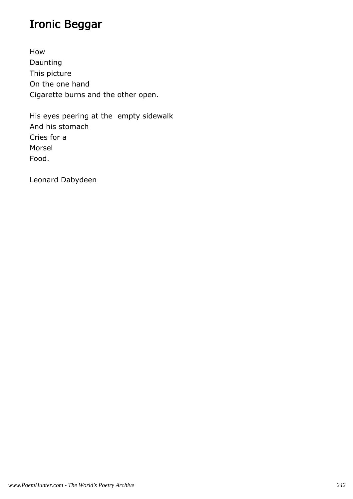### Ironic Beggar

How Daunting This picture On the one hand Cigarette burns and the other open.

His eyes peering at the empty sidewalk And his stomach Cries for a Morsel Food.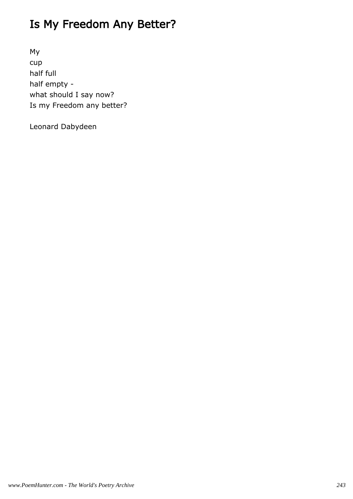## Is My Freedom Any Better?

My cup half full half empty what should I say now? Is my Freedom any better?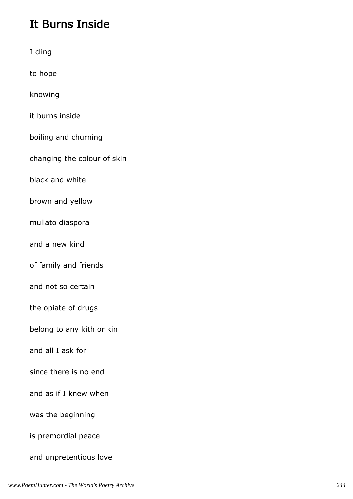# It Burns Inside

| I cling                     |
|-----------------------------|
| to hope                     |
| knowing                     |
| it burns inside             |
| boiling and churning        |
| changing the colour of skin |
| black and white             |
| brown and yellow            |
| mullato diaspora            |
| and a new kind              |
| of family and friends       |
| and not so certain          |
| the opiate of drugs         |
| belong to any kith or kin   |
| and all I ask for           |
| since there is no end       |
| and as if I knew when       |
| was the beginning           |
| is premordial peace         |
| and unpretentious love      |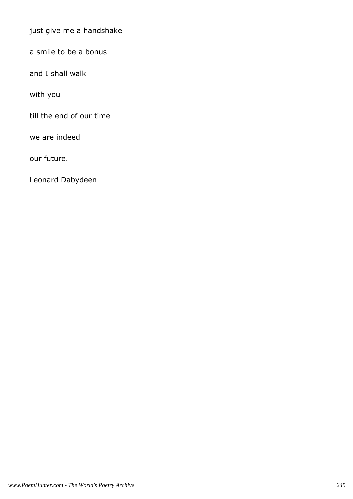just give me a handshake

a smile to be a bonus

and I shall walk

with you

till the end of our time

we are indeed

our future.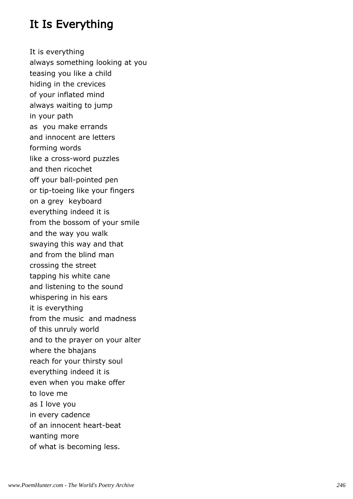### It Is Everything

It is everything always something looking at you teasing you like a child hiding in the crevices of your inflated mind always waiting to jump in your path as you make errands and innocent are letters forming words like a cross-word puzzles and then ricochet off your ball-pointed pen or tip-toeing like your fingers on a grey keyboard everything indeed it is from the bossom of your smile and the way you walk swaying this way and that and from the blind man crossing the street tapping his white cane and listening to the sound whispering in his ears it is everything from the music and madness of this unruly world and to the prayer on your alter where the bhajans reach for your thirsty soul everything indeed it is even when you make offer to love me as I love you in every cadence of an innocent heart-beat wanting more of what is becoming less.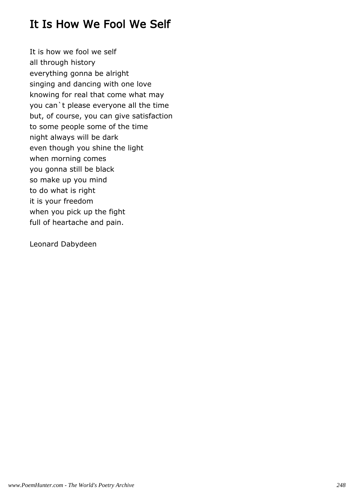### It Is How We Fool We Self

It is how we fool we self all through history everything gonna be alright singing and dancing with one love knowing for real that come what may you can`t please everyone all the time but, of course, you can give satisfaction to some people some of the time night always will be dark even though you shine the light when morning comes you gonna still be black so make up you mind to do what is right it is your freedom when you pick up the fight full of heartache and pain.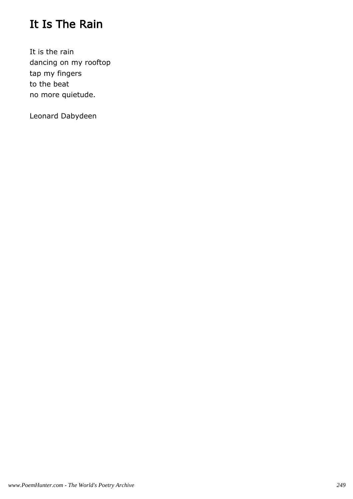### It Is The Rain

It is the rain dancing on my rooftop tap my fingers to the beat no more quietude.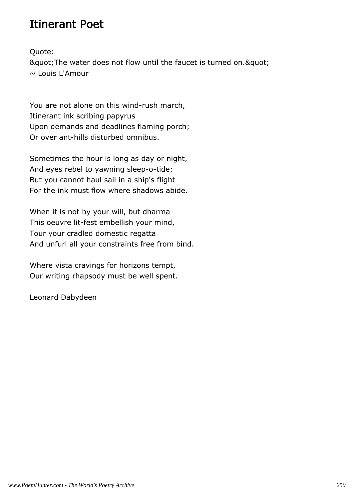#### Itinerant Poet

Quote:

" The water does not flow until the faucet is turned on. " ~ Louis L'Amour

You are not alone on this wind-rush march, Itinerant ink scribing papyrus Upon demands and deadlines flaming porch; Or over ant-hills disturbed omnibus.

Sometimes the hour is long as day or night, And eyes rebel to yawning sleep-o-tide; But you cannot haul sail in a ship's flight For the ink must flow where shadows abide.

When it is not by your will, but dharma This oeuvre lit-fest embellish your mind, Tour your cradled domestic regatta And unfurl all your constraints free from bind.

Where vista cravings for horizons tempt, Our writing rhapsody must be well spent.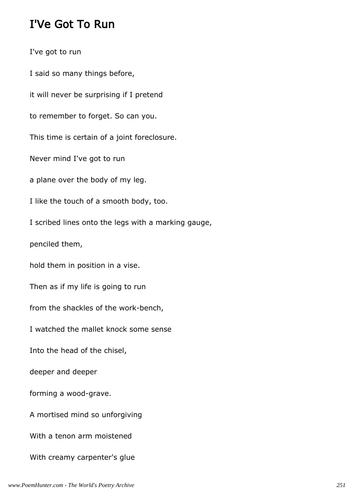#### I'Ve Got To Run

I've got to run I said so many things before, it will never be surprising if I pretend to remember to forget. So can you. This time is certain of a joint foreclosure. Never mind I've got to run a plane over the body of my leg. I like the touch of a smooth body, too. I scribed lines onto the legs with a marking gauge, penciled them, hold them in position in a vise. Then as if my life is going to run from the shackles of the work-bench, I watched the mallet knock some sense Into the head of the chisel, deeper and deeper forming a wood-grave. A mortised mind so unforgiving With a tenon arm moistened With creamy carpenter's glue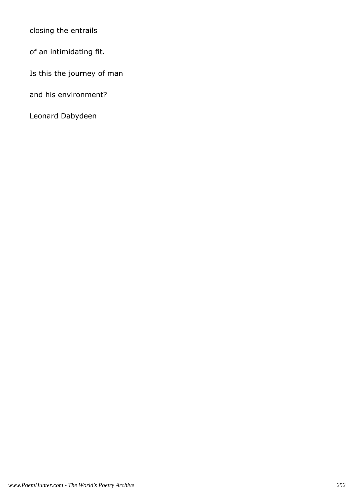closing the entrails

of an intimidating fit.

Is this the journey of man

and his environment?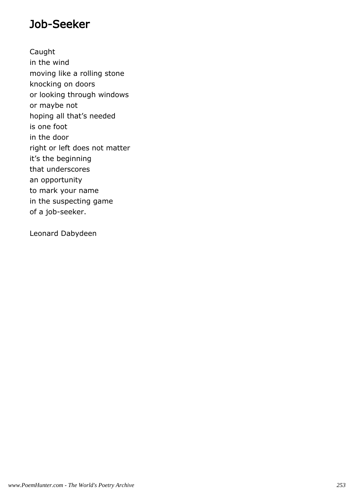#### Job-Seeker

Caught in the wind moving like a rolling stone knocking on doors or looking through windows or maybe not hoping all that's needed is one foot in the door right or left does not matter it's the beginning that underscores an opportunity to mark your name in the suspecting game of a job-seeker.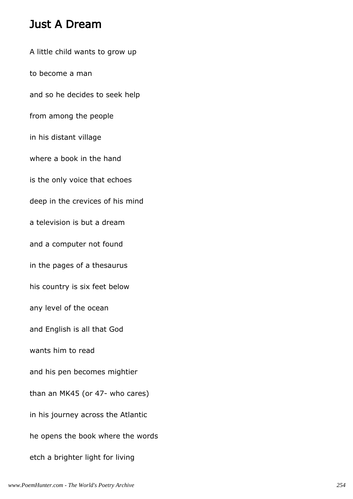#### Just A Dream

A little child wants to grow up to become a man and so he decides to seek help from among the people in his distant village where a book in the hand is the only voice that echoes deep in the crevices of his mind a television is but a dream and a computer not found in the pages of a thesaurus his country is six feet below any level of the ocean and English is all that God wants him to read and his pen becomes mightier than an MK45 (or 47- who cares) in his journey across the Atlantic he opens the book where the words etch a brighter light for living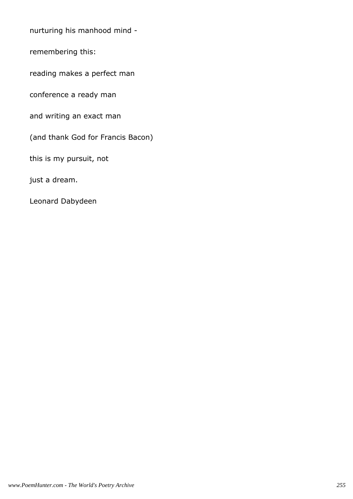nurturing his manhood mind -

remembering this:

reading makes a perfect man

conference a ready man

and writing an exact man

(and thank God for Francis Bacon)

this is my pursuit, not

just a dream.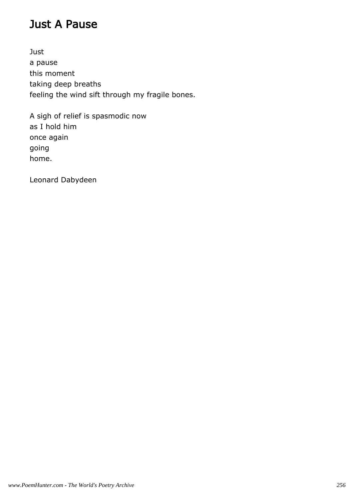#### Just A Pause

Just a pause this moment taking deep breaths feeling the wind sift through my fragile bones.

A sigh of relief is spasmodic now as I hold him once again going home.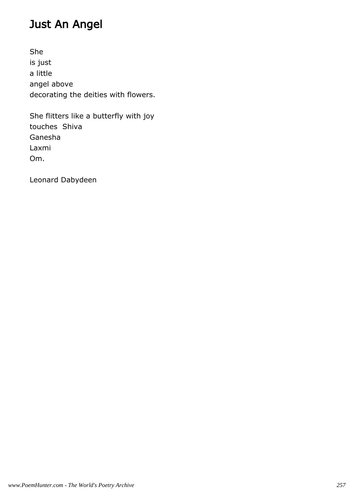# Just An Angel

She is just a little angel above decorating the deities with flowers.

She flitters like a butterfly with joy touches Shiva Ganesha Laxmi Om.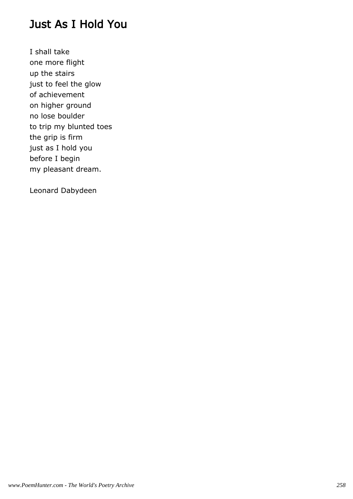#### Just As I Hold You

I shall take one more flight up the stairs just to feel the glow of achievement on higher ground no lose boulder to trip my blunted toes the grip is firm just as I hold you before I begin my pleasant dream.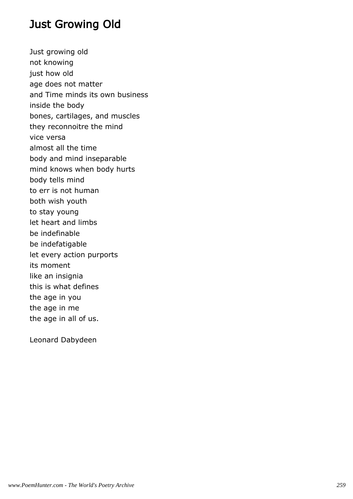#### Just Growing Old

Just growing old not knowing just how old age does not matter and Time minds its own business inside the body bones, cartilages, and muscles they reconnoitre the mind vice versa almost all the time body and mind inseparable mind knows when body hurts body tells mind to err is not human both wish youth to stay young let heart and limbs be indefinable be indefatigable let every action purports its moment like an insignia this is what defines the age in you the age in me the age in all of us.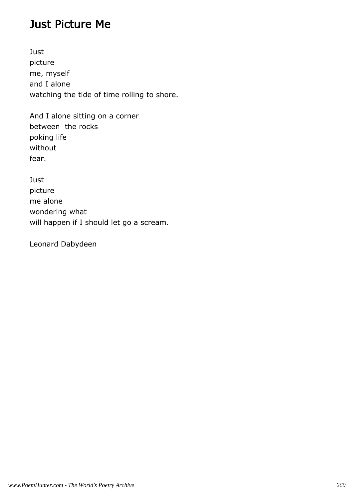#### Just Picture Me

**Just** picture me, myself and I alone watching the tide of time rolling to shore.

And I alone sitting on a corner between the rocks poking life without fear.

**Just** picture me alone wondering what will happen if I should let go a scream.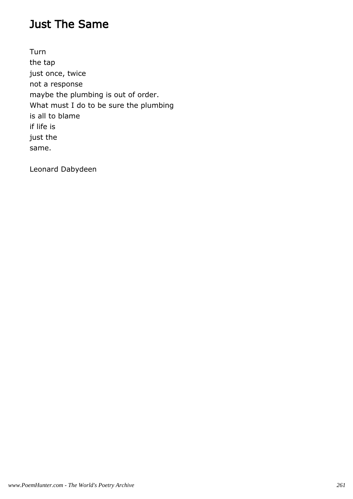#### Just The Same

Turn the tap just once, twice not a response maybe the plumbing is out of order. What must I do to be sure the plumbing is all to blame if life is just the same.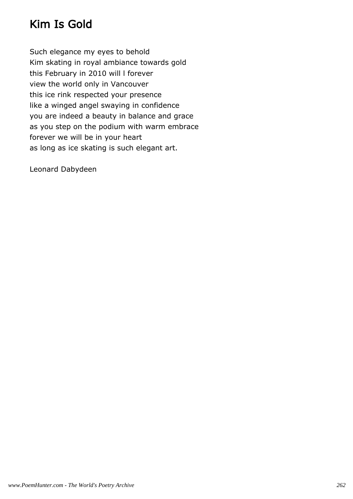### Kim Is Gold

Such elegance my eyes to behold Kim skating in royal ambiance towards gold this February in 2010 will l forever view the world only in Vancouver this ice rink respected your presence like a winged angel swaying in confidence you are indeed a beauty in balance and grace as you step on the podium with warm embrace forever we will be in your heart as long as ice skating is such elegant art.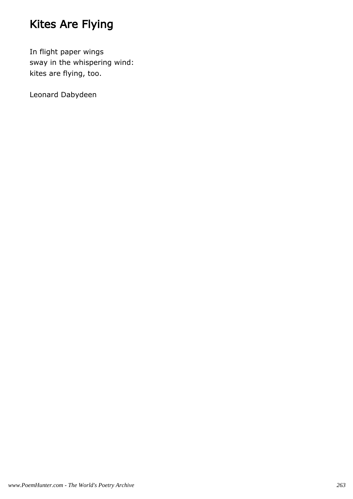# Kites Are Flying

In flight paper wings sway in the whispering wind: kites are flying, too.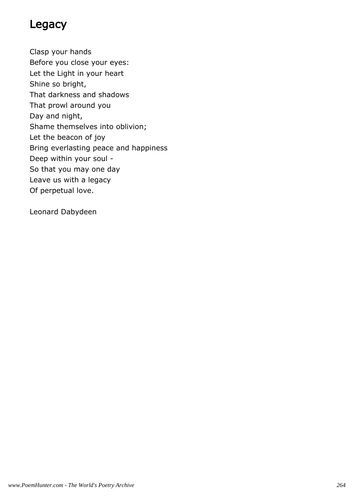#### Legacy

Clasp your hands Before you close your eyes: Let the Light in your heart Shine so bright, That darkness and shadows That prowl around you Day and night, Shame themselves into oblivion; Let the beacon of joy Bring everlasting peace and happiness Deep within your soul - So that you may one day Leave us with a legacy Of perpetual love.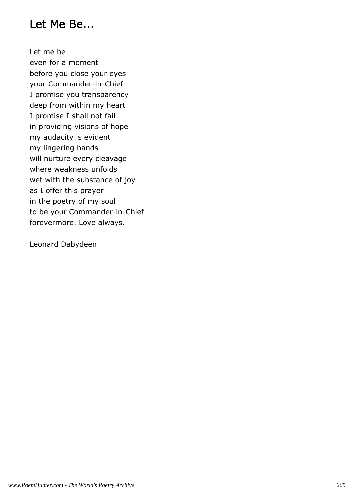#### Let Me Be...

Let me be even for a moment before you close your eyes your Commander-in-Chief I promise you transparency deep from within my heart I promise I shall not fail in providing visions of hope my audacity is evident my lingering hands will nurture every cleavage where weakness unfolds wet with the substance of joy as I offer this prayer in the poetry of my soul to be your Commander-in-Chief forevermore. Love always.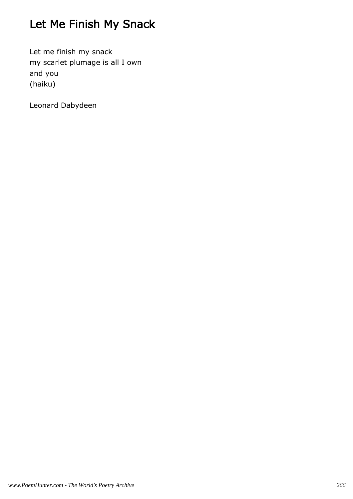# Let Me Finish My Snack

Let me finish my snack my scarlet plumage is all I own and you (haiku)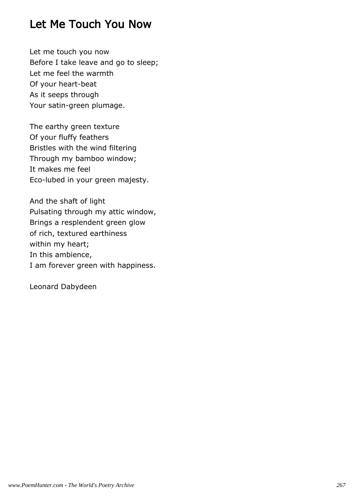#### Let Me Touch You Now

Let me touch you now Before I take leave and go to sleep; Let me feel the warmth Of your heart-beat As it seeps through Your satin-green plumage.

The earthy green texture Of your fluffy feathers Bristles with the wind filtering Through my bamboo window; It makes me feel Eco-lubed in your green majesty.

And the shaft of light Pulsating through my attic window, Brings a resplendent green glow of rich, textured earthiness within my heart; In this ambience, I am forever green with happiness.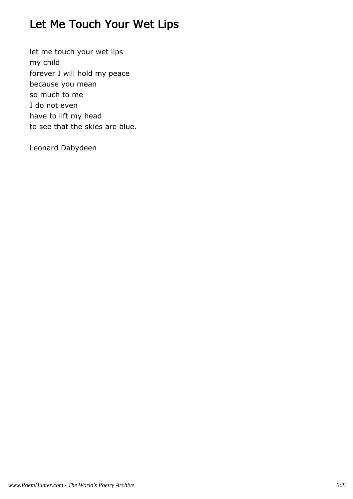# Let Me Touch Your Wet Lips

let me touch your wet lips my child forever I will hold my peace because you mean so much to me I do not even have to lift my head to see that the skies are blue.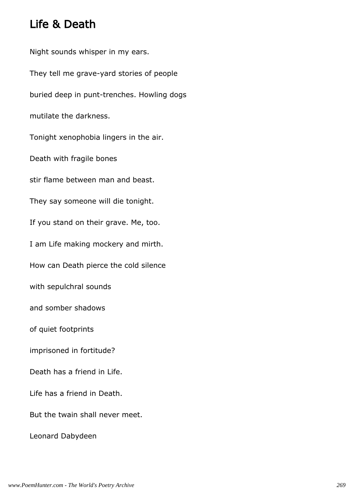### Life & Death

Night sounds whisper in my ears. They tell me grave-yard stories of people buried deep in punt-trenches. Howling dogs mutilate the darkness. Tonight xenophobia lingers in the air. Death with fragile bones stir flame between man and beast. They say someone will die tonight. If you stand on their grave. Me, too. I am Life making mockery and mirth. How can Death pierce the cold silence with sepulchral sounds and somber shadows of quiet footprints imprisoned in fortitude? Death has a friend in Life. Life has a friend in Death. But the twain shall never meet. Leonard Dabydeen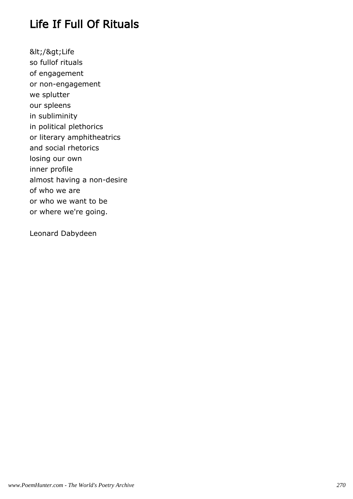# Life If Full Of Rituals

</&gt;Life so fullof rituals of engagement or non-engagement we splutter our spleens in subliminity in political plethorics or literary amphitheatrics and social rhetorics losing our own inner profile almost having a non-desire of who we are or who we want to be or where we're going.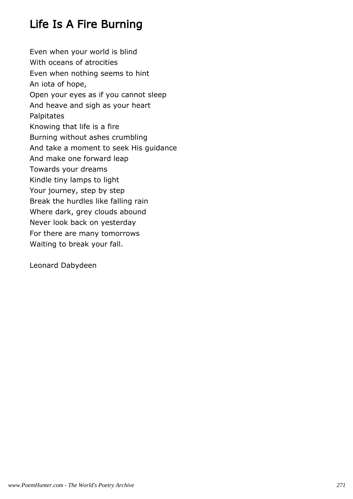# Life Is A Fire Burning

Even when your world is blind With oceans of atrocities Even when nothing seems to hint An iota of hope, Open your eyes as if you cannot sleep And heave and sigh as your heart Palpitates Knowing that life is a fire Burning without ashes crumbling And take a moment to seek His guidance And make one forward leap Towards your dreams Kindle tiny lamps to light Your journey, step by step Break the hurdles like falling rain Where dark, grey clouds abound Never look back on yesterday For there are many tomorrows Waiting to break your fall.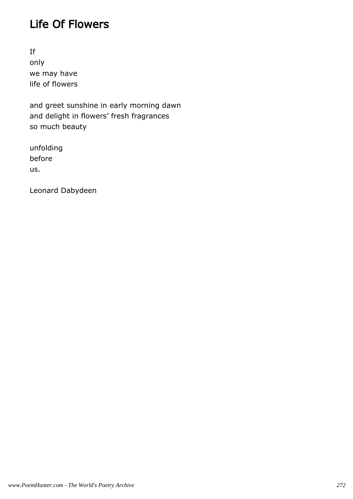#### Life Of Flowers

If only we may have life of flowers

and greet sunshine in early morning dawn and delight in flowers' fresh fragrances so much beauty

unfolding before us.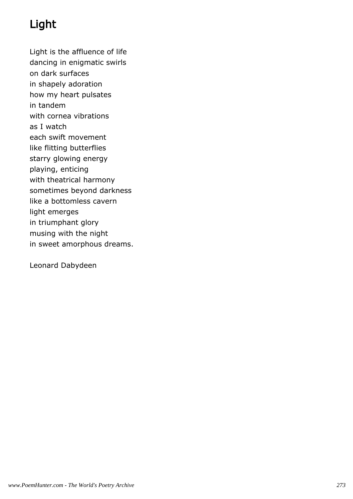# Light

Light is the affluence of life dancing in enigmatic swirls

on dark surfaces

in shapely adoration

how my heart pulsates

in tandem

with cornea vibrations

as I watch

each swift movement

like flitting butterflies

starry glowing energy

playing, enticing with theatrical harmony

sometimes beyond darkness

like a bottomless cavern

light emerges

in triumphant glory

musing with the night

in sweet amorphous dreams.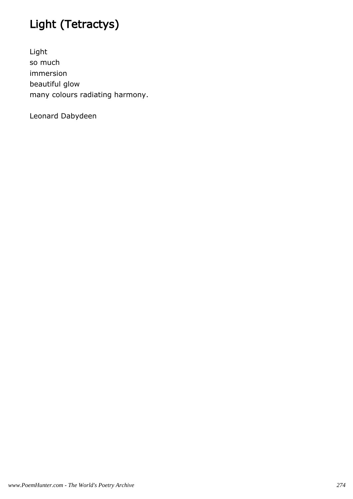# Light (Tetractys)

Light so much immersion beautiful glow many colours radiating harmony.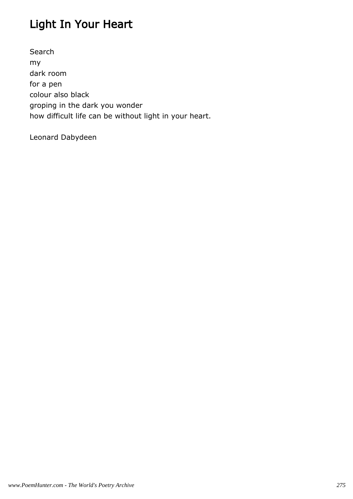# Light In Your Heart

Search my dark room for a pen colour also black groping in the dark you wonder how difficult life can be without light in your heart.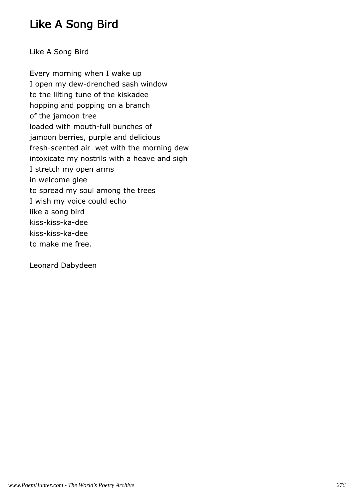### Like A Song Bird

Like A Song Bird

Every morning when I wake up I open my dew-drenched sash window to the lilting tune of the kiskadee hopping and popping on a branch of the jamoon tree loaded with mouth-full bunches of jamoon berries, purple and delicious fresh-scented air wet with the morning dew intoxicate my nostrils with a heave and sigh I stretch my open arms in welcome glee to spread my soul among the trees I wish my voice could echo like a song bird kiss-kiss-ka-dee kiss-kiss-ka-dee to make me free.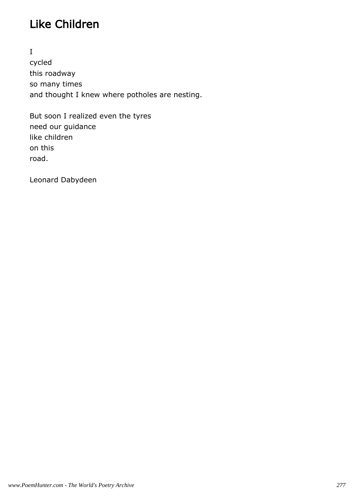# Like Children

I cycled this roadway so many times and thought I knew where potholes are nesting.

But soon I realized even the tyres need our guidance like children on this road.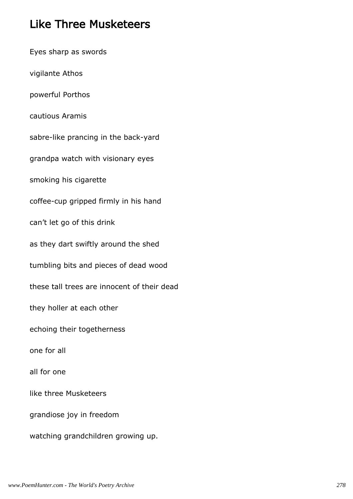#### Like Three Musketeers

Eyes sharp as swords vigilante Athos powerful Porthos cautious Aramis sabre-like prancing in the back-yard grandpa watch with visionary eyes smoking his cigarette coffee-cup gripped firmly in his hand can't let go of this drink as they dart swiftly around the shed tumbling bits and pieces of dead wood these tall trees are innocent of their dead they holler at each other echoing their togetherness one for all all for one like three Musketeers grandiose joy in freedom watching grandchildren growing up.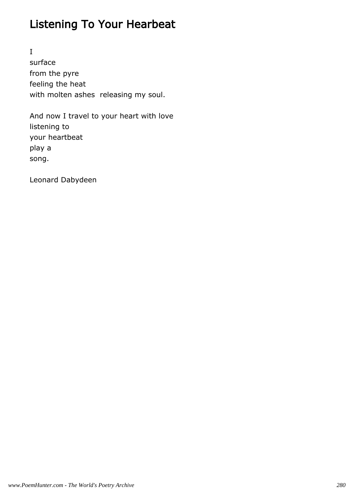# Listening To Your Hearbeat

I surface from the pyre feeling the heat with molten ashes releasing my soul.

And now I travel to your heart with love listening to your heartbeat play a song.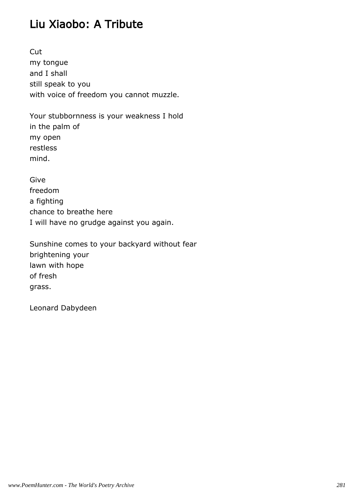### Liu Xiaobo: A Tribute

Cut my tongue and I shall still speak to you with voice of freedom you cannot muzzle.

Your stubbornness is your weakness I hold in the palm of my open restless mind.

Give freedom a fighting chance to breathe here I will have no grudge against you again.

Sunshine comes to your backyard without fear brightening your lawn with hope of fresh grass.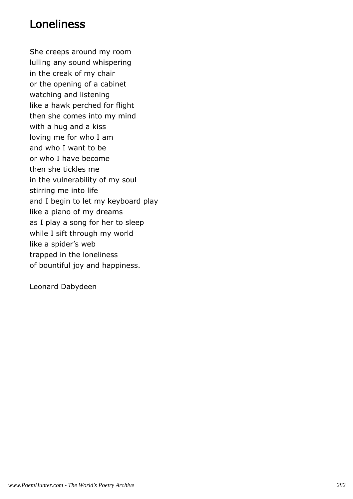#### Loneliness

She creeps around my room lulling any sound whispering in the creak of my chair or the opening of a cabinet watching and listening like a hawk perched for flight then she comes into my mind with a hug and a kiss loving me for who I am and who I want to be or who I have become then she tickles me in the vulnerability of my soul stirring me into life and I begin to let my keyboard play like a piano of my dreams as I play a song for her to sleep while I sift through my world like a spider's web trapped in the loneliness of bountiful joy and happiness.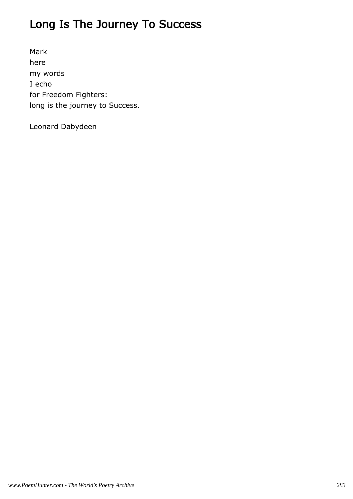# Long Is The Journey To Success

Mark here my words I echo for Freedom Fighters: long is the journey to Success.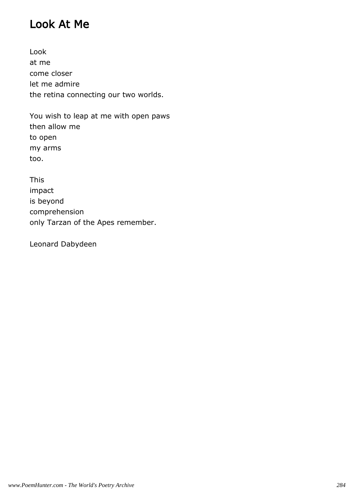#### Look At Me

Look at me come closer let me admire the retina connecting our two worlds.

You wish to leap at me with open paws then allow me to open my arms too.

This impact is beyond comprehension only Tarzan of the Apes remember.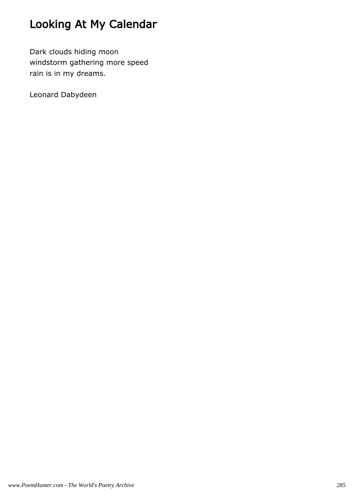# Looking At My Calendar

Dark clouds hiding moon windstorm gathering more speed rain is in my dreams.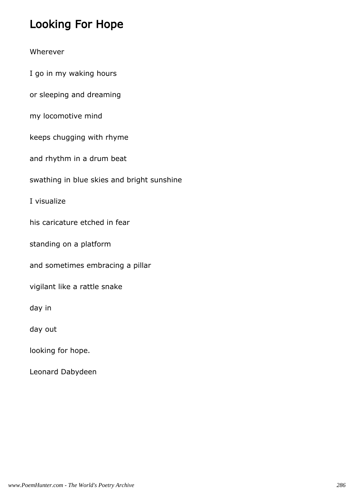### Looking For Hope

#### Wherever

I go in my waking hours

or sleeping and dreaming

my locomotive mind

keeps chugging with rhyme

and rhythm in a drum beat

swathing in blue skies and bright sunshine

I visualize

his caricature etched in fear

standing on a platform

and sometimes embracing a pillar

vigilant like a rattle snake

day in

day out

looking for hope.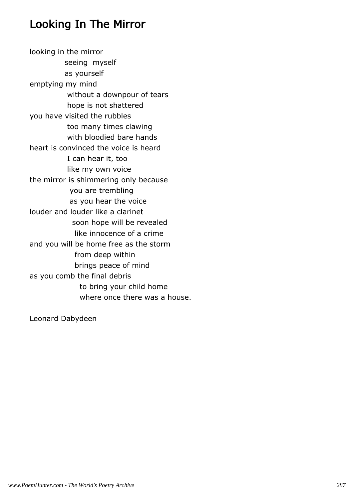#### Looking In The Mirror

looking in the mirror seeing myself as yourself emptying my mind without a downpour of tears hope is not shattered you have visited the rubbles too many times clawing with bloodied bare hands heart is convinced the voice is heard I can hear it, too like my own voice the mirror is shimmering only because you are trembling as you hear the voice louder and louder like a clarinet soon hope will be revealed like innocence of a crime and you will be home free as the storm from deep within brings peace of mind as you comb the final debris to bring your child home where once there was a house.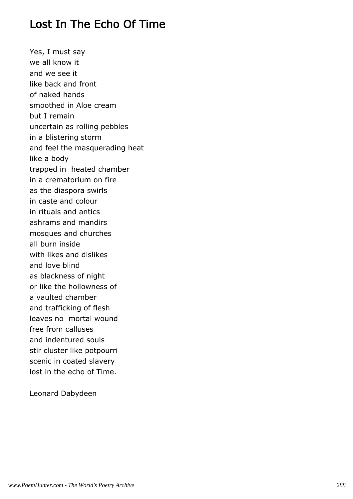## Lost In The Echo Of Time

Yes, I must say we all know it and we see it like back and front of naked hands smoothed in Aloe cream but I remain uncertain as rolling pebbles in a blistering storm and feel the masquerading heat like a body trapped in heated chamber in a crematorium on fire as the diaspora swirls in caste and colour in rituals and antics ashrams and mandirs mosques and churches all burn inside with likes and dislikes and love blind as blackness of night or like the hollowness of a vaulted chamber and trafficking of flesh leaves no mortal wound free from calluses and indentured souls stir cluster like potpourri scenic in coated slavery lost in the echo of Time.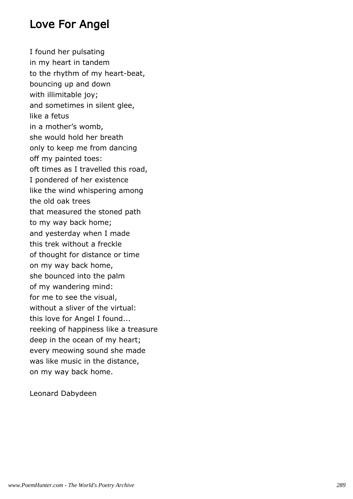#### Love For Angel

I found her pulsating in my heart in tandem to the rhythm of my heart-beat, bouncing up and down with illimitable joy; and sometimes in silent glee, like a fetus in a mother's womb, she would hold her breath only to keep me from dancing off my painted toes: oft times as I travelled this road, I pondered of her existence like the wind whispering among the old oak trees that measured the stoned path to my way back home; and yesterday when I made this trek without a freckle of thought for distance or time on my way back home, she bounced into the palm of my wandering mind: for me to see the visual, without a sliver of the virtual: this love for Angel I found... reeking of happiness like a treasure deep in the ocean of my heart; every meowing sound she made was like music in the distance, on my way back home.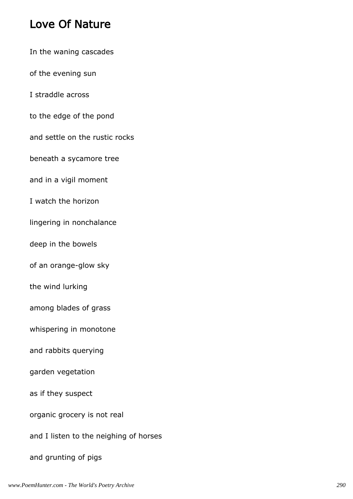## Love Of Nature

In the waning cascades of the evening sun I straddle across to the edge of the pond and settle on the rustic rocks beneath a sycamore tree and in a vigil moment I watch the horizon lingering in nonchalance deep in the bowels of an orange-glow sky the wind lurking among blades of grass whispering in monotone and rabbits querying garden vegetation as if they suspect organic grocery is not real and I listen to the neighing of horses and grunting of pigs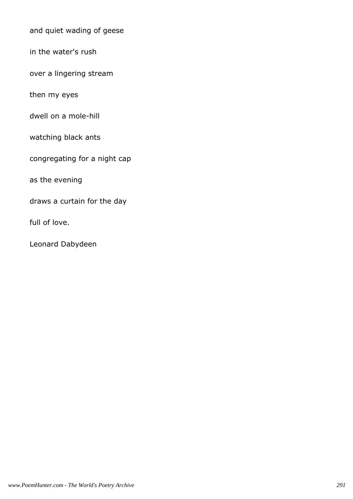and quiet wading of geese

in the water's rush

over a lingering stream

then my eyes

dwell on a mole-hill

watching black ants

congregating for a night cap

as the evening

draws a curtain for the day

full of love.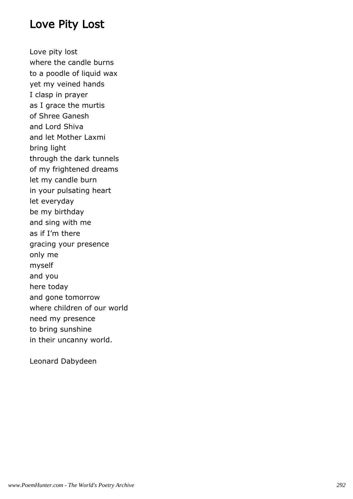#### Love Pity Lost

Love pity lost where the candle burns to a poodle of liquid wax yet my veined hands I clasp in prayer as I grace the murtis of Shree Ganesh and Lord Shiva and let Mother Laxmi bring light through the dark tunnels of my frightened dreams let my candle burn in your pulsating heart let everyday be my birthday and sing with me as if I'm there gracing your presence only me myself and you here today and gone tomorrow where children of our world need my presence to bring sunshine in their uncanny world.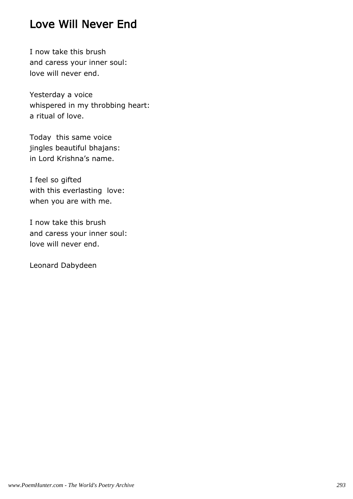## Love Will Never End

I now take this brush and caress your inner soul: love will never end.

Yesterday a voice whispered in my throbbing heart: a ritual of love.

Today this same voice jingles beautiful bhajans: in Lord Krishna's name.

I feel so gifted with this everlasting love: when you are with me.

I now take this brush and caress your inner soul: love will never end.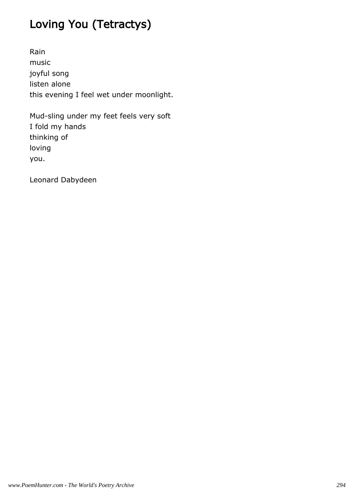# Loving You (Tetractys)

Rain music joyful song listen alone this evening I feel wet under moonlight.

Mud-sling under my feet feels very soft I fold my hands thinking of loving you.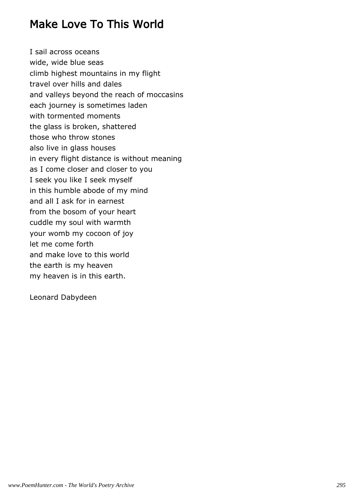## Make Love To This World

I sail across oceans wide, wide blue seas climb highest mountains in my flight travel over hills and dales and valleys beyond the reach of moccasins each journey is sometimes laden with tormented moments the glass is broken, shattered those who throw stones also live in glass houses in every flight distance is without meaning as I come closer and closer to you I seek you like I seek myself in this humble abode of my mind and all I ask for in earnest from the bosom of your heart cuddle my soul with warmth your womb my cocoon of joy let me come forth and make love to this world the earth is my heaven my heaven is in this earth.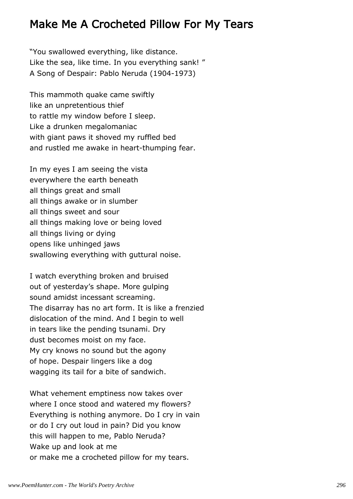#### Make Me A Crocheted Pillow For My Tears

"You swallowed everything, like distance. Like the sea, like time. In you everything sank! " A Song of Despair: Pablo Neruda (1904-1973)

This mammoth quake came swiftly like an unpretentious thief to rattle my window before I sleep. Like a drunken megalomaniac with giant paws it shoved my ruffled bed and rustled me awake in heart-thumping fear.

In my eyes I am seeing the vista everywhere the earth beneath all things great and small all things awake or in slumber all things sweet and sour all things making love or being loved all things living or dying opens like unhinged jaws swallowing everything with guttural noise.

I watch everything broken and bruised out of yesterday's shape. More gulping sound amidst incessant screaming. The disarray has no art form. It is like a frenzied dislocation of the mind. And I begin to well in tears like the pending tsunami. Dry dust becomes moist on my face. My cry knows no sound but the agony of hope. Despair lingers like a dog wagging its tail for a bite of sandwich.

What vehement emptiness now takes over where I once stood and watered my flowers? Everything is nothing anymore. Do I cry in vain or do I cry out loud in pain? Did you know this will happen to me, Pablo Neruda? Wake up and look at me or make me a crocheted pillow for my tears.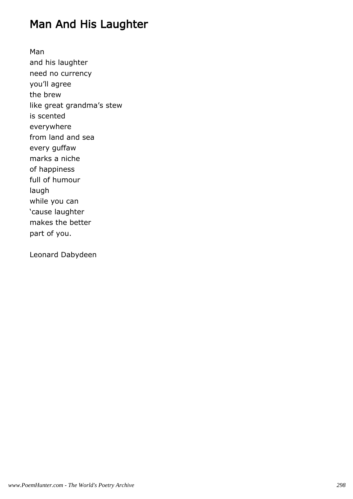## Man And His Laughter

Man and his laughter need no currency you'll agree the brew like great grandma's stew is scented everywhere from land and sea every guffaw marks a niche of happiness full of humour laugh while you can 'cause laughter makes the better part of you.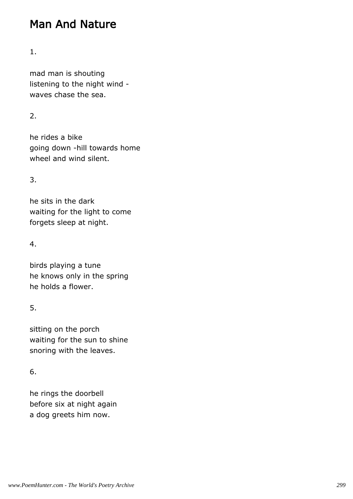## Man And Nature

#### 1.

mad man is shouting listening to the night wind waves chase the sea.

#### 2.

he rides a bike going down -hill towards home wheel and wind silent.

#### 3.

he sits in the dark waiting for the light to come forgets sleep at night.

#### 4.

birds playing a tune he knows only in the spring he holds a flower.

#### 5.

sitting on the porch waiting for the sun to shine snoring with the leaves.

#### 6.

he rings the doorbell before six at night again a dog greets him now.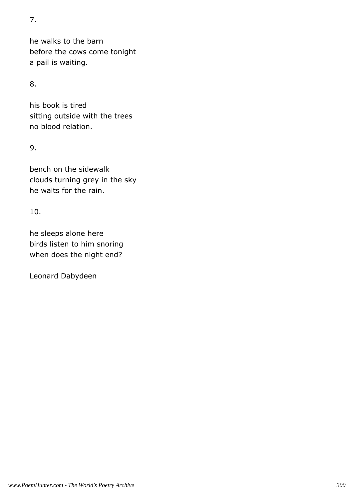7.

he walks to the barn before the cows come tonight a pail is waiting.

8.

his book is tired sitting outside with the trees no blood relation.

9.

bench on the sidewalk clouds turning grey in the sky he waits for the rain.

10.

he sleeps alone here birds listen to him snoring when does the night end?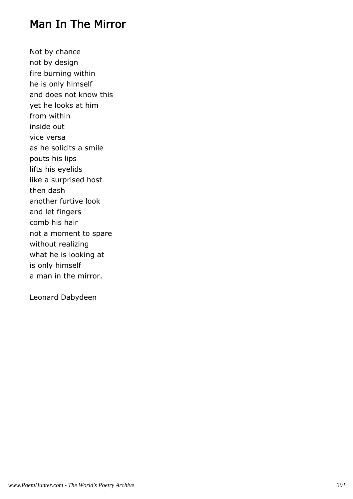### Man In The Mirror

Not by chance not by design fire burning within he is only himself and does not know this yet he looks at him from within inside out vice versa as he solicits a smile pouts his lips lifts his eyelids like a surprised host then dash another furtive look and let fingers comb his hair not a moment to spare without realizing what he is looking at is only himself a man in the mirror.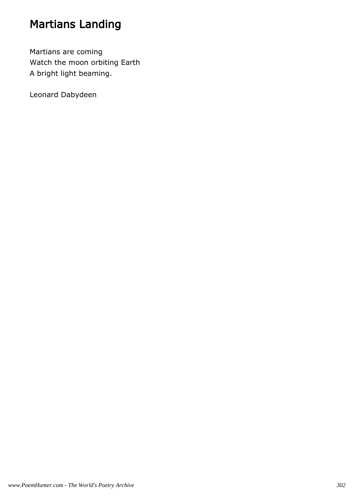## Martians Landing

Martians are coming Watch the moon orbiting Earth A bright light beaming.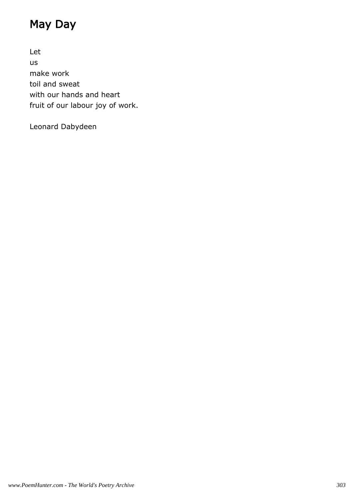## May Day

Let us make work toil and sweat with our hands and heart fruit of our labour joy of work.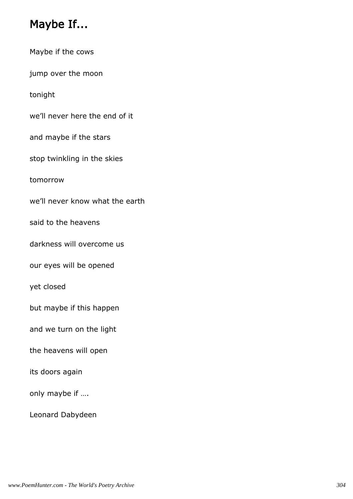# Maybe If...

| Maybe if the cows               |
|---------------------------------|
| jump over the moon              |
| tonight                         |
| we'll never here the end of it  |
| and maybe if the stars          |
| stop twinkling in the skies     |
| tomorrow                        |
| we'll never know what the earth |
| said to the heavens             |
| darkness will overcome us       |
| our eyes will be opened         |
| yet closed                      |
| but maybe if this happen        |
| and we turn on the light        |
| the heavens will open           |
| its doors again                 |
| only maybe if                   |
|                                 |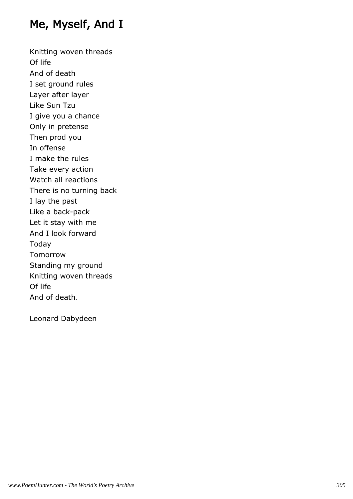## Me, Myself, And I

Knitting woven threads Of life And of death I set ground rules Layer after layer Like Sun Tzu I give you a chance Only in pretense Then prod you In offense I make the rules Take every action Watch all reactions There is no turning back I lay the past Like a back-pack Let it stay with me And I look forward Today Tomorrow Standing my ground Knitting woven threads Of life And of death.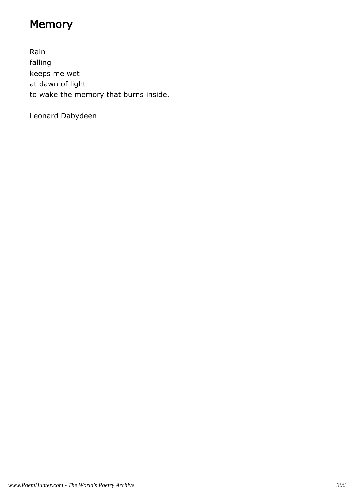# Memory

Rain falling keeps me wet at dawn of light to wake the memory that burns inside.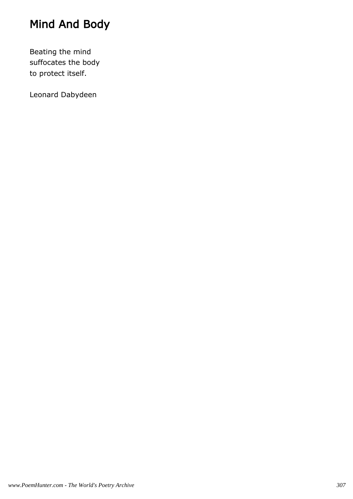# Mind And Body

Beating the mind suffocates the body to protect itself.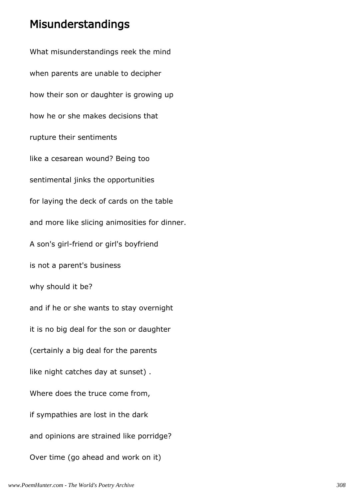#### Misunderstandings

What misunderstandings reek the mind when parents are unable to decipher how their son or daughter is growing up how he or she makes decisions that rupture their sentiments like a cesarean wound? Being too sentimental jinks the opportunities for laying the deck of cards on the table and more like slicing animosities for dinner. A son's girl-friend or girl's boyfriend is not a parent's business why should it be? and if he or she wants to stay overnight it is no big deal for the son or daughter (certainly a big deal for the parents like night catches day at sunset) . Where does the truce come from, if sympathies are lost in the dark and opinions are strained like porridge? Over time (go ahead and work on it)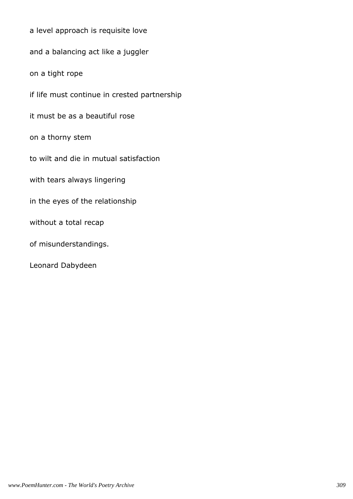a level approach is requisite love and a balancing act like a juggler on a tight rope if life must continue in crested partnership it must be as a beautiful rose on a thorny stem to wilt and die in mutual satisfaction with tears always lingering in the eyes of the relationship without a total recap of misunderstandings. Leonard Dabydeen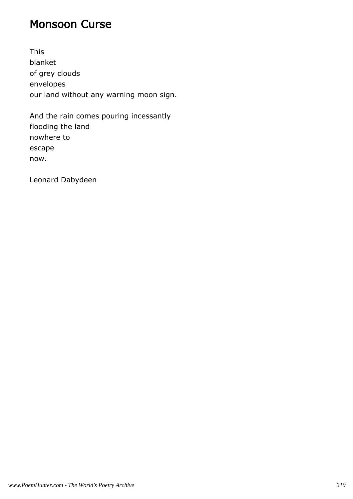#### Monsoon Curse

This blanket of grey clouds envelopes our land without any warning moon sign.

And the rain comes pouring incessantly flooding the land nowhere to escape now.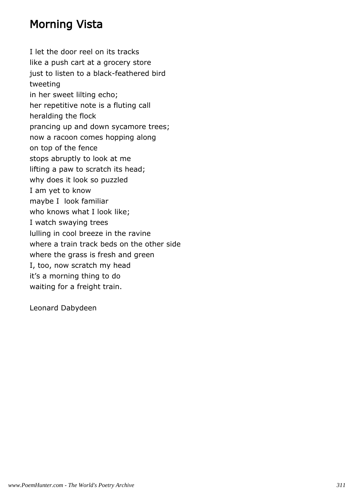### Morning Vista

I let the door reel on its tracks like a push cart at a grocery store just to listen to a black-feathered bird tweeting in her sweet lilting echo; her repetitive note is a fluting call heralding the flock prancing up and down sycamore trees; now a racoon comes hopping along on top of the fence stops abruptly to look at me lifting a paw to scratch its head; why does it look so puzzled I am yet to know maybe I look familiar who knows what I look like; I watch swaying trees lulling in cool breeze in the ravine where a train track beds on the other side where the grass is fresh and green I, too, now scratch my head it's a morning thing to do waiting for a freight train.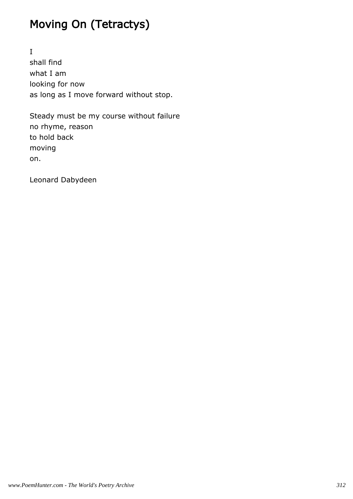## Moving On (Tetractys)

I shall find what I am looking for now as long as I move forward without stop.

Steady must be my course without failure no rhyme, reason to hold back moving on.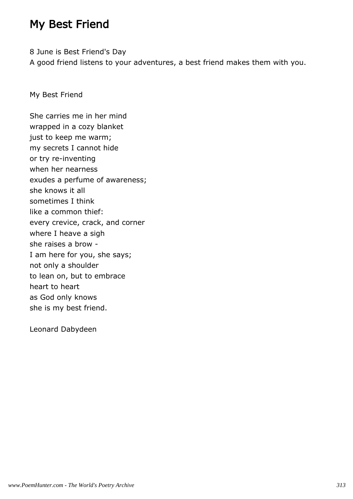### My Best Friend

8 June is Best Friend's Day A good friend listens to your adventures, a best friend makes them with you.

My Best Friend

She carries me in her mind wrapped in a cozy blanket just to keep me warm; my secrets I cannot hide or try re-inventing when her nearness exudes a perfume of awareness; she knows it all sometimes I think like a common thief: every crevice, crack, and corner where I heave a sigh she raises a brow - I am here for you, she says; not only a shoulder to lean on, but to embrace heart to heart as God only knows she is my best friend.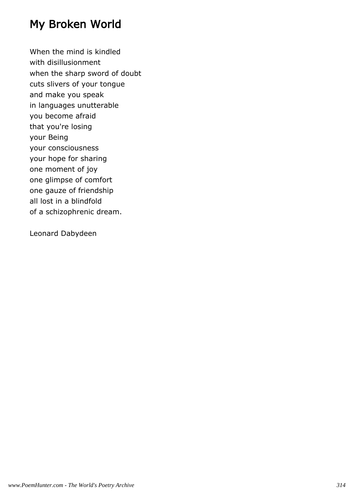## My Broken World

When the mind is kindled with disillusionment when the sharp sword of doubt cuts slivers of your tongue and make you speak in languages unutterable you become afraid that you're losing your Being your consciousness your hope for sharing one moment of joy one glimpse of comfort one gauze of friendship all lost in a blindfold of a schizophrenic dream.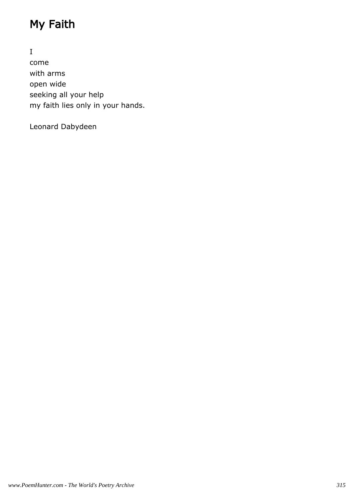# My Faith

I come with arms open wide seeking all your help my faith lies only in your hands.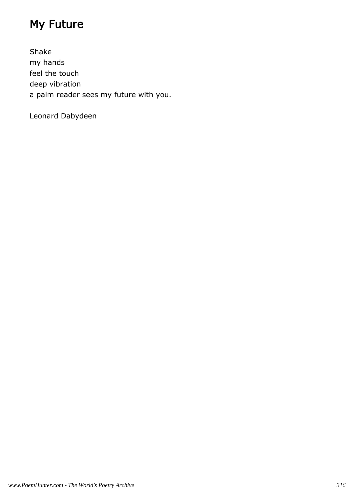# My Future

Shake my hands feel the touch deep vibration a palm reader sees my future with you.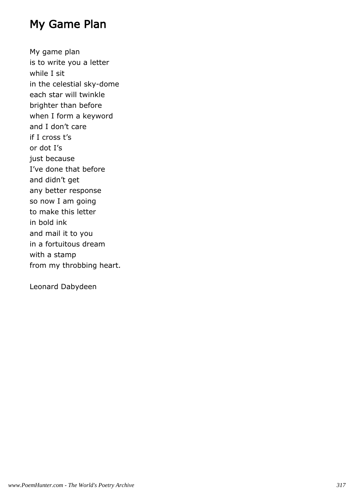#### My Game Plan

My game plan is to write you a letter while I sit in the celestial sky-dome each star will twinkle brighter than before when I form a keyword and I don't care if I cross t's or dot I's just because I've done that before and didn't get any better response so now I am going to make this letter in bold ink and mail it to you in a fortuitous dream with a stamp from my throbbing heart.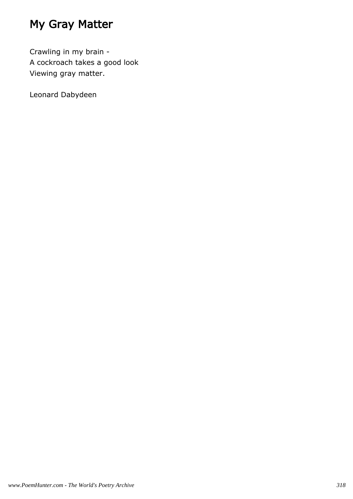## My Gray Matter

Crawling in my brain - A cockroach takes a good look Viewing gray matter.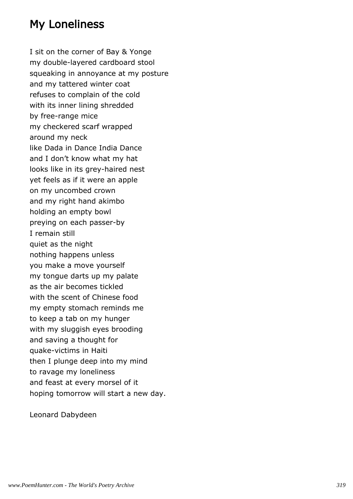## My Loneliness

I sit on the corner of Bay & Yonge my double-layered cardboard stool squeaking in annoyance at my posture and my tattered winter coat refuses to complain of the cold with its inner lining shredded by free-range mice my checkered scarf wrapped around my neck like Dada in Dance India Dance and I don't know what my hat looks like in its grey-haired nest yet feels as if it were an apple on my uncombed crown and my right hand akimbo holding an empty bowl preying on each passer-by I remain still quiet as the night nothing happens unless you make a move yourself my tongue darts up my palate as the air becomes tickled with the scent of Chinese food my empty stomach reminds me to keep a tab on my hunger with my sluggish eyes brooding and saving a thought for quake-victims in Haiti then I plunge deep into my mind to ravage my loneliness and feast at every morsel of it hoping tomorrow will start a new day.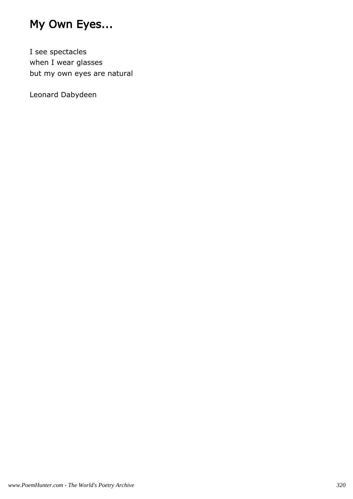## My Own Eyes...

I see spectacles when I wear glasses but my own eyes are natural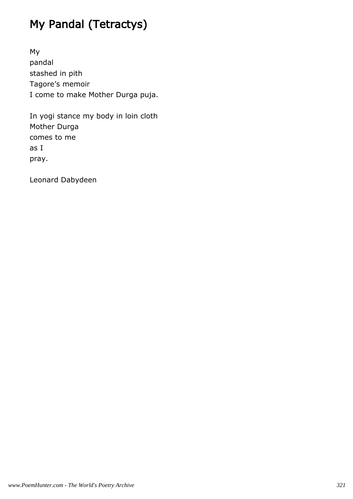# My Pandal (Tetractys)

My pandal stashed in pith Tagore's memoir I come to make Mother Durga puja.

In yogi stance my body in loin cloth Mother Durga comes to me as I pray.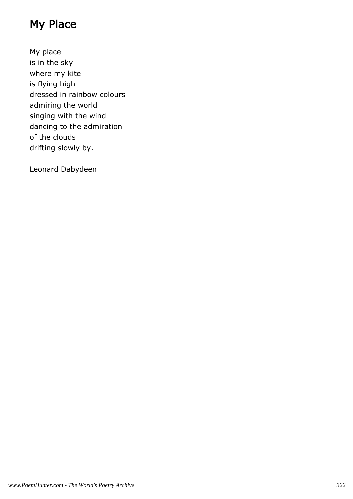## My Place

My place is in the sky where my kite is flying high dressed in rainbow colours admiring the world singing with the wind dancing to the admiration of the clouds drifting slowly by.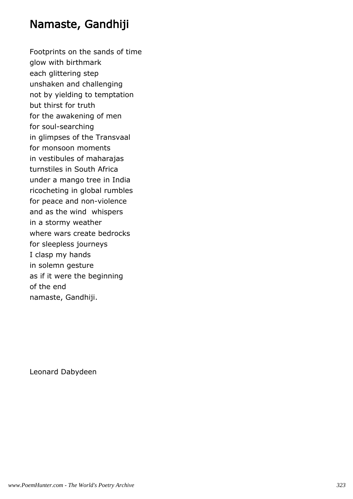#### Namaste, Gandhiji

Footprints on the sands of time glow with birthmark each glittering step unshaken and challenging not by yielding to temptation but thirst for truth for the awakening of men for soul-searching in glimpses of the Transvaal for monsoon moments in vestibules of maharajas turnstiles in South Africa under a mango tree in India ricocheting in global rumbles for peace and non-violence and as the wind whispers in a stormy weather where wars create bedrocks for sleepless journeys I clasp my hands in solemn gesture as if it were the beginning of the end namaste, Gandhiji.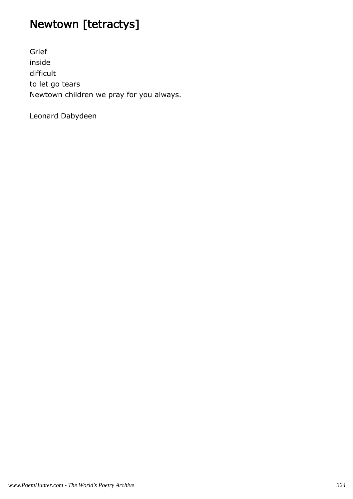# Newtown [tetractys]

Grief inside difficult to let go tears Newtown children we pray for you always.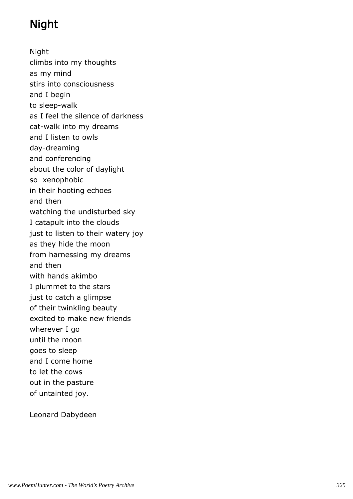# Night

Night climbs into my thoughts as my mind stirs into consciousness and I begin to sleep-walk as I feel the silence of darkness cat-walk into my dreams and I listen to owls day-dreaming and conferencing about the color of daylight so xenophobic in their hooting echoes and then watching the undisturbed sky I catapult into the clouds just to listen to their watery joy as they hide the moon from harnessing my dreams and then with hands akimbo I plummet to the stars just to catch a glimpse of their twinkling beauty excited to make new friends wherever I go until the moon goes to sleep and I come home to let the cows out in the pasture of untainted joy.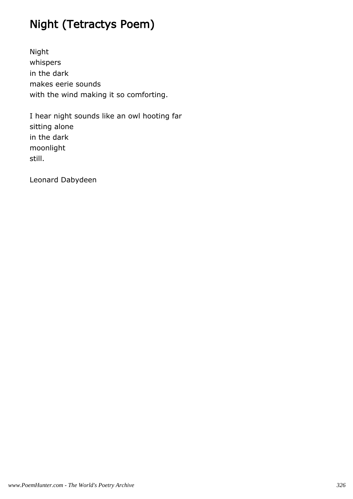# Night (Tetractys Poem)

Night whispers in the dark makes eerie sounds with the wind making it so comforting.

I hear night sounds like an owl hooting far sitting alone in the dark moonlight still.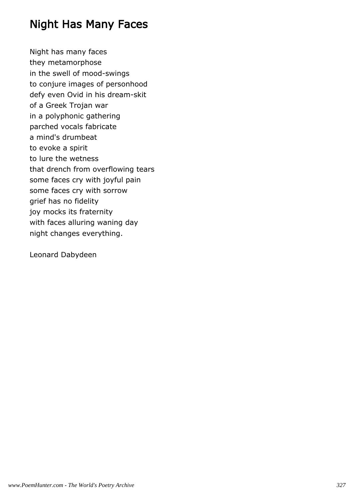## Night Has Many Faces

Night has many faces they metamorphose in the swell of mood-swings to conjure images of personhood defy even Ovid in his dream-skit of a Greek Trojan war in a polyphonic gathering parched vocals fabricate a mind's drumbeat to evoke a spirit to lure the wetness that drench from overflowing tears some faces cry with joyful pain some faces cry with sorrow grief has no fidelity joy mocks its fraternity with faces alluring waning day night changes everything.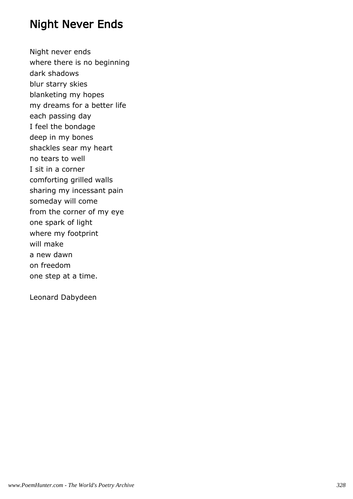#### Night Never Ends

Night never ends where there is no beginning dark shadows blur starry skies blanketing my hopes my dreams for a better life each passing day I feel the bondage deep in my bones shackles sear my heart no tears to well I sit in a corner comforting grilled walls sharing my incessant pain someday will come from the corner of my eye one spark of light where my footprint will make a new dawn on freedom one step at a time.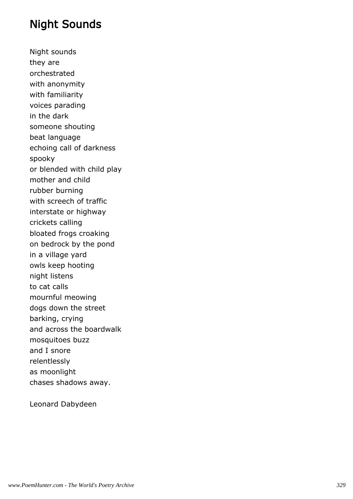### Night Sounds

Night sounds they are orchestrated with anonymity with familiarity voices parading in the dark someone shouting beat language echoing call of darkness spooky or blended with child play mother and child rubber burning with screech of traffic interstate or highway crickets calling bloated frogs croaking on bedrock by the pond in a village yard owls keep hooting night listens to cat calls mournful meowing dogs down the street barking, crying and across the boardwalk mosquitoes buzz and I snore relentlessly as moonlight chases shadows away.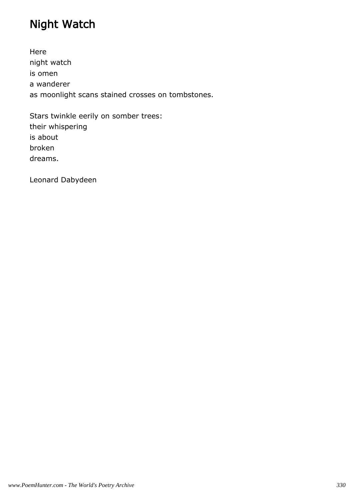# Night Watch

Here night watch is omen a wanderer as moonlight scans stained crosses on tombstones.

Stars twinkle eerily on somber trees: their whispering is about broken dreams.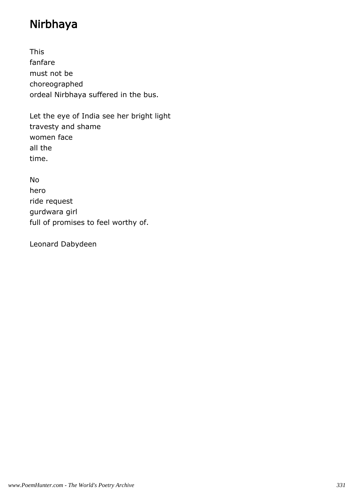## Nirbhaya

This fanfare must not be choreographed ordeal Nirbhaya suffered in the bus.

Let the eye of India see her bright light travesty and shame women face all the time.

No hero ride request gurdwara girl full of promises to feel worthy of.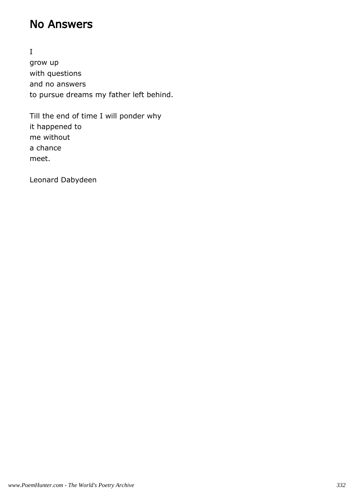### No Answers

I grow up with questions and no answers to pursue dreams my father left behind.

Till the end of time I will ponder why it happened to me without a chance meet.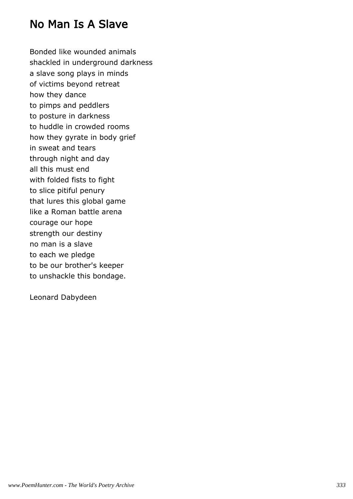### No Man Is A Slave

Bonded like wounded animals shackled in underground darkness a slave song plays in minds of victims beyond retreat how they dance to pimps and peddlers to posture in darkness to huddle in crowded rooms how they gyrate in body grief in sweat and tears through night and day all this must end with folded fists to fight to slice pitiful penury that lures this global game like a Roman battle arena courage our hope strength our destiny no man is a slave to each we pledge to be our brother's keeper to unshackle this bondage.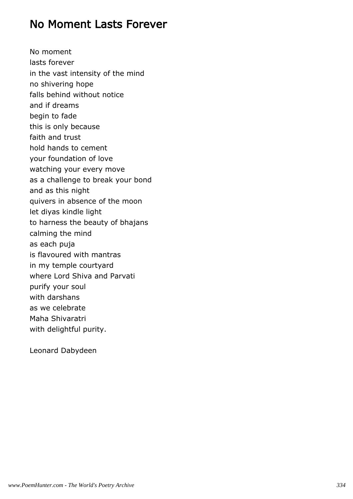#### No Moment Lasts Forever

No moment lasts forever in the vast intensity of the mind no shivering hope falls behind without notice and if dreams begin to fade this is only because faith and trust hold hands to cement your foundation of love watching your every move as a challenge to break your bond and as this night quivers in absence of the moon let diyas kindle light to harness the beauty of bhajans calming the mind as each puja is flavoured with mantras in my temple courtyard where Lord Shiva and Parvati purify your soul with darshans as we celebrate Maha Shivaratri with delightful purity.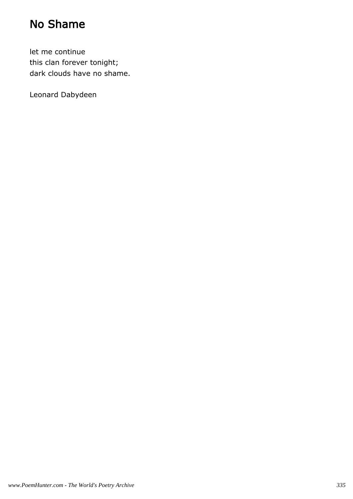## No Shame

let me continue this clan forever tonight; dark clouds have no shame.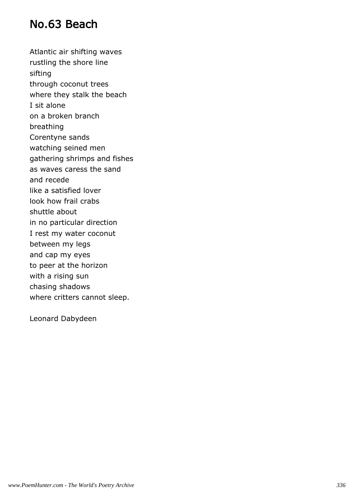### No.63 Beach

Atlantic air shifting waves rustling the shore line sifting through coconut trees where they stalk the beach I sit alone on a broken branch breathing Corentyne sands watching seined men gathering shrimps and fishes as waves caress the sand and recede like a satisfied lover look how frail crabs shuttle about in no particular direction I rest my water coconut between my legs and cap my eyes to peer at the horizon with a rising sun chasing shadows where critters cannot sleep.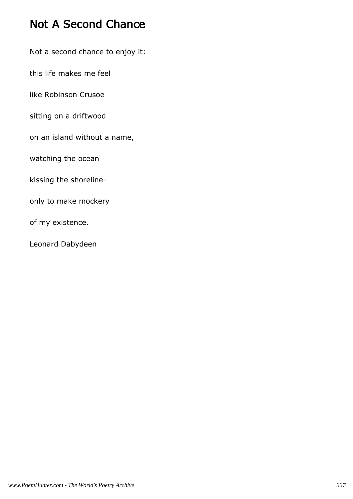## Not A Second Chance

Not a second chance to enjoy it:

this life makes me feel

like Robinson Crusoe

sitting on a driftwood

on an island without a name,

watching the ocean

kissing the shoreline-

only to make mockery

of my existence.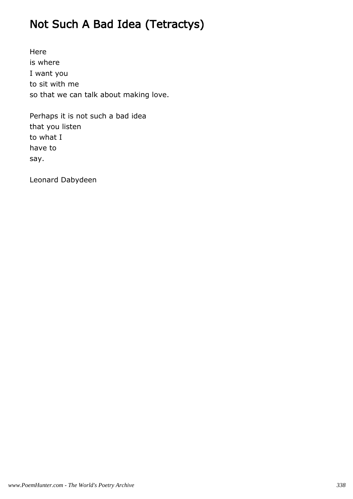# Not Such A Bad Idea (Tetractys)

Here is where I want you to sit with me so that we can talk about making love.

Perhaps it is not such a bad idea that you listen to what I have to say.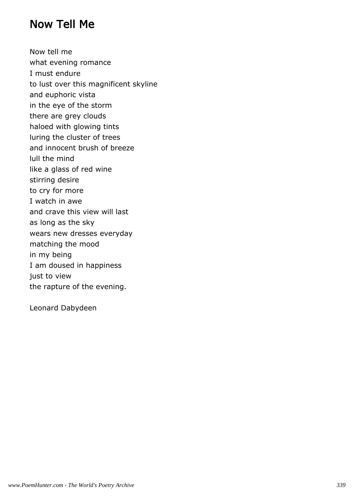#### Now Tell Me

Now tell me what evening romance I must endure to lust over this magnificent skyline and euphoric vista in the eye of the storm there are grey clouds haloed with glowing tints luring the cluster of trees and innocent brush of breeze lull the mind like a glass of red wine stirring desire to cry for more I watch in awe and crave this view will last as long as the sky wears new dresses everyday matching the mood in my being I am doused in happiness just to view the rapture of the evening.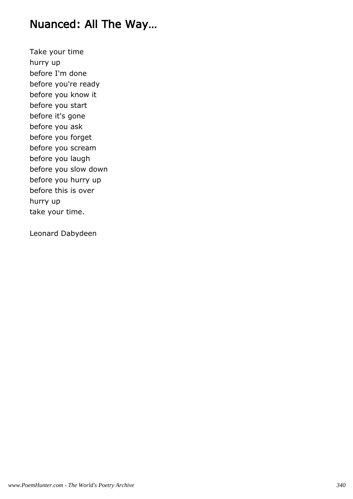#### Nuanced: All The Way…

Take your time hurry up before I'm done before you're ready before you know it before you start before it's gone before you ask before you forget before you scream before you laugh before you slow down before you hurry up before this is over hurry up take your time.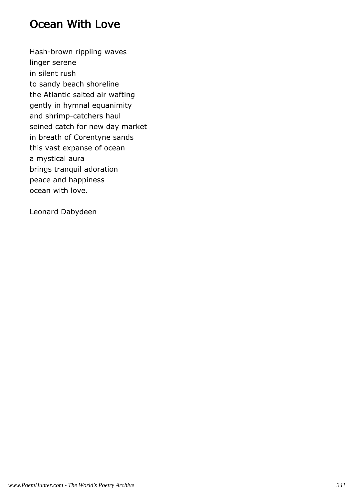## Ocean With Love

Hash-brown rippling waves linger serene in silent rush to sandy beach shoreline the Atlantic salted air wafting gently in hymnal equanimity and shrimp-catchers haul seined catch for new day market in breath of Corentyne sands this vast expanse of ocean a mystical aura brings tranquil adoration peace and happiness ocean with love.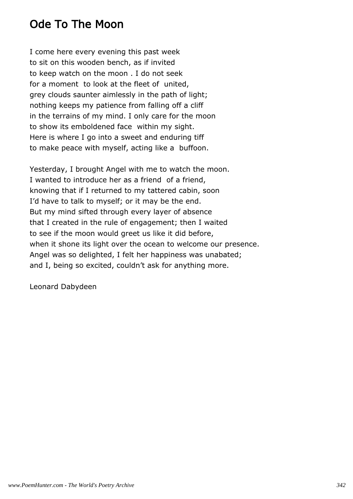## Ode To The Moon

I come here every evening this past week to sit on this wooden bench, as if invited to keep watch on the moon . I do not seek for a moment to look at the fleet of united, grey clouds saunter aimlessly in the path of light; nothing keeps my patience from falling off a cliff in the terrains of my mind. I only care for the moon to show its emboldened face within my sight. Here is where I go into a sweet and enduring tiff to make peace with myself, acting like a buffoon.

Yesterday, I brought Angel with me to watch the moon. I wanted to introduce her as a friend of a friend, knowing that if I returned to my tattered cabin, soon I'd have to talk to myself; or it may be the end. But my mind sifted through every layer of absence that I created in the rule of engagement; then I waited to see if the moon would greet us like it did before, when it shone its light over the ocean to welcome our presence. Angel was so delighted, I felt her happiness was unabated; and I, being so excited, couldn't ask for anything more.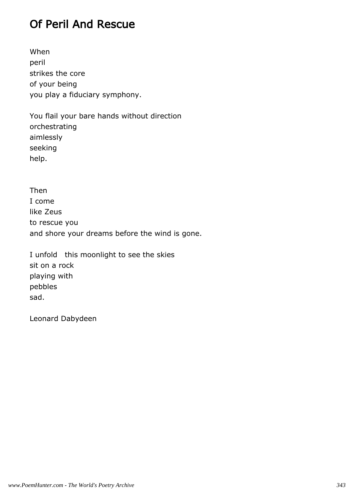## Of Peril And Rescue

When peril strikes the core of your being you play a fiduciary symphony.

You flail your bare hands without direction orchestrating aimlessly seeking help.

Then I come like Zeus to rescue you and shore your dreams before the wind is gone.

I unfold this moonlight to see the skies sit on a rock playing with pebbles sad.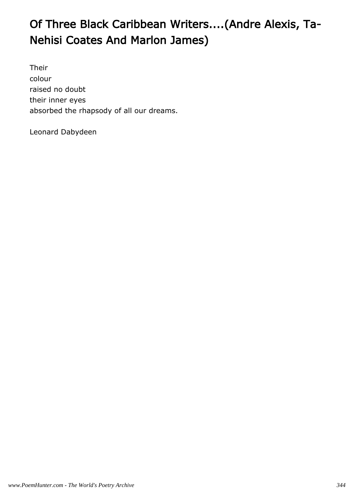# Of Three Black Caribbean Writers....(Andre Alexis, Ta-Nehisi Coates And Marlon James)

Their colour raised no doubt their inner eyes absorbed the rhapsody of all our dreams.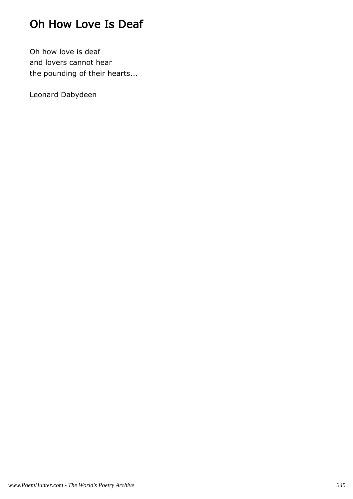# Oh How Love Is Deaf

Oh how love is deaf and lovers cannot hear the pounding of their hearts...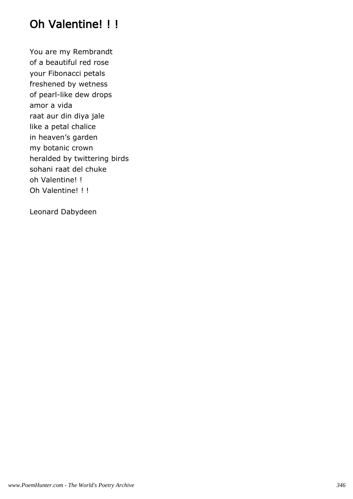# Oh Valentine! !!

You are my Rembrandt of a beautiful red rose your Fibonacci petals freshened by wetness of pearl-like dew drops amor a vida raat aur din diya jale like a petal chalice in heaven's garden my botanic crown heralded by twittering birds sohani raat del chuke oh Valentine! ! Oh Valentine! ! !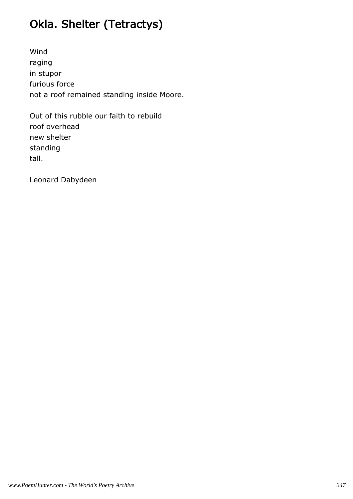# Okla. Shelter (Tetractys)

Wind raging in stupor furious force not a roof remained standing inside Moore.

Out of this rubble our faith to rebuild roof overhead new shelter standing tall.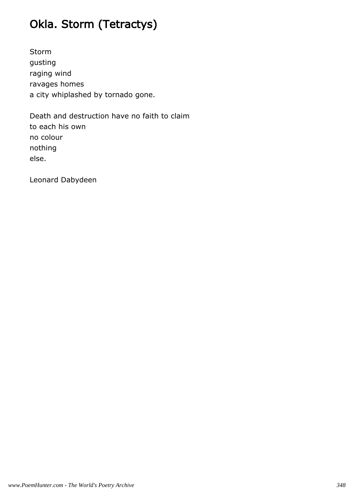# Okla. Storm (Tetractys)

Storm gusting raging wind ravages homes a city whiplashed by tornado gone.

Death and destruction have no faith to claim to each his own no colour nothing else.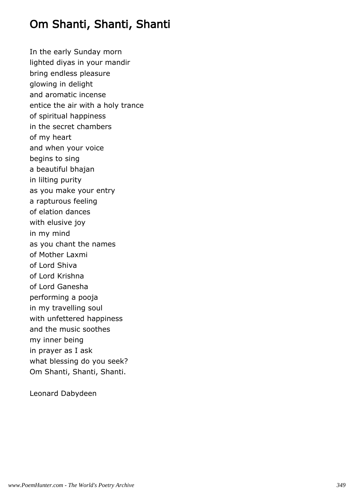## Om Shanti, Shanti, Shanti

In the early Sunday morn lighted diyas in your mandir bring endless pleasure glowing in delight and aromatic incense entice the air with a holy trance of spiritual happiness in the secret chambers of my heart and when your voice begins to sing a beautiful bhajan in lilting purity as you make your entry a rapturous feeling of elation dances with elusive joy in my mind as you chant the names of Mother Laxmi of Lord Shiva of Lord Krishna of Lord Ganesha performing a pooja in my travelling soul with unfettered happiness and the music soothes my inner being in prayer as I ask what blessing do you seek? Om Shanti, Shanti, Shanti.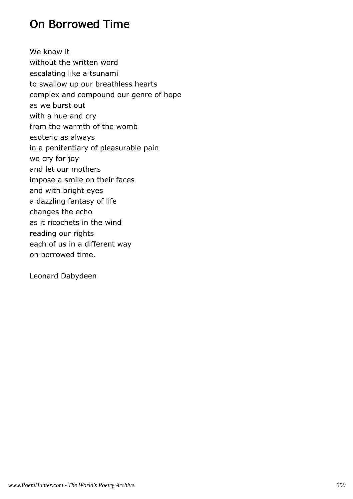## On Borrowed Time

We know it without the written word escalating like a tsunami to swallow up our breathless hearts complex and compound our genre of hope as we burst out with a hue and cry from the warmth of the womb esoteric as always in a penitentiary of pleasurable pain we cry for joy and let our mothers impose a smile on their faces and with bright eyes a dazzling fantasy of life changes the echo as it ricochets in the wind reading our rights each of us in a different way on borrowed time.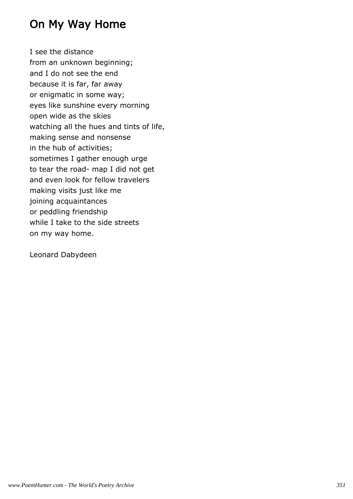## On My Way Home

I see the distance from an unknown beginning; and I do not see the end because it is far, far away or enigmatic in some way; eyes like sunshine every morning open wide as the skies watching all the hues and tints of life, making sense and nonsense in the hub of activities; sometimes I gather enough urge to tear the road- map I did not get and even look for fellow travelers making visits just like me joining acquaintances or peddling friendship while I take to the side streets on my way home.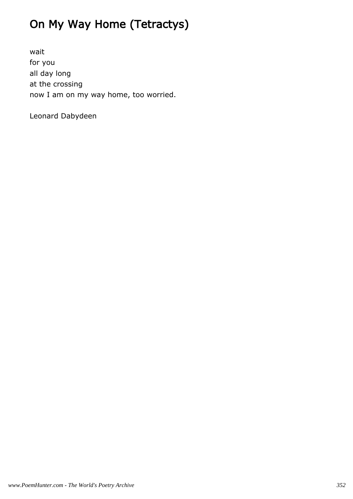# On My Way Home (Tetractys)

wait for you all day long at the crossing now I am on my way home, too worried.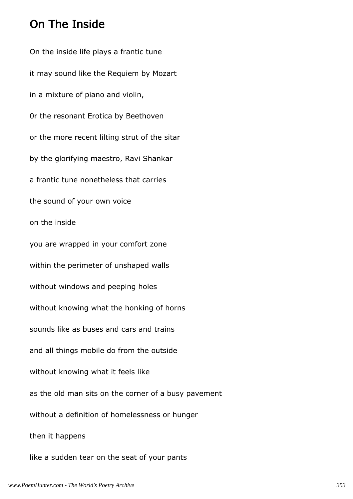#### On The Inside

On the inside life plays a frantic tune it may sound like the Requiem by Mozart in a mixture of piano and violin, 0r the resonant Erotica by Beethoven or the more recent lilting strut of the sitar by the glorifying maestro, Ravi Shankar a frantic tune nonetheless that carries the sound of your own voice on the inside you are wrapped in your comfort zone within the perimeter of unshaped walls without windows and peeping holes without knowing what the honking of horns sounds like as buses and cars and trains and all things mobile do from the outside without knowing what it feels like as the old man sits on the corner of a busy pavement without a definition of homelessness or hunger then it happens like a sudden tear on the seat of your pants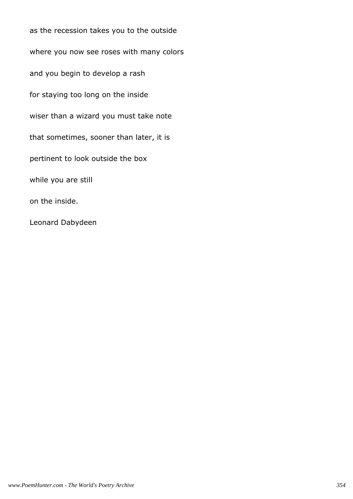as the recession takes you to the outside where you now see roses with many colors and you begin to develop a rash for staying too long on the inside wiser than a wizard you must take note that sometimes, sooner than later, it is pertinent to look outside the box while you are still on the inside. Leonard Dabydeen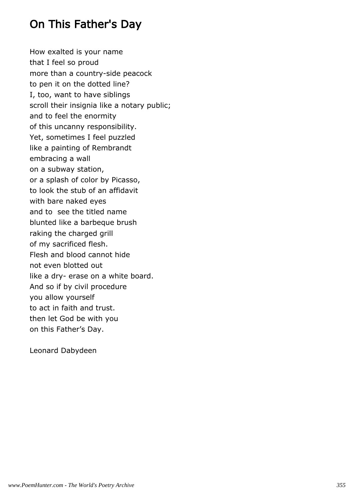### On This Father's Day

How exalted is your name that I feel so proud more than a country-side peacock to pen it on the dotted line? I, too, want to have siblings scroll their insignia like a notary public; and to feel the enormity of this uncanny responsibility. Yet, sometimes I feel puzzled like a painting of Rembrandt embracing a wall on a subway station, or a splash of color by Picasso, to look the stub of an affidavit with bare naked eyes and to see the titled name blunted like a barbeque brush raking the charged grill of my sacrificed flesh. Flesh and blood cannot hide not even blotted out like a dry- erase on a white board. And so if by civil procedure you allow yourself to act in faith and trust. then let God be with you on this Father's Day.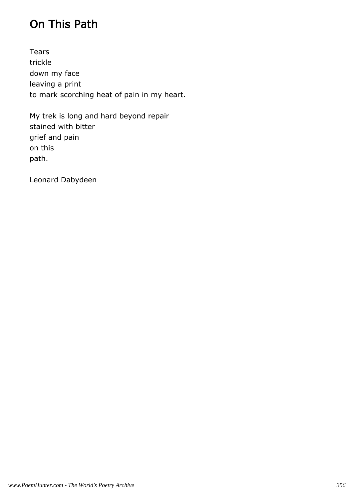# On This Path

Tears trickle down my face leaving a print to mark scorching heat of pain in my heart.

My trek is long and hard beyond repair stained with bitter grief and pain on this path.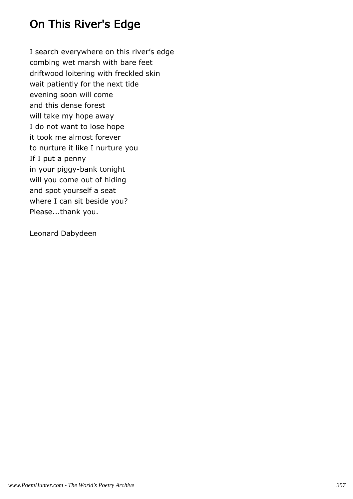# On This River's Edge

I search everywhere on this river's edge combing wet marsh with bare feet driftwood loitering with freckled skin wait patiently for the next tide evening soon will come and this dense forest will take my hope away I do not want to lose hope it took me almost forever to nurture it like I nurture you If I put a penny in your piggy-bank tonight will you come out of hiding and spot yourself a seat where I can sit beside you? Please...thank you.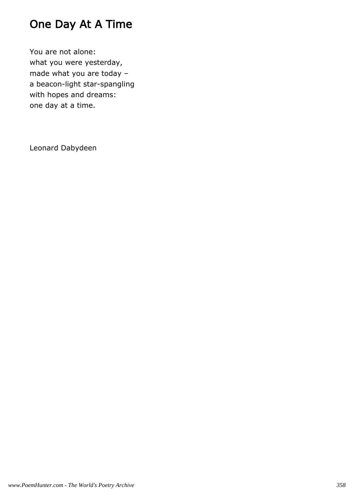# One Day At A Time

You are not alone: what you were yesterday, made what you are today – a beacon-light star-spangling with hopes and dreams: one day at a time.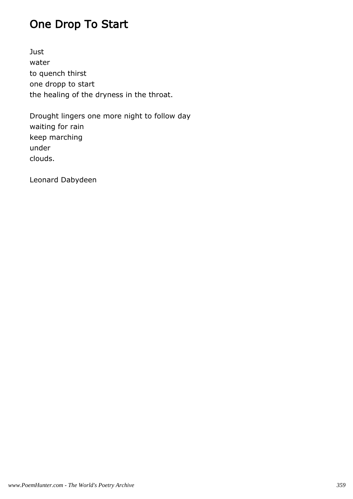# One Drop To Start

Just water to quench thirst one dropp to start the healing of the dryness in the throat.

Drought lingers one more night to follow day waiting for rain keep marching under clouds.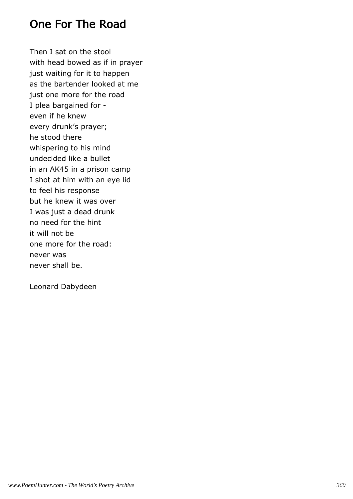#### One For The Road

Then I sat on the stool with head bowed as if in prayer just waiting for it to happen as the bartender looked at me just one more for the road I plea bargained for even if he knew every drunk's prayer; he stood there whispering to his mind undecided like a bullet in an AK45 in a prison camp I shot at him with an eye lid to feel his response but he knew it was over I was just a dead drunk no need for the hint it will not be one more for the road: never was never shall be.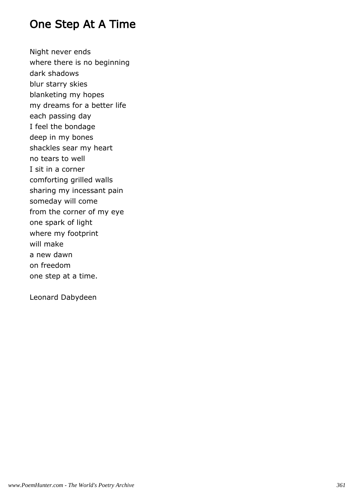#### One Step At A Time

Night never ends where there is no beginning dark shadows blur starry skies blanketing my hopes my dreams for a better life each passing day I feel the bondage deep in my bones shackles sear my heart no tears to well I sit in a corner comforting grilled walls sharing my incessant pain someday will come from the corner of my eye one spark of light where my footprint will make a new dawn on freedom one step at a time.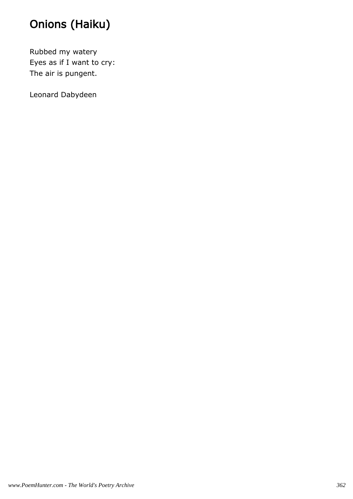# Onions (Haiku)

Rubbed my watery Eyes as if I want to cry: The air is pungent.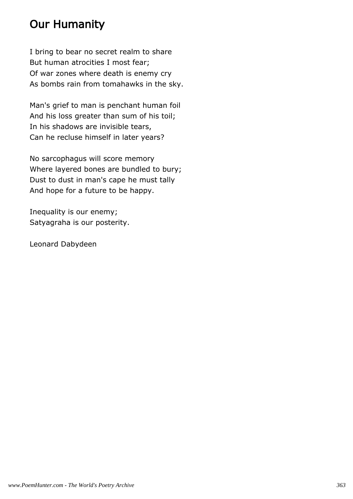## Our Humanity

I bring to bear no secret realm to share But human atrocities I most fear; Of war zones where death is enemy cry As bombs rain from tomahawks in the sky.

Man's grief to man is penchant human foil And his loss greater than sum of his toil; In his shadows are invisible tears, Can he recluse himself in later years?

No sarcophagus will score memory Where layered bones are bundled to bury; Dust to dust in man's cape he must tally And hope for a future to be happy.

Inequality is our enemy; Satyagraha is our posterity.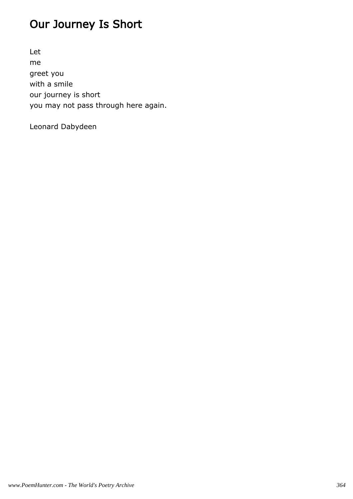## Our Journey Is Short

Let me greet you with a smile our journey is short you may not pass through here again.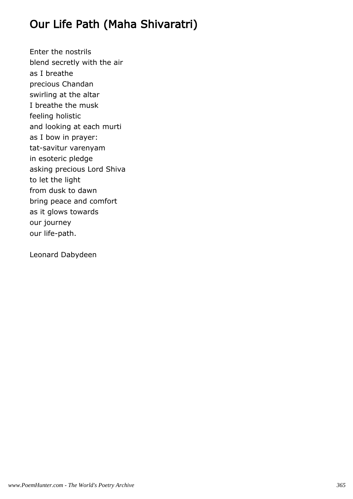## Our Life Path (Maha Shivaratri)

Enter the nostrils blend secretly with the air as I breathe precious Chandan swirling at the altar I breathe the musk feeling holistic and looking at each murti as I bow in prayer: tat-savitur varenyam in esoteric pledge asking precious Lord Shiva to let the light from dusk to dawn bring peace and comfort as it glows towards our journey our life-path.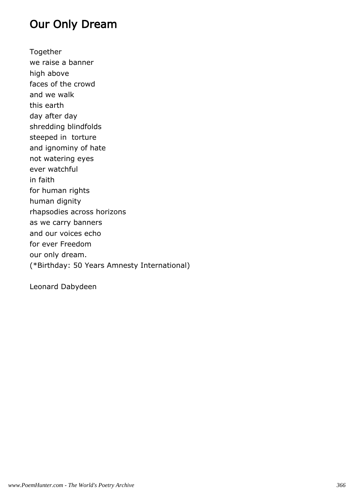### Our Only Dream

Together we raise a banner high above faces of the crowd and we walk this earth day after day shredding blindfolds steeped in torture and ignominy of hate not watering eyes ever watchful in faith for human rights human dignity rhapsodies across horizons as we carry banners and our voices echo for ever Freedom our only dream. (\*Birthday: 50 Years Amnesty International)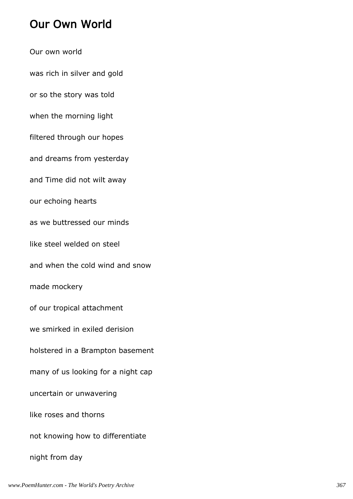### Our Own World

Our own world was rich in silver and gold or so the story was told when the morning light filtered through our hopes and dreams from yesterday and Time did not wilt away our echoing hearts as we buttressed our minds like steel welded on steel and when the cold wind and snow made mockery of our tropical attachment we smirked in exiled derision holstered in a Brampton basement many of us looking for a night cap uncertain or unwavering like roses and thorns not knowing how to differentiate night from day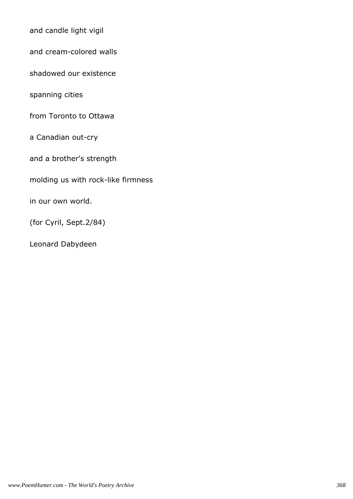and candle light vigil

and cream-colored walls

shadowed our existence

spanning cities

from Toronto to Ottawa

a Canadian out-cry

and a brother's strength

molding us with rock-like firmness

in our own world.

(for Cyril, Sept.2/84)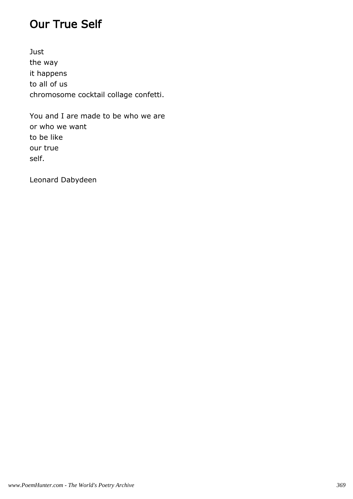### Our True Self

Just the way it happens to all of us chromosome cocktail collage confetti.

You and I are made to be who we are or who we want to be like our true self.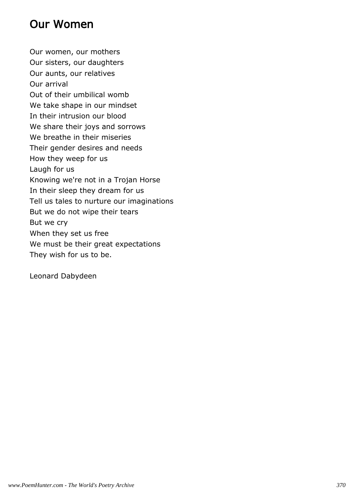## Our Women

Our women, our mothers Our sisters, our daughters Our aunts, our relatives Our arrival Out of their umbilical womb We take shape in our mindset In their intrusion our blood We share their joys and sorrows We breathe in their miseries Their gender desires and needs How they weep for us Laugh for us Knowing we're not in a Trojan Horse In their sleep they dream for us Tell us tales to nurture our imaginations But we do not wipe their tears But we cry When they set us free We must be their great expectations They wish for us to be.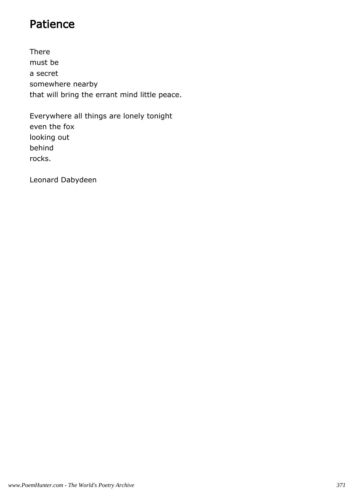### Patience

There must be a secret somewhere nearby that will bring the errant mind little peace.

Everywhere all things are lonely tonight even the fox looking out behind rocks.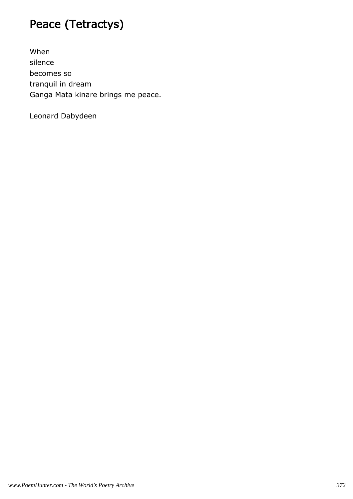## Peace (Tetractys)

When silence becomes so tranquil in dream Ganga Mata kinare brings me peace.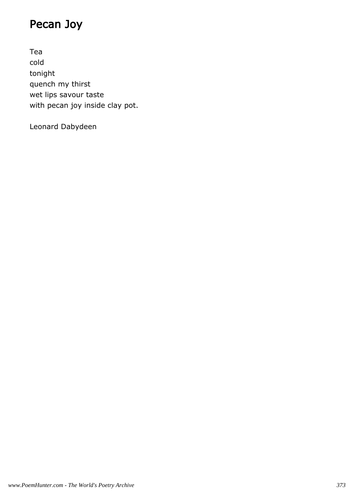## Pecan Joy

Tea cold tonight quench my thirst wet lips savour taste with pecan joy inside clay pot.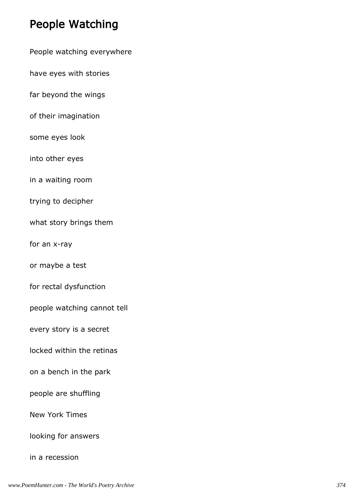### People Watching

People watching everywhere

have eyes with stories

far beyond the wings

of their imagination

some eyes look

into other eyes

in a waiting room

trying to decipher

what story brings them

for an x-ray

or maybe a test

for rectal dysfunction

people watching cannot tell

every story is a secret

locked within the retinas

on a bench in the park

people are shuffling

New York Times

looking for answers

in a recession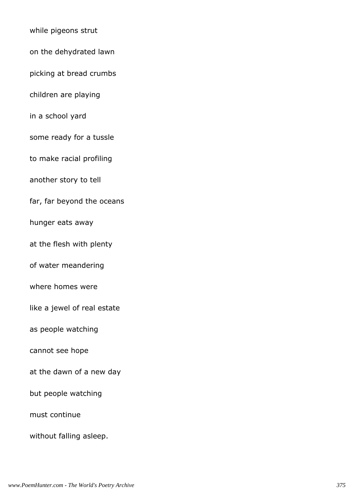while pigeons strut on the dehydrated lawn picking at bread crumbs children are playing in a school yard some ready for a tussle to make racial profiling another story to tell far, far beyond the oceans hunger eats away at the flesh with plenty of water meandering where homes were like a jewel of real estate as people watching cannot see hope at the dawn of a new day but people watching must continue without falling asleep.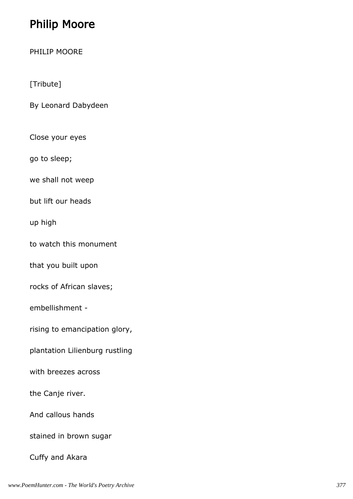## Philip Moore

PHILIP MOORE

[Tribute]

By Leonard Dabydeen

Close your eyes

go to sleep;

we shall not weep

but lift our heads

up high

to watch this monument

that you built upon

rocks of African slaves;

embellishment -

rising to emancipation glory,

plantation Lilienburg rustling

with breezes across

the Canje river.

And callous hands

stained in brown sugar

Cuffy and Akara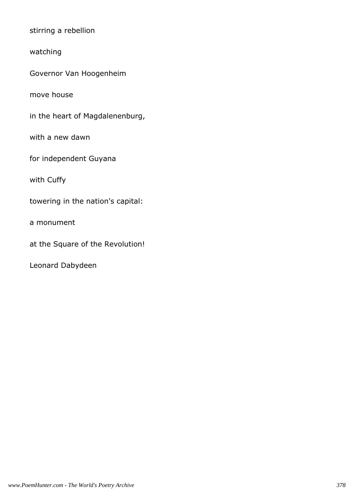stirring a rebellion

watching

Governor Van Hoogenheim

move house

in the heart of Magdalenenburg,

with a new dawn

for independent Guyana

with Cuffy

towering in the nation's capital:

a monument

at the Square of the Revolution!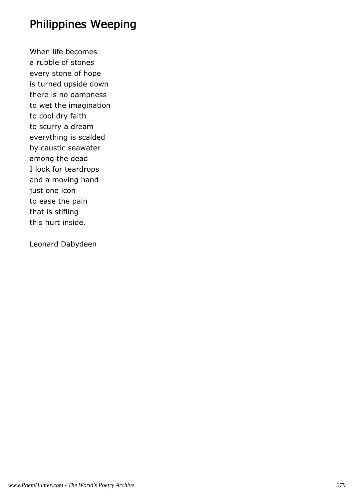#### Philippines Weeping

When life becomes a rubble of stones every stone of hope is turned upside down there is no dampness to wet the imagination to cool dry faith to scurry a dream everything is scalded by caustic seawater among the dead I look for teardrops and a moving hand just one icon to ease the pain that is stifling this hurt inside.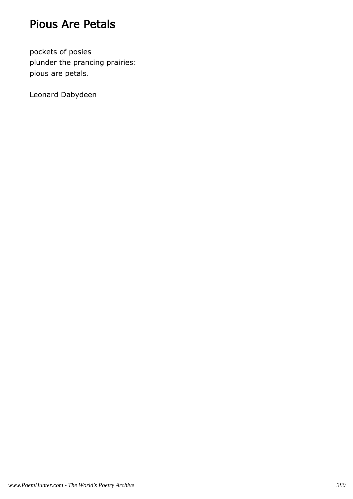### Pious Are Petals

pockets of posies plunder the prancing prairies: pious are petals.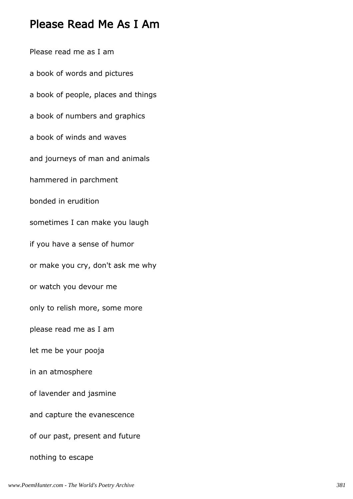#### Please Read Me As I Am

Please read me as I am a book of words and pictures a book of people, places and things a book of numbers and graphics a book of winds and waves and journeys of man and animals hammered in parchment bonded in erudition sometimes I can make you laugh if you have a sense of humor or make you cry, don't ask me why or watch you devour me only to relish more, some more please read me as I am let me be your pooja in an atmosphere of lavender and jasmine and capture the evanescence of our past, present and future nothing to escape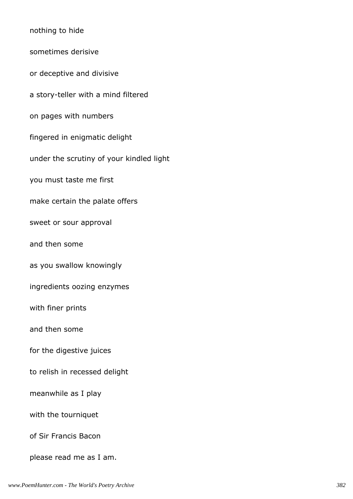nothing to hide sometimes derisive or deceptive and divisive a story-teller with a mind filtered on pages with numbers fingered in enigmatic delight under the scrutiny of your kindled light you must taste me first make certain the palate offers sweet or sour approval and then some as you swallow knowingly ingredients oozing enzymes with finer prints and then some for the digestive juices to relish in recessed delight meanwhile as I play with the tourniquet of Sir Francis Bacon please read me as I am.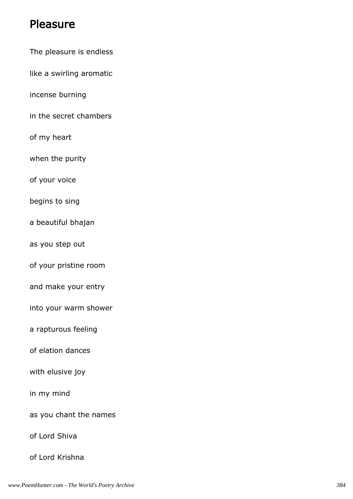#### Pleasure

- The pleasure is endless
- like a swirling aromatic
- incense burning
- in the secret chambers
- of my heart
- when the purity
- of your voice
- begins to sing
- a beautiful bhajan
- as you step out
- of your pristine room
- and make your entry
- into your warm shower
- a rapturous feeling
- of elation dances
- with elusive joy
- in my mind
- as you chant the names
- of Lord Shiva
- of Lord Krishna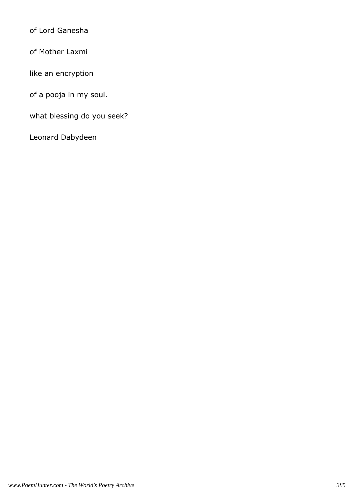of Lord Ganesha

of Mother Laxmi

like an encryption

of a pooja in my soul.

what blessing do you seek?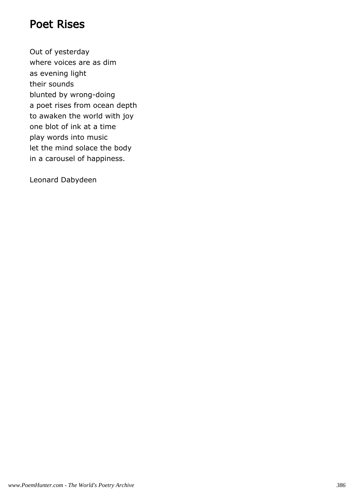#### Poet Rises

Out of yesterday where voices are as dim as evening light their sounds blunted by wrong-doing a poet rises from ocean depth to awaken the world with joy one blot of ink at a time play words into music let the mind solace the body in a carousel of happiness.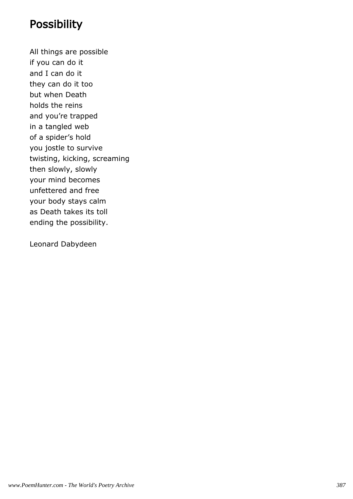#### **Possibility**

All things are possible if you can do it and I can do it they can do it too but when Death holds the reins and you're trapped in a tangled web of a spider's hold you jostle to survive twisting, kicking, screaming then slowly, slowly your mind becomes unfettered and free your body stays calm as Death takes its toll ending the possibility.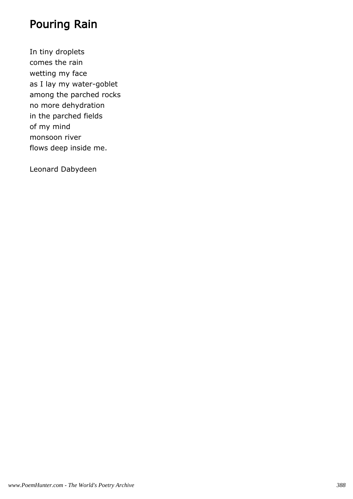## Pouring Rain

In tiny droplets comes the rain wetting my face as I lay my water-goblet among the parched rocks no more dehydration in the parched fields of my mind monsoon river flows deep inside me.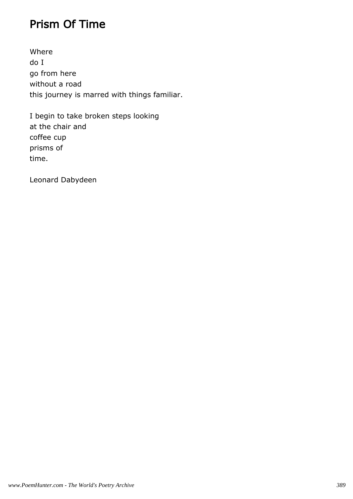### Prism Of Time

Where do I go from here without a road this journey is marred with things familiar.

I begin to take broken steps looking at the chair and coffee cup prisms of time.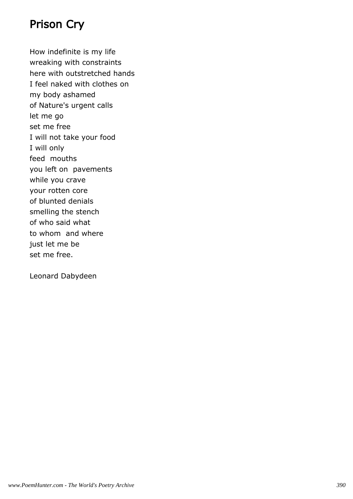### Prison Cry

How indefinite is my life wreaking with constraints here with outstretched hands I feel naked with clothes on my body ashamed of Nature's urgent calls let me go set me free I will not take your food I will only feed mouths you left on pavements while you crave your rotten core of blunted denials smelling the stench of who said what to whom and where just let me be set me free.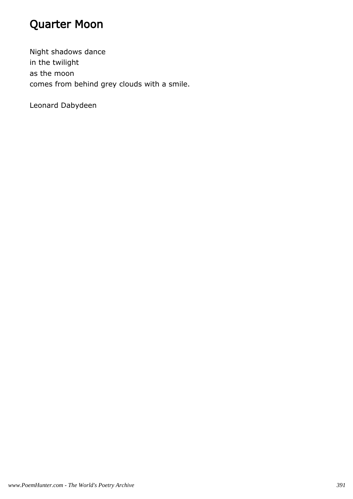## Quarter Moon

Night shadows dance in the twilight as the moon comes from behind grey clouds with a smile.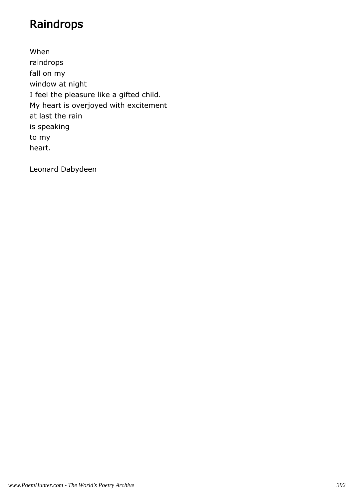## Raindrops

When raindrops fall on my window at night I feel the pleasure like a gifted child. My heart is overjoyed with excitement at last the rain is speaking to my heart.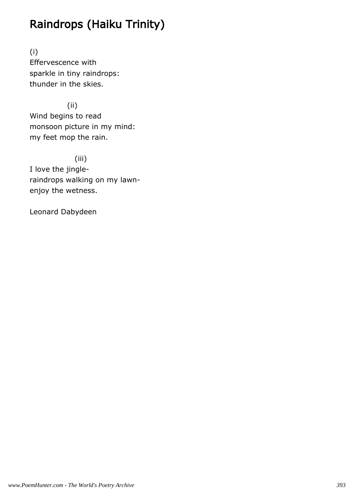## Raindrops (Haiku Trinity)

(i) Effervescence with sparkle in tiny raindrops: thunder in the skies.

 (ii) Wind begins to read monsoon picture in my mind: my feet mop the rain.

 (iii) I love the jingleraindrops walking on my lawnenjoy the wetness.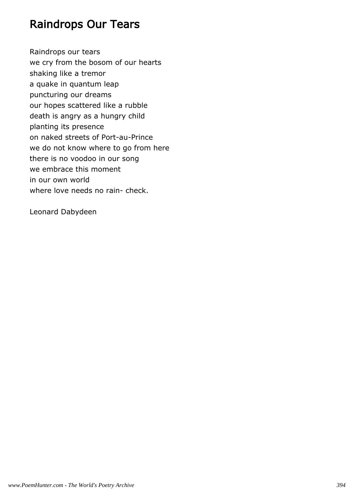#### Raindrops Our Tears

Raindrops our tears we cry from the bosom of our hearts shaking like a tremor a quake in quantum leap puncturing our dreams our hopes scattered like a rubble death is angry as a hungry child planting its presence on naked streets of Port-au-Prince we do not know where to go from here there is no voodoo in our song we embrace this moment in our own world where love needs no rain- check.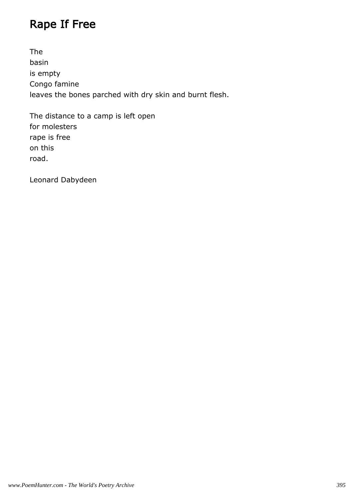## Rape If Free

The basin is empty Congo famine leaves the bones parched with dry skin and burnt flesh.

The distance to a camp is left open for molesters rape is free on this road.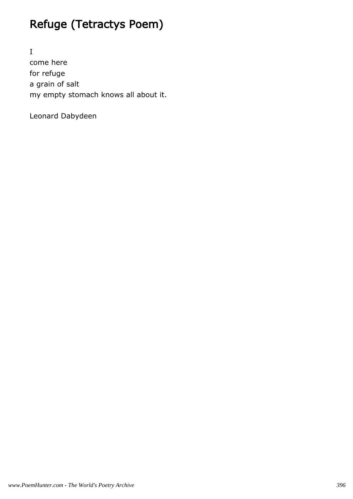# Refuge (Tetractys Poem)

I come here for refuge a grain of salt my empty stomach knows all about it.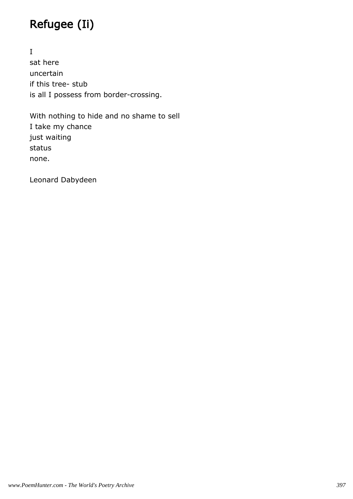# Refugee (Ii)

I sat here uncertain if this tree- stub is all I possess from border-crossing.

With nothing to hide and no shame to sell I take my chance just waiting status none.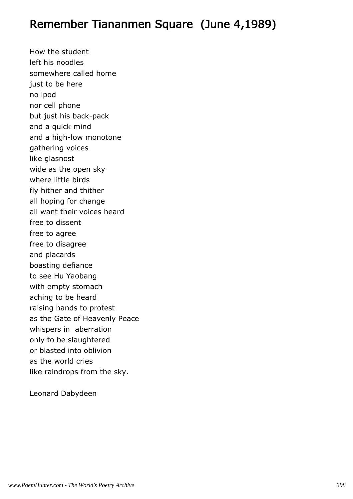#### Remember Tiananmen Square (June 4,1989)

How the student left his noodles somewhere called home just to be here no ipod nor cell phone but just his back-pack and a quick mind and a high-low monotone gathering voices like glasnost wide as the open sky where little birds fly hither and thither all hoping for change all want their voices heard free to dissent free to agree free to disagree and placards boasting defiance to see Hu Yaobang with empty stomach aching to be heard raising hands to protest as the Gate of Heavenly Peace whispers in aberration only to be slaughtered or blasted into oblivion as the world cries like raindrops from the sky.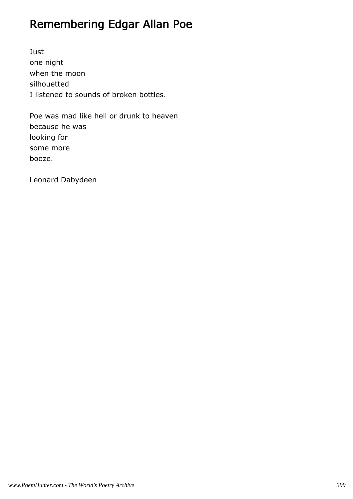# Remembering Edgar Allan Poe

Just one night when the moon silhouetted I listened to sounds of broken bottles.

Poe was mad like hell or drunk to heaven because he was looking for some more booze.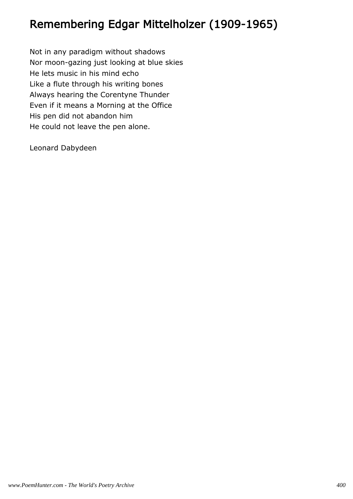## Remembering Edgar Mittelholzer (1909-1965)

Not in any paradigm without shadows Nor moon-gazing just looking at blue skies He lets music in his mind echo Like a flute through his writing bones Always hearing the Corentyne Thunder Even if it means a Morning at the Office His pen did not abandon him He could not leave the pen alone.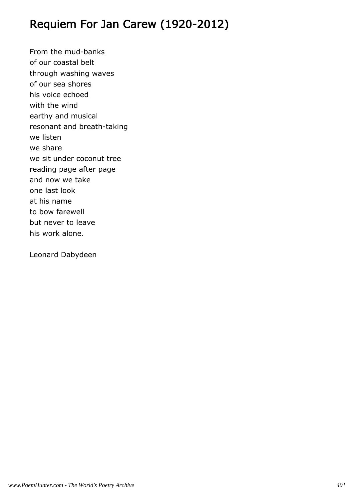## Requiem For Jan Carew (1920-2012)

From the mud-banks of our coastal belt through washing waves of our sea shores his voice echoed with the wind earthy and musical resonant and breath-taking we listen we share we sit under coconut tree reading page after page and now we take one last look at his name to bow farewell but never to leave his work alone.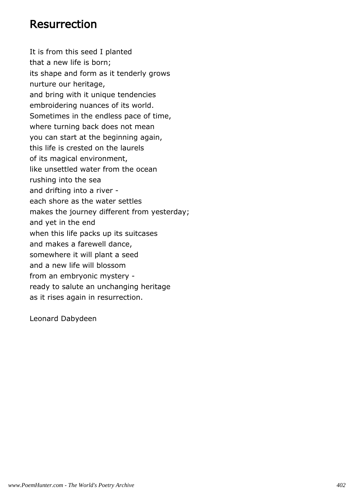#### Resurrection

It is from this seed I planted that a new life is born; its shape and form as it tenderly grows nurture our heritage, and bring with it unique tendencies embroidering nuances of its world. Sometimes in the endless pace of time, where turning back does not mean you can start at the beginning again, this life is crested on the laurels of its magical environment, like unsettled water from the ocean rushing into the sea and drifting into a river each shore as the water settles makes the journey different from yesterday; and yet in the end when this life packs up its suitcases and makes a farewell dance, somewhere it will plant a seed and a new life will blossom from an embryonic mystery ready to salute an unchanging heritage as it rises again in resurrection.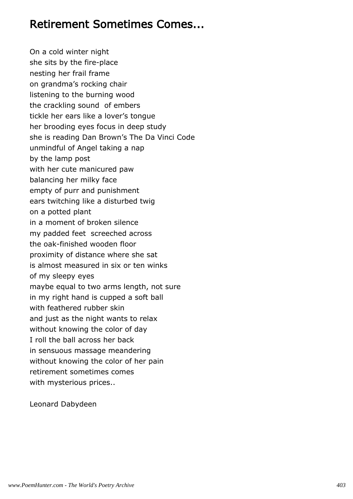#### Retirement Sometimes Comes...

On a cold winter night she sits by the fire-place nesting her frail frame on grandma's rocking chair listening to the burning wood the crackling sound of embers tickle her ears like a lover's tongue her brooding eyes focus in deep study she is reading Dan Brown's The Da Vinci Code unmindful of Angel taking a nap by the lamp post with her cute manicured paw balancing her milky face empty of purr and punishment ears twitching like a disturbed twig on a potted plant in a moment of broken silence my padded feet screeched across the oak-finished wooden floor proximity of distance where she sat is almost measured in six or ten winks of my sleepy eyes maybe equal to two arms length, not sure in my right hand is cupped a soft ball with feathered rubber skin and just as the night wants to relax without knowing the color of day I roll the ball across her back in sensuous massage meandering without knowing the color of her pain retirement sometimes comes with mysterious prices..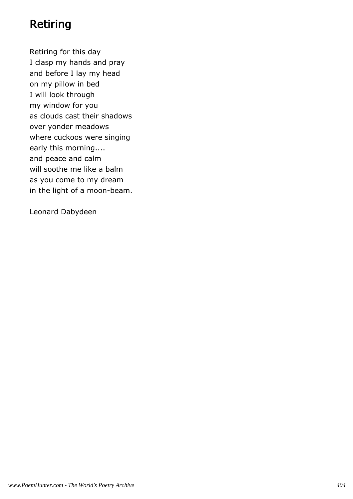## Retiring

Retiring for this day I clasp my hands and pray and before I lay my head on my pillow in bed I will look through my window for you as clouds cast their shadows over yonder meadows where cuckoos were singing early this morning.... and peace and calm will soothe me like a balm as you come to my dream in the light of a moon-beam.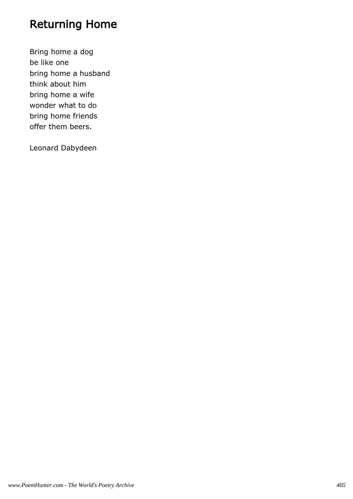## Returning Home

Bring home a dog be like one bring home a husband think about him bring home a wife wonder what to do bring home friends offer them beers.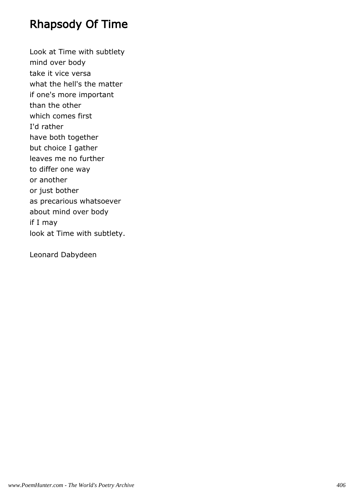### Rhapsody Of Time

Look at Time with subtlety mind over body take it vice versa what the hell's the matter if one's more important than the other which comes first I'd rather have both together but choice I gather leaves me no further to differ one way or another or just bother as precarious whatsoever about mind over body if I may look at Time with subtlety.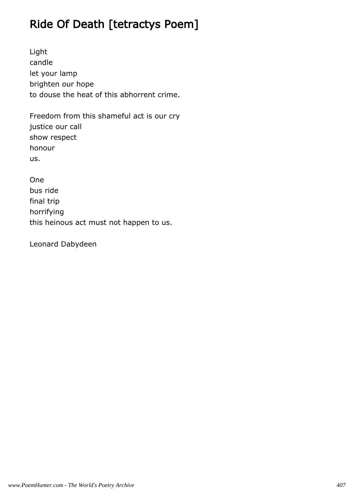## Ride Of Death [tetractys Poem]

Light candle let your lamp brighten our hope to douse the heat of this abhorrent crime.

Freedom from this shameful act is our cry justice our call show respect honour us.

One bus ride final trip horrifying this heinous act must not happen to us.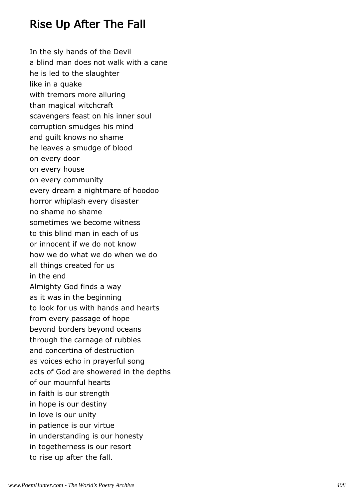### Rise Up After The Fall

In the sly hands of the Devil a blind man does not walk with a cane he is led to the slaughter like in a quake with tremors more alluring than magical witchcraft scavengers feast on his inner soul corruption smudges his mind and guilt knows no shame he leaves a smudge of blood on every door on every house on every community every dream a nightmare of hoodoo horror whiplash every disaster no shame no shame sometimes we become witness to this blind man in each of us or innocent if we do not know how we do what we do when we do all things created for us in the end Almighty God finds a way as it was in the beginning to look for us with hands and hearts from every passage of hope beyond borders beyond oceans through the carnage of rubbles and concertina of destruction as voices echo in prayerful song acts of God are showered in the depths of our mournful hearts in faith is our strength in hope is our destiny in love is our unity in patience is our virtue in understanding is our honesty in togetherness is our resort to rise up after the fall.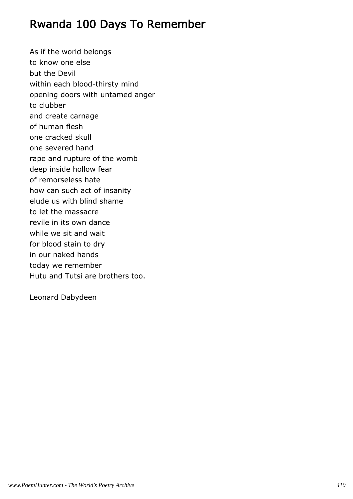### Rwanda 100 Days To Remember

As if the world belongs to know one else but the Devil within each blood-thirsty mind opening doors with untamed anger to clubber and create carnage of human flesh one cracked skull one severed hand rape and rupture of the womb deep inside hollow fear of remorseless hate how can such act of insanity elude us with blind shame to let the massacre revile in its own dance while we sit and wait for blood stain to dry in our naked hands today we remember Hutu and Tutsi are brothers too.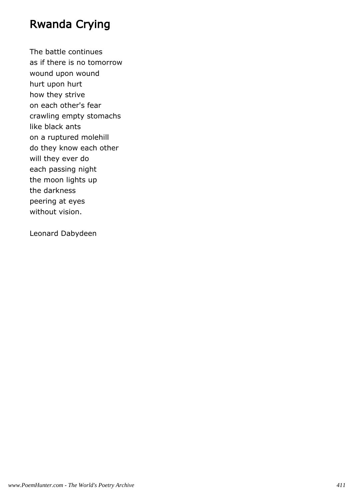### Rwanda Crying

The battle continues as if there is no tomorrow wound upon wound hurt upon hurt how they strive on each other's fear crawling empty stomachs like black ants on a ruptured molehill do they know each other will they ever do each passing night the moon lights up the darkness peering at eyes without vision.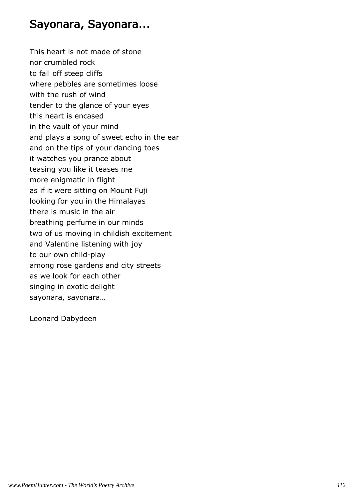#### Sayonara, Sayonara...

This heart is not made of stone nor crumbled rock to fall off steep cliffs where pebbles are sometimes loose with the rush of wind tender to the glance of your eyes this heart is encased in the vault of your mind and plays a song of sweet echo in the ear and on the tips of your dancing toes it watches you prance about teasing you like it teases me more enigmatic in flight as if it were sitting on Mount Fuji looking for you in the Himalayas there is music in the air breathing perfume in our minds two of us moving in childish excitement and Valentine listening with joy to our own child-play among rose gardens and city streets as we look for each other singing in exotic delight sayonara, sayonara…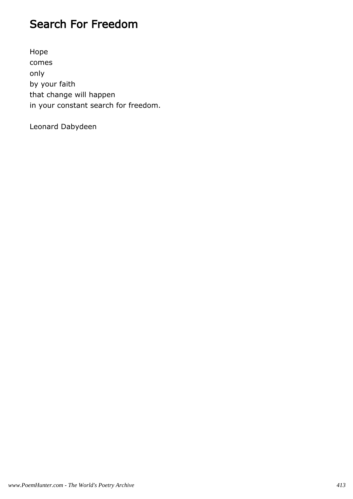### Search For Freedom

Hope comes only by your faith that change will happen in your constant search for freedom.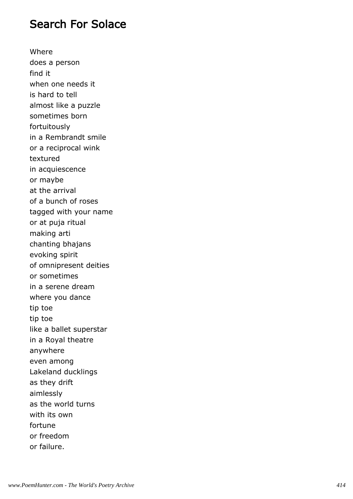#### Search For Solace

Where does a person find it when one needs it is hard to tell almost like a puzzle sometimes born fortuitously in a Rembrandt smile or a reciprocal wink textured in acquiescence or maybe at the arrival of a bunch of roses tagged with your name or at puja ritual making arti chanting bhajans evoking spirit of omnipresent deities or sometimes in a serene dream where you dance tip toe tip toe like a ballet superstar in a Royal theatre anywhere even among Lakeland ducklings as they drift aimlessly as the world turns with its own fortune or freedom or failure.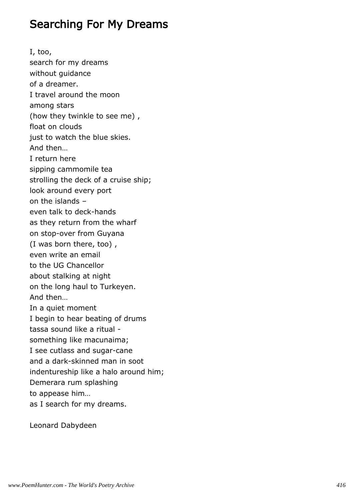#### Searching For My Dreams

I, too, search for my dreams without guidance of a dreamer. I travel around the moon among stars (how they twinkle to see me) , float on clouds just to watch the blue skies. And then… I return here sipping cammomile tea strolling the deck of a cruise ship; look around every port on the islands – even talk to deck-hands as they return from the wharf on stop-over from Guyana (I was born there, too) , even write an email to the UG Chancellor about stalking at night on the long haul to Turkeyen. And then… In a quiet moment I begin to hear beating of drums tassa sound like a ritual something like macunaima; I see cutlass and sugar-cane and a dark-skinned man in soot indentureship like a halo around him; Demerara rum splashing to appease him… as I search for my dreams.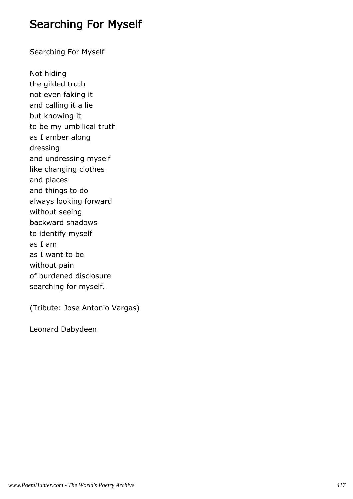#### Searching For Myself

Searching For Myself

Not hiding the gilded truth not even faking it and calling it a lie but knowing it to be my umbilical truth as I amber along dressing and undressing myself like changing clothes and places and things to do always looking forward without seeing backward shadows to identify myself as I am as I want to be without pain of burdened disclosure searching for myself.

(Tribute: Jose Antonio Vargas)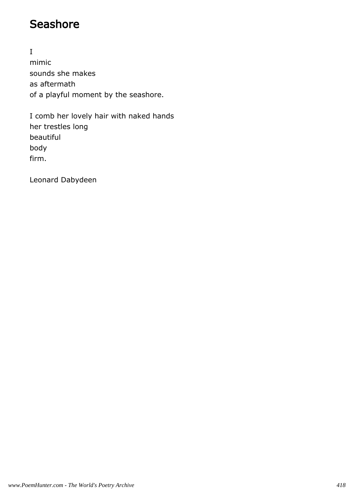### **Seashore**

I mimic sounds she makes as aftermath of a playful moment by the seashore.

I comb her lovely hair with naked hands her trestles long beautiful body firm.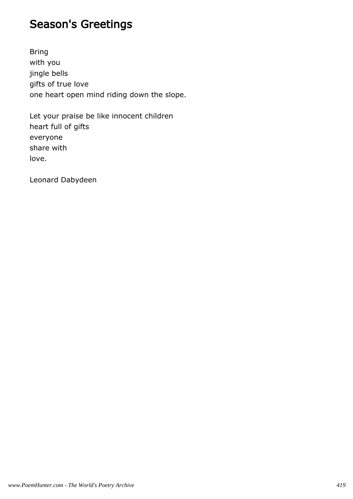## Season's Greetings

Bring with you jingle bells gifts of true love one heart open mind riding down the slope.

Let your praise be like innocent children heart full of gifts everyone share with love.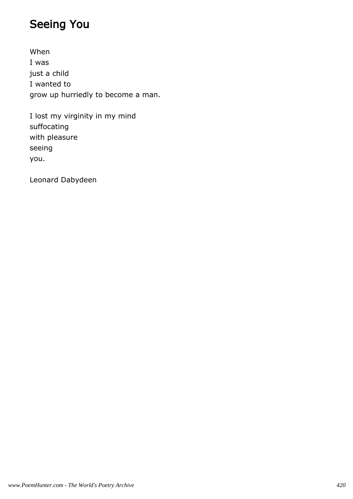## Seeing You

When I was just a child I wanted to grow up hurriedly to become a man.

I lost my virginity in my mind suffocating with pleasure seeing you.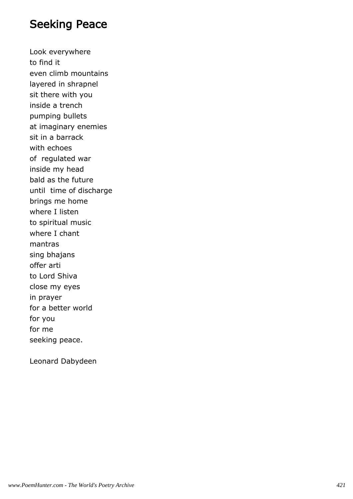#### Seeking Peace

Look everywhere to find it even climb mountains layered in shrapnel sit there with you inside a trench pumping bullets at imaginary enemies sit in a barrack with echoes of regulated war inside my head bald as the future until time of discharge brings me home where I listen to spiritual music where I chant mantras sing bhajans offer arti to Lord Shiva close my eyes in prayer for a better world for you for me seeking peace.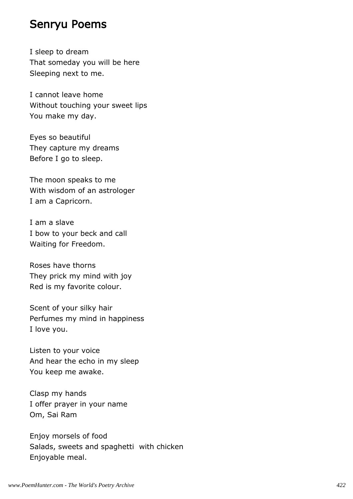#### Senryu Poems

I sleep to dream That someday you will be here Sleeping next to me.

I cannot leave home Without touching your sweet lips You make my day.

Eyes so beautiful They capture my dreams Before I go to sleep.

The moon speaks to me With wisdom of an astrologer I am a Capricorn.

I am a slave I bow to your beck and call Waiting for Freedom.

Roses have thorns They prick my mind with joy Red is my favorite colour.

Scent of your silky hair Perfumes my mind in happiness I love you.

Listen to your voice And hear the echo in my sleep You keep me awake.

Clasp my hands I offer prayer in your name Om, Sai Ram

Enjoy morsels of food Salads, sweets and spaghetti with chicken Enjoyable meal.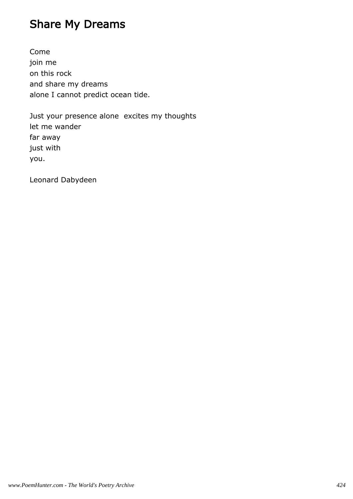## Share My Dreams

Come join me on this rock and share my dreams alone I cannot predict ocean tide.

Just your presence alone excites my thoughts let me wander far away just with you.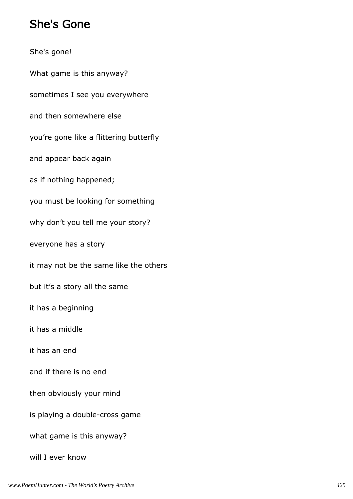#### She's Gone

She's gone! What game is this anyway? sometimes I see you everywhere and then somewhere else you're gone like a flittering butterfly and appear back again as if nothing happened; you must be looking for something why don't you tell me your story? everyone has a story it may not be the same like the others but it's a story all the same it has a beginning it has a middle it has an end and if there is no end then obviously your mind is playing a double-cross game what game is this anyway? will I ever know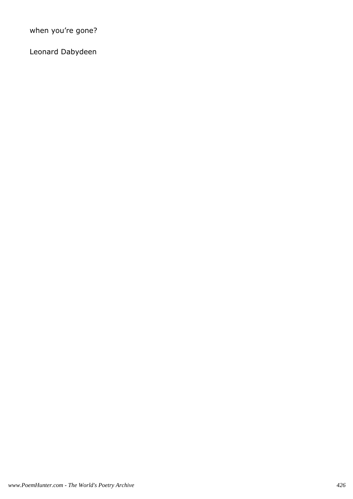when you're gone?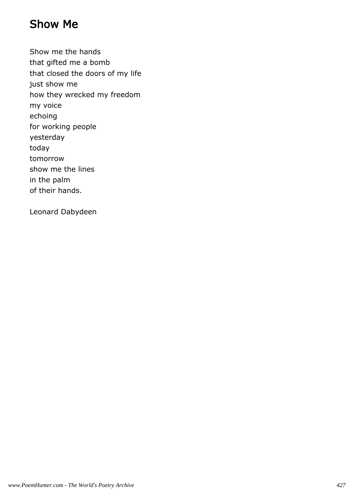### Show Me

Show me the hands that gifted me a bomb that closed the doors of my life just show me how they wrecked my freedom my voice echoing for working people yesterday today tomorrow show me the lines in the palm of their hands.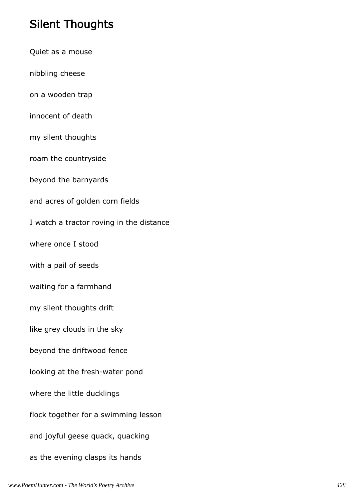## Silent Thoughts

Quiet as a mouse nibbling cheese on a wooden trap innocent of death my silent thoughts roam the countryside beyond the barnyards and acres of golden corn fields I watch a tractor roving in the distance where once I stood with a pail of seeds waiting for a farmhand my silent thoughts drift like grey clouds in the sky beyond the driftwood fence looking at the fresh-water pond where the little ducklings flock together for a swimming lesson and joyful geese quack, quacking as the evening clasps its hands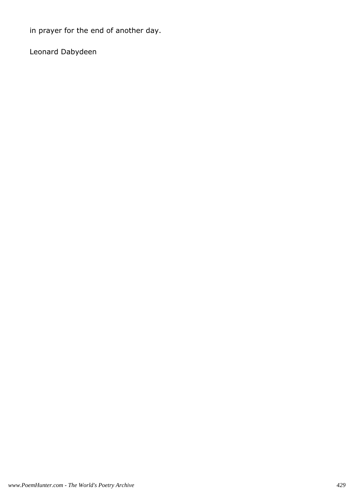in prayer for the end of another day.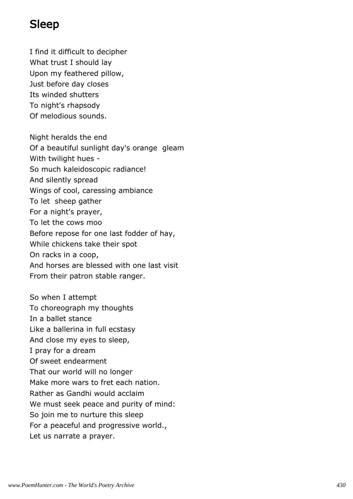## Sleep

I find it difficult to decipher What trust I should lay Upon my feathered pillow, Just before day closes Its winded shutters To night's rhapsody Of melodious sounds.

Night heralds the end Of a beautiful sunlight day's orange gleam With twilight hues - So much kaleidoscopic radiance! And silently spread Wings of cool, caressing ambiance To let sheep gather For a night's prayer, To let the cows moo Before repose for one last fodder of hay, While chickens take their spot On racks in a coop, And horses are blessed with one last visit From their patron stable ranger.

So when I attempt To choreograph my thoughts In a ballet stance Like a ballerina in full ecstasy And close my eyes to sleep, I pray for a dream Of sweet endearment That our world will no longer Make more wars to fret each nation. Rather as Gandhi would acclaim We must seek peace and purity of mind: So join me to nurture this sleep For a peaceful and progressive world., Let us narrate a prayer.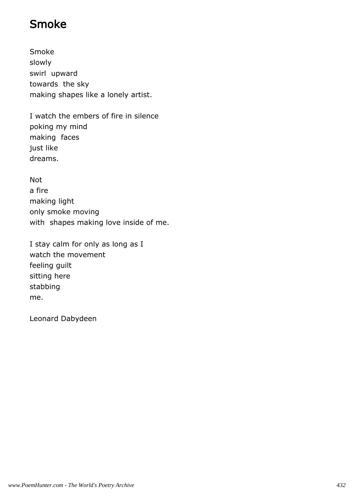## Smoke

Smoke slowly swirl upward towards the sky making shapes like a lonely artist.

I watch the embers of fire in silence poking my mind making faces just like dreams.

Not

a fire making light only smoke moving with shapes making love inside of me.

I stay calm for only as long as I watch the movement feeling guilt sitting here stabbing me.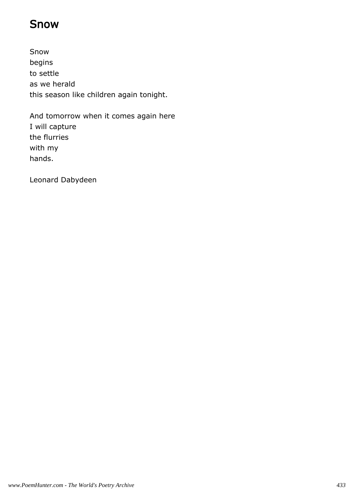### Snow

Snow begins to settle as we herald this season like children again tonight.

And tomorrow when it comes again here I will capture the flurries with my hands.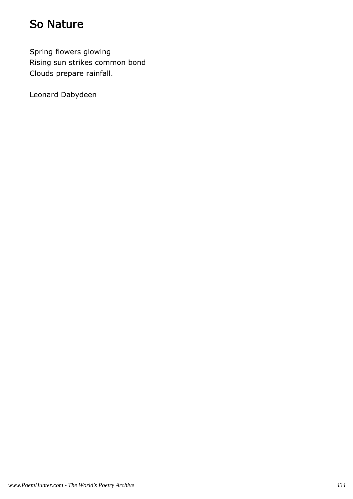## So Nature

Spring flowers glowing Rising sun strikes common bond Clouds prepare rainfall.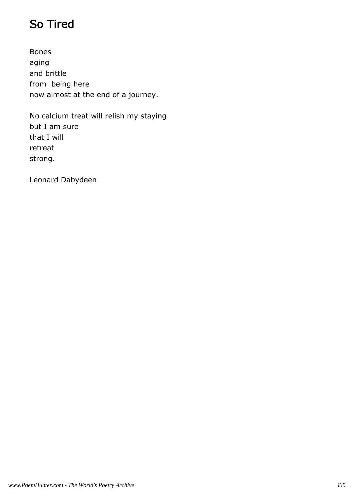# So Tired

Bones aging and brittle from being here now almost at the end of a journey.

No calcium treat will relish my staying but I am sure that I will retreat strong.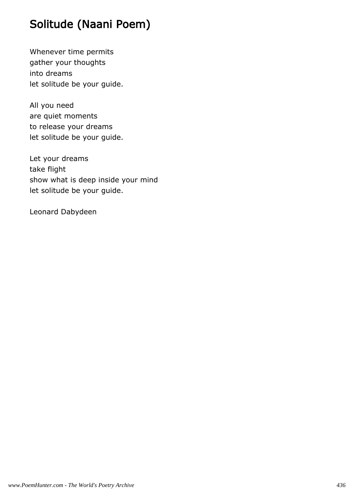# Solitude (Naani Poem)

Whenever time permits gather your thoughts into dreams let solitude be your guide.

All you need are quiet moments to release your dreams let solitude be your guide.

Let your dreams take flight show what is deep inside your mind let solitude be your guide.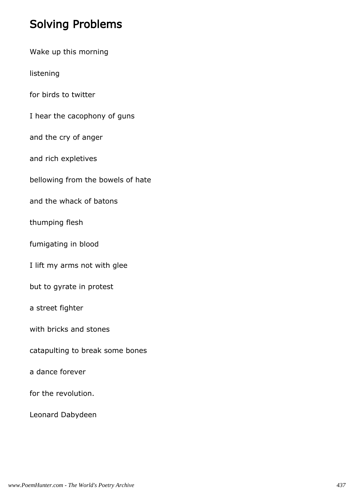## Solving Problems

|  |  |  | Wake up this morning |
|--|--|--|----------------------|
|--|--|--|----------------------|

listening

for birds to twitter

I hear the cacophony of guns

and the cry of anger

and rich expletives

bellowing from the bowels of hate

and the whack of batons

thumping flesh

fumigating in blood

I lift my arms not with glee

but to gyrate in protest

a street fighter

with bricks and stones

catapulting to break some bones

a dance forever

for the revolution.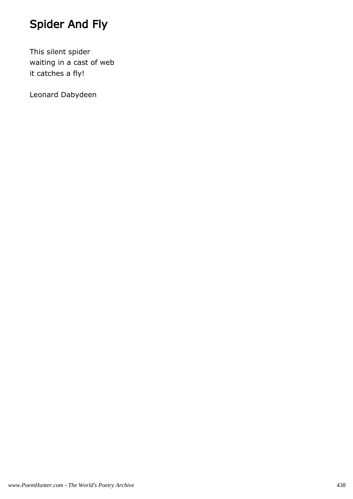# Spider And Fly

This silent spider waiting in a cast of web it catches a fly!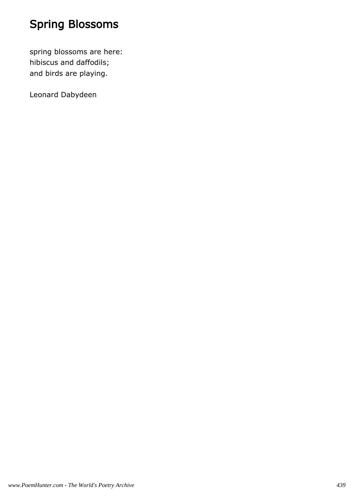# Spring Blossoms

spring blossoms are here: hibiscus and daffodils; and birds are playing.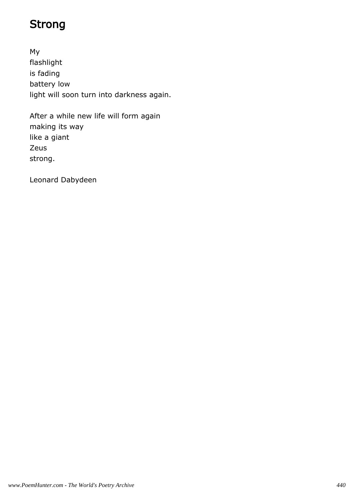# Strong

My flashlight is fading battery low light will soon turn into darkness again.

After a while new life will form again making its way like a giant Zeus strong.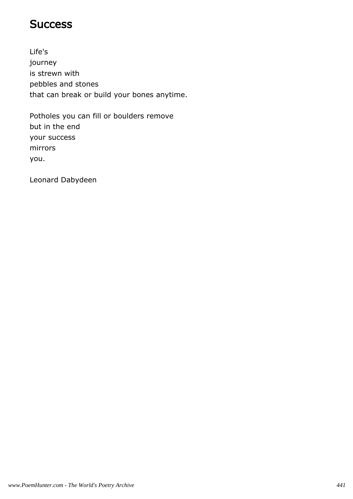### **Success**

Life's journey is strewn with pebbles and stones that can break or build your bones anytime.

Potholes you can fill or boulders remove but in the end your success mirrors you.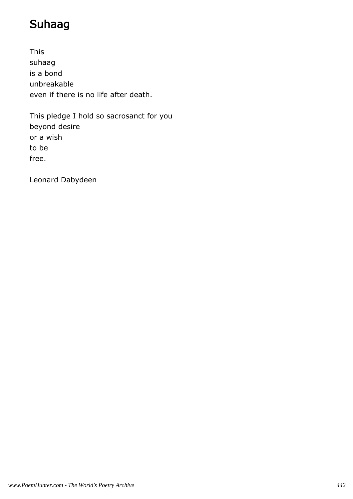# Suhaag

This suhaag is a bond unbreakable even if there is no life after death.

This pledge I hold so sacrosanct for you beyond desire or a wish to be free.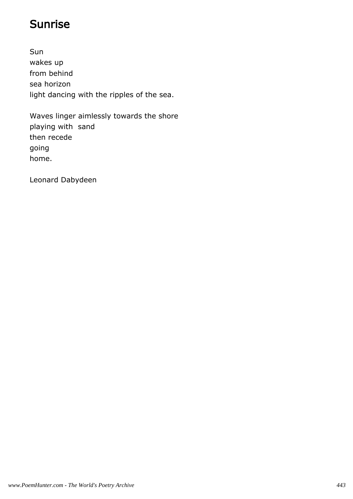## Sunrise

Sun wakes up from behind sea horizon light dancing with the ripples of the sea.

Waves linger aimlessly towards the shore playing with sand then recede going home.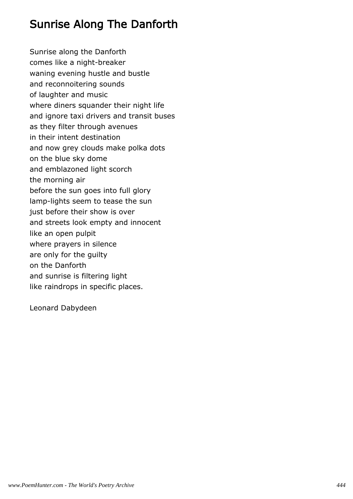## Sunrise Along The Danforth

Sunrise along the Danforth comes like a night-breaker waning evening hustle and bustle and reconnoitering sounds of laughter and music where diners squander their night life and ignore taxi drivers and transit buses as they filter through avenues in their intent destination and now grey clouds make polka dots on the blue sky dome and emblazoned light scorch the morning air before the sun goes into full glory lamp-lights seem to tease the sun just before their show is over and streets look empty and innocent like an open pulpit where prayers in silence are only for the guilty on the Danforth and sunrise is filtering light like raindrops in specific places.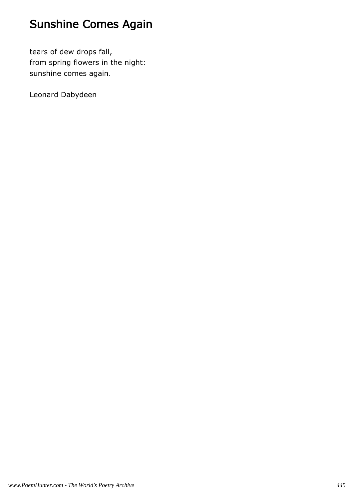# Sunshine Comes Again

tears of dew drops fall, from spring flowers in the night: sunshine comes again.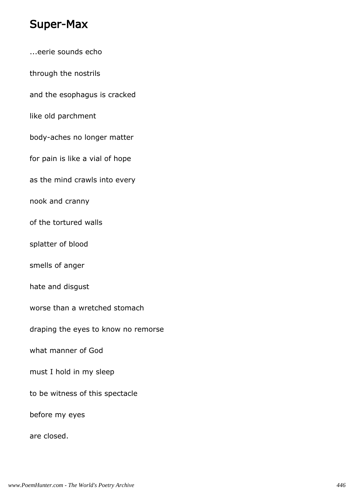### Super-Max

...eerie sounds echo through the nostrils and the esophagus is cracked like old parchment body-aches no longer matter for pain is like a vial of hope as the mind crawls into every nook and cranny of the tortured walls splatter of blood smells of anger hate and disgust worse than a wretched stomach draping the eyes to know no remorse what manner of God must I hold in my sleep to be witness of this spectacle before my eyes are closed.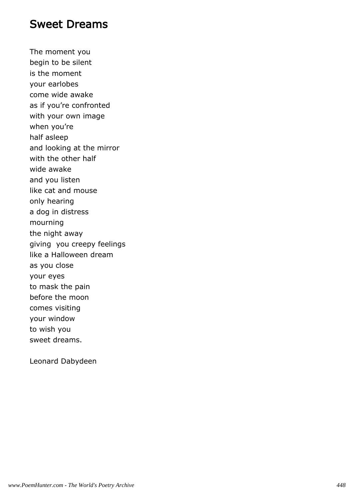### Sweet Dreams

The moment you begin to be silent is the moment your earlobes come wide awake as if you're confronted with your own image when you're half asleep and looking at the mirror with the other half wide awake and you listen like cat and mouse only hearing a dog in distress mourning the night away giving you creepy feelings like a Halloween dream as you close your eyes to mask the pain before the moon comes visiting your window to wish you sweet dreams.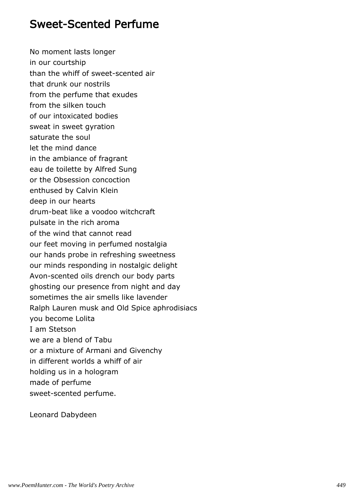### Sweet-Scented Perfume

No moment lasts longer in our courtship than the whiff of sweet-scented air that drunk our nostrils from the perfume that exudes from the silken touch of our intoxicated bodies sweat in sweet gyration saturate the soul let the mind dance in the ambiance of fragrant eau de toilette by Alfred Sung or the Obsession concoction enthused by Calvin Klein deep in our hearts drum-beat like a voodoo witchcraft pulsate in the rich aroma of the wind that cannot read our feet moving in perfumed nostalgia our hands probe in refreshing sweetness our minds responding in nostalgic delight Avon-scented oils drench our body parts ghosting our presence from night and day sometimes the air smells like lavender Ralph Lauren musk and Old Spice aphrodisiacs you become Lolita I am Stetson we are a blend of Tabu or a mixture of Armani and Givenchy in different worlds a whiff of air holding us in a hologram made of perfume sweet-scented perfume.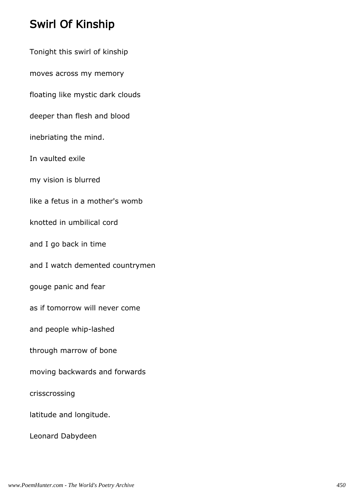## Swirl Of Kinship

Tonight this swirl of kinship moves across my memory floating like mystic dark clouds deeper than flesh and blood inebriating the mind. In vaulted exile my vision is blurred like a fetus in a mother's womb knotted in umbilical cord and I go back in time and I watch demented countrymen gouge panic and fear as if tomorrow will never come and people whip-lashed through marrow of bone moving backwards and forwards crisscrossing latitude and longitude. Leonard Dabydeen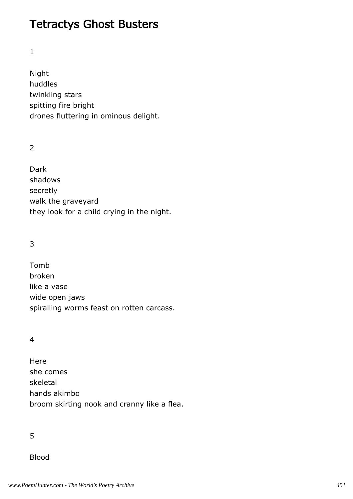### Tetractys Ghost Busters

#### 1

Night huddles twinkling stars spitting fire bright drones fluttering in ominous delight.

 $\overline{2}$ 

Dark shadows secretly walk the graveyard they look for a child crying in the night.

### 3

Tomb broken like a vase wide open jaws spiralling worms feast on rotten carcass.

#### 4

Here she comes skeletal hands akimbo broom skirting nook and cranny like a flea.

5

Blood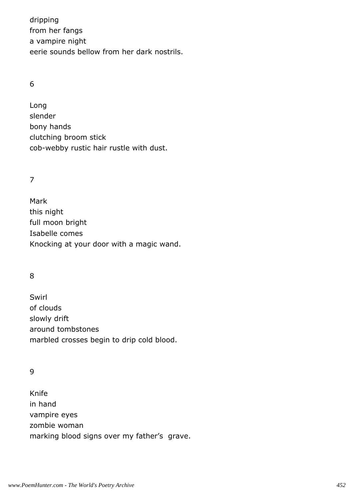dripping from her fangs a vampire night eerie sounds bellow from her dark nostrils.

#### 6

Long slender bony hands clutching broom stick cob-webby rustic hair rustle with dust.

### 7

Mark this night full moon bright Isabelle comes Knocking at your door with a magic wand.

### 8

Swirl of clouds slowly drift around tombstones marbled crosses begin to drip cold blood.

#### 9

Knife in hand vampire eyes zombie woman marking blood signs over my father's grave.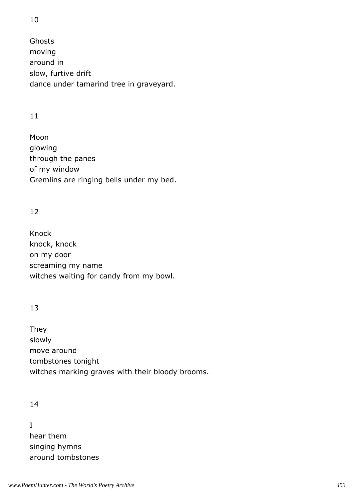Ghosts moving around in slow, furtive drift dance under tamarind tree in graveyard.

### 11

Moon glowing through the panes of my window Gremlins are ringing bells under my bed.

### 12

Knock knock, knock on my door screaming my name witches waiting for candy from my bowl.

### 13

They slowly move around tombstones tonight witches marking graves with their bloody brooms.

### 14

I hear them singing hymns around tombstones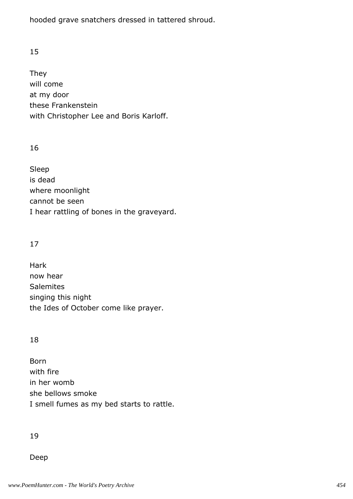hooded grave snatchers dressed in tattered shroud.

### 15

They will come at my door these Frankenstein with Christopher Lee and Boris Karloff.

#### 16

Sleep is dead where moonlight cannot be seen I hear rattling of bones in the graveyard.

### 17

Hark now hear **Salemites** singing this night the Ides of October come like prayer.

#### 18

Born with fire in her womb she bellows smoke I smell fumes as my bed starts to rattle.

#### 19

Deep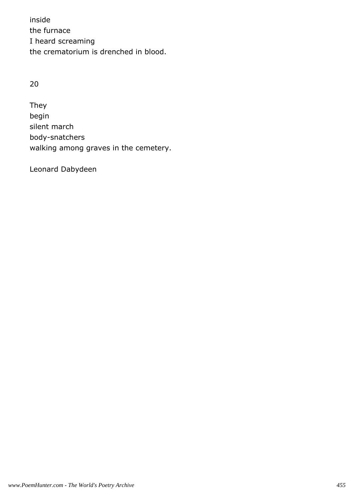inside the furnace I heard screaming the crematorium is drenched in blood.

### 20

They begin silent march body-snatchers walking among graves in the cemetery.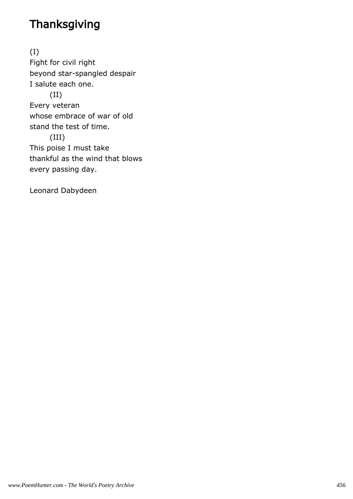# **Thanksgiving**

(I) Fight for civil right beyond star-spangled despair I salute each one. (II) Every veteran whose embrace of war of old stand the test of time. (III) This poise I must take thankful as the wind that blows every passing day.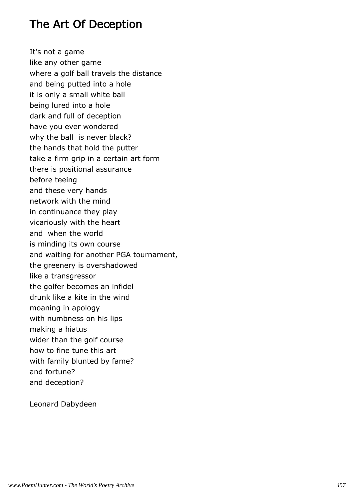### The Art Of Deception

It's not a game like any other game where a golf ball travels the distance and being putted into a hole it is only a small white ball being lured into a hole dark and full of deception have you ever wondered why the ball is never black? the hands that hold the putter take a firm grip in a certain art form there is positional assurance before teeing and these very hands network with the mind in continuance they play vicariously with the heart and when the world is minding its own course and waiting for another PGA tournament, the greenery is overshadowed like a transgressor the golfer becomes an infidel drunk like a kite in the wind moaning in apology with numbness on his lips making a hiatus wider than the golf course how to fine tune this art with family blunted by fame? and fortune? and deception?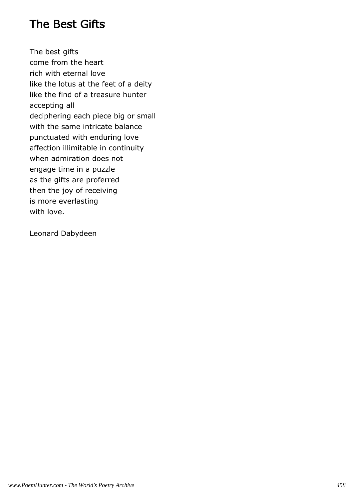### The Best Gifts

The best gifts come from the heart rich with eternal love like the lotus at the feet of a deity like the find of a treasure hunter accepting all deciphering each piece big or small with the same intricate balance punctuated with enduring love affection illimitable in continuity when admiration does not engage time in a puzzle as the gifts are proferred then the joy of receiving is more everlasting with love.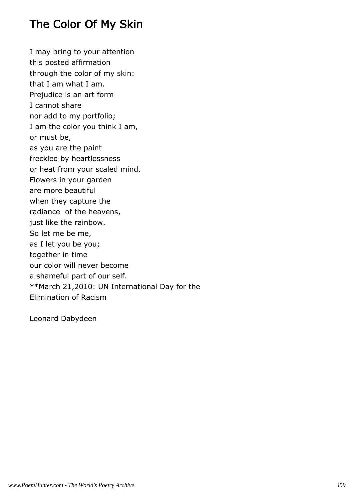## The Color Of My Skin

I may bring to your attention this posted affirmation through the color of my skin: that I am what I am. Prejudice is an art form I cannot share nor add to my portfolio; I am the color you think I am, or must be, as you are the paint freckled by heartlessness or heat from your scaled mind. Flowers in your garden are more beautiful when they capture the radiance of the heavens, just like the rainbow. So let me be me, as I let you be you; together in time our color will never become a shameful part of our self. \*\*March 21,2010: UN International Day for the Elimination of Racism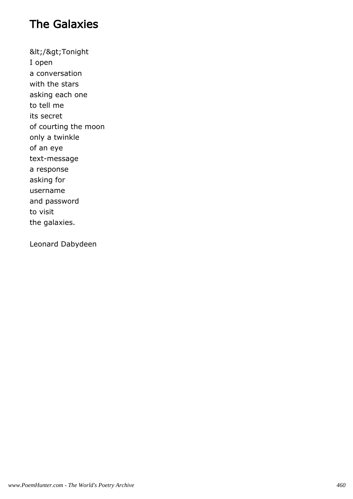# The Galaxies

</&gt;Tonight I open a conversation with the stars asking each one to tell me its secret of courting the moon only a twinkle of an eye text-message a response asking for username and password to visit the galaxies.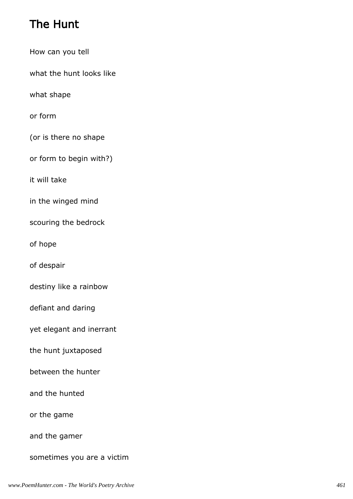# The Hunt

- How can you tell what the hunt looks like what shape or form (or is there no shape or form to begin with?) it will take in the winged mind scouring the bedrock of hope of despair destiny like a rainbow defiant and daring
- yet elegant and inerrant
- the hunt juxtaposed
- between the hunter
- and the hunted
- or the game
- and the gamer
- sometimes you are a victim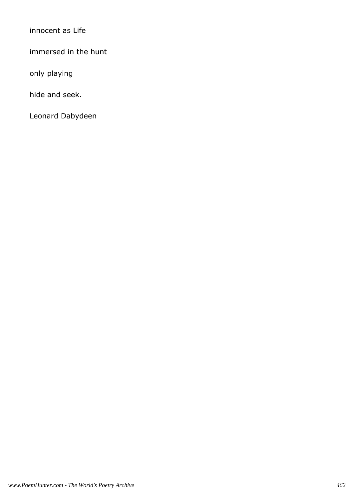innocent as Life

immersed in the hunt

only playing

hide and seek.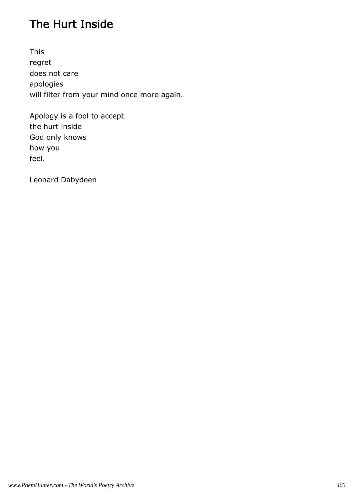# The Hurt Inside

This regret does not care apologies will filter from your mind once more again.

Apology is a fool to accept the hurt inside God only knows how you feel.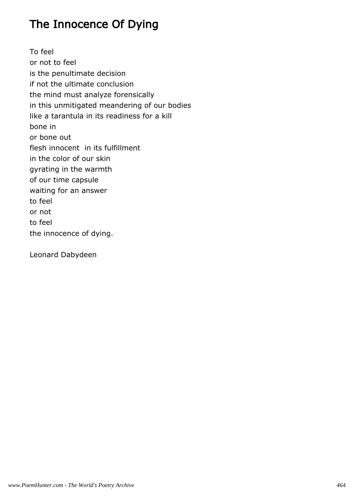# The Innocence Of Dying

To feel or not to feel is the penultimate decision if not the ultimate conclusion the mind must analyze forensically in this unmitigated meandering of our bodies like a tarantula in its readiness for a kill bone in or bone out flesh innocent in its fulfillment in the color of our skin gyrating in the warmth of our time capsule waiting for an answer to feel or not to feel the innocence of dying.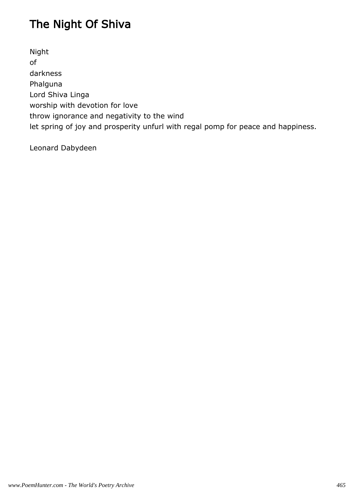# The Night Of Shiva

Night of darkness Phalguna Lord Shiva Linga worship with devotion for love throw ignorance and negativity to the wind let spring of joy and prosperity unfurl with regal pomp for peace and happiness.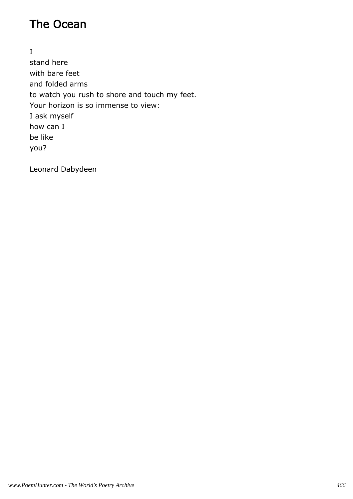# The Ocean

I stand here with bare feet and folded arms to watch you rush to shore and touch my feet. Your horizon is so immense to view: I ask myself how can I be like you?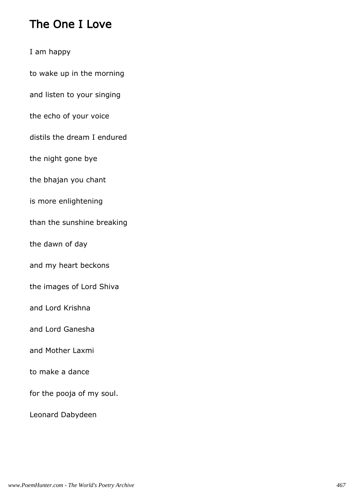## The One I Love

I am happy

to wake up in the morning

and listen to your singing

the echo of your voice

distils the dream I endured

the night gone bye

the bhajan you chant

is more enlightening

than the sunshine breaking

the dawn of day

and my heart beckons

the images of Lord Shiva

and Lord Krishna

and Lord Ganesha

and Mother Laxmi

to make a dance

for the pooja of my soul.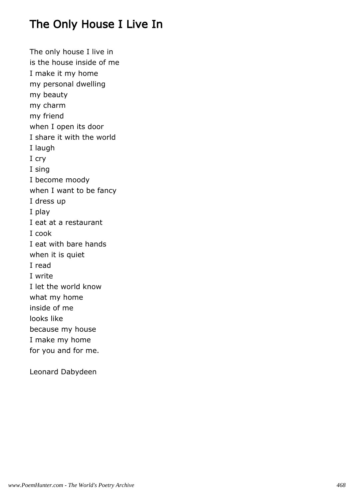# The Only House I Live In

The only house I live in is the house inside of me I make it my home my personal dwelling my beauty my charm my friend when I open its door I share it with the world I laugh I cry I sing I become moody when I want to be fancy I dress up I play I eat at a restaurant I cook I eat with bare hands when it is quiet I read I write I let the world know what my home inside of me looks like because my house I make my home for you and for me.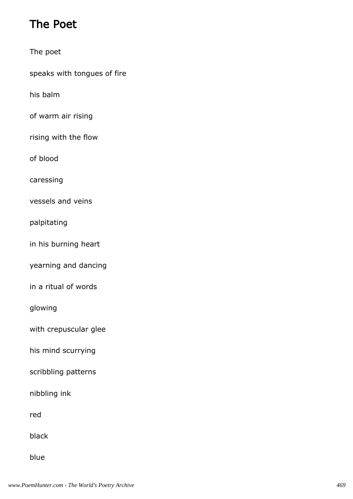# The Poet

The poet

speaks with tongues of fire

his balm

of warm air rising

rising with the flow

of blood

caressing

vessels and veins

palpitating

in his burning heart

yearning and dancing

in a ritual of words

glowing

with crepuscular glee

his mind scurrying

scribbling patterns

nibbling ink

red

black

blue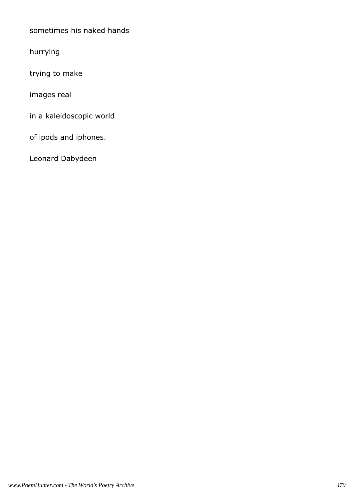sometimes his naked hands

hurrying

trying to make

images real

in a kaleidoscopic world

of ipods and iphones.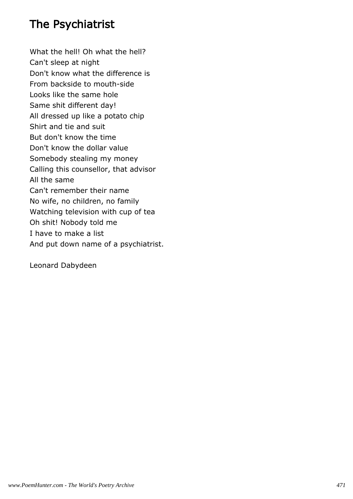### The Psychiatrist

What the hell! Oh what the hell? Can't sleep at night Don't know what the difference is From backside to mouth-side Looks like the same hole Same shit different day! All dressed up like a potato chip Shirt and tie and suit But don't know the time Don't know the dollar value Somebody stealing my money Calling this counsellor, that advisor All the same Can't remember their name No wife, no children, no family Watching television with cup of tea Oh shit! Nobody told me I have to make a list And put down name of a psychiatrist.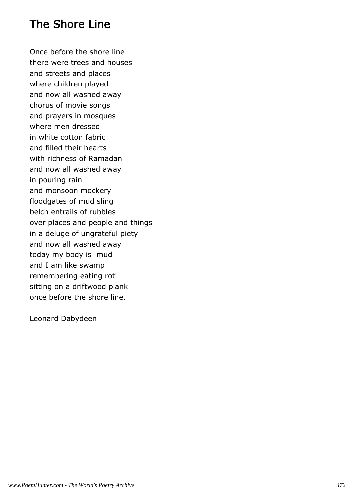## The Shore Line

Once before the shore line there were trees and houses and streets and places where children played and now all washed away chorus of movie songs and prayers in mosques where men dressed in white cotton fabric and filled their hearts with richness of Ramadan and now all washed away in pouring rain and monsoon mockery floodgates of mud sling belch entrails of rubbles over places and people and things in a deluge of ungrateful piety and now all washed away today my body is mud and I am like swamp remembering eating roti sitting on a driftwood plank once before the shore line.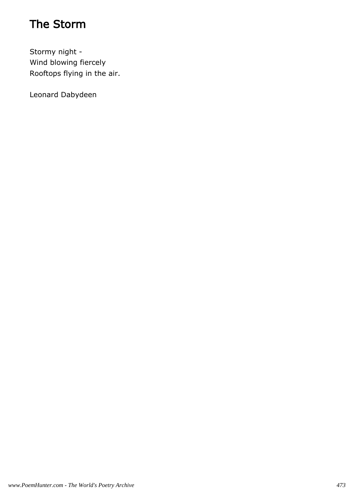# The Storm

Stormy night - Wind blowing fiercely Rooftops flying in the air.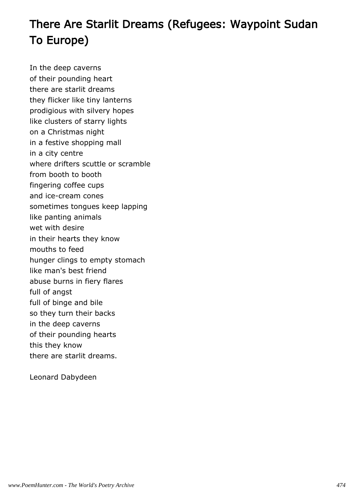# There Are Starlit Dreams (Refugees: Waypoint Sudan To Europe)

In the deep caverns of their pounding heart there are starlit dreams they flicker like tiny lanterns prodigious with silvery hopes like clusters of starry lights on a Christmas night in a festive shopping mall in a city centre where drifters scuttle or scramble from booth to booth fingering coffee cups and ice-cream cones sometimes tongues keep lapping like panting animals wet with desire in their hearts they know mouths to feed hunger clings to empty stomach like man's best friend abuse burns in fiery flares full of angst full of binge and bile so they turn their backs in the deep caverns of their pounding hearts this they know there are starlit dreams.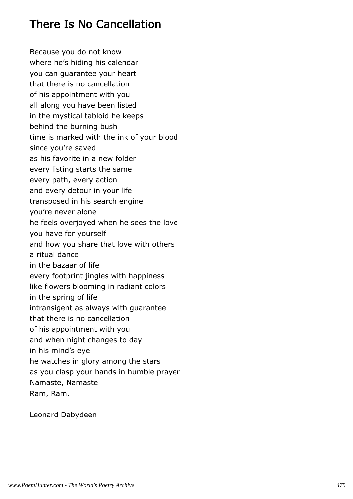# There Is No Cancellation

Because you do not know where he's hiding his calendar you can guarantee your heart that there is no cancellation of his appointment with you all along you have been listed in the mystical tabloid he keeps behind the burning bush time is marked with the ink of your blood since you're saved as his favorite in a new folder every listing starts the same every path, every action and every detour in your life transposed in his search engine you're never alone he feels overjoyed when he sees the love you have for yourself and how you share that love with others a ritual dance in the bazaar of life every footprint jingles with happiness like flowers blooming in radiant colors in the spring of life intransigent as always with guarantee that there is no cancellation of his appointment with you and when night changes to day in his mind's eye he watches in glory among the stars as you clasp your hands in humble prayer Namaste, Namaste Ram, Ram.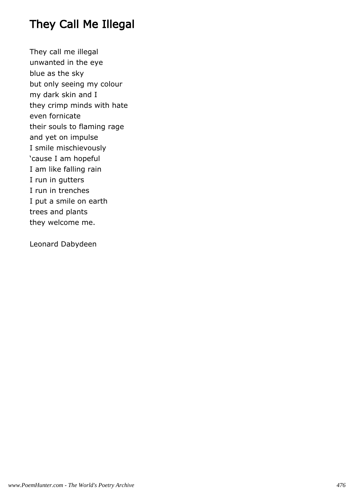# They Call Me Illegal

They call me illegal unwanted in the eye blue as the sky but only seeing my colour my dark skin and I they crimp minds with hate even fornicate their souls to flaming rage and yet on impulse I smile mischievously 'cause I am hopeful I am like falling rain I run in gutters I run in trenches I put a smile on earth trees and plants they welcome me.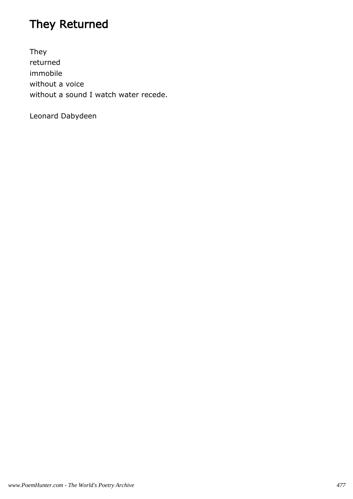# They Returned

They returned immobile without a voice without a sound I watch water recede.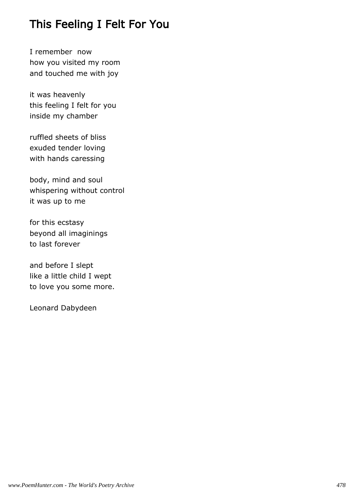# This Feeling I Felt For You

I remember now how you visited my room and touched me with joy

it was heavenly this feeling I felt for you inside my chamber

ruffled sheets of bliss exuded tender loving with hands caressing

body, mind and soul whispering without control it was up to me

for this ecstasy beyond all imaginings to last forever

and before I slept like a little child I wept to love you some more.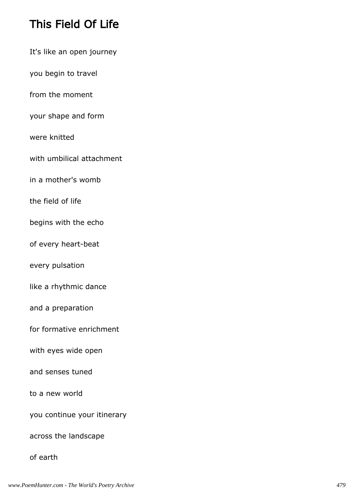# This Field Of Life

- It's like an open journey
- you begin to travel
- from the moment
- your shape and form
- were knitted
- with umbilical attachment
- in a mother's womb
- the field of life
- begins with the echo
- of every heart-beat
- every pulsation
- like a rhythmic dance
- and a preparation
- for formative enrichment
- with eyes wide open
- and senses tuned
- to a new world
- you continue your itinerary
- across the landscape

#### of earth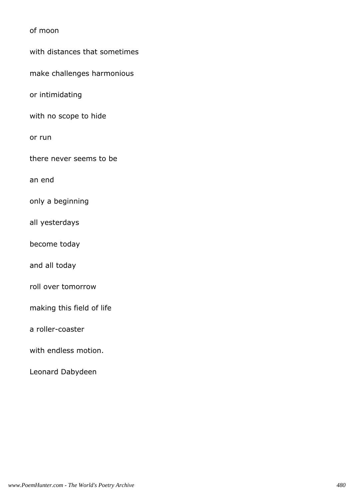of moon

with distances that sometimes

make challenges harmonious

or intimidating

with no scope to hide

or run

there never seems to be

an end

only a beginning

all yesterdays

become today

and all today

roll over tomorrow

making this field of life

a roller-coaster

with endless motion.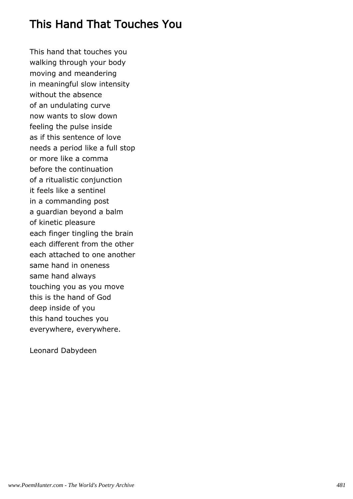# This Hand That Touches You

This hand that touches you walking through your body moving and meandering in meaningful slow intensity without the absence of an undulating curve now wants to slow down feeling the pulse inside as if this sentence of love needs a period like a full stop or more like a comma before the continuation of a ritualistic conjunction it feels like a sentinel in a commanding post a guardian beyond a balm of kinetic pleasure each finger tingling the brain each different from the other each attached to one another same hand in oneness same hand always touching you as you move this is the hand of God deep inside of you this hand touches you everywhere, everywhere.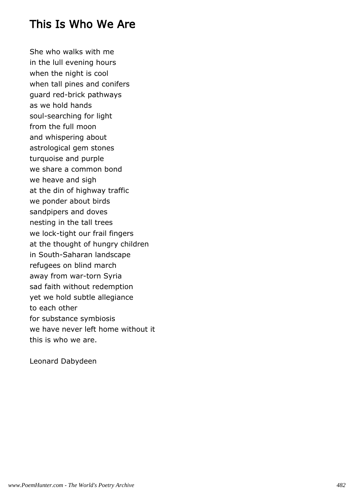#### This Is Who We Are

She who walks with me in the lull evening hours when the night is cool when tall pines and conifers guard red-brick pathways as we hold hands soul-searching for light from the full moon and whispering about astrological gem stones turquoise and purple we share a common bond we heave and sigh at the din of highway traffic we ponder about birds sandpipers and doves nesting in the tall trees we lock-tight our frail fingers at the thought of hungry children in South-Saharan landscape refugees on blind march away from war-torn Syria sad faith without redemption yet we hold subtle allegiance to each other for substance symbiosis we have never left home without it this is who we are.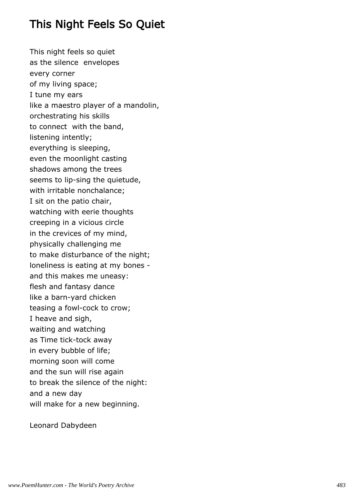# This Night Feels So Quiet

This night feels so quiet as the silence envelopes every corner of my living space; I tune my ears like a maestro player of a mandolin, orchestrating his skills to connect with the band, listening intently; everything is sleeping, even the moonlight casting shadows among the trees seems to lip-sing the quietude, with irritable nonchalance; I sit on the patio chair, watching with eerie thoughts creeping in a vicious circle in the crevices of my mind, physically challenging me to make disturbance of the night; loneliness is eating at my bones and this makes me uneasy: flesh and fantasy dance like a barn-yard chicken teasing a fowl-cock to crow; I heave and sigh, waiting and watching as Time tick-tock away in every bubble of life; morning soon will come and the sun will rise again to break the silence of the night: and a new day will make for a new beginning.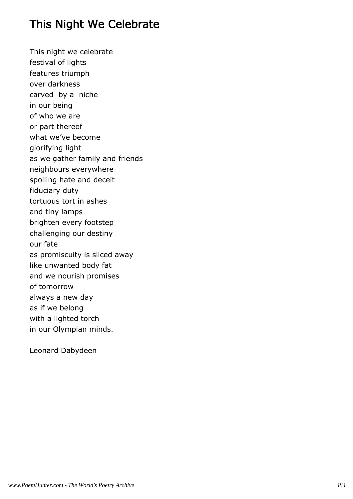# This Night We Celebrate

This night we celebrate festival of lights features triumph over darkness carved by a niche in our being of who we are or part thereof what we've become glorifying light as we gather family and friends neighbours everywhere spoiling hate and deceit fiduciary duty tortuous tort in ashes and tiny lamps brighten every footstep challenging our destiny our fate as promiscuity is sliced away like unwanted body fat and we nourish promises of tomorrow always a new day as if we belong with a lighted torch in our Olympian minds.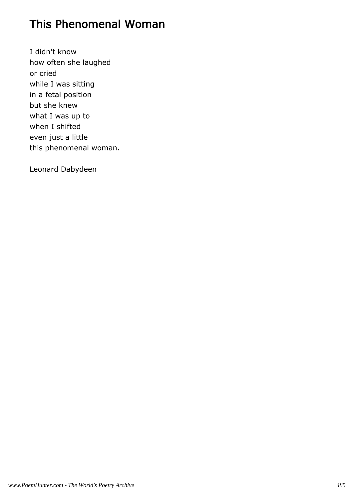### This Phenomenal Woman

I didn't know how often she laughed or cried while I was sitting in a fetal position but she knew what I was up to when I shifted even just a little this phenomenal woman.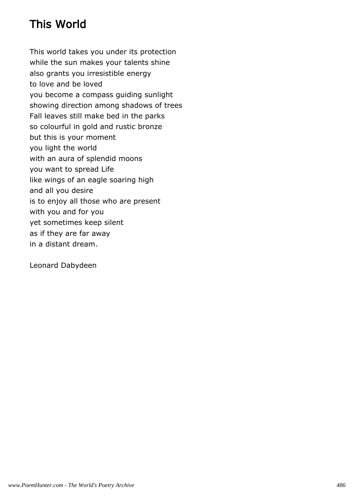# This World

This world takes you under its protection while the sun makes your talents shine also grants you irresistible energy to love and be loved you become a compass guiding sunlight showing direction among shadows of trees Fall leaves still make bed in the parks so colourful in gold and rustic bronze but this is your moment you light the world with an aura of splendid moons you want to spread Life like wings of an eagle soaring high and all you desire is to enjoy all those who are present with you and for you yet sometimes keep silent as if they are far away in a distant dream.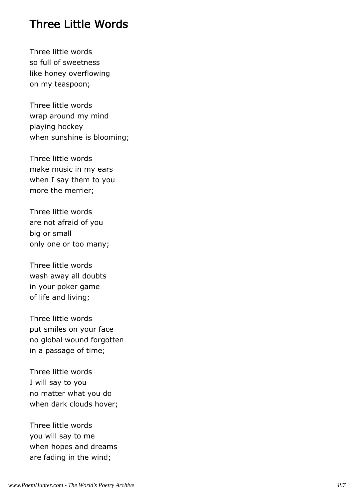#### Three Little Words

Three little words so full of sweetness like honey overflowing on my teaspoon;

Three little words wrap around my mind playing hockey when sunshine is blooming;

Three little words make music in my ears when I say them to you more the merrier;

Three little words are not afraid of you big or small only one or too many;

Three little words wash away all doubts in your poker game of life and living;

Three little words put smiles on your face no global wound forgotten in a passage of time;

Three little words I will say to you no matter what you do when dark clouds hover;

Three little words you will say to me when hopes and dreams are fading in the wind;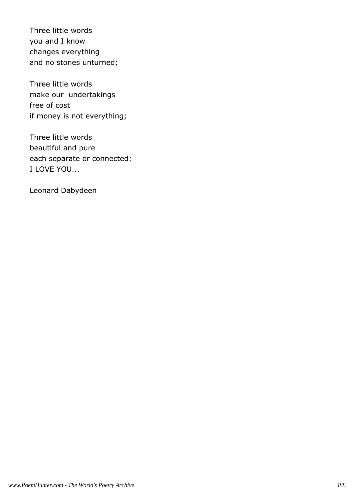Three little words you and I know changes everything and no stones unturned;

Three little words make our undertakings free of cost if money is not everything;

Three little words beautiful and pure each separate or connected: I LOVE YOU...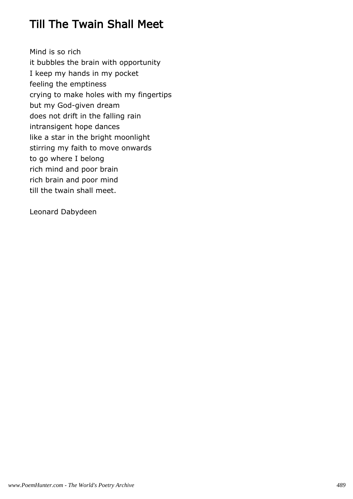# Till The Twain Shall Meet

Mind is so rich it bubbles the brain with opportunity I keep my hands in my pocket feeling the emptiness crying to make holes with my fingertips but my God-given dream does not drift in the falling rain intransigent hope dances like a star in the bright moonlight stirring my faith to move onwards to go where I belong rich mind and poor brain rich brain and poor mind till the twain shall meet.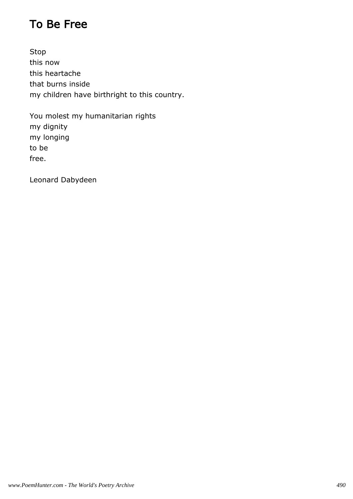# To Be Free

Stop this now this heartache that burns inside my children have birthright to this country.

You molest my humanitarian rights my dignity my longing to be free.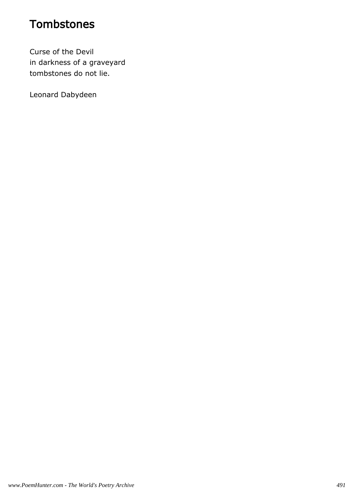# **Tombstones**

Curse of the Devil in darkness of a graveyard tombstones do not lie.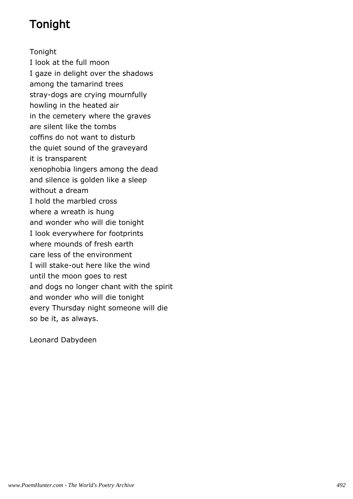# Tonight

Tonight I look at the full moon I gaze in delight over the shadows among the tamarind trees stray-dogs are crying mournfully howling in the heated air in the cemetery where the graves are silent like the tombs coffins do not want to disturb the quiet sound of the graveyard it is transparent xenophobia lingers among the dead and silence is golden like a sleep without a dream I hold the marbled cross where a wreath is hung and wonder who will die tonight I look everywhere for footprints where mounds of fresh earth care less of the environment I will stake-out here like the wind until the moon goes to rest and dogs no longer chant with the spirit and wonder who will die tonight every Thursday night someone will die so be it, as always.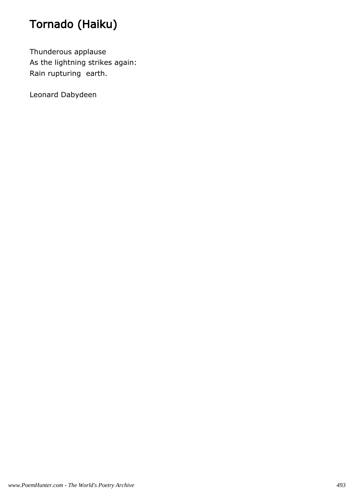# Tornado (Haiku)

Thunderous applause As the lightning strikes again: Rain rupturing earth.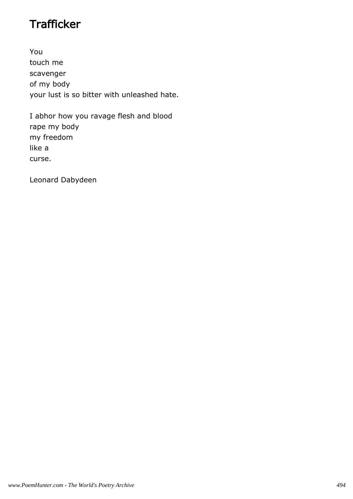# **Trafficker**

You touch me scavenger of my body your lust is so bitter with unleashed hate.

I abhor how you ravage flesh and blood rape my body my freedom like a curse.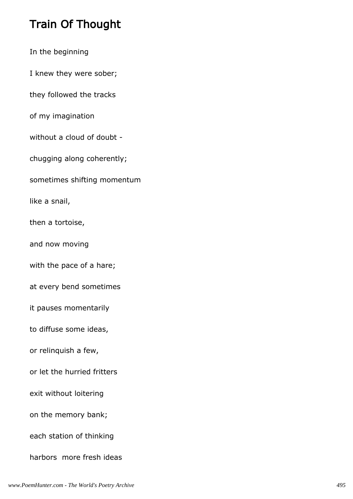# Train Of Thought

In the beginning I knew they were sober; they followed the tracks of my imagination without a cloud of doubt chugging along coherently; sometimes shifting momentum like a snail, then a tortoise, and now moving with the pace of a hare; at every bend sometimes it pauses momentarily to diffuse some ideas, or relinquish a few, or let the hurried fritters exit without loitering on the memory bank; each station of thinking harbors more fresh ideas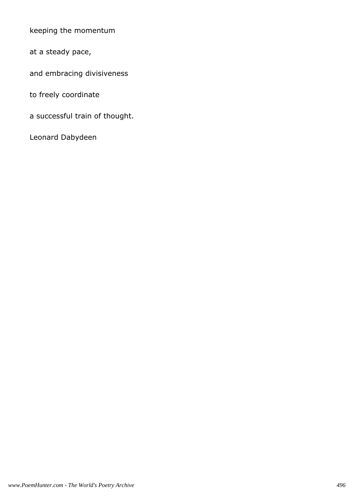keeping the momentum

at a steady pace,

and embracing divisiveness

to freely coordinate

a successful train of thought.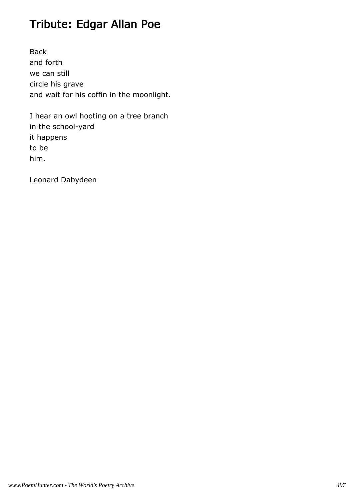# Tribute: Edgar Allan Poe

Back and forth we can still circle his grave and wait for his coffin in the moonlight.

I hear an owl hooting on a tree branch in the school-yard it happens to be him.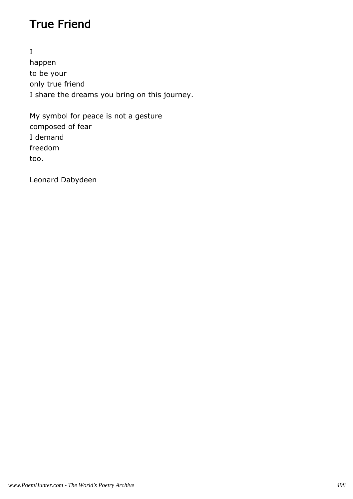# True Friend

I happen to be your only true friend I share the dreams you bring on this journey.

My symbol for peace is not a gesture composed of fear I demand freedom too.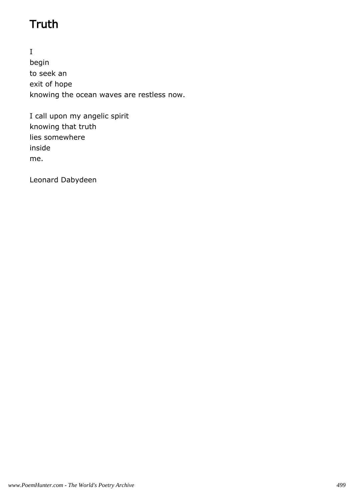# **Truth**

I begin to seek an exit of hope knowing the ocean waves are restless now.

I call upon my angelic spirit knowing that truth lies somewhere inside me.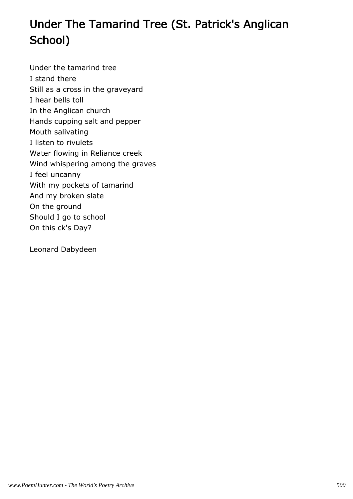# Under The Tamarind Tree (St. Patrick's Anglican School)

Under the tamarind tree I stand there Still as a cross in the graveyard I hear bells toll In the Anglican church Hands cupping salt and pepper Mouth salivating I listen to rivulets Water flowing in Reliance creek Wind whispering among the graves I feel uncanny With my pockets of tamarind And my broken slate On the ground Should I go to school On this ck's Day?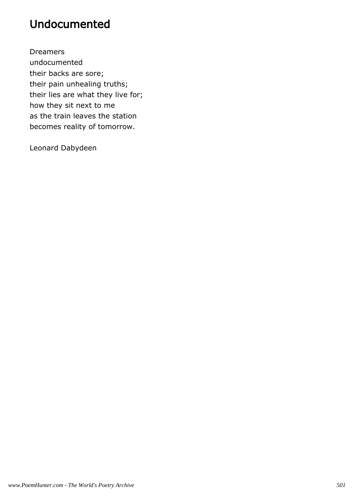# Undocumented

Dreamers undocumented their backs are sore; their pain unhealing truths; their lies are what they live for; how they sit next to me as the train leaves the station becomes reality of tomorrow.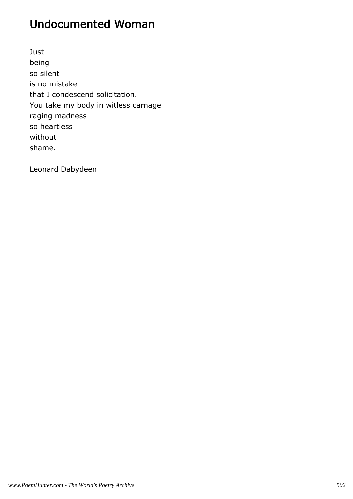# Undocumented Woman

Just being so silent is no mistake that I condescend solicitation. You take my body in witless carnage raging madness so heartless without shame.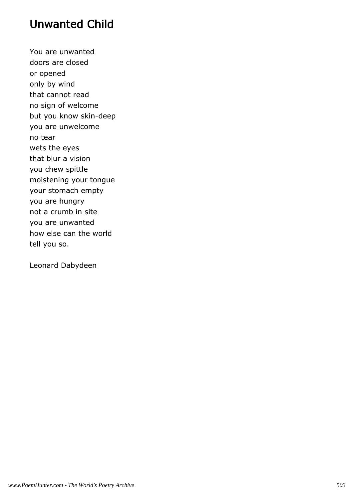# Unwanted Child

You are unwanted doors are closed or opened only by wind that cannot read no sign of welcome but you know skin-deep you are unwelcome no tear wets the eyes that blur a vision you chew spittle moistening your tongue your stomach empty you are hungry not a crumb in site you are unwanted how else can the world tell you so.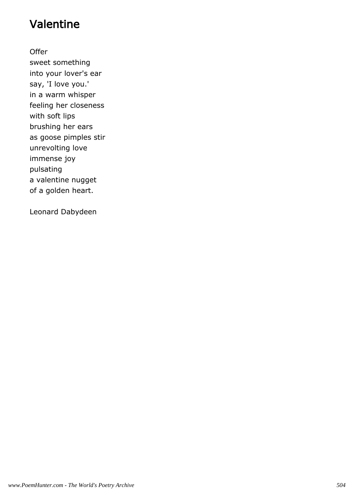# Valentine

**Offer** 

sweet something into your lover's ear say, 'I love you.' in a warm whisper feeling her closeness with soft lips brushing her ears as goose pimples stir unrevolting love immense joy pulsating a valentine nugget of a golden heart.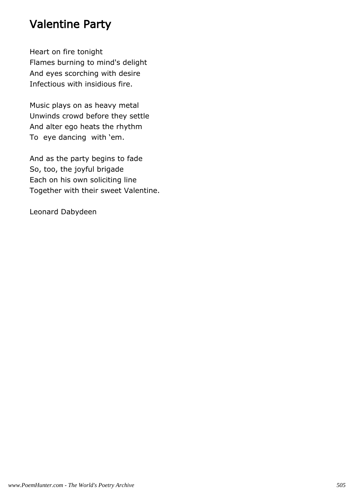# Valentine Party

Heart on fire tonight Flames burning to mind's delight And eyes scorching with desire Infectious with insidious fire.

Music plays on as heavy metal Unwinds crowd before they settle And alter ego heats the rhythm To eye dancing with 'em.

And as the party begins to fade So, too, the joyful brigade Each on his own soliciting line Together with their sweet Valentine.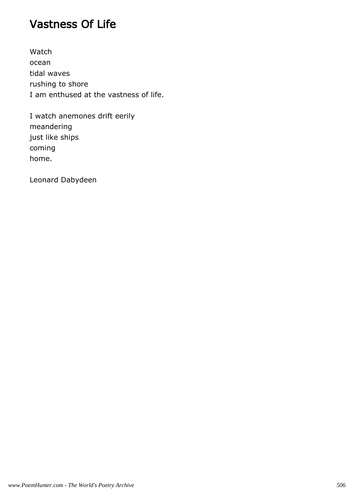# Vastness Of Life

Watch ocean tidal waves rushing to shore I am enthused at the vastness of life.

I watch anemones drift eerily meandering just like ships coming home.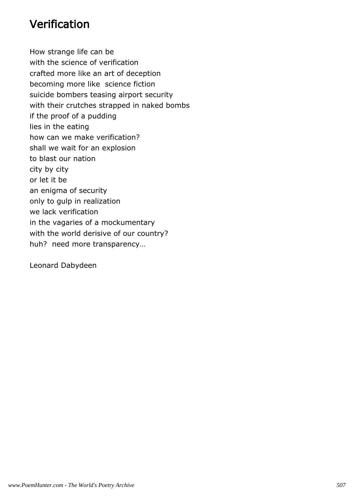# Verification

How strange life can be with the science of verification crafted more like an art of deception becoming more like science fiction suicide bombers teasing airport security with their crutches strapped in naked bombs if the proof of a pudding lies in the eating how can we make verification? shall we wait for an explosion to blast our nation city by city or let it be an enigma of security only to gulp in realization we lack verification in the vagaries of a mockumentary with the world derisive of our country? huh? need more transparency…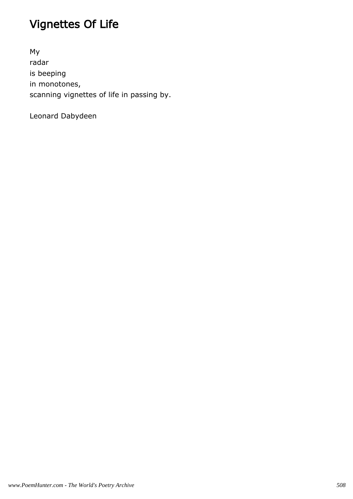# Vignettes Of Life

My radar is beeping in monotones, scanning vignettes of life in passing by.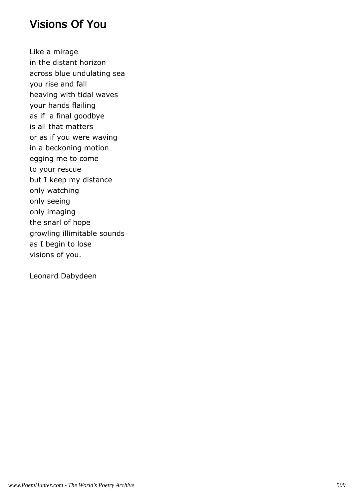### Visions Of You

Like a mirage in the distant horizon across blue undulating sea you rise and fall heaving with tidal waves your hands flailing as if a final goodbye is all that matters or as if you were waving in a beckoning motion egging me to come to your rescue but I keep my distance only watching only seeing only imaging the snarl of hope growling illimitable sounds as I begin to lose visions of you.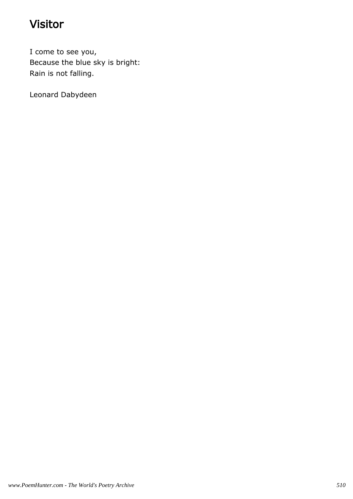# Visitor

I come to see you, Because the blue sky is bright: Rain is not falling.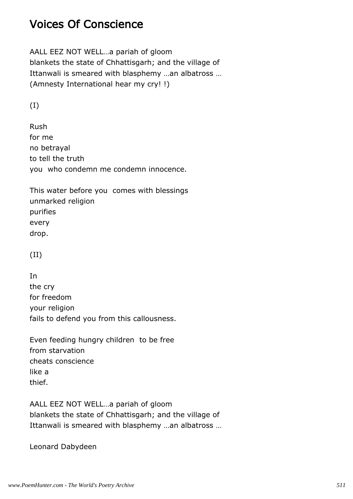# Voices Of Conscience

AALL EEZ NOT WELL…a pariah of gloom blankets the state of Chhattisgarh; and the village of Ittanwali is smeared with blasphemy …an albatross … (Amnesty International hear my cry! !)

(I)

Rush for me no betrayal to tell the truth you who condemn me condemn innocence.

This water before you comes with blessings unmarked religion purifies every drop.

(II)

In the cry for freedom your religion fails to defend you from this callousness.

Even feeding hungry children to be free from starvation cheats conscience like a thief.

AALL EEZ NOT WELL…a pariah of gloom blankets the state of Chhattisgarh; and the village of Ittanwali is smeared with blasphemy …an albatross …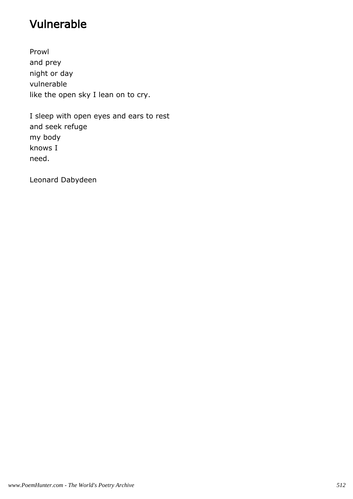# Vulnerable

Prowl and prey night or day vulnerable like the open sky I lean on to cry.

I sleep with open eyes and ears to rest and seek refuge my body knows I need.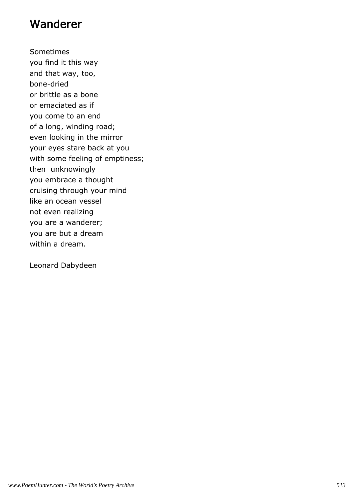#### Wanderer

Sometimes you find it this way and that way, too, bone-dried or brittle as a bone or emaciated as if you come to an end of a long, winding road; even looking in the mirror your eyes stare back at you with some feeling of emptiness; then unknowingly you embrace a thought cruising through your mind like an ocean vessel not even realizing you are a wanderer; you are but a dream within a dream.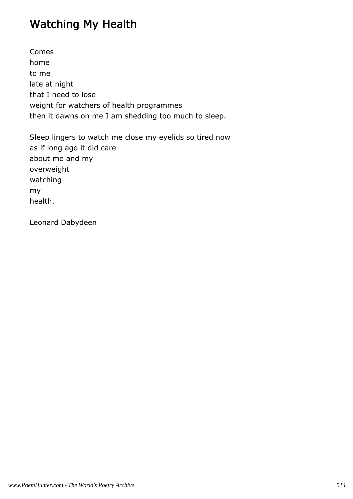# Watching My Health

Comes home to me late at night that I need to lose weight for watchers of health programmes then it dawns on me I am shedding too much to sleep.

Sleep lingers to watch me close my eyelids so tired now as if long ago it did care about me and my overweight watching my health.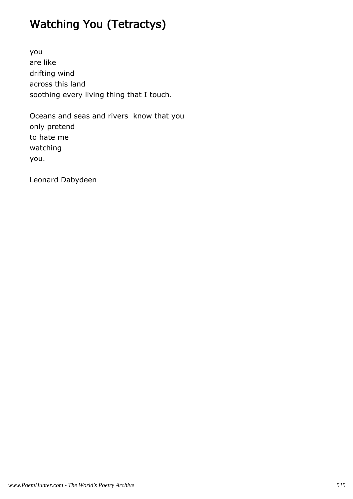# Watching You (Tetractys)

you are like drifting wind across this land soothing every living thing that I touch.

Oceans and seas and rivers know that you only pretend to hate me watching you.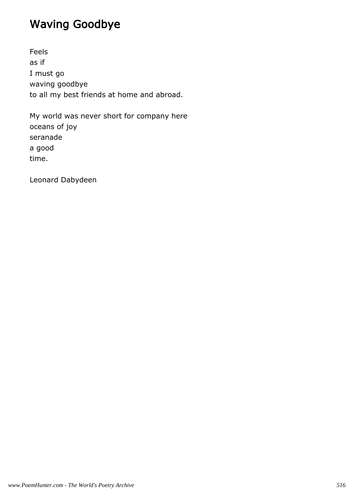# Waving Goodbye

Feels as if I must go waving goodbye to all my best friends at home and abroad.

My world was never short for company here oceans of joy seranade a good time.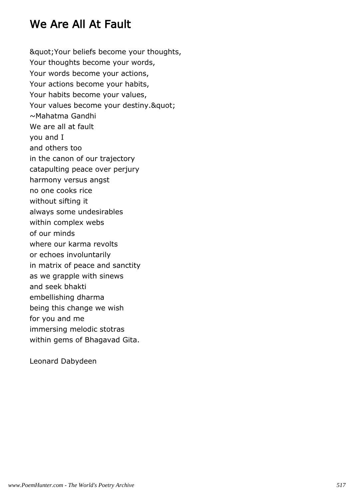# We Are All At Fault

& guot; Your beliefs become your thoughts, Your thoughts become your words, Your words become your actions, Your actions become your habits, Your habits become your values, Your values become your destiny. & quot; ~Mahatma Gandhi We are all at fault you and I and others too in the canon of our trajectory catapulting peace over perjury harmony versus angst no one cooks rice without sifting it always some undesirables within complex webs of our minds where our karma revolts or echoes involuntarily in matrix of peace and sanctity as we grapple with sinews and seek bhakti embellishing dharma being this change we wish for you and me immersing melodic stotras within gems of Bhagavad Gita.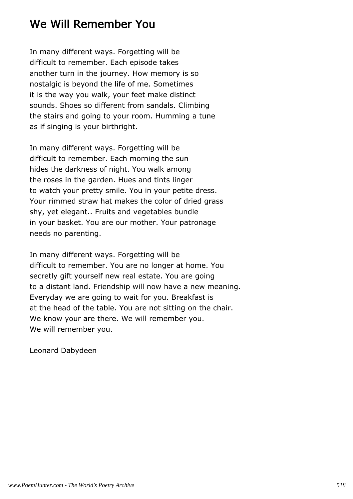# We Will Remember You

In many different ways. Forgetting will be difficult to remember. Each episode takes another turn in the journey. How memory is so nostalgic is beyond the life of me. Sometimes it is the way you walk, your feet make distinct sounds. Shoes so different from sandals. Climbing the stairs and going to your room. Humming a tune as if singing is your birthright.

In many different ways. Forgetting will be difficult to remember. Each morning the sun hides the darkness of night. You walk among the roses in the garden. Hues and tints linger to watch your pretty smile. You in your petite dress. Your rimmed straw hat makes the color of dried grass shy, yet elegant.. Fruits and vegetables bundle in your basket. You are our mother. Your patronage needs no parenting.

In many different ways. Forgetting will be difficult to remember. You are no longer at home. You secretly gift yourself new real estate. You are going to a distant land. Friendship will now have a new meaning. Everyday we are going to wait for you. Breakfast is at the head of the table. You are not sitting on the chair. We know your are there. We will remember you. We will remember you.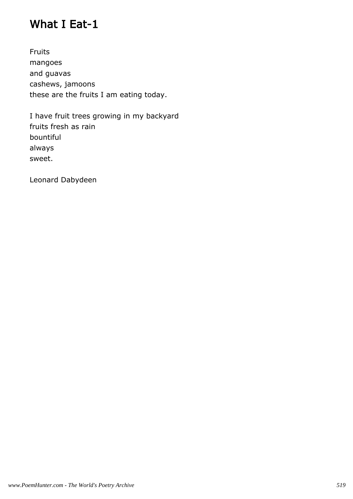# What I Eat-1

Fruits mangoes and guavas cashews, jamoons these are the fruits I am eating today.

I have fruit trees growing in my backyard fruits fresh as rain bountiful always sweet.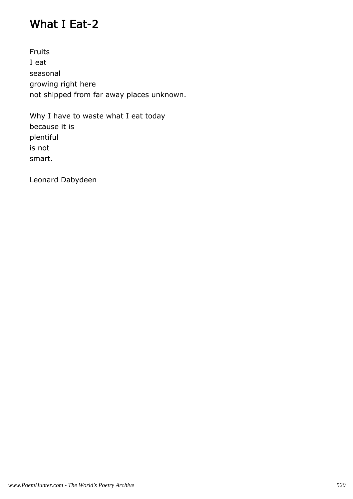# What I Eat-2

Fruits I eat seasonal growing right here not shipped from far away places unknown.

Why I have to waste what I eat today because it is plentiful is not smart.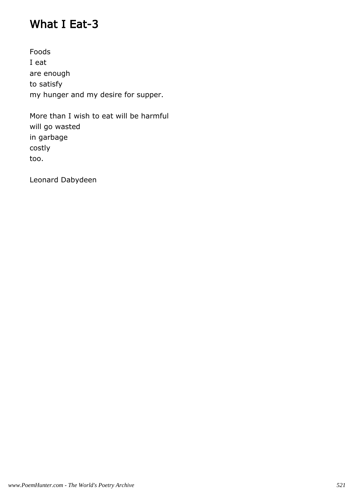# What I Eat-3

Foods I eat are enough to satisfy my hunger and my desire for supper.

More than I wish to eat will be harmful will go wasted in garbage costly too.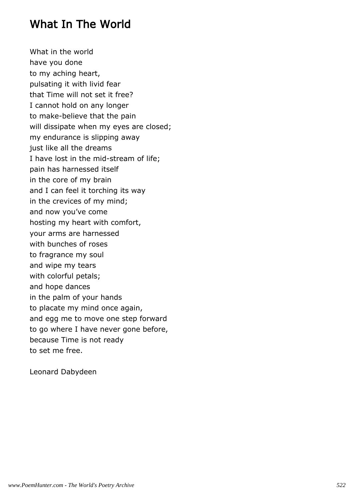### What In The World

What in the world have you done to my aching heart, pulsating it with livid fear that Time will not set it free? I cannot hold on any longer to make-believe that the pain will dissipate when my eyes are closed; my endurance is slipping away just like all the dreams I have lost in the mid-stream of life; pain has harnessed itself in the core of my brain and I can feel it torching its way in the crevices of my mind; and now you've come hosting my heart with comfort, your arms are harnessed with bunches of roses to fragrance my soul and wipe my tears with colorful petals; and hope dances in the palm of your hands to placate my mind once again, and egg me to move one step forward to go where I have never gone before, because Time is not ready to set me free.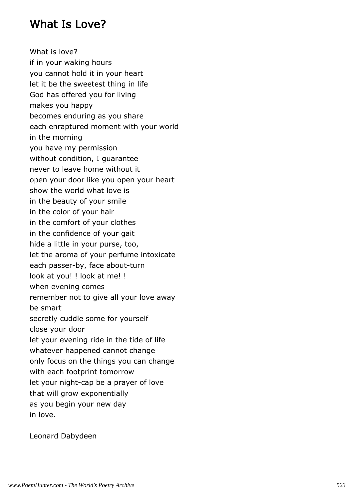### What Is Love?

What is love? if in your waking hours you cannot hold it in your heart let it be the sweetest thing in life God has offered you for living makes you happy becomes enduring as you share each enraptured moment with your world in the morning you have my permission without condition, I guarantee never to leave home without it open your door like you open your heart show the world what love is in the beauty of your smile in the color of your hair in the comfort of your clothes in the confidence of your gait hide a little in your purse, too, let the aroma of your perfume intoxicate each passer-by, face about-turn look at you! ! look at me! ! when evening comes remember not to give all your love away be smart secretly cuddle some for yourself close your door let your evening ride in the tide of life whatever happened cannot change only focus on the things you can change with each footprint tomorrow let your night-cap be a prayer of love that will grow exponentially as you begin your new day in love.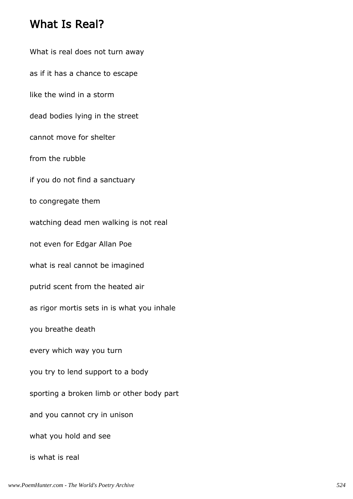#### What Is Real?

What is real does not turn away as if it has a chance to escape like the wind in a storm dead bodies lying in the street cannot move for shelter from the rubble if you do not find a sanctuary to congregate them watching dead men walking is not real not even for Edgar Allan Poe what is real cannot be imagined putrid scent from the heated air as rigor mortis sets in is what you inhale you breathe death every which way you turn you try to lend support to a body sporting a broken limb or other body part and you cannot cry in unison what you hold and see is what is real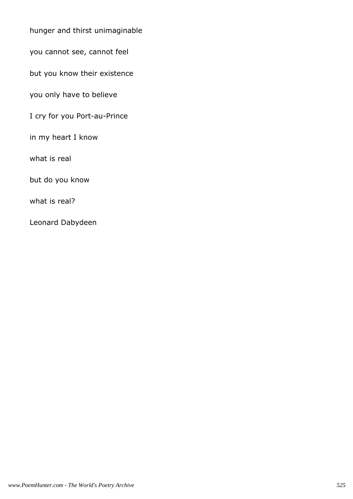hunger and thirst unimaginable

you cannot see, cannot feel

but you know their existence

you only have to believe

I cry for you Port-au-Prince

in my heart I know

what is real

but do you know

what is real?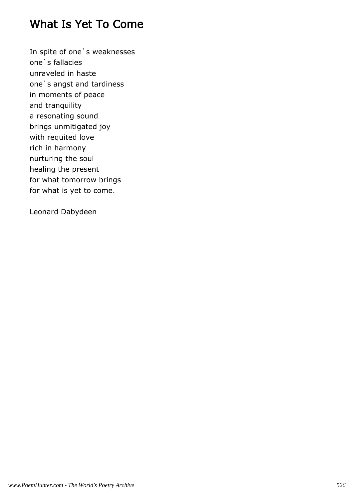# What Is Yet To Come

In spite of one`s weaknesses one`s fallacies unraveled in haste one`s angst and tardiness in moments of peace and tranquility a resonating sound brings unmitigated joy with requited love rich in harmony nurturing the soul healing the present for what tomorrow brings for what is yet to come.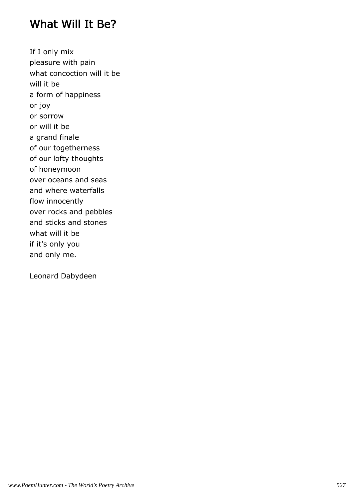#### What Will It Be?

If I only mix pleasure with pain what concoction will it be will it be a form of happiness or joy or sorrow or will it be a grand finale of our togetherness of our lofty thoughts of honeymoon over oceans and seas and where waterfalls flow innocently over rocks and pebbles and sticks and stones what will it be if it's only you and only me.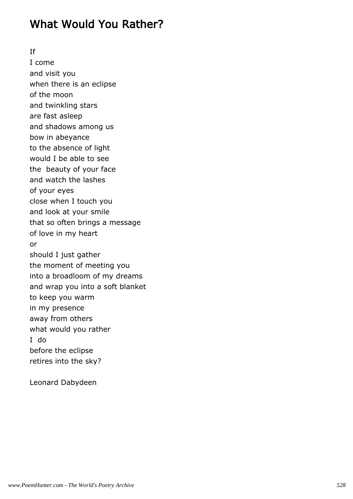# What Would You Rather?

If

I come and visit you when there is an eclipse of the moon and twinkling stars are fast asleep and shadows among us bow in abeyance to the absence of light would I be able to see the beauty of your face and watch the lashes of your eyes close when I touch you and look at your smile that so often brings a message of love in my heart or should I just gather the moment of meeting you into a broadloom of my dreams and wrap you into a soft blanket to keep you warm in my presence away from others what would you rather I do before the eclipse retires into the sky?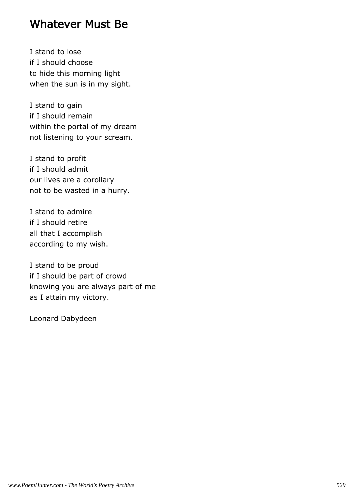#### Whatever Must Be

I stand to lose if I should choose to hide this morning light when the sun is in my sight.

I stand to gain if I should remain within the portal of my dream not listening to your scream.

I stand to profit if I should admit our lives are a corollary not to be wasted in a hurry.

I stand to admire if I should retire all that I accomplish according to my wish.

I stand to be proud if I should be part of crowd knowing you are always part of me as I attain my victory.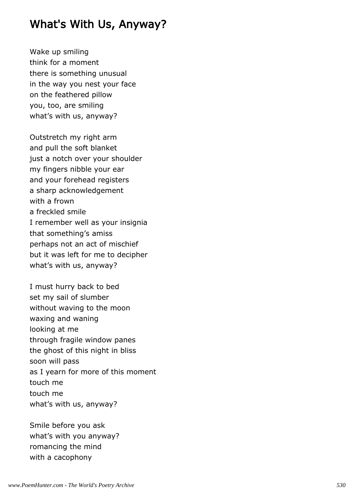# What's With Us, Anyway?

Wake up smiling think for a moment there is something unusual in the way you nest your face on the feathered pillow you, too, are smiling what's with us, anyway?

Outstretch my right arm and pull the soft blanket just a notch over your shoulder my fingers nibble your ear and your forehead registers a sharp acknowledgement with a frown a freckled smile I remember well as your insignia that something's amiss perhaps not an act of mischief but it was left for me to decipher what's with us, anyway?

I must hurry back to bed set my sail of slumber without waving to the moon waxing and waning looking at me through fragile window panes the ghost of this night in bliss soon will pass as I yearn for more of this moment touch me touch me what's with us, anyway?

Smile before you ask what's with you anyway? romancing the mind with a cacophony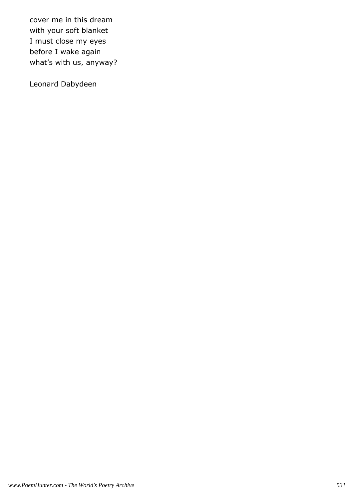cover me in this dream with your soft blanket I must close my eyes before I wake again what's with us, anyway?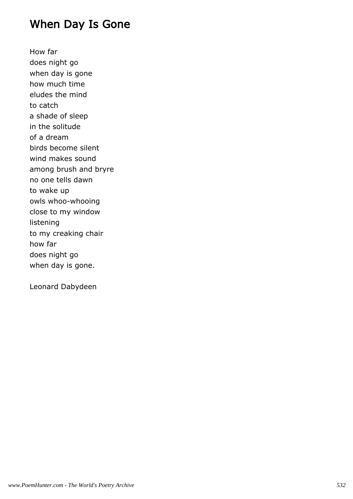# When Day Is Gone

How far does night go when day is gone how much time eludes the mind to catch a shade of sleep in the solitude of a dream birds become silent wind makes sound among brush and bryre no one tells dawn to wake up owls whoo-whooing close to my window listening to my creaking chair how far does night go when day is gone.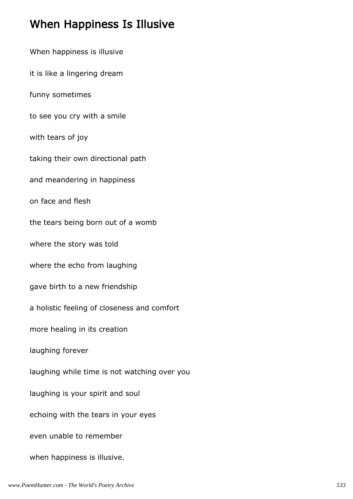# When Happiness Is Illusive

When happiness is illusive it is like a lingering dream funny sometimes to see you cry with a smile with tears of joy taking their own directional path and meandering in happiness on face and flesh the tears being born out of a womb where the story was told where the echo from laughing gave birth to a new friendship a holistic feeling of closeness and comfort more healing in its creation laughing forever laughing while time is not watching over you laughing is your spirit and soul echoing with the tears in your eyes even unable to remember when happiness is illusive.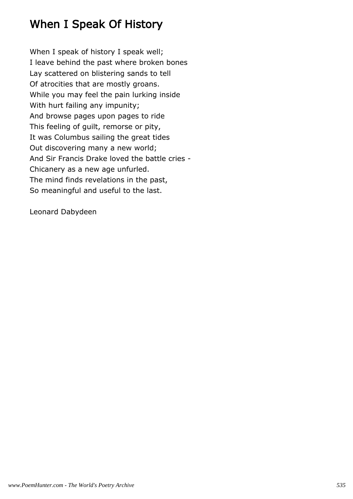# When I Speak Of History

When I speak of history I speak well; I leave behind the past where broken bones Lay scattered on blistering sands to tell Of atrocities that are mostly groans. While you may feel the pain lurking inside With hurt failing any impunity; And browse pages upon pages to ride This feeling of guilt, remorse or pity, It was Columbus sailing the great tides Out discovering many a new world; And Sir Francis Drake loved the battle cries - Chicanery as a new age unfurled. The mind finds revelations in the past, So meaningful and useful to the last.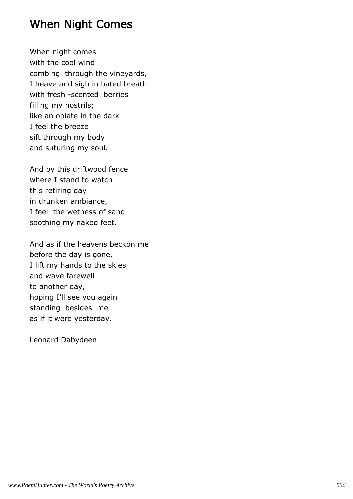# When Night Comes

When night comes with the cool wind combing through the vineyards, I heave and sigh in bated breath with fresh -scented berries filling my nostrils; like an opiate in the dark I feel the breeze sift through my body and suturing my soul.

And by this driftwood fence where I stand to watch this retiring day in drunken ambiance, I feel the wetness of sand soothing my naked feet.

And as if the heavens beckon me before the day is gone, I lift my hands to the skies and wave farewell to another day, hoping I'll see you again standing besides me as if it were yesterday.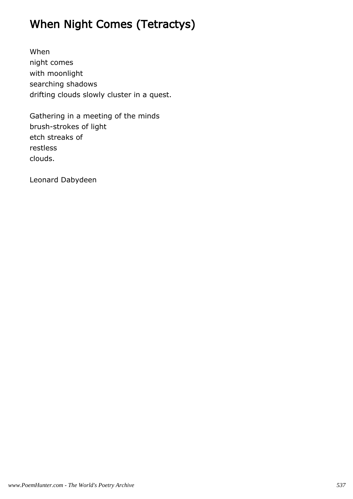# When Night Comes (Tetractys)

When night comes with moonlight searching shadows drifting clouds slowly cluster in a quest.

Gathering in a meeting of the minds brush-strokes of light etch streaks of restless clouds.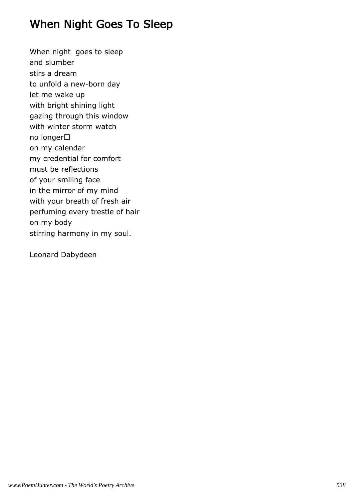# When Night Goes To Sleep

When night goes to sleep and slumber stirs a dream to unfold a new-born day let me wake up with bright shining light gazing through this window with winter storm watch no longer on my calendar my credential for comfort must be reflections of your smiling face in the mirror of my mind with your breath of fresh air perfuming every trestle of hair on my body stirring harmony in my soul.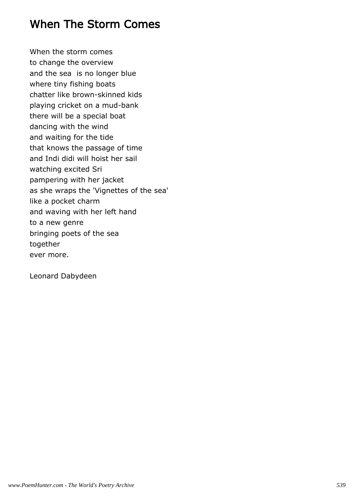# When The Storm Comes

When the storm comes to change the overview and the sea is no longer blue where tiny fishing boats chatter like brown-skinned kids playing cricket on a mud-bank there will be a special boat dancing with the wind and waiting for the tide that knows the passage of time and Indi didi will hoist her sail watching excited Sri pampering with her jacket as she wraps the 'Vignettes of the sea' like a pocket charm and waving with her left hand to a new genre bringing poets of the sea together ever more.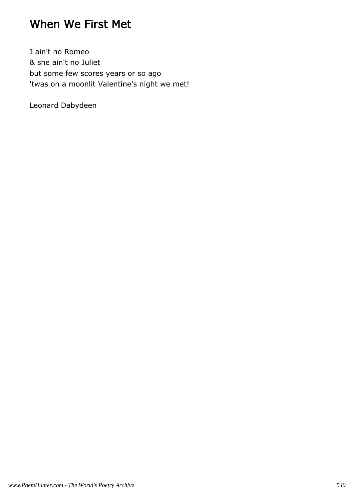### When We First Met

I ain't no Romeo & she ain't no Juliet but some few scores years or so ago 'twas on a moonlit Valentine's night we met!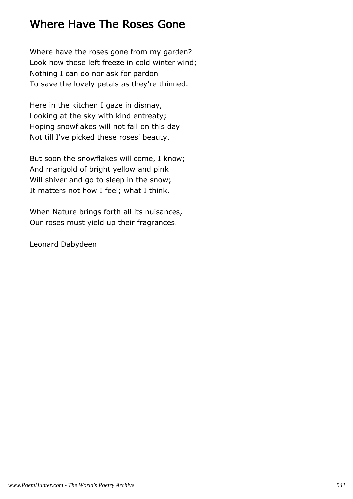### Where Have The Roses Gone

Where have the roses gone from my garden? Look how those left freeze in cold winter wind; Nothing I can do nor ask for pardon To save the lovely petals as they're thinned.

Here in the kitchen I gaze in dismay, Looking at the sky with kind entreaty; Hoping snowflakes will not fall on this day Not till I've picked these roses' beauty.

But soon the snowflakes will come, I know; And marigold of bright yellow and pink Will shiver and go to sleep in the snow; It matters not how I feel; what I think.

When Nature brings forth all its nuisances, Our roses must yield up their fragrances.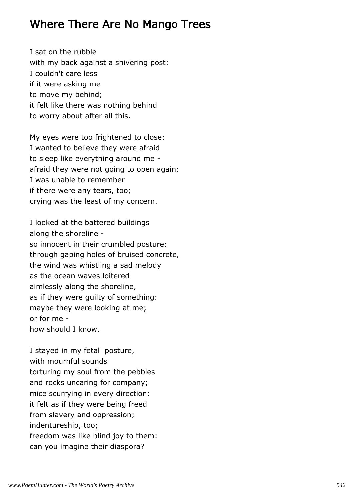#### Where There Are No Mango Trees

I sat on the rubble with my back against a shivering post: I couldn't care less if it were asking me to move my behind; it felt like there was nothing behind to worry about after all this.

My eyes were too frightened to close; I wanted to believe they were afraid to sleep like everything around me afraid they were not going to open again; I was unable to remember if there were any tears, too; crying was the least of my concern.

I looked at the battered buildings along the shoreline so innocent in their crumbled posture: through gaping holes of bruised concrete, the wind was whistling a sad melody as the ocean waves loitered aimlessly along the shoreline, as if they were guilty of something: maybe they were looking at me; or for me how should I know.

I stayed in my fetal posture, with mournful sounds torturing my soul from the pebbles and rocks uncaring for company; mice scurrying in every direction: it felt as if they were being freed from slavery and oppression; indentureship, too; freedom was like blind joy to them: can you imagine their diaspora?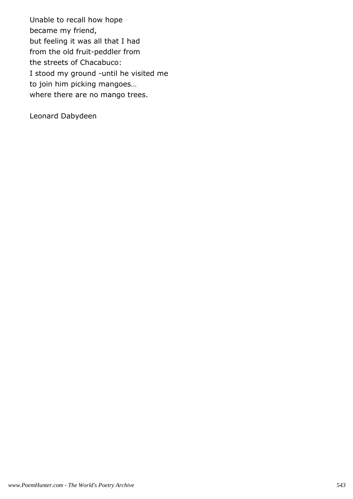Unable to recall how hope became my friend, but feeling it was all that I had from the old fruit-peddler from the streets of Chacabuco: I stood my ground -until he visited me to join him picking mangoes… where there are no mango trees.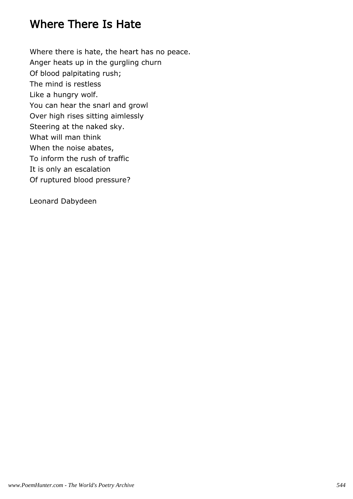### Where There Is Hate

Where there is hate, the heart has no peace. Anger heats up in the gurgling churn Of blood palpitating rush; The mind is restless Like a hungry wolf. You can hear the snarl and growl Over high rises sitting aimlessly Steering at the naked sky. What will man think When the noise abates, To inform the rush of traffic It is only an escalation Of ruptured blood pressure?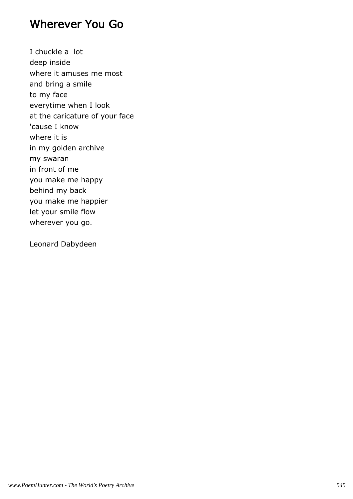#### Wherever You Go

I chuckle a lot deep inside where it amuses me most and bring a smile to my face everytime when I look at the caricature of your face 'cause I know where it is in my golden archive my swaran in front of me you make me happy behind my back you make me happier let your smile flow wherever you go.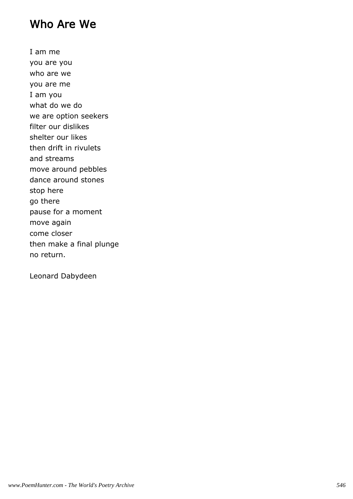### Who Are We

I am me you are you who are we you are me I am you what do we do we are option seekers filter our dislikes shelter our likes then drift in rivulets and streams move around pebbles dance around stones stop here go there pause for a moment move again come closer then make a final plunge no return.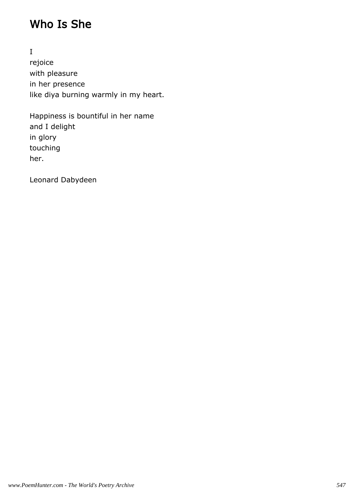## Who Is She

I rejoice with pleasure in her presence like diya burning warmly in my heart.

Happiness is bountiful in her name and I delight in glory touching her.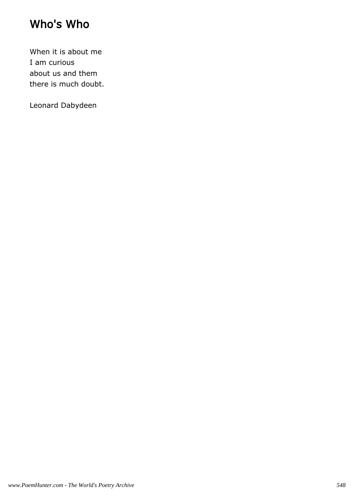### Who's Who

When it is about me I am curious about us and them there is much doubt.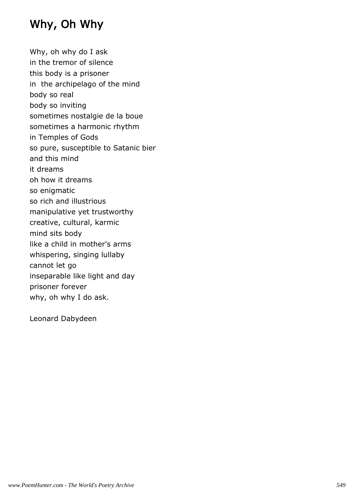## Why, Oh Why

Why, oh why do I ask in the tremor of silence this body is a prisoner in the archipelago of the mind body so real body so inviting sometimes nostalgie de la boue sometimes a harmonic rhythm in Temples of Gods so pure, susceptible to Satanic bier and this mind it dreams oh how it dreams so enigmatic so rich and illustrious manipulative yet trustworthy creative, cultural, karmic mind sits body like a child in mother's arms whispering, singing lullaby cannot let go inseparable like light and day prisoner forever why, oh why I do ask.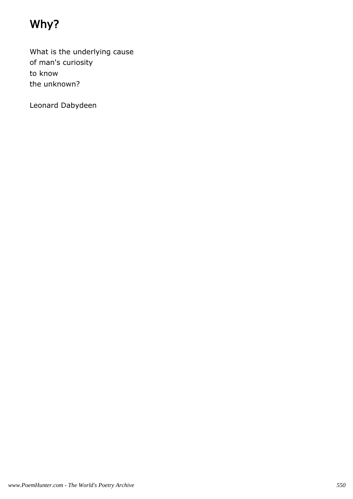## Why?

What is the underlying cause of man's curiosity to know the unknown?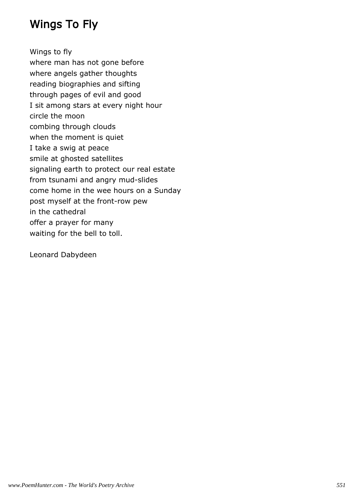## Wings To Fly

Wings to fly where man has not gone before where angels gather thoughts reading biographies and sifting through pages of evil and good I sit among stars at every night hour circle the moon combing through clouds when the moment is quiet I take a swig at peace smile at ghosted satellites signaling earth to protect our real estate from tsunami and angry mud-slides come home in the wee hours on a Sunday post myself at the front-row pew in the cathedral offer a prayer for many waiting for the bell to toll.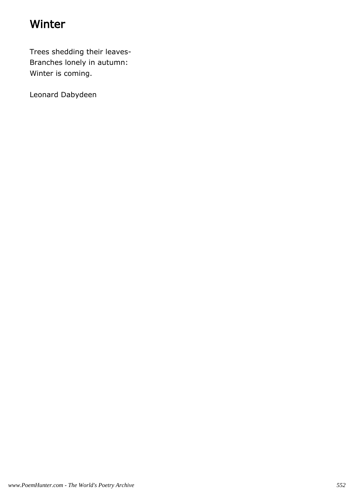## Winter

Trees shedding their leaves-Branches lonely in autumn: Winter is coming.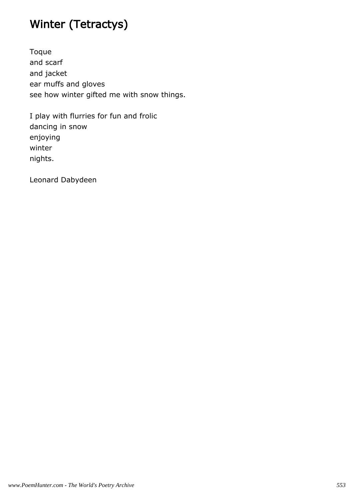## Winter (Tetractys)

Toque and scarf and jacket ear muffs and gloves see how winter gifted me with snow things.

I play with flurries for fun and frolic dancing in snow enjoying winter nights.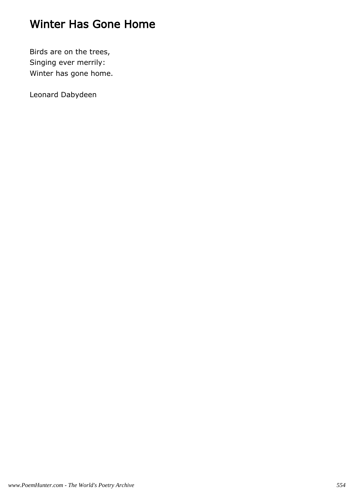### Winter Has Gone Home

Birds are on the trees, Singing ever merrily: Winter has gone home.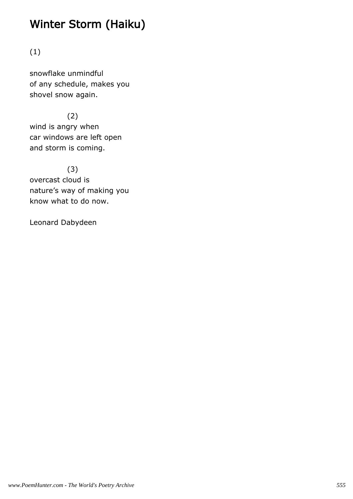## Winter Storm (Haiku)

(1)

snowflake unmindful of any schedule, makes you shovel snow again.

 (2) wind is angry when car windows are left open and storm is coming.

(3)

overcast cloud is nature's way of making you know what to do now.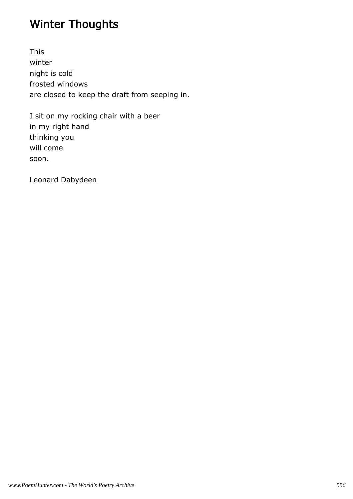## Winter Thoughts

This winter night is cold frosted windows are closed to keep the draft from seeping in.

I sit on my rocking chair with a beer in my right hand thinking you will come soon.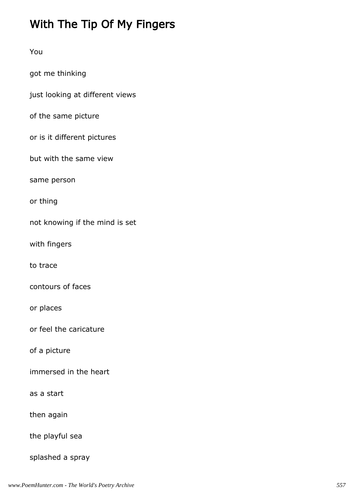# With The Tip Of My Fingers

| You                             |
|---------------------------------|
| got me thinking                 |
| just looking at different views |
| of the same picture             |
| or is it different pictures     |
| but with the same view          |
| same person                     |
| or thing                        |
| not knowing if the mind is set  |
| with fingers                    |
| to trace                        |
| contours of faces               |
| or places                       |
| or feel the caricature          |
| of a picture                    |
| immersed in the heart           |
| as a start                      |
| then again                      |
| the playful sea                 |
| splashed a spray                |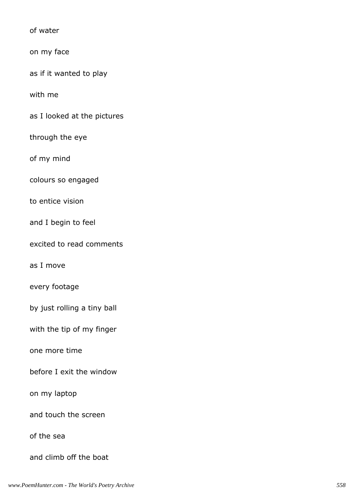of water

on my face

as if it wanted to play

with me

as I looked at the pictures

through the eye

of my mind

colours so engaged

to entice vision

and I begin to feel

excited to read comments

as I move

every footage

by just rolling a tiny ball

with the tip of my finger

one more time

before I exit the window

on my laptop

and touch the screen

of the sea

and climb off the boat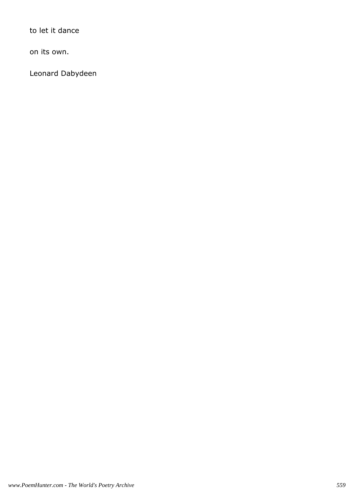to let it dance

on its own.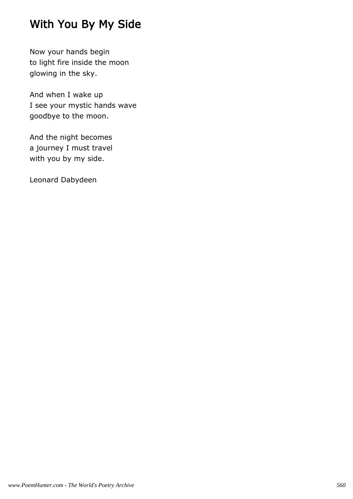## With You By My Side

Now your hands begin to light fire inside the moon glowing in the sky.

And when I wake up I see your mystic hands wave goodbye to the moon.

And the night becomes a journey I must travel with you by my side.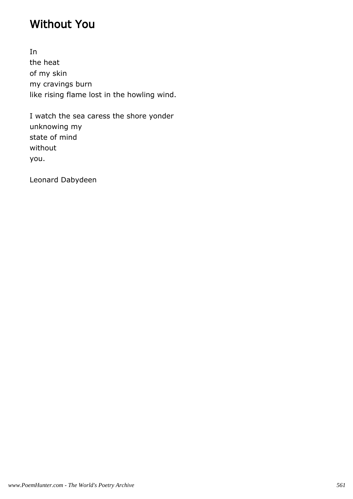### Without You

In the heat of my skin my cravings burn like rising flame lost in the howling wind.

I watch the sea caress the shore yonder unknowing my state of mind without you.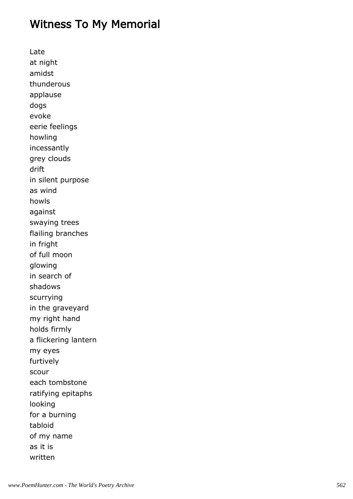### Witness To My Memorial

Late at night amidst thunderous applause dogs evoke eerie feelings howling incessantly grey clouds drift in silent purpose as wind howls against swaying trees flailing branches in fright of full moon glowing in search of shadows scurrying in the graveyard my right hand holds firmly a flickering lantern my eyes furtively scour each tombstone ratifying epitaphs looking for a burning tabloid of my name as it is written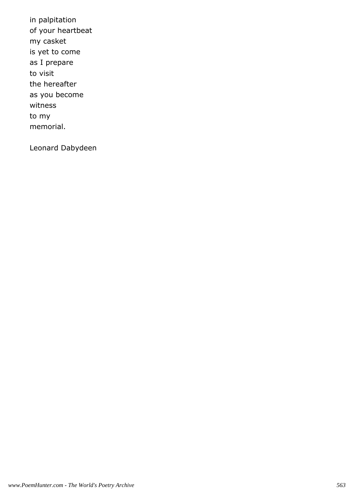in palpitation of your heartbeat my casket is yet to come as I prepare to visit the hereafter as you become witness to my memorial.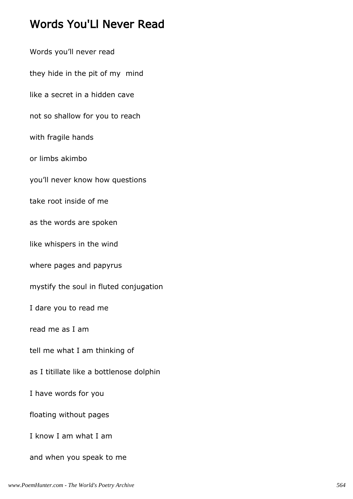## Words You'Ll Never Read

Words you'll never read they hide in the pit of my mind like a secret in a hidden cave not so shallow for you to reach with fragile hands or limbs akimbo you'll never know how questions take root inside of me as the words are spoken like whispers in the wind where pages and papyrus mystify the soul in fluted conjugation I dare you to read me read me as I am tell me what I am thinking of as I titillate like a bottlenose dolphin I have words for you floating without pages I know I am what I am and when you speak to me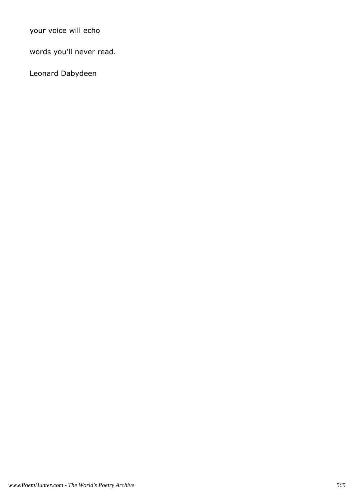your voice will echo

words you'll never read.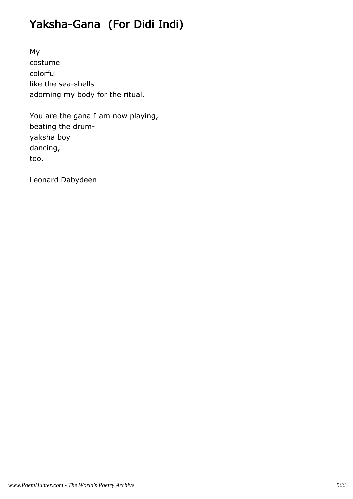# Yaksha-Gana (For Didi Indi)

My costume colorful like the sea-shells adorning my body for the ritual.

You are the gana I am now playing, beating the drumyaksha boy dancing, too.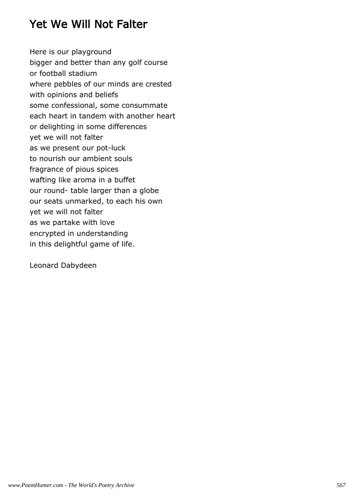### Yet We Will Not Falter

Here is our playground bigger and better than any golf course or football stadium where pebbles of our minds are crested with opinions and beliefs some confessional, some consummate each heart in tandem with another heart or delighting in some differences yet we will not falter as we present our pot-luck to nourish our ambient souls fragrance of pious spices wafting like aroma in a buffet our round- table larger than a globe our seats unmarked, to each his own yet we will not falter as we partake with love encrypted in understanding in this delightful game of life.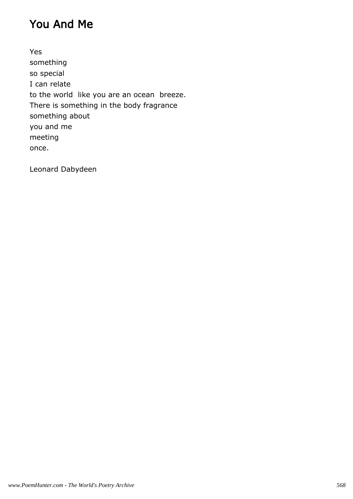### You And Me

Yes something so special I can relate to the world like you are an ocean breeze. There is something in the body fragrance something about you and me meeting once.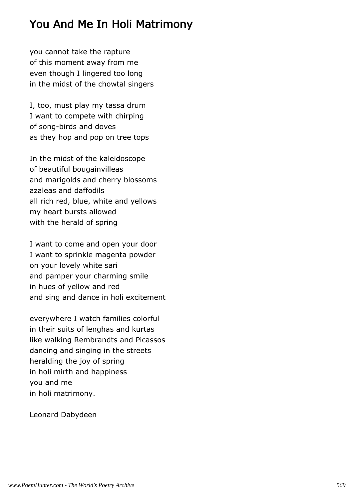### You And Me In Holi Matrimony

you cannot take the rapture of this moment away from me even though I lingered too long in the midst of the chowtal singers

I, too, must play my tassa drum I want to compete with chirping of song-birds and doves as they hop and pop on tree tops

In the midst of the kaleidoscope of beautiful bougainvilleas and marigolds and cherry blossoms azaleas and daffodils all rich red, blue, white and yellows my heart bursts allowed with the herald of spring

I want to come and open your door I want to sprinkle magenta powder on your lovely white sari and pamper your charming smile in hues of yellow and red and sing and dance in holi excitement

everywhere I watch families colorful in their suits of lenghas and kurtas like walking Rembrandts and Picassos dancing and singing in the streets heralding the joy of spring in holi mirth and happiness you and me in holi matrimony.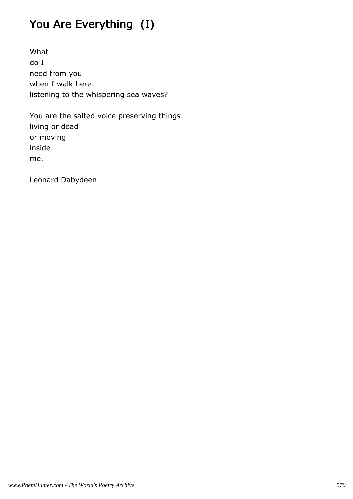# You Are Everything (I)

What do I need from you when I walk here listening to the whispering sea waves?

You are the salted voice preserving things living or dead or moving inside me.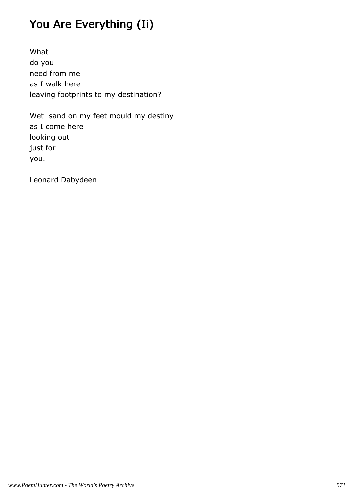## You Are Everything (Ii)

What do you need from me as I walk here leaving footprints to my destination?

Wet sand on my feet mould my destiny as I come here looking out just for you.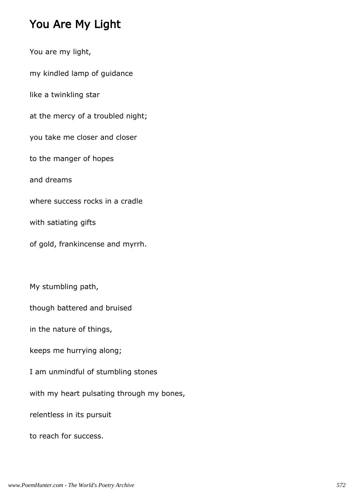### You Are My Light

You are my light, my kindled lamp of guidance like a twinkling star at the mercy of a troubled night; you take me closer and closer to the manger of hopes and dreams where success rocks in a cradle with satiating gifts of gold, frankincense and myrrh. My stumbling path, though battered and bruised in the nature of things, keeps me hurrying along; I am unmindful of stumbling stones with my heart pulsating through my bones, relentless in its pursuit to reach for success.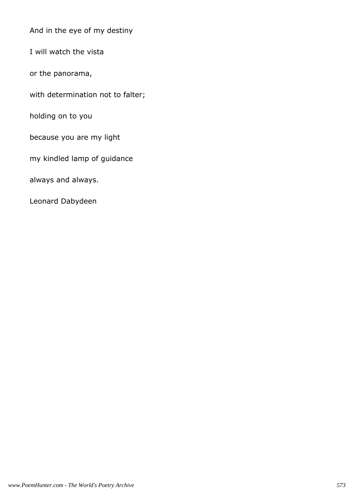And in the eye of my destiny

I will watch the vista

or the panorama,

with determination not to falter;

holding on to you

because you are my light

my kindled lamp of guidance

always and always.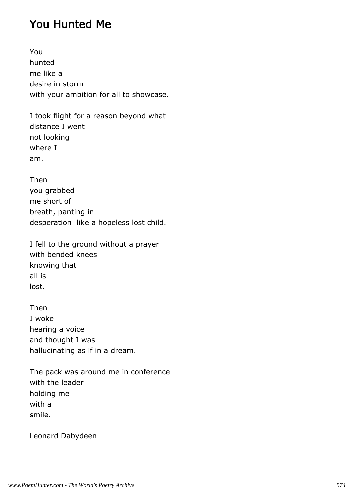### You Hunted Me

You hunted me like a desire in storm with your ambition for all to showcase.

I took flight for a reason beyond what distance I went not looking where I am.

Then you grabbed me short of breath, panting in desperation like a hopeless lost child.

I fell to the ground without a prayer with bended knees knowing that all is lost.

Then I woke hearing a voice and thought I was hallucinating as if in a dream.

The pack was around me in conference with the leader holding me with a smile.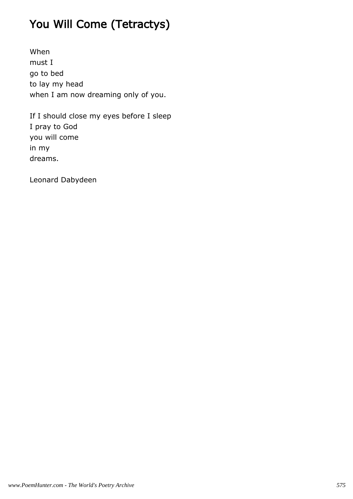# You Will Come (Tetractys)

When must I go to bed to lay my head when I am now dreaming only of you.

If I should close my eyes before I sleep I pray to God you will come in my dreams.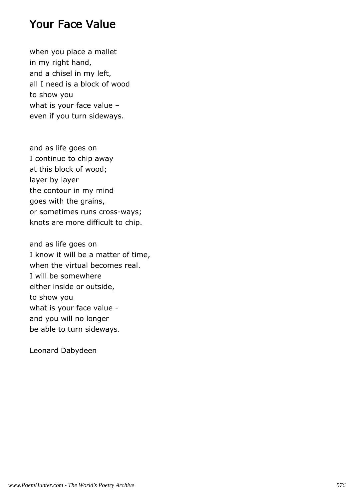## Your Face Value

when you place a mallet in my right hand, and a chisel in my left, all I need is a block of wood to show you what is your face value – even if you turn sideways.

and as life goes on I continue to chip away at this block of wood; layer by layer the contour in my mind goes with the grains, or sometimes runs cross-ways; knots are more difficult to chip.

and as life goes on I know it will be a matter of time, when the virtual becomes real. I will be somewhere either inside or outside, to show you what is your face value and you will no longer be able to turn sideways.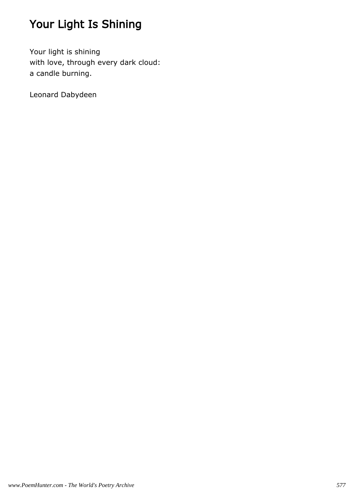# Your Light Is Shining

Your light is shining with love, through every dark cloud: a candle burning.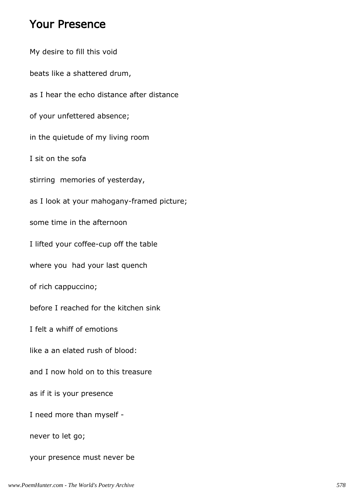### Your Presence

My desire to fill this void beats like a shattered drum, as I hear the echo distance after distance of your unfettered absence; in the quietude of my living room I sit on the sofa stirring memories of yesterday, as I look at your mahogany-framed picture; some time in the afternoon I lifted your coffee-cup off the table where you had your last quench of rich cappuccino; before I reached for the kitchen sink I felt a whiff of emotions like a an elated rush of blood: and I now hold on to this treasure as if it is your presence I need more than myself never to let go; your presence must never be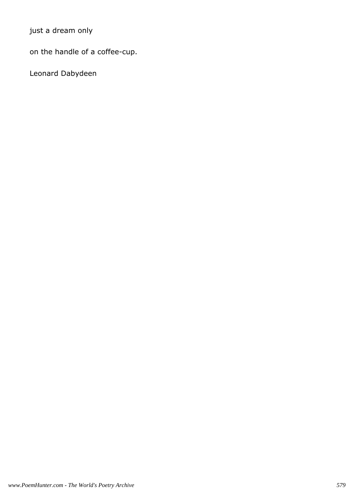just a dream only

on the handle of a coffee-cup.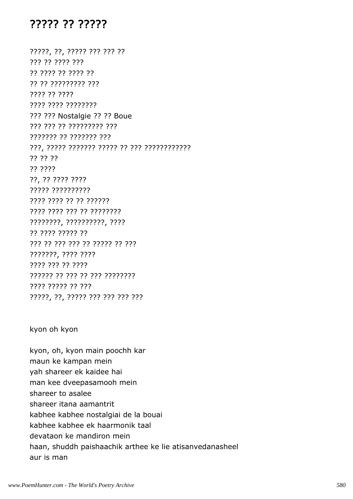#### ????? ?? ?????

?????, ??, ????? ??? ??? ?? ??? ?? ???? ??? ?? ???? ?? ???? ?? ?? ?? ????????? ??? ???? ?? ???? ???? ???? ???????? ??? ??? Nostalgie ?? ?? Boue ??? ??? ?? ????????? ??? ??????? ?? ??????? ??? ???, ????? ??????? ????? ?? ??? ???????????? ?? ?? ?? ?? ???? ??, ?? ???? ???? ????? ?????????? ???? ???? ?? ?? ?????? ???? ???? ??? ?? ???????? ????????, ??????????, ???? ?? ???? ????? ?? ??? ?? ??? ??? ?? ????? ?? ??? ???????, ???? ???? ???? ??? ?? ???? ?????? ?? ??? ?? ??? ???????? ???? ????? ?? ??? ?????, ??, ????? ??? ??? ??? ???

#### kyon oh kyon

kyon, oh, kyon main poochh kar maun ke kampan mein yah shareer ek kaidee hai man kee dveepasamooh mein shareer to asalee shareer itana aamantrit kabhee kabhee nostalgiai de la bouai kabhee kabhee ek haarmonik taal devataon ke mandiron mein haan, shuddh paishaachik arthee ke lie atisanvedanasheel aur is man